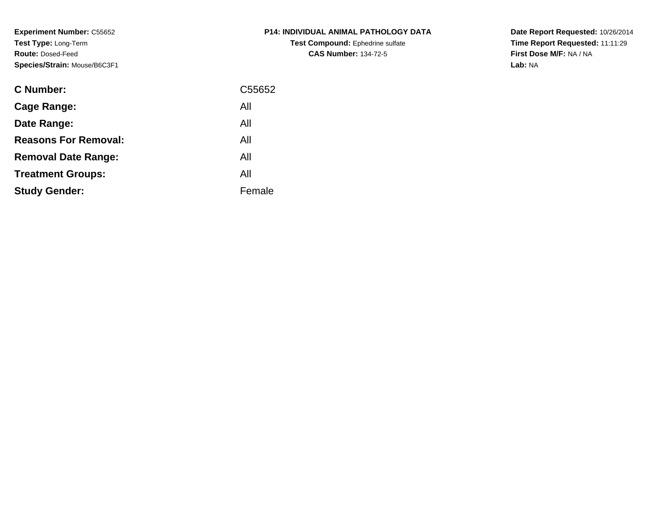**Experiment Number:** C55652**Test Type:** Long-Term**Route:** Dosed-Feed**Species/Strain:** Mouse/B6C3F1

| <b>C Number:</b>            | C55652 |
|-----------------------------|--------|
| <b>Cage Range:</b>          | All    |
| Date Range:                 | All    |
| <b>Reasons For Removal:</b> | All    |
| <b>Removal Date Range:</b>  | All    |
| <b>Treatment Groups:</b>    | All    |
| <b>Study Gender:</b>        | Female |
|                             |        |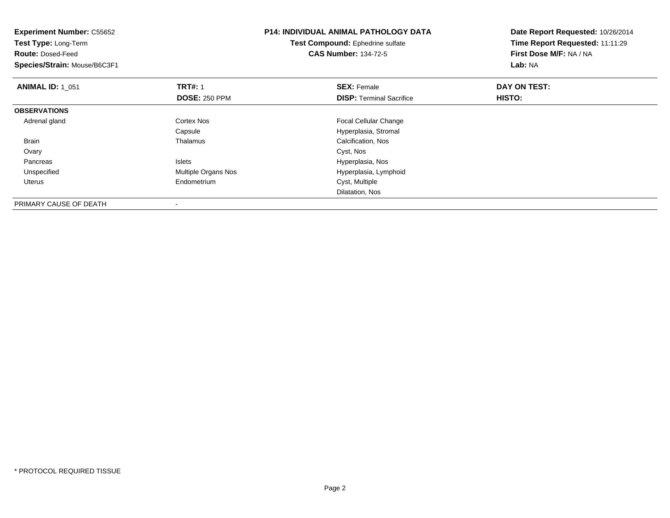| <b>Experiment Number: C55652</b><br>Test Type: Long-Term<br><b>Route: Dosed-Feed</b><br>Species/Strain: Mouse/B6C3F1 |                      | <b>P14: INDIVIDUAL ANIMAL PATHOLOGY DATA</b><br>Test Compound: Ephedrine sulfate<br><b>CAS Number: 134-72-5</b> | Date Report Requested: 10/26/2014<br>Time Report Requested: 11:11:29<br>First Dose M/F: NA / NA<br>Lab: NA |  |
|----------------------------------------------------------------------------------------------------------------------|----------------------|-----------------------------------------------------------------------------------------------------------------|------------------------------------------------------------------------------------------------------------|--|
| <b>ANIMAL ID: 1 051</b>                                                                                              | <b>TRT#: 1</b>       | <b>SEX: Female</b>                                                                                              | DAY ON TEST:                                                                                               |  |
|                                                                                                                      | <b>DOSE: 250 PPM</b> | <b>DISP:</b> Terminal Sacrifice                                                                                 | HISTO:                                                                                                     |  |
| <b>OBSERVATIONS</b>                                                                                                  |                      |                                                                                                                 |                                                                                                            |  |
| Adrenal gland                                                                                                        | Cortex Nos           | Focal Cellular Change                                                                                           |                                                                                                            |  |
|                                                                                                                      | Capsule              | Hyperplasia, Stromal                                                                                            |                                                                                                            |  |
| Brain                                                                                                                | Thalamus             | Calcification, Nos                                                                                              |                                                                                                            |  |
| Ovary                                                                                                                |                      | Cyst, Nos                                                                                                       |                                                                                                            |  |
| Pancreas                                                                                                             | Islets               | Hyperplasia, Nos                                                                                                |                                                                                                            |  |
| Unspecified                                                                                                          | Multiple Organs Nos  | Hyperplasia, Lymphoid                                                                                           |                                                                                                            |  |
| Uterus                                                                                                               | Endometrium          | Cyst, Multiple                                                                                                  |                                                                                                            |  |
|                                                                                                                      |                      | Dilatation, Nos                                                                                                 |                                                                                                            |  |
| PRIMARY CAUSE OF DEATH                                                                                               |                      |                                                                                                                 |                                                                                                            |  |

-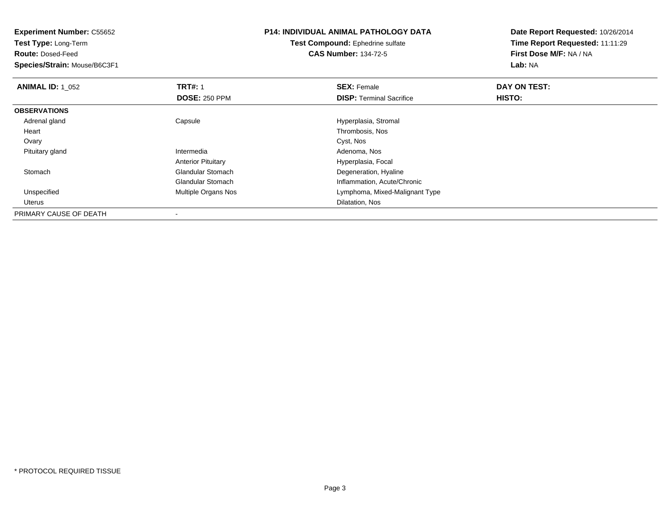| <b>Experiment Number: C55652</b><br>Test Type: Long-Term |                           | <b>P14: INDIVIDUAL ANIMAL PATHOLOGY DATA</b> | Date Report Requested: 10/26/2014 |
|----------------------------------------------------------|---------------------------|----------------------------------------------|-----------------------------------|
|                                                          |                           | Test Compound: Ephedrine sulfate             | Time Report Requested: 11:11:29   |
| <b>Route: Dosed-Feed</b>                                 |                           | <b>CAS Number: 134-72-5</b>                  | First Dose M/F: NA / NA           |
| Species/Strain: Mouse/B6C3F1                             |                           |                                              | Lab: NA                           |
| <b>ANIMAL ID: 1 052</b>                                  | <b>TRT#: 1</b>            | <b>SEX: Female</b>                           | DAY ON TEST:                      |
|                                                          | <b>DOSE: 250 PPM</b>      | <b>DISP:</b> Terminal Sacrifice              | HISTO:                            |
| <b>OBSERVATIONS</b>                                      |                           |                                              |                                   |
| Adrenal gland                                            | Capsule                   | Hyperplasia, Stromal                         |                                   |
| Heart                                                    |                           | Thrombosis, Nos                              |                                   |
| Ovary                                                    |                           | Cyst, Nos                                    |                                   |
| Pituitary gland                                          | Intermedia                | Adenoma, Nos                                 |                                   |
|                                                          | <b>Anterior Pituitary</b> | Hyperplasia, Focal                           |                                   |
| Stomach                                                  | <b>Glandular Stomach</b>  | Degeneration, Hyaline                        |                                   |
|                                                          | <b>Glandular Stomach</b>  | Inflammation, Acute/Chronic                  |                                   |
| Unspecified                                              | Multiple Organs Nos       | Lymphoma, Mixed-Malignant Type               |                                   |
| Uterus                                                   |                           | Dilatation, Nos                              |                                   |
| PRIMARY CAUSE OF DEATH                                   |                           |                                              |                                   |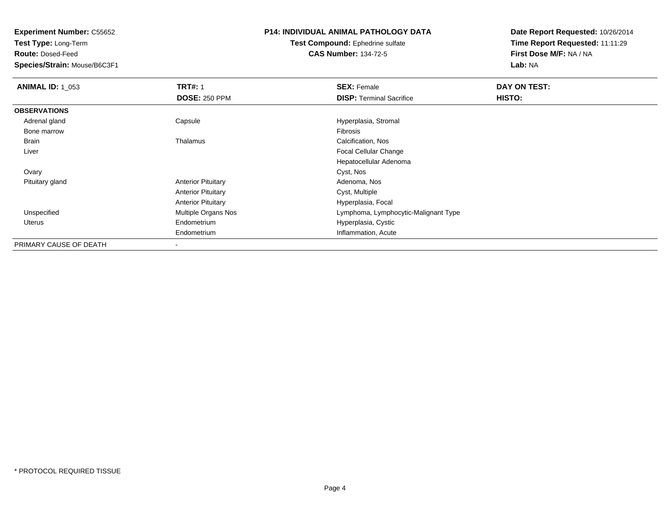**Test Type:** Long-Term

**Route:** Dosed-Feed

**Species/Strain:** Mouse/B6C3F1

### **P14: INDIVIDUAL ANIMAL PATHOLOGY DATA**

**Test Compound:** Ephedrine sulfate**CAS Number:** 134-72-5

| <b>ANIMAL ID: 1_053</b> | <b>TRT#: 1</b>            | <b>SEX: Female</b>                   | DAY ON TEST: |  |
|-------------------------|---------------------------|--------------------------------------|--------------|--|
|                         | <b>DOSE: 250 PPM</b>      | <b>DISP: Terminal Sacrifice</b>      | HISTO:       |  |
| <b>OBSERVATIONS</b>     |                           |                                      |              |  |
| Adrenal gland           | Capsule                   | Hyperplasia, Stromal                 |              |  |
| Bone marrow             |                           | Fibrosis                             |              |  |
| Brain                   | Thalamus                  | Calcification, Nos                   |              |  |
| Liver                   |                           | Focal Cellular Change                |              |  |
|                         |                           | Hepatocellular Adenoma               |              |  |
| Ovary                   |                           | Cyst, Nos                            |              |  |
| Pituitary gland         | <b>Anterior Pituitary</b> | Adenoma, Nos                         |              |  |
|                         | <b>Anterior Pituitary</b> | Cyst, Multiple                       |              |  |
|                         | <b>Anterior Pituitary</b> | Hyperplasia, Focal                   |              |  |
| Unspecified             | Multiple Organs Nos       | Lymphoma, Lymphocytic-Malignant Type |              |  |
| <b>Uterus</b>           | Endometrium               | Hyperplasia, Cystic                  |              |  |
|                         | Endometrium               | Inflammation, Acute                  |              |  |
| PRIMARY CAUSE OF DEATH  | ۰                         |                                      |              |  |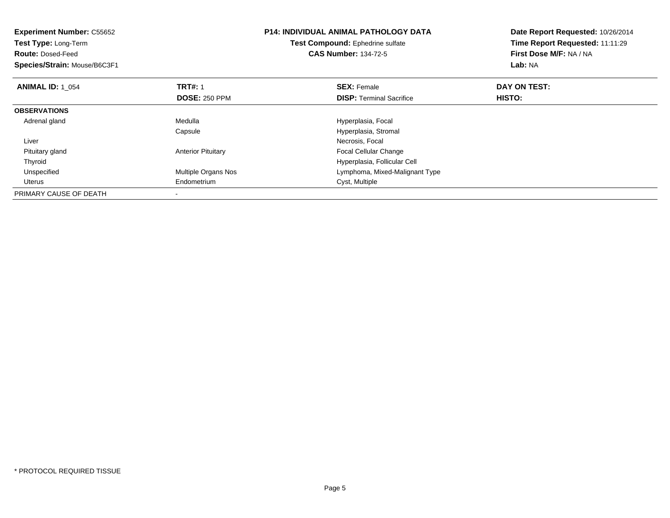| <b>Experiment Number: C55652</b><br>Test Type: Long-Term<br><b>Route: Dosed-Feed</b><br>Species/Strain: Mouse/B6C3F1 |                            | <b>P14: INDIVIDUAL ANIMAL PATHOLOGY DATA</b><br>Test Compound: Ephedrine sulfate<br><b>CAS Number: 134-72-5</b> | Date Report Requested: 10/26/2014<br>Time Report Requested: 11:11:29<br>First Dose M/F: NA / NA<br>Lab: NA |
|----------------------------------------------------------------------------------------------------------------------|----------------------------|-----------------------------------------------------------------------------------------------------------------|------------------------------------------------------------------------------------------------------------|
| <b>ANIMAL ID: 1 054</b>                                                                                              | <b>TRT#: 1</b>             | <b>SEX: Female</b>                                                                                              | DAY ON TEST:                                                                                               |
|                                                                                                                      | <b>DOSE: 250 PPM</b>       | <b>DISP:</b> Terminal Sacrifice                                                                                 | HISTO:                                                                                                     |
| <b>OBSERVATIONS</b>                                                                                                  |                            |                                                                                                                 |                                                                                                            |
| Adrenal gland                                                                                                        | Medulla                    | Hyperplasia, Focal                                                                                              |                                                                                                            |
|                                                                                                                      | Capsule                    | Hyperplasia, Stromal                                                                                            |                                                                                                            |
| Liver                                                                                                                |                            | Necrosis, Focal                                                                                                 |                                                                                                            |
| Pituitary gland                                                                                                      | <b>Anterior Pituitary</b>  | <b>Focal Cellular Change</b>                                                                                    |                                                                                                            |
| Thyroid                                                                                                              |                            | Hyperplasia, Follicular Cell                                                                                    |                                                                                                            |
| Unspecified                                                                                                          | <b>Multiple Organs Nos</b> | Lymphoma, Mixed-Malignant Type                                                                                  |                                                                                                            |
| Uterus                                                                                                               | Endometrium                | Cyst, Multiple                                                                                                  |                                                                                                            |
| PRIMARY CAUSE OF DEATH                                                                                               |                            |                                                                                                                 |                                                                                                            |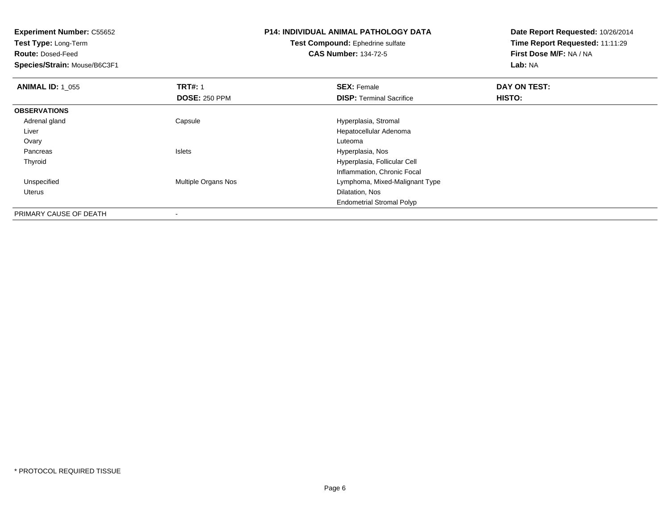| <b>Experiment Number: C55652</b><br><b>Test Type: Long-Term</b> |                      | P14: INDIVIDUAL ANIMAL PATHOLOGY DATA   | Date Report Requested: 10/26/2014 |
|-----------------------------------------------------------------|----------------------|-----------------------------------------|-----------------------------------|
|                                                                 |                      | <b>Test Compound: Ephedrine sulfate</b> | Time Report Requested: 11:11:29   |
| <b>Route: Dosed-Feed</b>                                        |                      | <b>CAS Number: 134-72-5</b>             | First Dose M/F: NA / NA           |
| Species/Strain: Mouse/B6C3F1                                    |                      |                                         | Lab: NA                           |
| <b>ANIMAL ID: 1 055</b>                                         | <b>TRT#: 1</b>       | <b>SEX: Female</b>                      | DAY ON TEST:                      |
|                                                                 | <b>DOSE: 250 PPM</b> | <b>DISP:</b> Terminal Sacrifice         | HISTO:                            |
| <b>OBSERVATIONS</b>                                             |                      |                                         |                                   |
| Adrenal gland                                                   | Capsule              | Hyperplasia, Stromal                    |                                   |
| Liver                                                           |                      | Hepatocellular Adenoma                  |                                   |
| Ovary                                                           |                      | Luteoma                                 |                                   |
| Pancreas                                                        | <b>Islets</b>        | Hyperplasia, Nos                        |                                   |
| Thyroid                                                         |                      | Hyperplasia, Follicular Cell            |                                   |
|                                                                 |                      | Inflammation, Chronic Focal             |                                   |
| Unspecified                                                     | Multiple Organs Nos  | Lymphoma, Mixed-Malignant Type          |                                   |
| Uterus                                                          |                      | Dilatation, Nos                         |                                   |
|                                                                 |                      | <b>Endometrial Stromal Polyp</b>        |                                   |
| PRIMARY CAUSE OF DEATH                                          |                      |                                         |                                   |

-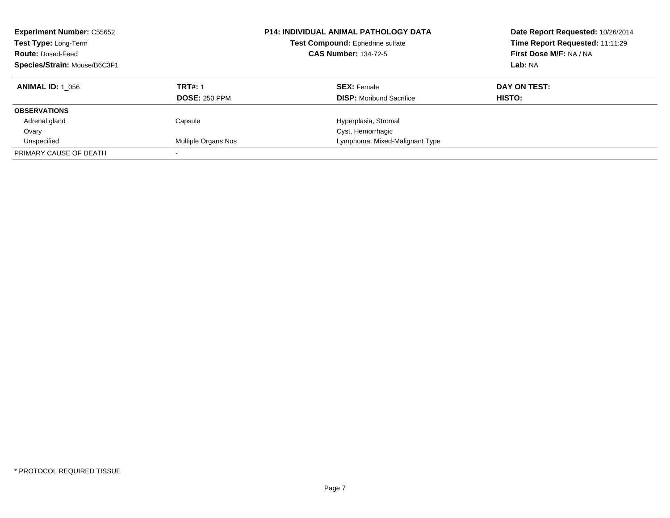| <b>Experiment Number: C55652</b><br>Test Type: Long-Term<br><b>Route: Dosed-Feed</b><br>Species/Strain: Mouse/B6C3F1 |                      | <b>P14: INDIVIDUAL ANIMAL PATHOLOGY DATA</b><br>Test Compound: Ephedrine sulfate<br><b>CAS Number: 134-72-5</b> | Date Report Requested: 10/26/2014<br>Time Report Requested: 11:11:29<br>First Dose M/F: NA / NA<br>Lab: NA |
|----------------------------------------------------------------------------------------------------------------------|----------------------|-----------------------------------------------------------------------------------------------------------------|------------------------------------------------------------------------------------------------------------|
| <b>ANIMAL ID: 1 056</b>                                                                                              | <b>TRT#: 1</b>       | <b>SEX: Female</b>                                                                                              | DAY ON TEST:                                                                                               |
|                                                                                                                      | <b>DOSE: 250 PPM</b> | <b>DISP:</b> Moribund Sacrifice                                                                                 | HISTO:                                                                                                     |
| <b>OBSERVATIONS</b>                                                                                                  |                      |                                                                                                                 |                                                                                                            |
| Adrenal gland                                                                                                        | Capsule              | Hyperplasia, Stromal                                                                                            |                                                                                                            |
| Ovary                                                                                                                |                      | Cyst, Hemorrhagic                                                                                               |                                                                                                            |
| Unspecified                                                                                                          | Multiple Organs Nos  | Lymphoma, Mixed-Malignant Type                                                                                  |                                                                                                            |
| PRIMARY CAUSE OF DEATH                                                                                               |                      |                                                                                                                 |                                                                                                            |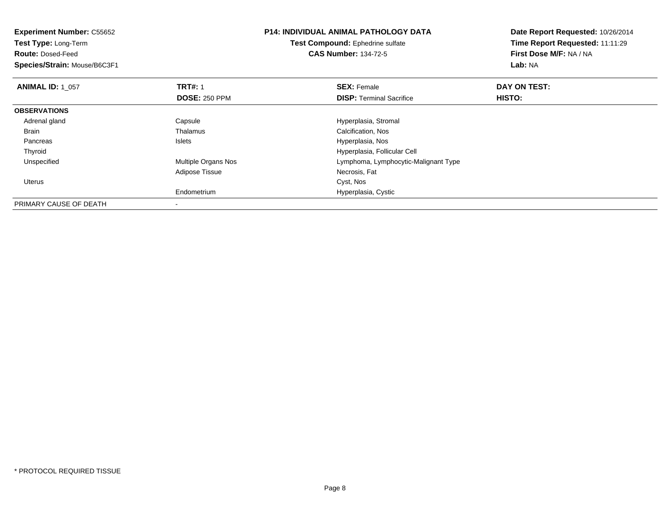| <b>Experiment Number: C55652</b><br>Test Type: Long-Term |                      | <b>P14: INDIVIDUAL ANIMAL PATHOLOGY DATA</b> | Date Report Requested: 10/26/2014<br>Time Report Requested: 11:11:29 |  |
|----------------------------------------------------------|----------------------|----------------------------------------------|----------------------------------------------------------------------|--|
|                                                          |                      | Test Compound: Ephedrine sulfate             |                                                                      |  |
| <b>Route: Dosed-Feed</b>                                 |                      | <b>CAS Number: 134-72-5</b>                  | First Dose M/F: NA / NA                                              |  |
| Species/Strain: Mouse/B6C3F1                             |                      |                                              | Lab: NA                                                              |  |
| <b>ANIMAL ID: 1 057</b>                                  | <b>TRT#: 1</b>       | <b>SEX: Female</b>                           | DAY ON TEST:                                                         |  |
|                                                          | <b>DOSE: 250 PPM</b> | <b>DISP: Terminal Sacrifice</b>              | HISTO:                                                               |  |
| <b>OBSERVATIONS</b>                                      |                      |                                              |                                                                      |  |
| Adrenal gland                                            | Capsule              | Hyperplasia, Stromal                         |                                                                      |  |
| Brain                                                    | Thalamus             | Calcification, Nos                           |                                                                      |  |
| Pancreas                                                 | Islets               | Hyperplasia, Nos                             |                                                                      |  |
| Thyroid                                                  |                      | Hyperplasia, Follicular Cell                 |                                                                      |  |
| Unspecified                                              | Multiple Organs Nos  | Lymphoma, Lymphocytic-Malignant Type         |                                                                      |  |
|                                                          | Adipose Tissue       | Necrosis, Fat                                |                                                                      |  |
| Uterus                                                   |                      | Cyst, Nos                                    |                                                                      |  |
|                                                          | Endometrium          | Hyperplasia, Cystic                          |                                                                      |  |
| PRIMARY CAUSE OF DEATH                                   |                      |                                              |                                                                      |  |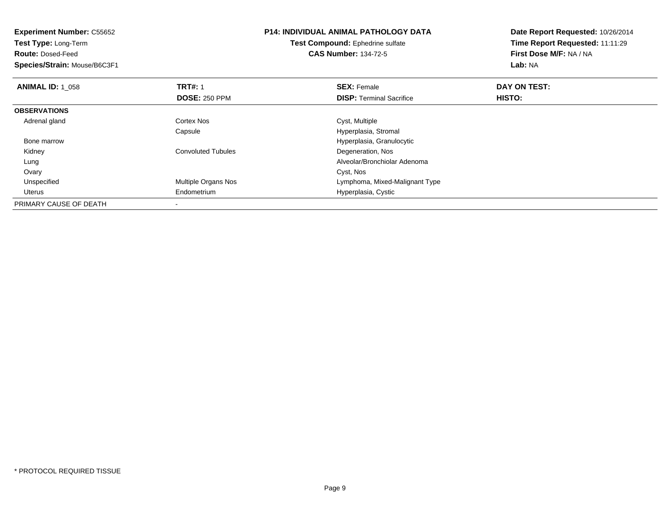| <b>Experiment Number: C55652</b><br>Test Type: Long-Term |                           | <b>P14: INDIVIDUAL ANIMAL PATHOLOGY DATA</b> | Date Report Requested: 10/26/2014 |
|----------------------------------------------------------|---------------------------|----------------------------------------------|-----------------------------------|
|                                                          |                           | Test Compound: Ephedrine sulfate             | Time Report Requested: 11:11:29   |
| <b>Route: Dosed-Feed</b>                                 |                           | <b>CAS Number: 134-72-5</b>                  | First Dose M/F: NA / NA           |
| Species/Strain: Mouse/B6C3F1                             |                           |                                              | Lab: NA                           |
| <b>ANIMAL ID: 1_058</b>                                  | <b>TRT#: 1</b>            | <b>SEX: Female</b>                           | DAY ON TEST:                      |
|                                                          | <b>DOSE: 250 PPM</b>      | <b>DISP:</b> Terminal Sacrifice              | HISTO:                            |
| <b>OBSERVATIONS</b>                                      |                           |                                              |                                   |
| Adrenal gland                                            | Cortex Nos                | Cyst, Multiple                               |                                   |
|                                                          | Capsule                   | Hyperplasia, Stromal                         |                                   |
| Bone marrow                                              |                           | Hyperplasia, Granulocytic                    |                                   |
| Kidney                                                   | <b>Convoluted Tubules</b> | Degeneration, Nos                            |                                   |
| Lung                                                     |                           | Alveolar/Bronchiolar Adenoma                 |                                   |
| Ovary                                                    |                           | Cyst, Nos                                    |                                   |
| Unspecified                                              | Multiple Organs Nos       | Lymphoma, Mixed-Malignant Type               |                                   |
| Uterus                                                   | Endometrium               | Hyperplasia, Cystic                          |                                   |
| PRIMARY CAUSE OF DEATH                                   |                           |                                              |                                   |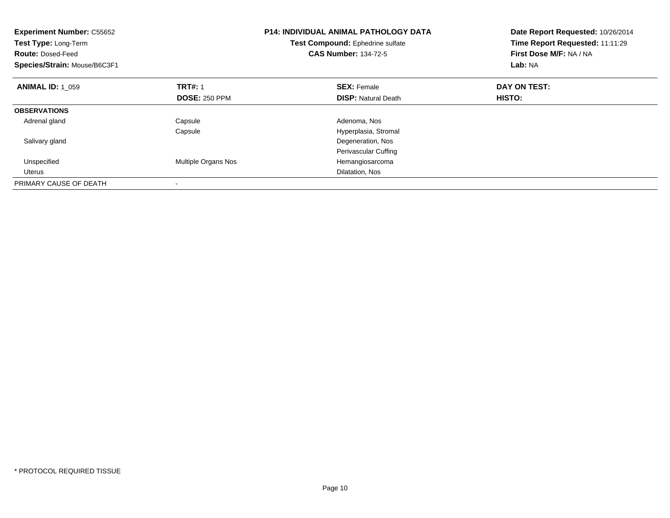| <b>Experiment Number: C55652</b><br><b>Test Type: Long-Term</b><br><b>Route: Dosed-Feed</b><br>Species/Strain: Mouse/B6C3F1 |                      | <b>P14: INDIVIDUAL ANIMAL PATHOLOGY DATA</b><br>Test Compound: Ephedrine sulfate<br><b>CAS Number: 134-72-5</b> | Date Report Requested: 10/26/2014<br>Time Report Requested: 11:11:29<br>First Dose M/F: NA / NA<br>Lab: NA |
|-----------------------------------------------------------------------------------------------------------------------------|----------------------|-----------------------------------------------------------------------------------------------------------------|------------------------------------------------------------------------------------------------------------|
| <b>ANIMAL ID: 1 059</b>                                                                                                     | <b>TRT#: 1</b>       | <b>SEX: Female</b>                                                                                              | DAY ON TEST:                                                                                               |
|                                                                                                                             | <b>DOSE: 250 PPM</b> | <b>DISP:</b> Natural Death                                                                                      | <b>HISTO:</b>                                                                                              |
| <b>OBSERVATIONS</b>                                                                                                         |                      |                                                                                                                 |                                                                                                            |
| Adrenal gland                                                                                                               | Capsule              | Adenoma, Nos                                                                                                    |                                                                                                            |
|                                                                                                                             | Capsule              | Hyperplasia, Stromal                                                                                            |                                                                                                            |
| Salivary gland                                                                                                              |                      | Degeneration, Nos                                                                                               |                                                                                                            |
|                                                                                                                             |                      | Perivascular Cuffing                                                                                            |                                                                                                            |
| Unspecified                                                                                                                 | Multiple Organs Nos  | Hemangiosarcoma                                                                                                 |                                                                                                            |
| Uterus                                                                                                                      |                      | Dilatation, Nos                                                                                                 |                                                                                                            |
| PRIMARY CAUSE OF DEATH                                                                                                      |                      |                                                                                                                 |                                                                                                            |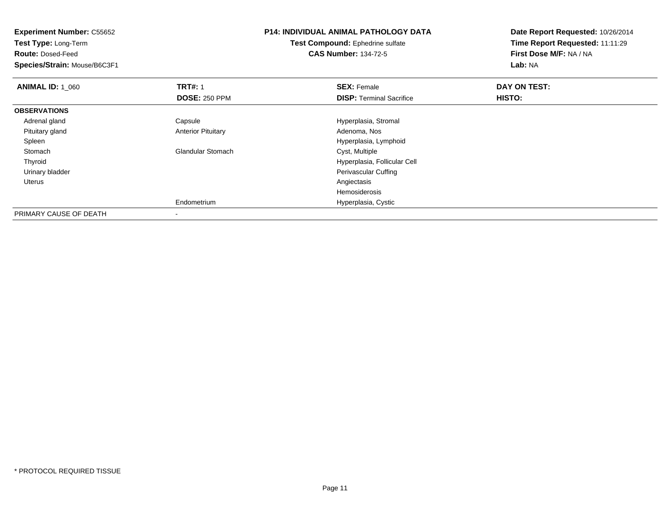| <b>Experiment Number: C55652</b> |                           | <b>P14: INDIVIDUAL ANIMAL PATHOLOGY DATA</b> | Date Report Requested: 10/26/2014 |  |
|----------------------------------|---------------------------|----------------------------------------------|-----------------------------------|--|
| Test Type: Long-Term             |                           | Test Compound: Ephedrine sulfate             | Time Report Requested: 11:11:29   |  |
| <b>Route: Dosed-Feed</b>         |                           | <b>CAS Number: 134-72-5</b>                  | First Dose M/F: NA / NA           |  |
| Species/Strain: Mouse/B6C3F1     |                           |                                              | Lab: NA                           |  |
| <b>ANIMAL ID: 1_060</b>          | <b>TRT#: 1</b>            | <b>SEX: Female</b>                           | DAY ON TEST:                      |  |
|                                  | <b>DOSE: 250 PPM</b>      | <b>DISP: Terminal Sacrifice</b>              | <b>HISTO:</b>                     |  |
| <b>OBSERVATIONS</b>              |                           |                                              |                                   |  |
| Adrenal gland                    | Capsule                   | Hyperplasia, Stromal                         |                                   |  |
| Pituitary gland                  | <b>Anterior Pituitary</b> | Adenoma, Nos                                 |                                   |  |
| Spleen                           |                           | Hyperplasia, Lymphoid                        |                                   |  |
| Stomach                          | <b>Glandular Stomach</b>  | Cyst, Multiple                               |                                   |  |
| Thyroid                          |                           | Hyperplasia, Follicular Cell                 |                                   |  |
| Urinary bladder                  |                           | Perivascular Cuffing                         |                                   |  |
| Uterus                           |                           | Angiectasis                                  |                                   |  |
|                                  |                           | Hemosiderosis                                |                                   |  |
|                                  | Endometrium               | Hyperplasia, Cystic                          |                                   |  |
| PRIMARY CAUSE OF DEATH           |                           |                                              |                                   |  |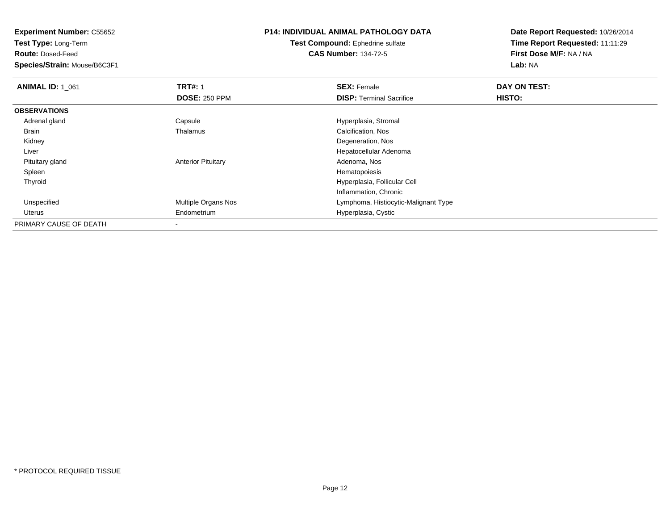**Test Type:** Long-Term

**Route:** Dosed-Feed

**Species/Strain:** Mouse/B6C3F1

# **P14: INDIVIDUAL ANIMAL PATHOLOGY DATA**

#### **Test Compound:** Ephedrine sulfate**CAS Number:** 134-72-5

| <b>ANIMAL ID: 1 061</b> | <b>TRT#: 1</b>            | <b>SEX: Female</b>                   | <b>DAY ON TEST:</b> |  |
|-------------------------|---------------------------|--------------------------------------|---------------------|--|
|                         | <b>DOSE: 250 PPM</b>      | <b>DISP:</b> Terminal Sacrifice      | <b>HISTO:</b>       |  |
| <b>OBSERVATIONS</b>     |                           |                                      |                     |  |
| Adrenal gland           | Capsule                   | Hyperplasia, Stromal                 |                     |  |
| <b>Brain</b>            | Thalamus                  | Calcification, Nos                   |                     |  |
| Kidney                  |                           | Degeneration, Nos                    |                     |  |
| Liver                   |                           | Hepatocellular Adenoma               |                     |  |
| Pituitary gland         | <b>Anterior Pituitary</b> | Adenoma, Nos                         |                     |  |
| Spleen                  |                           | Hematopoiesis                        |                     |  |
| Thyroid                 |                           | Hyperplasia, Follicular Cell         |                     |  |
|                         |                           | Inflammation, Chronic                |                     |  |
| Unspecified             | Multiple Organs Nos       | Lymphoma, Histiocytic-Malignant Type |                     |  |
| Uterus                  | Endometrium               | Hyperplasia, Cystic                  |                     |  |
| PRIMARY CAUSE OF DEATH  |                           |                                      |                     |  |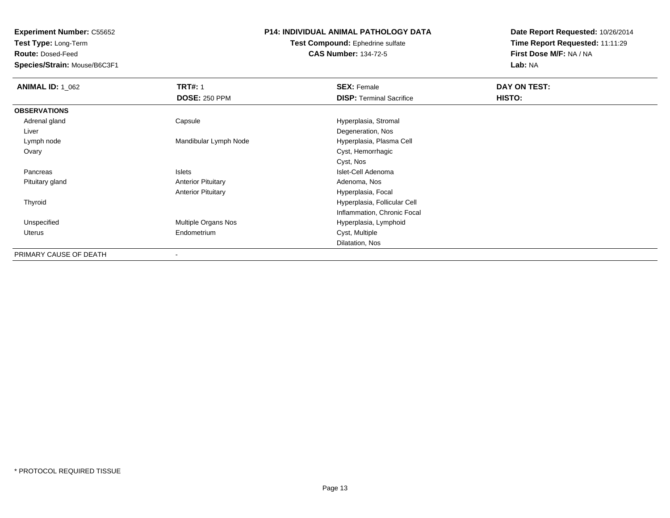**Test Type:** Long-Term

**Route:** Dosed-Feed

**Species/Strain:** Mouse/B6C3F1

### **P14: INDIVIDUAL ANIMAL PATHOLOGY DATA**

#### **Test Compound:** Ephedrine sulfate**CAS Number:** 134-72-5

| <b>ANIMAL ID: 1_062</b> | <b>TRT#: 1</b>            | <b>SEX: Female</b>              | DAY ON TEST: |
|-------------------------|---------------------------|---------------------------------|--------------|
|                         | <b>DOSE: 250 PPM</b>      | <b>DISP: Terminal Sacrifice</b> | HISTO:       |
| <b>OBSERVATIONS</b>     |                           |                                 |              |
| Adrenal gland           | Capsule                   | Hyperplasia, Stromal            |              |
| Liver                   |                           | Degeneration, Nos               |              |
| Lymph node              | Mandibular Lymph Node     | Hyperplasia, Plasma Cell        |              |
| Ovary                   |                           | Cyst, Hemorrhagic               |              |
|                         |                           | Cyst, Nos                       |              |
| Pancreas                | Islets                    | Islet-Cell Adenoma              |              |
| Pituitary gland         | <b>Anterior Pituitary</b> | Adenoma, Nos                    |              |
|                         | <b>Anterior Pituitary</b> | Hyperplasia, Focal              |              |
| Thyroid                 |                           | Hyperplasia, Follicular Cell    |              |
|                         |                           | Inflammation, Chronic Focal     |              |
| Unspecified             | Multiple Organs Nos       | Hyperplasia, Lymphoid           |              |
| Uterus                  | Endometrium               | Cyst, Multiple                  |              |
|                         |                           | Dilatation, Nos                 |              |
| PRIMARY CAUSE OF DEATH  |                           |                                 |              |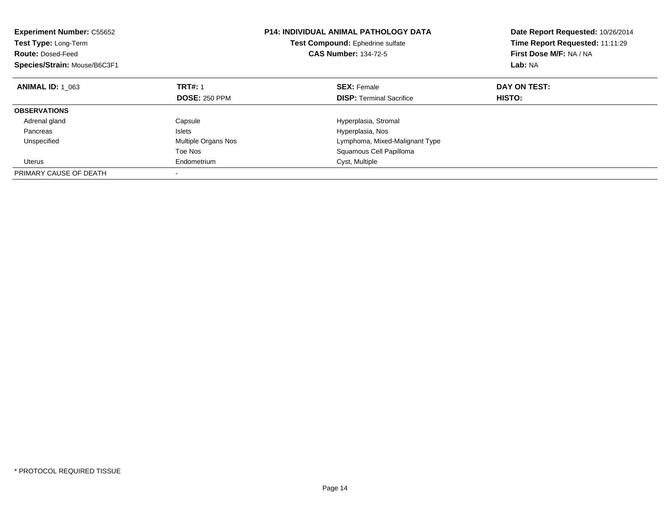| <b>Experiment Number: C55652</b><br>Test Type: Long-Term<br><b>Route: Dosed-Feed</b><br>Species/Strain: Mouse/B6C3F1 | <b>P14: INDIVIDUAL ANIMAL PATHOLOGY DATA</b><br>Test Compound: Ephedrine sulfate<br><b>CAS Number: 134-72-5</b> |                                 | Date Report Requested: 10/26/2014<br>Time Report Requested: 11:11:29<br>First Dose M/F: NA / NA<br>Lab: NA |
|----------------------------------------------------------------------------------------------------------------------|-----------------------------------------------------------------------------------------------------------------|---------------------------------|------------------------------------------------------------------------------------------------------------|
| <b>ANIMAL ID: 1 063</b>                                                                                              | <b>TRT#: 1</b>                                                                                                  | <b>SEX: Female</b>              | DAY ON TEST:                                                                                               |
|                                                                                                                      | <b>DOSE: 250 PPM</b>                                                                                            | <b>DISP:</b> Terminal Sacrifice | HISTO:                                                                                                     |
| <b>OBSERVATIONS</b>                                                                                                  |                                                                                                                 |                                 |                                                                                                            |
| Adrenal gland                                                                                                        | Capsule                                                                                                         | Hyperplasia, Stromal            |                                                                                                            |
| Pancreas                                                                                                             | Islets                                                                                                          | Hyperplasia, Nos                |                                                                                                            |
| Unspecified                                                                                                          | <b>Multiple Organs Nos</b>                                                                                      | Lymphoma, Mixed-Malignant Type  |                                                                                                            |
|                                                                                                                      | Toe Nos                                                                                                         | Squamous Cell Papilloma         |                                                                                                            |
| Uterus                                                                                                               | Endometrium                                                                                                     | Cyst, Multiple                  |                                                                                                            |
| PRIMARY CAUSE OF DEATH                                                                                               |                                                                                                                 |                                 |                                                                                                            |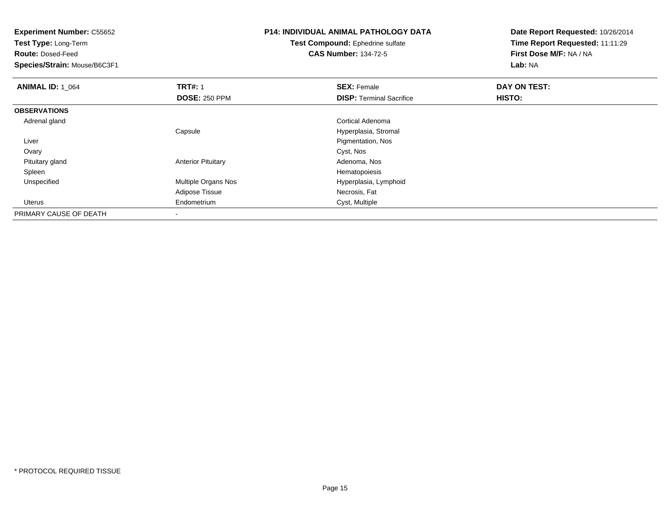**Experiment Number:** C55652**Test Type:** Long-Term**Route:** Dosed-Feed **Species/Strain:** Mouse/B6C3F1**P14: INDIVIDUAL ANIMAL PATHOLOGY DATATest Compound:** Ephedrine sulfate**CAS Number:** 134-72-5**Date Report Requested:** 10/26/2014**Time Report Requested:** 11:11:29**First Dose M/F:** NA / NA**Lab:** NA**ANIMAL ID: 1\_064 TRT#:** 1 **SEX:** Female **DAY ON TEST: DOSE:** 250 PPM**DISP:** Terminal Sacrifice **HISTO: OBSERVATIONS** Adrenal gland Cortical Adenoma Capsule Hyperplasia, Stromal Liver Pigmentation, Nos**Ovary** y and the control of the control of the control of the control of the control of the control of the control of the control of the control of the control of the control of the control of the control of the control of the co Pituitary glandAnterior Pituitary **Adenoma, Nosting Adenoma, Nosting Adenoma**, Nosting Adenoma, Nosting Adenoma, Nosting Adenoma, Nosting Adenoma, Nosting Adenoma, Nosting Adenoma, Nosting Adenoma, Nosting Adenoma, Nosting Adenoma, Nosti Spleenn and the state of the state of the state of the state of the state of the state of the state of the state of the state of the state of the state of the state of the state of the state of the state of the state of the stat UnspecifiedMultiple Organs Nos **Hyperplasia, Lymphoid** Adipose Tissue Necrosis, Fat Uterus Endometrium Cyst, Multiple PRIMARY CAUSE OF DEATH

-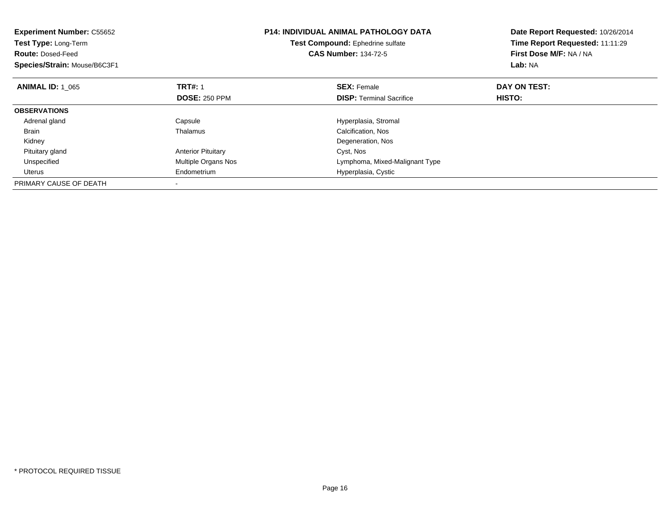| <b>Experiment Number: C55652</b><br>Test Type: Long-Term<br><b>Route: Dosed-Feed</b><br>Species/Strain: Mouse/B6C3F1 |                           | <b>P14: INDIVIDUAL ANIMAL PATHOLOGY DATA</b><br>Test Compound: Ephedrine sulfate<br><b>CAS Number: 134-72-5</b> | Date Report Requested: 10/26/2014<br>Time Report Requested: 11:11:29<br>First Dose M/F: NA / NA<br>Lab: NA |
|----------------------------------------------------------------------------------------------------------------------|---------------------------|-----------------------------------------------------------------------------------------------------------------|------------------------------------------------------------------------------------------------------------|
| <b>ANIMAL ID: 1_065</b>                                                                                              | <b>TRT#: 1</b>            | <b>SEX: Female</b>                                                                                              | DAY ON TEST:                                                                                               |
|                                                                                                                      | <b>DOSE: 250 PPM</b>      | <b>DISP:</b> Terminal Sacrifice                                                                                 | HISTO:                                                                                                     |
| <b>OBSERVATIONS</b>                                                                                                  |                           |                                                                                                                 |                                                                                                            |
| Adrenal gland                                                                                                        | Capsule                   | Hyperplasia, Stromal                                                                                            |                                                                                                            |
| <b>Brain</b>                                                                                                         | Thalamus                  | Calcification, Nos                                                                                              |                                                                                                            |
| Kidney                                                                                                               |                           | Degeneration, Nos                                                                                               |                                                                                                            |
| Pituitary gland                                                                                                      | <b>Anterior Pituitary</b> | Cyst, Nos                                                                                                       |                                                                                                            |
| Unspecified                                                                                                          | Multiple Organs Nos       | Lymphoma, Mixed-Malignant Type                                                                                  |                                                                                                            |
| Uterus                                                                                                               | Endometrium               | Hyperplasia, Cystic                                                                                             |                                                                                                            |
| PRIMARY CAUSE OF DEATH                                                                                               |                           |                                                                                                                 |                                                                                                            |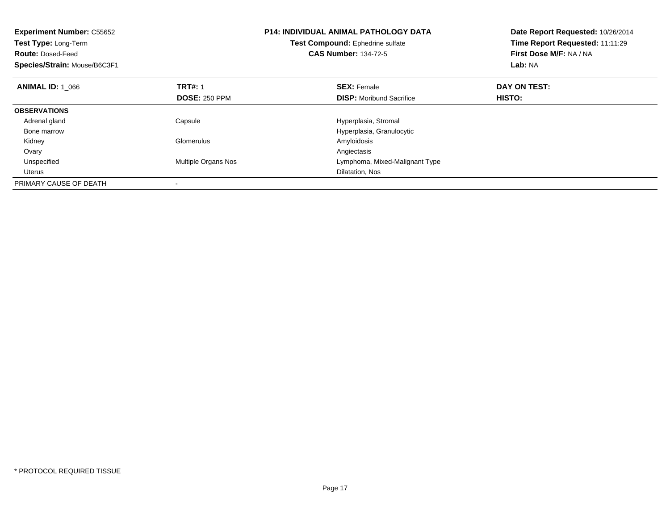| <b>Experiment Number: C55652</b><br><b>Test Type: Long-Term</b><br><b>Route: Dosed-Feed</b><br>Species/Strain: Mouse/B6C3F1 |                      | <b>P14: INDIVIDUAL ANIMAL PATHOLOGY DATA</b><br>Test Compound: Ephedrine sulfate<br><b>CAS Number: 134-72-5</b> | Date Report Requested: 10/26/2014<br>Time Report Requested: 11:11:29<br>First Dose M/F: NA / NA<br>Lab: NA |
|-----------------------------------------------------------------------------------------------------------------------------|----------------------|-----------------------------------------------------------------------------------------------------------------|------------------------------------------------------------------------------------------------------------|
| <b>ANIMAL ID: 1 066</b>                                                                                                     | <b>TRT#: 1</b>       | <b>SEX: Female</b>                                                                                              | DAY ON TEST:                                                                                               |
|                                                                                                                             | <b>DOSE: 250 PPM</b> | <b>DISP:</b> Moribund Sacrifice                                                                                 | <b>HISTO:</b>                                                                                              |
| <b>OBSERVATIONS</b>                                                                                                         |                      |                                                                                                                 |                                                                                                            |
| Adrenal gland                                                                                                               | Capsule              | Hyperplasia, Stromal                                                                                            |                                                                                                            |
| Bone marrow                                                                                                                 |                      | Hyperplasia, Granulocytic                                                                                       |                                                                                                            |
| Kidney                                                                                                                      | Glomerulus           | Amyloidosis                                                                                                     |                                                                                                            |
| Ovary                                                                                                                       |                      | Angiectasis                                                                                                     |                                                                                                            |
| Unspecified                                                                                                                 | Multiple Organs Nos  | Lymphoma, Mixed-Malignant Type                                                                                  |                                                                                                            |
| Uterus                                                                                                                      |                      | Dilatation, Nos                                                                                                 |                                                                                                            |
| PRIMARY CAUSE OF DEATH                                                                                                      |                      |                                                                                                                 |                                                                                                            |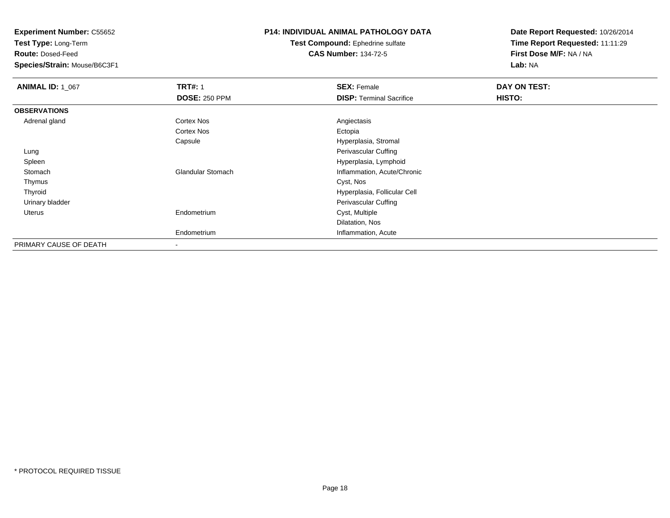**Test Type:** Long-Term

**Route:** Dosed-Feed

**Species/Strain:** Mouse/B6C3F1

## **P14: INDIVIDUAL ANIMAL PATHOLOGY DATA**

**Test Compound:** Ephedrine sulfate**CAS Number:** 134-72-5

| <b>ANIMAL ID: 1_067</b> | <b>TRT#: 1</b>           | <b>SEX: Female</b>              | DAY ON TEST: |  |
|-------------------------|--------------------------|---------------------------------|--------------|--|
|                         | <b>DOSE: 250 PPM</b>     | <b>DISP: Terminal Sacrifice</b> | HISTO:       |  |
| <b>OBSERVATIONS</b>     |                          |                                 |              |  |
| Adrenal gland           | Cortex Nos               | Angiectasis                     |              |  |
|                         | Cortex Nos               | Ectopia                         |              |  |
|                         | Capsule                  | Hyperplasia, Stromal            |              |  |
| Lung                    |                          | Perivascular Cuffing            |              |  |
| Spleen                  |                          | Hyperplasia, Lymphoid           |              |  |
| Stomach                 | <b>Glandular Stomach</b> | Inflammation, Acute/Chronic     |              |  |
| Thymus                  |                          | Cyst, Nos                       |              |  |
| Thyroid                 |                          | Hyperplasia, Follicular Cell    |              |  |
| Urinary bladder         |                          | Perivascular Cuffing            |              |  |
| Uterus                  | Endometrium              | Cyst, Multiple                  |              |  |
|                         |                          | Dilatation, Nos                 |              |  |
|                         | Endometrium              | Inflammation, Acute             |              |  |
| PRIMARY CAUSE OF DEATH  |                          |                                 |              |  |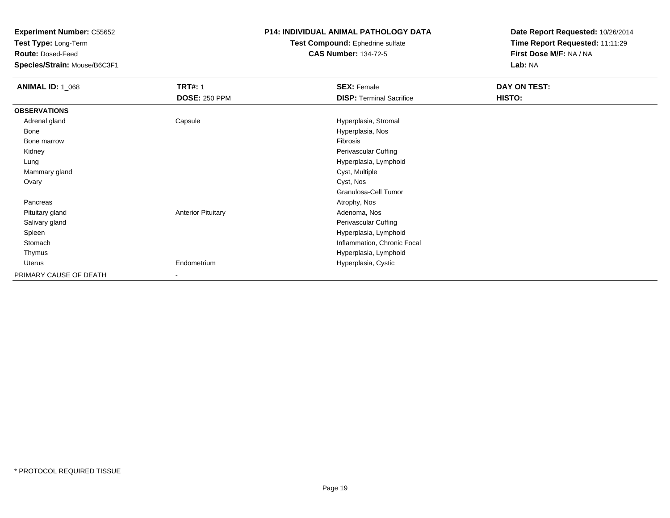**Test Type:** Long-Term

**Route:** Dosed-Feed

**Species/Strain:** Mouse/B6C3F1

### **P14: INDIVIDUAL ANIMAL PATHOLOGY DATA**

#### **Test Compound:** Ephedrine sulfate**CAS Number:** 134-72-5

| <b>ANIMAL ID: 1_068</b> | <b>TRT#: 1</b>            | <b>SEX: Female</b>              | DAY ON TEST:  |  |
|-------------------------|---------------------------|---------------------------------|---------------|--|
|                         | <b>DOSE: 250 PPM</b>      | <b>DISP: Terminal Sacrifice</b> | <b>HISTO:</b> |  |
| <b>OBSERVATIONS</b>     |                           |                                 |               |  |
| Adrenal gland           | Capsule                   | Hyperplasia, Stromal            |               |  |
| Bone                    |                           | Hyperplasia, Nos                |               |  |
| Bone marrow             |                           | Fibrosis                        |               |  |
| Kidney                  |                           | Perivascular Cuffing            |               |  |
| Lung                    |                           | Hyperplasia, Lymphoid           |               |  |
| Mammary gland           |                           | Cyst, Multiple                  |               |  |
| Ovary                   |                           | Cyst, Nos                       |               |  |
|                         |                           | Granulosa-Cell Tumor            |               |  |
| Pancreas                |                           | Atrophy, Nos                    |               |  |
| Pituitary gland         | <b>Anterior Pituitary</b> | Adenoma, Nos                    |               |  |
| Salivary gland          |                           | Perivascular Cuffing            |               |  |
| Spleen                  |                           | Hyperplasia, Lymphoid           |               |  |
| Stomach                 |                           | Inflammation, Chronic Focal     |               |  |
| Thymus                  |                           | Hyperplasia, Lymphoid           |               |  |
| Uterus                  | Endometrium               | Hyperplasia, Cystic             |               |  |
| PRIMARY CAUSE OF DEATH  |                           |                                 |               |  |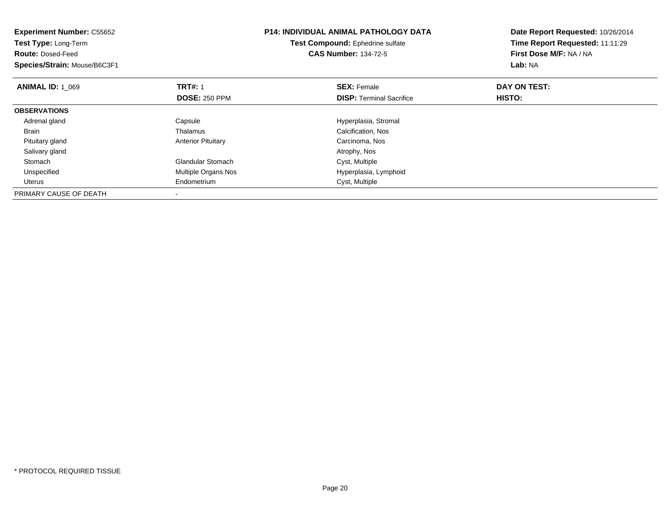| <b>Experiment Number: C55652</b><br>Test Type: Long-Term<br><b>Route: Dosed-Feed</b><br>Species/Strain: Mouse/B6C3F1 |                                        | <b>P14: INDIVIDUAL ANIMAL PATHOLOGY DATA</b><br>Test Compound: Ephedrine sulfate<br><b>CAS Number: 134-72-5</b> | Date Report Requested: 10/26/2014<br>Time Report Requested: 11:11:29<br>First Dose M/F: NA / NA<br>Lab: NA |
|----------------------------------------------------------------------------------------------------------------------|----------------------------------------|-----------------------------------------------------------------------------------------------------------------|------------------------------------------------------------------------------------------------------------|
| <b>ANIMAL ID: 1 069</b>                                                                                              | <b>TRT#: 1</b><br><b>DOSE: 250 PPM</b> | <b>SEX: Female</b><br><b>DISP:</b> Terminal Sacrifice                                                           | DAY ON TEST:<br>HISTO:                                                                                     |
| <b>OBSERVATIONS</b>                                                                                                  |                                        |                                                                                                                 |                                                                                                            |
| Adrenal gland                                                                                                        | Capsule                                | Hyperplasia, Stromal                                                                                            |                                                                                                            |
| <b>Brain</b>                                                                                                         | Thalamus                               | Calcification, Nos                                                                                              |                                                                                                            |
| Pituitary gland                                                                                                      | <b>Anterior Pituitary</b>              | Carcinoma, Nos                                                                                                  |                                                                                                            |
| Salivary gland                                                                                                       |                                        | Atrophy, Nos                                                                                                    |                                                                                                            |
| Stomach                                                                                                              | <b>Glandular Stomach</b>               | Cyst, Multiple                                                                                                  |                                                                                                            |
| Unspecified                                                                                                          | Multiple Organs Nos                    | Hyperplasia, Lymphoid                                                                                           |                                                                                                            |
| Uterus                                                                                                               | Endometrium                            | Cyst, Multiple                                                                                                  |                                                                                                            |
| PRIMARY CAUSE OF DEATH                                                                                               |                                        |                                                                                                                 |                                                                                                            |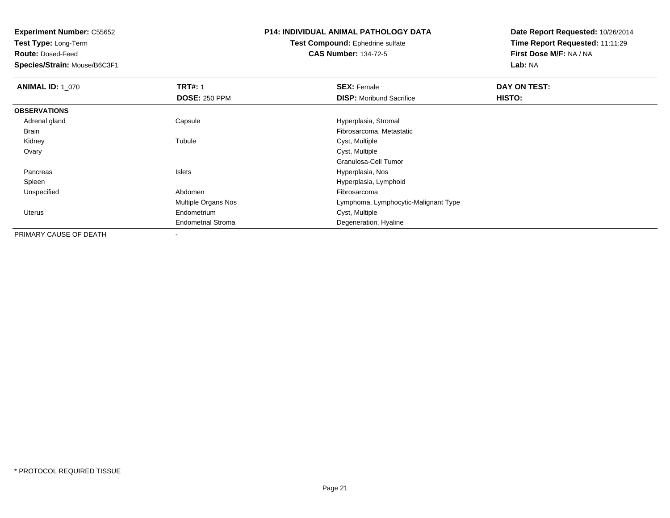**Test Type:** Long-Term

**Route:** Dosed-Feed

**Species/Strain:** Mouse/B6C3F1

# **P14: INDIVIDUAL ANIMAL PATHOLOGY DATA**

#### **Test Compound:** Ephedrine sulfate**CAS Number:** 134-72-5

| <b>ANIMAL ID: 1 070</b> | <b>TRT#: 1</b>             | <b>SEX: Female</b>                   | DAY ON TEST: |  |
|-------------------------|----------------------------|--------------------------------------|--------------|--|
|                         | <b>DOSE: 250 PPM</b>       | <b>DISP:</b> Moribund Sacrifice      | HISTO:       |  |
| <b>OBSERVATIONS</b>     |                            |                                      |              |  |
| Adrenal gland           | Capsule                    | Hyperplasia, Stromal                 |              |  |
| Brain                   |                            | Fibrosarcoma, Metastatic             |              |  |
| Kidney                  | Tubule                     | Cyst, Multiple                       |              |  |
| Ovary                   |                            | Cyst, Multiple                       |              |  |
|                         |                            | Granulosa-Cell Tumor                 |              |  |
| Pancreas                | Islets                     | Hyperplasia, Nos                     |              |  |
| Spleen                  |                            | Hyperplasia, Lymphoid                |              |  |
| Unspecified             | Abdomen                    | Fibrosarcoma                         |              |  |
|                         | <b>Multiple Organs Nos</b> | Lymphoma, Lymphocytic-Malignant Type |              |  |
| Uterus                  | Endometrium                | Cyst, Multiple                       |              |  |
|                         | <b>Endometrial Stroma</b>  | Degeneration, Hyaline                |              |  |
| PRIMARY CAUSE OF DEATH  |                            |                                      |              |  |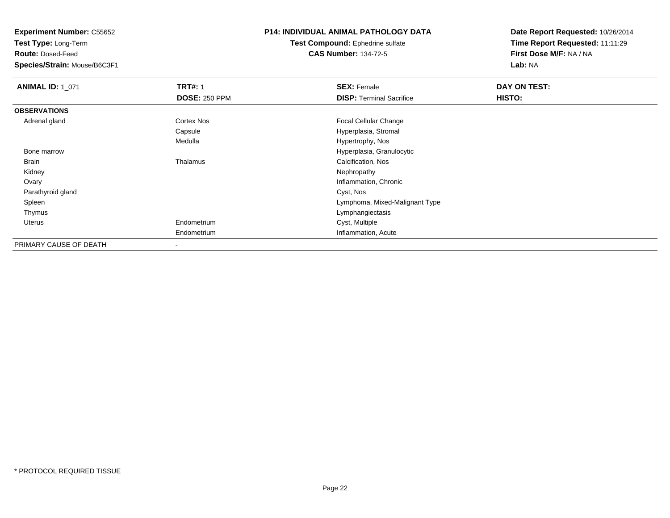**Test Type:** Long-Term

**Route:** Dosed-Feed

**Species/Strain:** Mouse/B6C3F1

## **P14: INDIVIDUAL ANIMAL PATHOLOGY DATA**

**Test Compound:** Ephedrine sulfate**CAS Number:** 134-72-5

| <b>ANIMAL ID: 1_071</b> | <b>TRT#: 1</b>           | <b>SEX: Female</b>              | DAY ON TEST: |  |
|-------------------------|--------------------------|---------------------------------|--------------|--|
|                         | <b>DOSE: 250 PPM</b>     | <b>DISP: Terminal Sacrifice</b> | HISTO:       |  |
| <b>OBSERVATIONS</b>     |                          |                                 |              |  |
| Adrenal gland           | Cortex Nos               | <b>Focal Cellular Change</b>    |              |  |
|                         | Capsule                  | Hyperplasia, Stromal            |              |  |
|                         | Medulla                  | Hypertrophy, Nos                |              |  |
| Bone marrow             |                          | Hyperplasia, Granulocytic       |              |  |
| Brain                   | Thalamus                 | Calcification, Nos              |              |  |
| Kidney                  |                          | Nephropathy                     |              |  |
| Ovary                   |                          | Inflammation, Chronic           |              |  |
| Parathyroid gland       |                          | Cyst, Nos                       |              |  |
| Spleen                  |                          | Lymphoma, Mixed-Malignant Type  |              |  |
| Thymus                  |                          | Lymphangiectasis                |              |  |
| Uterus                  | Endometrium              | Cyst, Multiple                  |              |  |
|                         | Endometrium              | Inflammation, Acute             |              |  |
| PRIMARY CAUSE OF DEATH  | $\overline{\phantom{a}}$ |                                 |              |  |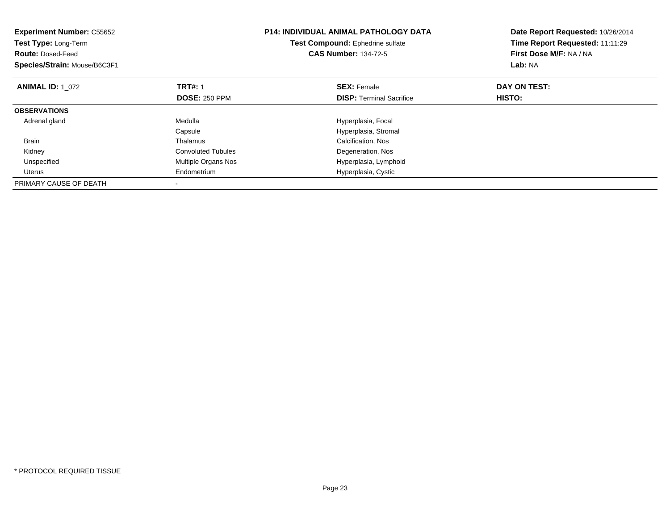| <b>Experiment Number: C55652</b><br>Test Type: Long-Term<br><b>Route: Dosed-Feed</b><br>Species/Strain: Mouse/B6C3F1 |                           | <b>P14: INDIVIDUAL ANIMAL PATHOLOGY DATA</b><br>Test Compound: Ephedrine sulfate<br><b>CAS Number: 134-72-5</b> | Date Report Requested: 10/26/2014<br>Time Report Requested: 11:11:29<br>First Dose M/F: NA / NA<br>Lab: NA |
|----------------------------------------------------------------------------------------------------------------------|---------------------------|-----------------------------------------------------------------------------------------------------------------|------------------------------------------------------------------------------------------------------------|
| <b>ANIMAL ID: 1 072</b>                                                                                              | <b>TRT#: 1</b>            | <b>SEX: Female</b>                                                                                              | DAY ON TEST:                                                                                               |
|                                                                                                                      | <b>DOSE: 250 PPM</b>      | <b>DISP:</b> Terminal Sacrifice                                                                                 | <b>HISTO:</b>                                                                                              |
| <b>OBSERVATIONS</b>                                                                                                  |                           |                                                                                                                 |                                                                                                            |
| Adrenal gland                                                                                                        | Medulla                   | Hyperplasia, Focal                                                                                              |                                                                                                            |
|                                                                                                                      | Capsule                   | Hyperplasia, Stromal                                                                                            |                                                                                                            |
| <b>Brain</b>                                                                                                         | Thalamus                  | Calcification, Nos                                                                                              |                                                                                                            |
| Kidney                                                                                                               | <b>Convoluted Tubules</b> | Degeneration, Nos                                                                                               |                                                                                                            |
| Unspecified                                                                                                          | Multiple Organs Nos       | Hyperplasia, Lymphoid                                                                                           |                                                                                                            |
| Uterus                                                                                                               | Endometrium               | Hyperplasia, Cystic                                                                                             |                                                                                                            |
| PRIMARY CAUSE OF DEATH                                                                                               |                           |                                                                                                                 |                                                                                                            |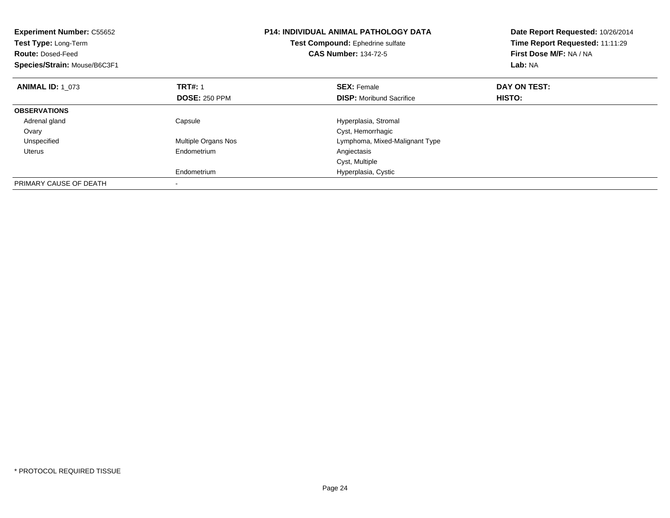| <b>Experiment Number: C55652</b><br>Test Type: Long-Term<br><b>Route: Dosed-Feed</b><br>Species/Strain: Mouse/B6C3F1 |                      | <b>P14: INDIVIDUAL ANIMAL PATHOLOGY DATA</b><br>Test Compound: Ephedrine sulfate<br><b>CAS Number: 134-72-5</b> | Date Report Requested: 10/26/2014<br>Time Report Requested: 11:11:29<br>First Dose M/F: NA / NA<br>Lab: NA |
|----------------------------------------------------------------------------------------------------------------------|----------------------|-----------------------------------------------------------------------------------------------------------------|------------------------------------------------------------------------------------------------------------|
| <b>ANIMAL ID: 1 073</b>                                                                                              | <b>TRT#: 1</b>       | <b>SEX: Female</b>                                                                                              | DAY ON TEST:                                                                                               |
|                                                                                                                      | <b>DOSE: 250 PPM</b> | <b>DISP:</b> Moribund Sacrifice                                                                                 | <b>HISTO:</b>                                                                                              |
| <b>OBSERVATIONS</b>                                                                                                  |                      |                                                                                                                 |                                                                                                            |
| Adrenal gland                                                                                                        | Capsule              | Hyperplasia, Stromal                                                                                            |                                                                                                            |
| Ovary                                                                                                                |                      | Cyst, Hemorrhagic                                                                                               |                                                                                                            |
| Unspecified                                                                                                          | Multiple Organs Nos  | Lymphoma, Mixed-Malignant Type                                                                                  |                                                                                                            |
| Uterus                                                                                                               | Endometrium          | Angiectasis                                                                                                     |                                                                                                            |
|                                                                                                                      |                      | Cyst, Multiple                                                                                                  |                                                                                                            |
|                                                                                                                      | Endometrium          | Hyperplasia, Cystic                                                                                             |                                                                                                            |
| PRIMARY CAUSE OF DEATH                                                                                               |                      |                                                                                                                 |                                                                                                            |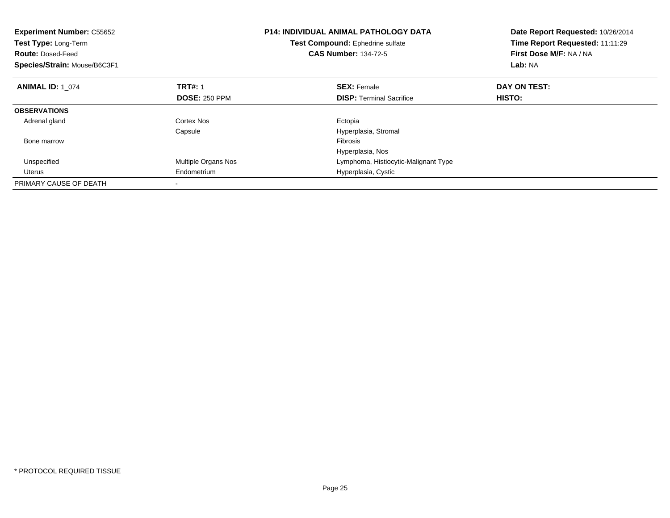| <b>Experiment Number: C55652</b><br><b>Test Type: Long-Term</b><br><b>Route: Dosed-Feed</b><br>Species/Strain: Mouse/B6C3F1 |                      | <b>P14: INDIVIDUAL ANIMAL PATHOLOGY DATA</b><br>Test Compound: Ephedrine sulfate<br><b>CAS Number: 134-72-5</b> | Date Report Requested: 10/26/2014<br>Time Report Requested: 11:11:29<br>First Dose M/F: NA / NA<br>Lab: NA |
|-----------------------------------------------------------------------------------------------------------------------------|----------------------|-----------------------------------------------------------------------------------------------------------------|------------------------------------------------------------------------------------------------------------|
| <b>ANIMAL ID: 1 074</b>                                                                                                     | <b>TRT#: 1</b>       | <b>SEX: Female</b>                                                                                              | DAY ON TEST:                                                                                               |
|                                                                                                                             | <b>DOSE: 250 PPM</b> | <b>DISP:</b> Terminal Sacrifice                                                                                 | HISTO:                                                                                                     |
| <b>OBSERVATIONS</b>                                                                                                         |                      |                                                                                                                 |                                                                                                            |
| Adrenal gland                                                                                                               | Cortex Nos           | Ectopia                                                                                                         |                                                                                                            |
|                                                                                                                             | Capsule              | Hyperplasia, Stromal                                                                                            |                                                                                                            |
| Bone marrow                                                                                                                 |                      | <b>Fibrosis</b>                                                                                                 |                                                                                                            |
|                                                                                                                             |                      | Hyperplasia, Nos                                                                                                |                                                                                                            |
| Unspecified                                                                                                                 | Multiple Organs Nos  | Lymphoma, Histiocytic-Malignant Type                                                                            |                                                                                                            |
| Uterus                                                                                                                      | Endometrium          | Hyperplasia, Cystic                                                                                             |                                                                                                            |
| PRIMARY CAUSE OF DEATH                                                                                                      |                      |                                                                                                                 |                                                                                                            |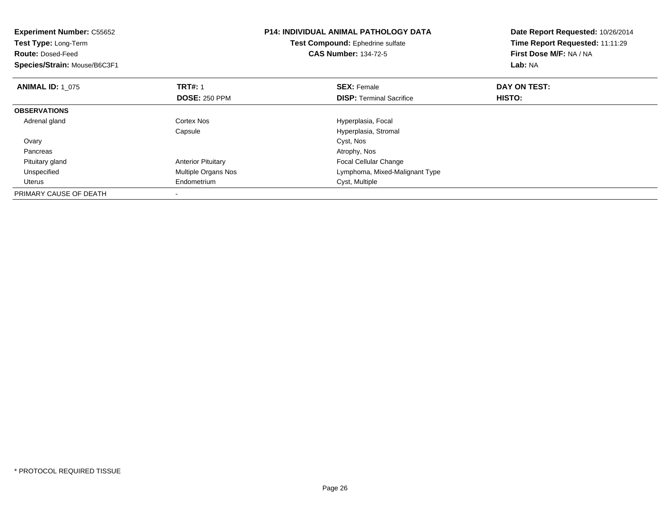| <b>Experiment Number: C55652</b><br><b>Test Type: Long-Term</b><br><b>Route: Dosed-Feed</b><br>Species/Strain: Mouse/B6C3F1 |                                        | <b>P14: INDIVIDUAL ANIMAL PATHOLOGY DATA</b><br>Test Compound: Ephedrine sulfate<br><b>CAS Number: 134-72-5</b> | Date Report Requested: 10/26/2014<br>Time Report Requested: 11:11:29<br>First Dose M/F: NA / NA<br>Lab: NA |
|-----------------------------------------------------------------------------------------------------------------------------|----------------------------------------|-----------------------------------------------------------------------------------------------------------------|------------------------------------------------------------------------------------------------------------|
| <b>ANIMAL ID: 1 075</b>                                                                                                     | <b>TRT#: 1</b><br><b>DOSE: 250 PPM</b> | <b>SEX: Female</b><br><b>DISP:</b> Terminal Sacrifice                                                           | DAY ON TEST:<br>HISTO:                                                                                     |
| <b>OBSERVATIONS</b>                                                                                                         |                                        |                                                                                                                 |                                                                                                            |
| Adrenal gland                                                                                                               | Cortex Nos<br>Capsule                  | Hyperplasia, Focal<br>Hyperplasia, Stromal                                                                      |                                                                                                            |
| Ovary                                                                                                                       |                                        | Cyst, Nos                                                                                                       |                                                                                                            |
| Pancreas                                                                                                                    |                                        | Atrophy, Nos                                                                                                    |                                                                                                            |
| Pituitary gland                                                                                                             | <b>Anterior Pituitary</b>              | Focal Cellular Change                                                                                           |                                                                                                            |
| Unspecified                                                                                                                 | Multiple Organs Nos                    | Lymphoma, Mixed-Malignant Type                                                                                  |                                                                                                            |
| Uterus                                                                                                                      | Endometrium                            | Cyst, Multiple                                                                                                  |                                                                                                            |
| PRIMARY CAUSE OF DEATH                                                                                                      |                                        |                                                                                                                 |                                                                                                            |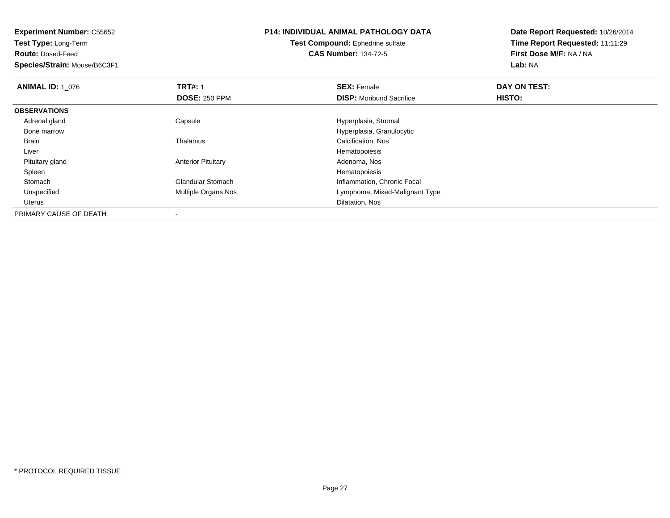**Experiment Number:** C55652**Test Type:** Long-Term**Route:** Dosed-Feed **Species/Strain:** Mouse/B6C3F1**P14: INDIVIDUAL ANIMAL PATHOLOGY DATATest Compound:** Ephedrine sulfate**CAS Number:** 134-72-5**Date Report Requested:** 10/26/2014**Time Report Requested:** 11:11:29**First Dose M/F:** NA / NA**Lab:** NA**ANIMAL ID:** 1\_076**6 DAY ON TEST:** 1 **SEX:** Female **SEX: Female DAY ON TEST: DOSE:** 250 PPM**DISP:** Moribund Sacrifice **HISTO: OBSERVATIONS** Adrenal glandCapsule **Capsule Capsule Capsule Capsule Capsule Capsule Capsule Capsule Capsule Capsule Capsule Capsule Capsule Capsule Capsule Capsule Capsule Capsule Capsule Capsule Capsule Cap**  Bone marrowHyperplasia, Granulocytic<br>
Thalamus<br>
Calcification, Nos BrainCalcification, Nos Liver HematopoiesisAdenoma, Nos Pituitary glandAnterior Pituitary **Adenoma, Nosting Adenoma, Nosting Adenoma**, Nosting Adenoma, Nosting Adenoma, Nosting Adenoma, Nosting Adenoma, Nosting Adenoma, Nosting Adenoma, Nosting Adenoma, Nosting Adenoma, Nosting Adenoma, Nosti Spleenn and the state of the state of the state of the state of the state of the state of the state of the state of the state of the state of the state of the state of the state of the state of the state of the state of the stat StomachGlandular Stomach **Inflammation, Chronic Focal**<br>Multiple Organs Nos **Inflammation, Chronic Focal**  UnspecifiedLymphoma, Mixed-Malignant Type UterusDilatation, Nos

PRIMARY CAUSE OF DEATH-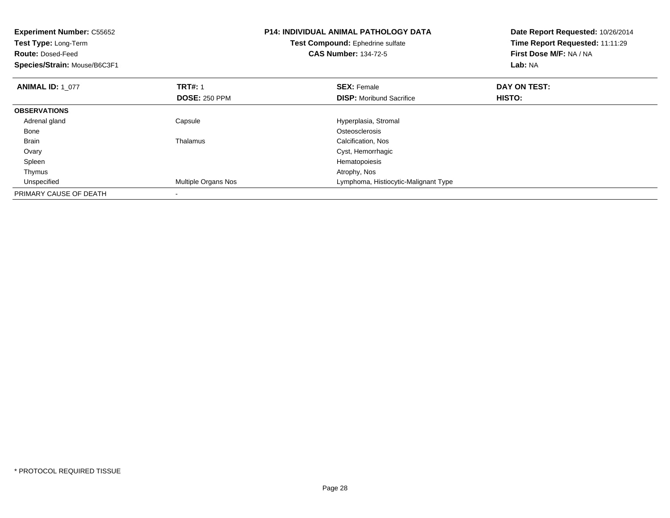| <b>Experiment Number: C55652</b><br>Test Type: Long-Term<br><b>Route: Dosed-Feed</b><br>Species/Strain: Mouse/B6C3F1 |                            | <b>P14: INDIVIDUAL ANIMAL PATHOLOGY DATA</b><br>Test Compound: Ephedrine sulfate<br><b>CAS Number: 134-72-5</b> | Date Report Requested: 10/26/2014<br>Time Report Requested: 11:11:29<br>First Dose M/F: NA / NA<br>Lab: NA |
|----------------------------------------------------------------------------------------------------------------------|----------------------------|-----------------------------------------------------------------------------------------------------------------|------------------------------------------------------------------------------------------------------------|
| <b>ANIMAL ID: 1 077</b>                                                                                              | <b>TRT#: 1</b>             | <b>SEX: Female</b>                                                                                              | DAY ON TEST:                                                                                               |
|                                                                                                                      | <b>DOSE: 250 PPM</b>       | <b>DISP:</b> Moribund Sacrifice                                                                                 | HISTO:                                                                                                     |
| <b>OBSERVATIONS</b>                                                                                                  |                            |                                                                                                                 |                                                                                                            |
| Adrenal gland                                                                                                        | Capsule                    | Hyperplasia, Stromal                                                                                            |                                                                                                            |
| Bone                                                                                                                 |                            | Osteosclerosis                                                                                                  |                                                                                                            |
| <b>Brain</b>                                                                                                         | Thalamus                   | Calcification, Nos                                                                                              |                                                                                                            |
| Ovary                                                                                                                |                            | Cyst, Hemorrhagic                                                                                               |                                                                                                            |
| Spleen                                                                                                               |                            | Hematopoiesis                                                                                                   |                                                                                                            |
| Thymus                                                                                                               |                            | Atrophy, Nos                                                                                                    |                                                                                                            |
| Unspecified                                                                                                          | <b>Multiple Organs Nos</b> | Lymphoma, Histiocytic-Malignant Type                                                                            |                                                                                                            |
| PRIMARY CAUSE OF DEATH                                                                                               |                            |                                                                                                                 |                                                                                                            |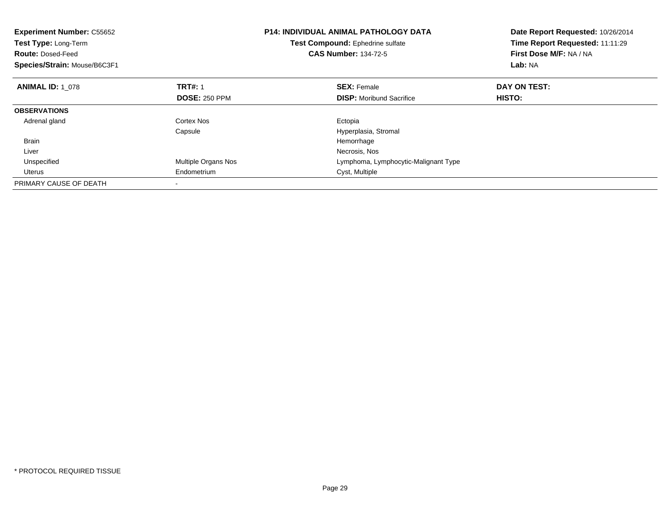| <b>Experiment Number: C55652</b><br><b>Test Type: Long-Term</b><br><b>Route: Dosed-Feed</b><br>Species/Strain: Mouse/B6C3F1 |                      | <b>P14: INDIVIDUAL ANIMAL PATHOLOGY DATA</b><br>Test Compound: Ephedrine sulfate<br><b>CAS Number: 134-72-5</b> | Date Report Requested: 10/26/2014<br>Time Report Requested: 11:11:29<br>First Dose M/F: NA / NA<br>Lab: NA |
|-----------------------------------------------------------------------------------------------------------------------------|----------------------|-----------------------------------------------------------------------------------------------------------------|------------------------------------------------------------------------------------------------------------|
| <b>ANIMAL ID: 1 078</b>                                                                                                     | <b>TRT#: 1</b>       | <b>SEX: Female</b>                                                                                              | DAY ON TEST:                                                                                               |
|                                                                                                                             | <b>DOSE: 250 PPM</b> | <b>DISP:</b> Moribund Sacrifice                                                                                 | HISTO:                                                                                                     |
| <b>OBSERVATIONS</b>                                                                                                         |                      |                                                                                                                 |                                                                                                            |
| Adrenal gland                                                                                                               | Cortex Nos           | Ectopia                                                                                                         |                                                                                                            |
|                                                                                                                             | Capsule              | Hyperplasia, Stromal                                                                                            |                                                                                                            |
| <b>Brain</b>                                                                                                                |                      | Hemorrhage                                                                                                      |                                                                                                            |
| Liver                                                                                                                       |                      | Necrosis, Nos                                                                                                   |                                                                                                            |
| Unspecified                                                                                                                 | Multiple Organs Nos  | Lymphoma, Lymphocytic-Malignant Type                                                                            |                                                                                                            |
| Uterus                                                                                                                      | Endometrium          | Cyst, Multiple                                                                                                  |                                                                                                            |
| PRIMARY CAUSE OF DEATH                                                                                                      |                      |                                                                                                                 |                                                                                                            |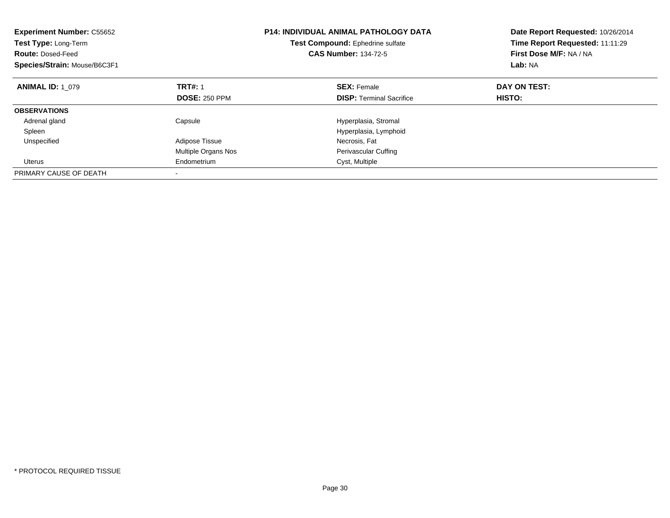| <b>Experiment Number: C55652</b><br><b>Test Type: Long-Term</b><br><b>Route: Dosed-Feed</b><br>Species/Strain: Mouse/B6C3F1 | <b>P14: INDIVIDUAL ANIMAL PATHOLOGY DATA</b><br>Test Compound: Ephedrine sulfate<br><b>CAS Number: 134-72-5</b> |                                 | Date Report Requested: 10/26/2014<br>Time Report Requested: 11:11:29<br>First Dose M/F: NA / NA<br>Lab: NA |
|-----------------------------------------------------------------------------------------------------------------------------|-----------------------------------------------------------------------------------------------------------------|---------------------------------|------------------------------------------------------------------------------------------------------------|
| <b>ANIMAL ID: 1 079</b>                                                                                                     | <b>TRT#: 1</b>                                                                                                  | <b>SEX: Female</b>              | DAY ON TEST:                                                                                               |
|                                                                                                                             | <b>DOSE: 250 PPM</b>                                                                                            | <b>DISP:</b> Terminal Sacrifice | HISTO:                                                                                                     |
| <b>OBSERVATIONS</b>                                                                                                         |                                                                                                                 |                                 |                                                                                                            |
| Adrenal gland                                                                                                               | Capsule                                                                                                         | Hyperplasia, Stromal            |                                                                                                            |
| Spleen                                                                                                                      |                                                                                                                 | Hyperplasia, Lymphoid           |                                                                                                            |
| Unspecified                                                                                                                 | Adipose Tissue                                                                                                  | Necrosis, Fat                   |                                                                                                            |
|                                                                                                                             | <b>Multiple Organs Nos</b>                                                                                      | <b>Perivascular Cuffing</b>     |                                                                                                            |
| Uterus                                                                                                                      | Endometrium                                                                                                     | Cyst, Multiple                  |                                                                                                            |
| PRIMARY CAUSE OF DEATH                                                                                                      |                                                                                                                 |                                 |                                                                                                            |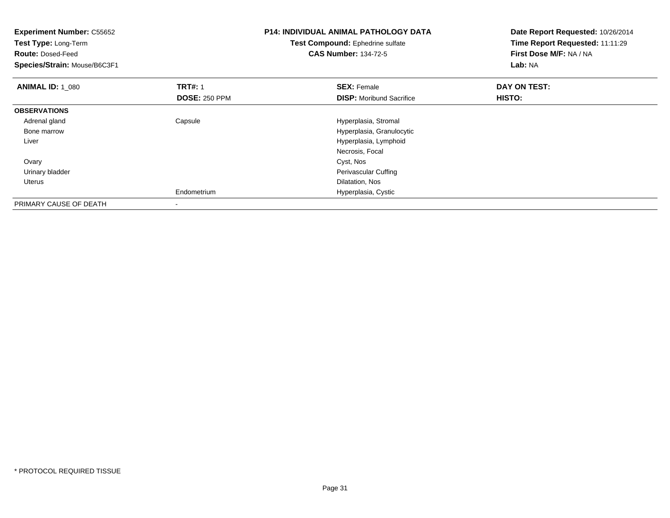| <b>Experiment Number: C55652</b><br>Test Type: Long-Term<br><b>Route: Dosed-Feed</b><br>Species/Strain: Mouse/B6C3F1 |                      | <b>P14: INDIVIDUAL ANIMAL PATHOLOGY DATA</b><br>Test Compound: Ephedrine sulfate<br><b>CAS Number: 134-72-5</b> | Date Report Requested: 10/26/2014<br>Time Report Requested: 11:11:29<br>First Dose M/F: NA / NA<br>Lab: NA |
|----------------------------------------------------------------------------------------------------------------------|----------------------|-----------------------------------------------------------------------------------------------------------------|------------------------------------------------------------------------------------------------------------|
| <b>ANIMAL ID: 1 080</b>                                                                                              | <b>TRT#: 1</b>       | <b>SEX: Female</b>                                                                                              | DAY ON TEST:                                                                                               |
|                                                                                                                      | <b>DOSE: 250 PPM</b> | <b>DISP:</b> Moribund Sacrifice                                                                                 | HISTO:                                                                                                     |
| <b>OBSERVATIONS</b>                                                                                                  |                      |                                                                                                                 |                                                                                                            |
| Adrenal gland                                                                                                        | Capsule              | Hyperplasia, Stromal                                                                                            |                                                                                                            |
| Bone marrow                                                                                                          |                      | Hyperplasia, Granulocytic                                                                                       |                                                                                                            |
| Liver                                                                                                                |                      | Hyperplasia, Lymphoid                                                                                           |                                                                                                            |
|                                                                                                                      |                      | Necrosis, Focal                                                                                                 |                                                                                                            |
| Ovary                                                                                                                |                      | Cyst, Nos                                                                                                       |                                                                                                            |
| Urinary bladder                                                                                                      |                      | Perivascular Cuffing                                                                                            |                                                                                                            |
| Uterus                                                                                                               |                      | Dilatation, Nos                                                                                                 |                                                                                                            |
|                                                                                                                      | Endometrium          | Hyperplasia, Cystic                                                                                             |                                                                                                            |
| PRIMARY CAUSE OF DEATH                                                                                               |                      |                                                                                                                 |                                                                                                            |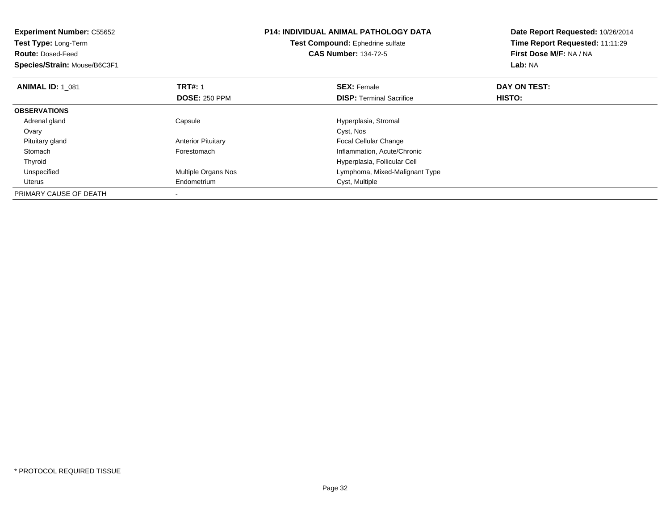| <b>Experiment Number: C55652</b><br>Test Type: Long-Term<br><b>Route: Dosed-Feed</b><br>Species/Strain: Mouse/B6C3F1 |                           | <b>P14: INDIVIDUAL ANIMAL PATHOLOGY DATA</b><br>Test Compound: Ephedrine sulfate<br><b>CAS Number: 134-72-5</b> | Date Report Requested: 10/26/2014<br>Time Report Requested: 11:11:29<br>First Dose M/F: NA / NA<br>Lab: NA |
|----------------------------------------------------------------------------------------------------------------------|---------------------------|-----------------------------------------------------------------------------------------------------------------|------------------------------------------------------------------------------------------------------------|
| <b>ANIMAL ID: 1 081</b>                                                                                              | <b>TRT#: 1</b>            | <b>SEX: Female</b>                                                                                              | DAY ON TEST:                                                                                               |
|                                                                                                                      | <b>DOSE: 250 PPM</b>      | <b>DISP:</b> Terminal Sacrifice                                                                                 | HISTO:                                                                                                     |
| <b>OBSERVATIONS</b>                                                                                                  |                           |                                                                                                                 |                                                                                                            |
| Adrenal gland                                                                                                        | Capsule                   | Hyperplasia, Stromal                                                                                            |                                                                                                            |
| Ovary                                                                                                                |                           | Cyst, Nos                                                                                                       |                                                                                                            |
| Pituitary gland                                                                                                      | <b>Anterior Pituitary</b> | Focal Cellular Change                                                                                           |                                                                                                            |
| Stomach                                                                                                              | Forestomach               | Inflammation, Acute/Chronic                                                                                     |                                                                                                            |
| Thyroid                                                                                                              |                           | Hyperplasia, Follicular Cell                                                                                    |                                                                                                            |
| Unspecified                                                                                                          | Multiple Organs Nos       | Lymphoma, Mixed-Malignant Type                                                                                  |                                                                                                            |
| Uterus                                                                                                               | Endometrium               | Cyst, Multiple                                                                                                  |                                                                                                            |
| PRIMARY CAUSE OF DEATH                                                                                               |                           |                                                                                                                 |                                                                                                            |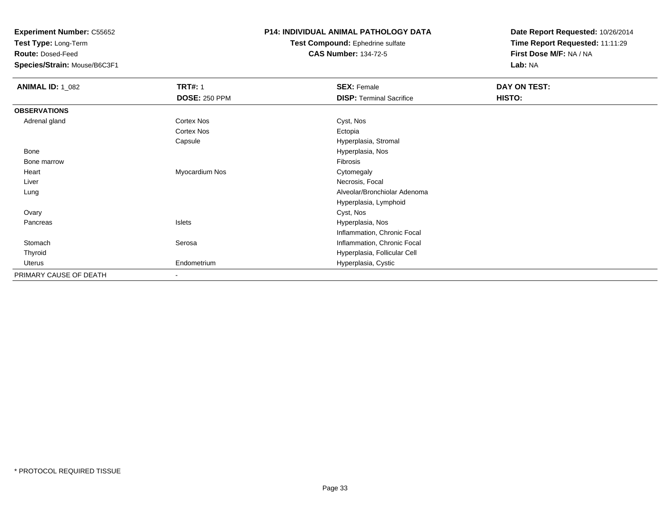**Test Type:** Long-Term

**Route:** Dosed-Feed

**Species/Strain:** Mouse/B6C3F1

### **P14: INDIVIDUAL ANIMAL PATHOLOGY DATA**

**Test Compound:** Ephedrine sulfate**CAS Number:** 134-72-5

| <b>ANIMAL ID: 1_082</b> | <b>TRT#: 1</b>           | <b>SEX: Female</b>              | DAY ON TEST: |  |
|-------------------------|--------------------------|---------------------------------|--------------|--|
|                         | <b>DOSE: 250 PPM</b>     | <b>DISP: Terminal Sacrifice</b> | HISTO:       |  |
| <b>OBSERVATIONS</b>     |                          |                                 |              |  |
| Adrenal gland           | Cortex Nos               | Cyst, Nos                       |              |  |
|                         | <b>Cortex Nos</b>        | Ectopia                         |              |  |
|                         | Capsule                  | Hyperplasia, Stromal            |              |  |
| <b>Bone</b>             |                          | Hyperplasia, Nos                |              |  |
| Bone marrow             |                          | Fibrosis                        |              |  |
| Heart                   | Myocardium Nos           | Cytomegaly                      |              |  |
| Liver                   |                          | Necrosis, Focal                 |              |  |
| Lung                    |                          | Alveolar/Bronchiolar Adenoma    |              |  |
|                         |                          | Hyperplasia, Lymphoid           |              |  |
| Ovary                   |                          | Cyst, Nos                       |              |  |
| Pancreas                | Islets                   | Hyperplasia, Nos                |              |  |
|                         |                          | Inflammation, Chronic Focal     |              |  |
| Stomach                 | Serosa                   | Inflammation, Chronic Focal     |              |  |
| Thyroid                 |                          | Hyperplasia, Follicular Cell    |              |  |
| Uterus                  | Endometrium              | Hyperplasia, Cystic             |              |  |
| PRIMARY CAUSE OF DEATH  | $\overline{\phantom{a}}$ |                                 |              |  |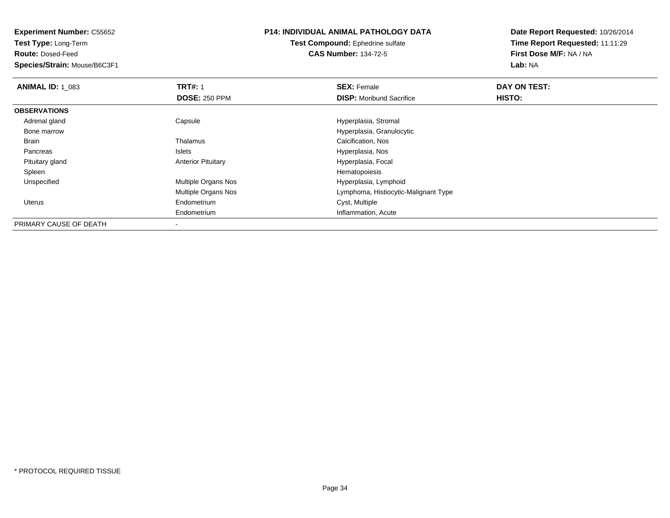**Test Type:** Long-Term

**Route:** Dosed-Feed

**Species/Strain:** Mouse/B6C3F1

### **P14: INDIVIDUAL ANIMAL PATHOLOGY DATA**

**Test Compound:** Ephedrine sulfate**CAS Number:** 134-72-5

| <b>ANIMAL ID: 1 083</b> | <b>TRT#: 1</b>             | <b>SEX: Female</b>                   | DAY ON TEST:  |  |
|-------------------------|----------------------------|--------------------------------------|---------------|--|
|                         | <b>DOSE: 250 PPM</b>       | <b>DISP:</b> Moribund Sacrifice      | <b>HISTO:</b> |  |
| <b>OBSERVATIONS</b>     |                            |                                      |               |  |
| Adrenal gland           | Capsule                    | Hyperplasia, Stromal                 |               |  |
| Bone marrow             |                            | Hyperplasia, Granulocytic            |               |  |
| <b>Brain</b>            | Thalamus                   | Calcification, Nos                   |               |  |
| Pancreas                | Islets                     | Hyperplasia, Nos                     |               |  |
| Pituitary gland         | <b>Anterior Pituitary</b>  | Hyperplasia, Focal                   |               |  |
| Spleen                  |                            | Hematopoiesis                        |               |  |
| Unspecified             | <b>Multiple Organs Nos</b> | Hyperplasia, Lymphoid                |               |  |
|                         | <b>Multiple Organs Nos</b> | Lymphoma, Histiocytic-Malignant Type |               |  |
| Uterus                  | Endometrium                | Cyst, Multiple                       |               |  |
|                         | Endometrium                | Inflammation, Acute                  |               |  |
| PRIMARY CAUSE OF DEATH  |                            |                                      |               |  |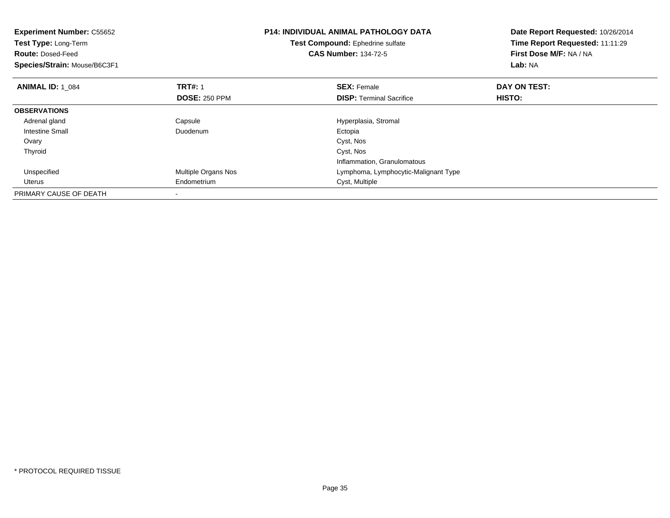| <b>Experiment Number: C55652</b><br>Test Type: Long-Term<br><b>Route: Dosed-Feed</b><br>Species/Strain: Mouse/B6C3F1 |                      | <b>P14: INDIVIDUAL ANIMAL PATHOLOGY DATA</b><br>Test Compound: Ephedrine sulfate<br><b>CAS Number: 134-72-5</b> | Date Report Requested: 10/26/2014<br>Time Report Requested: 11:11:29<br>First Dose M/F: NA / NA<br>Lab: NA |
|----------------------------------------------------------------------------------------------------------------------|----------------------|-----------------------------------------------------------------------------------------------------------------|------------------------------------------------------------------------------------------------------------|
| <b>ANIMAL ID: 1 084</b>                                                                                              | <b>TRT#:</b> 1       | <b>SEX: Female</b>                                                                                              | DAY ON TEST:                                                                                               |
|                                                                                                                      | <b>DOSE: 250 PPM</b> | <b>DISP:</b> Terminal Sacrifice                                                                                 | HISTO:                                                                                                     |
| <b>OBSERVATIONS</b>                                                                                                  |                      |                                                                                                                 |                                                                                                            |
| Adrenal gland                                                                                                        | Capsule              | Hyperplasia, Stromal                                                                                            |                                                                                                            |
| <b>Intestine Small</b>                                                                                               | Duodenum             | Ectopia                                                                                                         |                                                                                                            |
| Ovary                                                                                                                |                      | Cyst, Nos                                                                                                       |                                                                                                            |
| Thyroid                                                                                                              |                      | Cyst, Nos                                                                                                       |                                                                                                            |
|                                                                                                                      |                      | Inflammation, Granulomatous                                                                                     |                                                                                                            |
| Unspecified                                                                                                          | Multiple Organs Nos  | Lymphoma, Lymphocytic-Malignant Type                                                                            |                                                                                                            |
| Uterus                                                                                                               | Endometrium          | Cyst, Multiple                                                                                                  |                                                                                                            |
| PRIMARY CAUSE OF DEATH                                                                                               |                      |                                                                                                                 |                                                                                                            |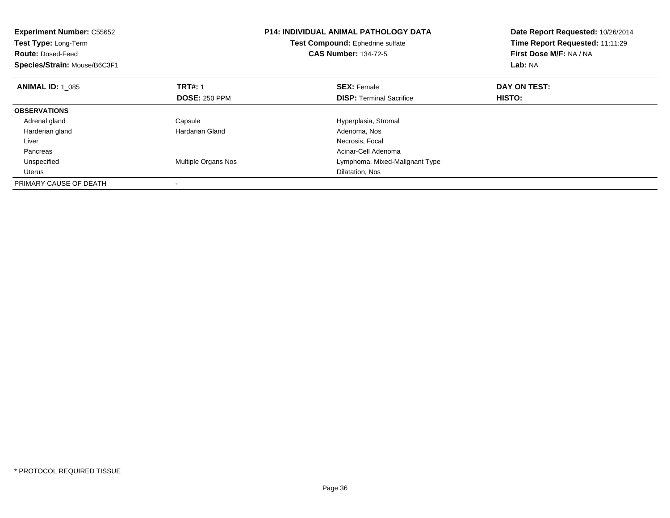| <b>Experiment Number: C55652</b><br>Test Type: Long-Term<br><b>Route: Dosed-Feed</b><br>Species/Strain: Mouse/B6C3F1 |                      | <b>P14: INDIVIDUAL ANIMAL PATHOLOGY DATA</b><br>Test Compound: Ephedrine sulfate<br><b>CAS Number: 134-72-5</b> | Date Report Requested: 10/26/2014<br>Time Report Requested: 11:11:29<br>First Dose M/F: NA / NA<br>Lab: NA |
|----------------------------------------------------------------------------------------------------------------------|----------------------|-----------------------------------------------------------------------------------------------------------------|------------------------------------------------------------------------------------------------------------|
| <b>ANIMAL ID: 1 085</b>                                                                                              | <b>TRT#: 1</b>       | <b>SEX: Female</b>                                                                                              | DAY ON TEST:                                                                                               |
|                                                                                                                      | <b>DOSE: 250 PPM</b> | <b>DISP:</b> Terminal Sacrifice                                                                                 | <b>HISTO:</b>                                                                                              |
| <b>OBSERVATIONS</b>                                                                                                  |                      |                                                                                                                 |                                                                                                            |
| Adrenal gland                                                                                                        | Capsule              | Hyperplasia, Stromal                                                                                            |                                                                                                            |
| Harderian gland                                                                                                      | Hardarian Gland      | Adenoma, Nos                                                                                                    |                                                                                                            |
| Liver                                                                                                                |                      | Necrosis, Focal                                                                                                 |                                                                                                            |
| Pancreas                                                                                                             |                      | Acinar-Cell Adenoma                                                                                             |                                                                                                            |
| Unspecified                                                                                                          | Multiple Organs Nos  | Lymphoma, Mixed-Malignant Type                                                                                  |                                                                                                            |
| Uterus                                                                                                               |                      | Dilatation, Nos                                                                                                 |                                                                                                            |
| PRIMARY CAUSE OF DEATH                                                                                               |                      |                                                                                                                 |                                                                                                            |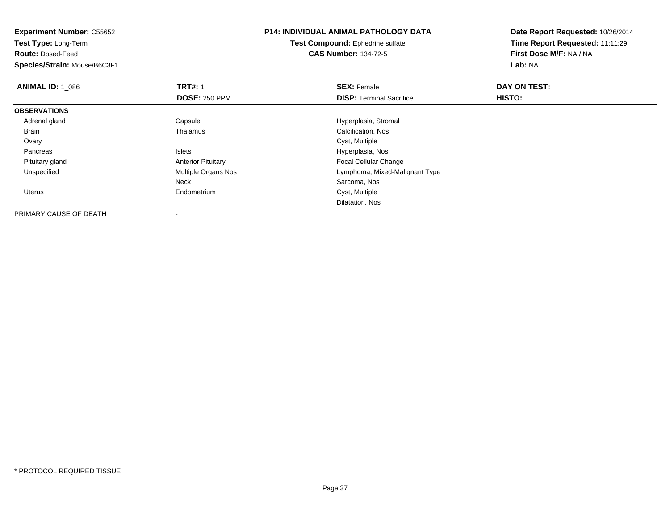**Experiment Number:** C55652**Test Type:** Long-Term**Route:** Dosed-Feed **Species/Strain:** Mouse/B6C3F1**P14: INDIVIDUAL ANIMAL PATHOLOGY DATATest Compound:** Ephedrine sulfate**CAS Number:** 134-72-5**Date Report Requested:** 10/26/2014**Time Report Requested:** 11:11:29**First Dose M/F:** NA / NA**Lab:** NA**ANIMAL ID: 1\_086 6 DAY ON TEST:** 1 **SEX:** Female **SEX: Female DAY ON TEST: DOSE:** 250 PPM**DISP:** Terminal Sacrifice **HISTO: OBSERVATIONS** Adrenal glandCapsule Capsule Capsular Capsule Capsular Capsular Material American Calcification, Nos<br>
Calcification, Nos BrainCalcification, Nos<br>Cyst, Multiple Ovaryy the control of the control of the control of the control of the control of the control of the control of the control of the control of the control of the control of the control of the control of the control of the contro Islets External Solution of the United States of the United States of the Hyperplasia, Nos<br>In the United States of the United States of the United States of the United States of the United States of th Pancreas Pituitary glandAnterior Pituitary **Focal Cellular Change**<br>
Multiple Organs Nos **Focal Cellular Change**<br>
Lymphoma, Mixed-Mal UnspecifiedLymphoma, Mixed-Malignant Type Neck Sarcoma, Nos Uterus Endometrium Cyst, Multiple Dilatation, Nos

PRIMARY CAUSE OF DEATH-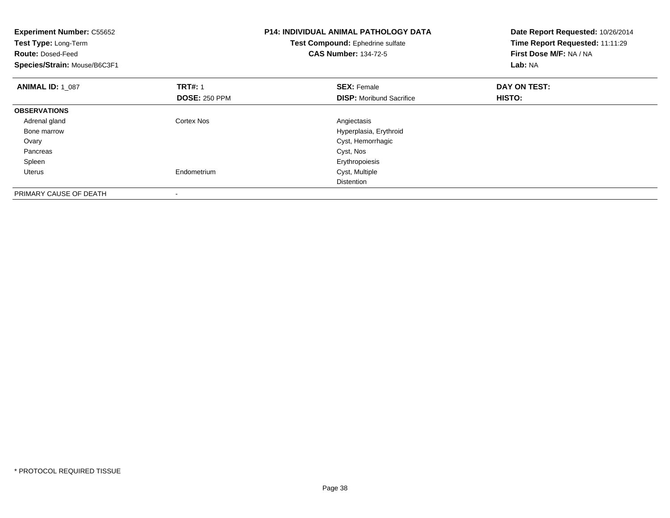| <b>Experiment Number: C55652</b><br>Test Type: Long-Term<br><b>Route: Dosed-Feed</b><br>Species/Strain: Mouse/B6C3F1 |                      | <b>P14: INDIVIDUAL ANIMAL PATHOLOGY DATA</b><br>Test Compound: Ephedrine sulfate<br><b>CAS Number: 134-72-5</b> | Date Report Requested: 10/26/2014<br>Time Report Requested: 11:11:29<br>First Dose M/F: NA / NA<br>Lab: NA |
|----------------------------------------------------------------------------------------------------------------------|----------------------|-----------------------------------------------------------------------------------------------------------------|------------------------------------------------------------------------------------------------------------|
| <b>ANIMAL ID: 1 087</b>                                                                                              | <b>TRT#: 1</b>       | <b>SEX: Female</b>                                                                                              | DAY ON TEST:                                                                                               |
|                                                                                                                      | <b>DOSE: 250 PPM</b> | <b>DISP:</b> Moribund Sacrifice                                                                                 | HISTO:                                                                                                     |
| <b>OBSERVATIONS</b>                                                                                                  |                      |                                                                                                                 |                                                                                                            |
| Adrenal gland                                                                                                        | Cortex Nos           | Angiectasis                                                                                                     |                                                                                                            |
| Bone marrow                                                                                                          |                      | Hyperplasia, Erythroid                                                                                          |                                                                                                            |
| Ovary                                                                                                                |                      | Cyst, Hemorrhagic                                                                                               |                                                                                                            |
| Pancreas                                                                                                             |                      | Cyst, Nos                                                                                                       |                                                                                                            |
| Spleen                                                                                                               |                      | Erythropoiesis                                                                                                  |                                                                                                            |
| Uterus                                                                                                               | Endometrium          | Cyst, Multiple                                                                                                  |                                                                                                            |
|                                                                                                                      |                      | <b>Distention</b>                                                                                               |                                                                                                            |
| PRIMARY CAUSE OF DEATH                                                                                               |                      |                                                                                                                 |                                                                                                            |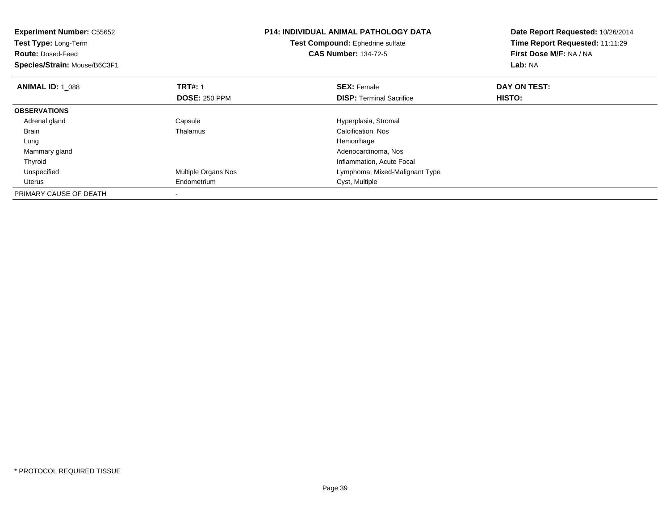| <b>Experiment Number: C55652</b><br>Test Type: Long-Term<br><b>Route: Dosed-Feed</b><br>Species/Strain: Mouse/B6C3F1 |                      | <b>P14: INDIVIDUAL ANIMAL PATHOLOGY DATA</b><br>Test Compound: Ephedrine sulfate<br><b>CAS Number: 134-72-5</b> | Date Report Requested: 10/26/2014<br>Time Report Requested: 11:11:29<br>First Dose M/F: NA / NA<br>Lab: NA |
|----------------------------------------------------------------------------------------------------------------------|----------------------|-----------------------------------------------------------------------------------------------------------------|------------------------------------------------------------------------------------------------------------|
| <b>ANIMAL ID: 1 088</b>                                                                                              | <b>TRT#: 1</b>       | <b>SEX: Female</b>                                                                                              | DAY ON TEST:                                                                                               |
|                                                                                                                      | <b>DOSE: 250 PPM</b> | <b>DISP:</b> Terminal Sacrifice                                                                                 | HISTO:                                                                                                     |
| <b>OBSERVATIONS</b>                                                                                                  |                      |                                                                                                                 |                                                                                                            |
| Adrenal gland                                                                                                        | Capsule              | Hyperplasia, Stromal                                                                                            |                                                                                                            |
| Brain                                                                                                                | Thalamus             | Calcification, Nos                                                                                              |                                                                                                            |
| Lung                                                                                                                 |                      | Hemorrhage                                                                                                      |                                                                                                            |
| Mammary gland                                                                                                        |                      | Adenocarcinoma, Nos                                                                                             |                                                                                                            |
| Thyroid                                                                                                              |                      | Inflammation, Acute Focal                                                                                       |                                                                                                            |
| Unspecified                                                                                                          | Multiple Organs Nos  | Lymphoma, Mixed-Malignant Type                                                                                  |                                                                                                            |
| Uterus                                                                                                               | Endometrium          | Cyst, Multiple                                                                                                  |                                                                                                            |
| PRIMARY CAUSE OF DEATH                                                                                               |                      |                                                                                                                 |                                                                                                            |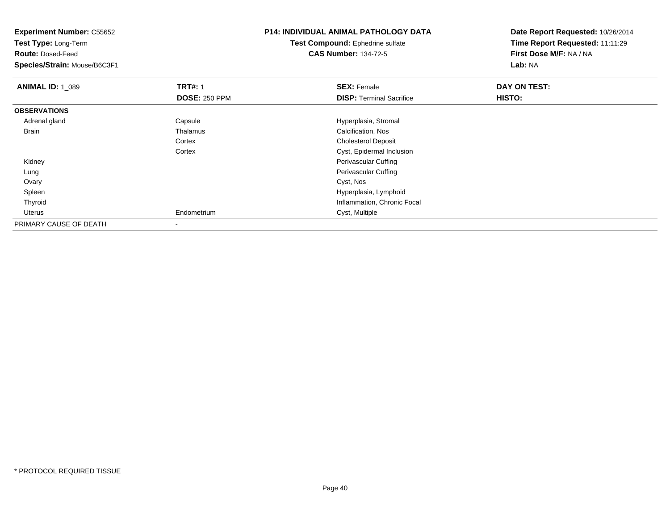| <b>Experiment Number: C55652</b><br>Test Type: Long-Term |                      | <b>P14: INDIVIDUAL ANIMAL PATHOLOGY DATA</b> | Date Report Requested: 10/26/2014 |
|----------------------------------------------------------|----------------------|----------------------------------------------|-----------------------------------|
|                                                          |                      | Test Compound: Ephedrine sulfate             | Time Report Requested: 11:11:29   |
| <b>Route: Dosed-Feed</b>                                 |                      | <b>CAS Number: 134-72-5</b>                  | First Dose M/F: NA / NA           |
| Species/Strain: Mouse/B6C3F1                             |                      |                                              | <b>Lab: NA</b>                    |
| <b>ANIMAL ID: 1_089</b>                                  | <b>TRT#: 1</b>       | <b>SEX: Female</b>                           | DAY ON TEST:                      |
|                                                          | <b>DOSE: 250 PPM</b> | <b>DISP:</b> Terminal Sacrifice              | HISTO:                            |
| <b>OBSERVATIONS</b>                                      |                      |                                              |                                   |
| Adrenal gland                                            | Capsule              | Hyperplasia, Stromal                         |                                   |
| Brain                                                    | Thalamus             | Calcification, Nos                           |                                   |
|                                                          | Cortex               | <b>Cholesterol Deposit</b>                   |                                   |
|                                                          | Cortex               | Cyst, Epidermal Inclusion                    |                                   |
| Kidney                                                   |                      | Perivascular Cuffing                         |                                   |
| Lung                                                     |                      | Perivascular Cuffing                         |                                   |
| Ovary                                                    |                      | Cyst, Nos                                    |                                   |
| Spleen                                                   |                      | Hyperplasia, Lymphoid                        |                                   |
| Thyroid                                                  |                      | Inflammation, Chronic Focal                  |                                   |
| Uterus                                                   | Endometrium          | Cyst, Multiple                               |                                   |
| PRIMARY CAUSE OF DEATH                                   |                      |                                              |                                   |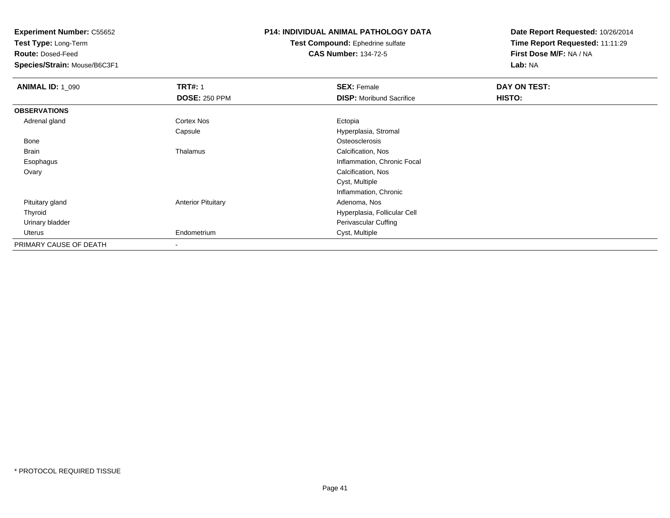**Test Type:** Long-Term

**Route:** Dosed-Feed

**Species/Strain:** Mouse/B6C3F1

## **P14: INDIVIDUAL ANIMAL PATHOLOGY DATA**

#### **Test Compound:** Ephedrine sulfate**CAS Number:** 134-72-5

| <b>ANIMAL ID: 1_090</b> | <b>TRT#: 1</b>            | <b>SEX: Female</b>              | DAY ON TEST: |  |
|-------------------------|---------------------------|---------------------------------|--------------|--|
|                         | <b>DOSE: 250 PPM</b>      | <b>DISP:</b> Moribund Sacrifice | HISTO:       |  |
| <b>OBSERVATIONS</b>     |                           |                                 |              |  |
| Adrenal gland           | <b>Cortex Nos</b>         | Ectopia                         |              |  |
|                         | Capsule                   | Hyperplasia, Stromal            |              |  |
| Bone                    |                           | Osteosclerosis                  |              |  |
| <b>Brain</b>            | Thalamus                  | Calcification, Nos              |              |  |
| Esophagus               |                           | Inflammation, Chronic Focal     |              |  |
| Ovary                   |                           | Calcification, Nos              |              |  |
|                         |                           | Cyst, Multiple                  |              |  |
|                         |                           | Inflammation, Chronic           |              |  |
| Pituitary gland         | <b>Anterior Pituitary</b> | Adenoma, Nos                    |              |  |
| Thyroid                 |                           | Hyperplasia, Follicular Cell    |              |  |
| Urinary bladder         |                           | Perivascular Cuffing            |              |  |
| Uterus                  | Endometrium               | Cyst, Multiple                  |              |  |
| PRIMARY CAUSE OF DEATH  | $\,$                      |                                 |              |  |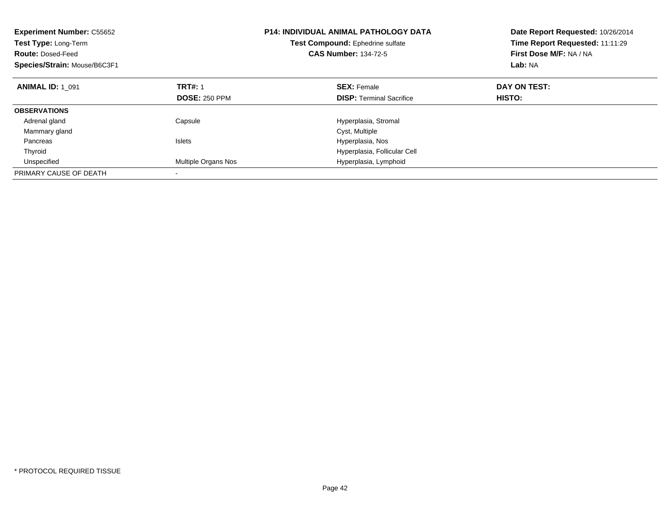| <b>Experiment Number: C55652</b><br>Test Type: Long-Term<br><b>Route: Dosed-Feed</b><br>Species/Strain: Mouse/B6C3F1 |                      | <b>P14: INDIVIDUAL ANIMAL PATHOLOGY DATA</b><br>Test Compound: Ephedrine sulfate<br><b>CAS Number: 134-72-5</b> | Date Report Requested: 10/26/2014<br>Time Report Requested: 11:11:29<br>First Dose M/F: NA / NA<br>Lab: NA |
|----------------------------------------------------------------------------------------------------------------------|----------------------|-----------------------------------------------------------------------------------------------------------------|------------------------------------------------------------------------------------------------------------|
| <b>ANIMAL ID: 1 091</b>                                                                                              | <b>TRT#: 1</b>       | <b>SEX: Female</b>                                                                                              | DAY ON TEST:                                                                                               |
|                                                                                                                      | <b>DOSE: 250 PPM</b> | <b>DISP:</b> Terminal Sacrifice                                                                                 | HISTO:                                                                                                     |
| <b>OBSERVATIONS</b>                                                                                                  |                      |                                                                                                                 |                                                                                                            |
| Adrenal gland                                                                                                        | Capsule              | Hyperplasia, Stromal                                                                                            |                                                                                                            |
| Mammary gland                                                                                                        |                      | Cyst, Multiple                                                                                                  |                                                                                                            |
| Pancreas                                                                                                             | <b>Islets</b>        | Hyperplasia, Nos                                                                                                |                                                                                                            |
| Thyroid                                                                                                              |                      | Hyperplasia, Follicular Cell                                                                                    |                                                                                                            |
| Unspecified                                                                                                          | Multiple Organs Nos  | Hyperplasia, Lymphoid                                                                                           |                                                                                                            |
| PRIMARY CAUSE OF DEATH                                                                                               |                      |                                                                                                                 |                                                                                                            |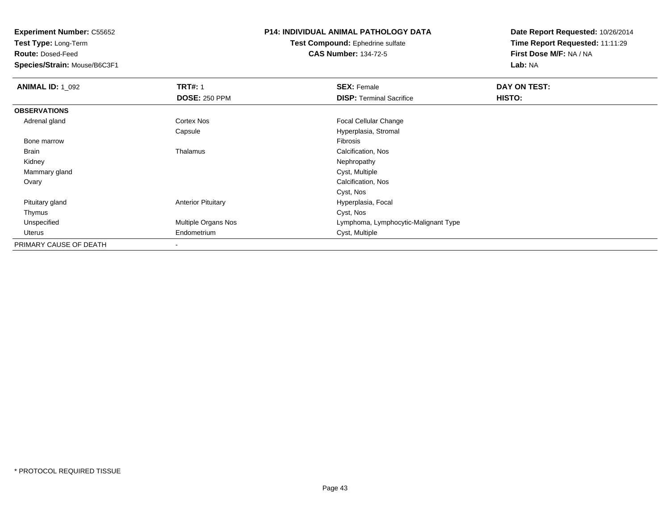**Test Type:** Long-Term

**Route:** Dosed-Feed

**Species/Strain:** Mouse/B6C3F1

## **P14: INDIVIDUAL ANIMAL PATHOLOGY DATA**

**Test Compound:** Ephedrine sulfate**CAS Number:** 134-72-5

| <b>ANIMAL ID: 1_092</b> | <b>TRT#: 1</b>             | <b>SEX: Female</b>                   | DAY ON TEST: |  |
|-------------------------|----------------------------|--------------------------------------|--------------|--|
|                         | <b>DOSE: 250 PPM</b>       | <b>DISP: Terminal Sacrifice</b>      | HISTO:       |  |
| <b>OBSERVATIONS</b>     |                            |                                      |              |  |
| Adrenal gland           | <b>Cortex Nos</b>          | Focal Cellular Change                |              |  |
|                         | Capsule                    | Hyperplasia, Stromal                 |              |  |
| Bone marrow             |                            | Fibrosis                             |              |  |
| <b>Brain</b>            | Thalamus                   | Calcification, Nos                   |              |  |
| Kidney                  |                            | Nephropathy                          |              |  |
| Mammary gland           |                            | Cyst, Multiple                       |              |  |
| Ovary                   |                            | Calcification, Nos                   |              |  |
|                         |                            | Cyst, Nos                            |              |  |
| Pituitary gland         | <b>Anterior Pituitary</b>  | Hyperplasia, Focal                   |              |  |
| Thymus                  |                            | Cyst, Nos                            |              |  |
| Unspecified             | <b>Multiple Organs Nos</b> | Lymphoma, Lymphocytic-Malignant Type |              |  |
| Uterus                  | Endometrium                | Cyst, Multiple                       |              |  |
| PRIMARY CAUSE OF DEATH  |                            |                                      |              |  |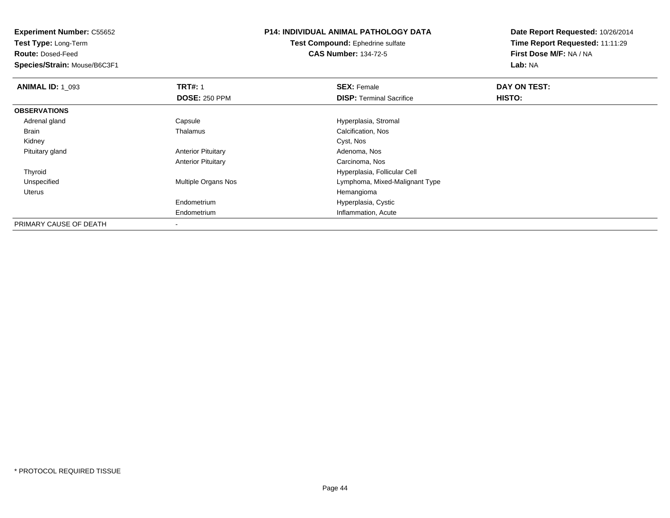**Test Type:** Long-Term

**Route:** Dosed-Feed

**Species/Strain:** Mouse/B6C3F1

## **P14: INDIVIDUAL ANIMAL PATHOLOGY DATA**

**Test Compound:** Ephedrine sulfate**CAS Number:** 134-72-5

| <b>ANIMAL ID: 1 093</b> | <b>TRT#: 1</b>             | <b>SEX: Female</b>              | DAY ON TEST: |  |
|-------------------------|----------------------------|---------------------------------|--------------|--|
|                         | <b>DOSE: 250 PPM</b>       | <b>DISP: Terminal Sacrifice</b> | HISTO:       |  |
| <b>OBSERVATIONS</b>     |                            |                                 |              |  |
| Adrenal gland           | Capsule                    | Hyperplasia, Stromal            |              |  |
| Brain                   | Thalamus                   | Calcification, Nos              |              |  |
| Kidney                  |                            | Cyst, Nos                       |              |  |
| Pituitary gland         | <b>Anterior Pituitary</b>  | Adenoma, Nos                    |              |  |
|                         | <b>Anterior Pituitary</b>  | Carcinoma, Nos                  |              |  |
| Thyroid                 |                            | Hyperplasia, Follicular Cell    |              |  |
| Unspecified             | <b>Multiple Organs Nos</b> | Lymphoma, Mixed-Malignant Type  |              |  |
| Uterus                  |                            | Hemangioma                      |              |  |
|                         | Endometrium                | Hyperplasia, Cystic             |              |  |
|                         | Endometrium                | Inflammation, Acute             |              |  |
| PRIMARY CAUSE OF DEATH  | $\overline{\phantom{a}}$   |                                 |              |  |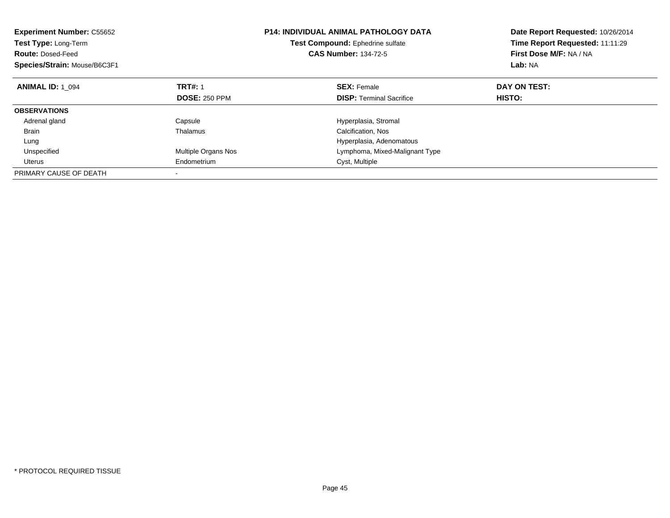| <b>Experiment Number: C55652</b><br>Test Type: Long-Term<br><b>Route: Dosed-Feed</b><br>Species/Strain: Mouse/B6C3F1 |                      | <b>P14: INDIVIDUAL ANIMAL PATHOLOGY DATA</b><br>Test Compound: Ephedrine sulfate<br><b>CAS Number: 134-72-5</b> | Date Report Requested: 10/26/2014<br>Time Report Requested: 11:11:29<br>First Dose M/F: NA / NA<br>Lab: NA |  |
|----------------------------------------------------------------------------------------------------------------------|----------------------|-----------------------------------------------------------------------------------------------------------------|------------------------------------------------------------------------------------------------------------|--|
| <b>ANIMAL ID: 1 094</b>                                                                                              | <b>TRT#: 1</b>       | <b>SEX: Female</b>                                                                                              | DAY ON TEST:                                                                                               |  |
|                                                                                                                      | <b>DOSE: 250 PPM</b> | <b>DISP:</b> Terminal Sacrifice                                                                                 | HISTO:                                                                                                     |  |
| <b>OBSERVATIONS</b>                                                                                                  |                      |                                                                                                                 |                                                                                                            |  |
| Adrenal gland                                                                                                        | Capsule              | Hyperplasia, Stromal                                                                                            |                                                                                                            |  |
| <b>Brain</b>                                                                                                         | Thalamus             | Calcification, Nos                                                                                              |                                                                                                            |  |
| Lung                                                                                                                 |                      | Hyperplasia, Adenomatous                                                                                        |                                                                                                            |  |
| Unspecified                                                                                                          | Multiple Organs Nos  | Lymphoma, Mixed-Malignant Type                                                                                  |                                                                                                            |  |
| Uterus                                                                                                               | Endometrium          | Cyst, Multiple                                                                                                  |                                                                                                            |  |
| PRIMARY CAUSE OF DEATH                                                                                               |                      |                                                                                                                 |                                                                                                            |  |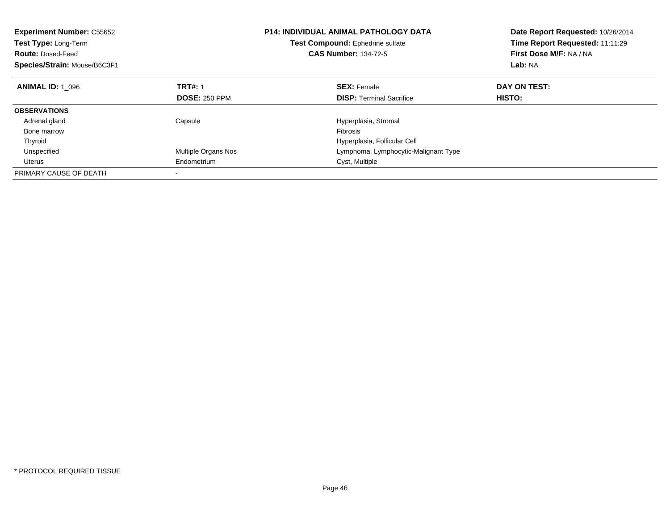| <b>Experiment Number: C55652</b><br>Test Type: Long-Term<br><b>Route: Dosed-Feed</b><br>Species/Strain: Mouse/B6C3F1 |                      | <b>P14: INDIVIDUAL ANIMAL PATHOLOGY DATA</b><br>Test Compound: Ephedrine sulfate<br><b>CAS Number: 134-72-5</b> | Date Report Requested: 10/26/2014<br>Time Report Requested: 11:11:29<br>First Dose M/F: NA / NA<br>Lab: NA |
|----------------------------------------------------------------------------------------------------------------------|----------------------|-----------------------------------------------------------------------------------------------------------------|------------------------------------------------------------------------------------------------------------|
| <b>ANIMAL ID: 1 096</b>                                                                                              | <b>TRT#: 1</b>       | <b>SEX: Female</b>                                                                                              | DAY ON TEST:                                                                                               |
|                                                                                                                      | <b>DOSE: 250 PPM</b> | <b>DISP:</b> Terminal Sacrifice                                                                                 | HISTO:                                                                                                     |
| <b>OBSERVATIONS</b>                                                                                                  |                      |                                                                                                                 |                                                                                                            |
| Adrenal gland                                                                                                        | Capsule              | Hyperplasia, Stromal                                                                                            |                                                                                                            |
| Bone marrow                                                                                                          |                      | <b>Fibrosis</b>                                                                                                 |                                                                                                            |
| Thyroid                                                                                                              |                      | Hyperplasia, Follicular Cell                                                                                    |                                                                                                            |
| Unspecified                                                                                                          | Multiple Organs Nos  | Lymphoma, Lymphocytic-Malignant Type                                                                            |                                                                                                            |
| Uterus                                                                                                               | Endometrium          | Cyst, Multiple                                                                                                  |                                                                                                            |
| PRIMARY CAUSE OF DEATH                                                                                               |                      |                                                                                                                 |                                                                                                            |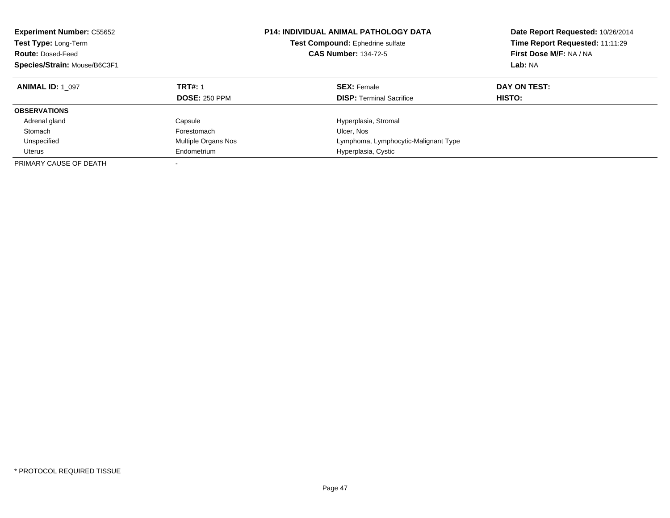| <b>Experiment Number: C55652</b><br>Test Type: Long-Term<br><b>Route: Dosed-Feed</b><br>Species/Strain: Mouse/B6C3F1 |                                        | <b>P14: INDIVIDUAL ANIMAL PATHOLOGY DATA</b><br><b>Test Compound: Ephedrine sulfate</b><br><b>CAS Number: 134-72-5</b> | Date Report Requested: 10/26/2014<br>Time Report Requested: 11:11:29<br>First Dose M/F: NA / NA<br>Lab: NA |
|----------------------------------------------------------------------------------------------------------------------|----------------------------------------|------------------------------------------------------------------------------------------------------------------------|------------------------------------------------------------------------------------------------------------|
| <b>ANIMAL ID: 1 097</b>                                                                                              | <b>TRT#: 1</b><br><b>DOSE: 250 PPM</b> | <b>SEX: Female</b><br><b>DISP:</b> Terminal Sacrifice                                                                  | DAY ON TEST:<br>HISTO:                                                                                     |
| <b>OBSERVATIONS</b>                                                                                                  |                                        |                                                                                                                        |                                                                                                            |
| Adrenal gland                                                                                                        | Capsule                                | Hyperplasia, Stromal                                                                                                   |                                                                                                            |
| Stomach                                                                                                              | Forestomach                            | Ulcer, Nos                                                                                                             |                                                                                                            |
| Unspecified                                                                                                          | Multiple Organs Nos                    | Lymphoma, Lymphocytic-Malignant Type                                                                                   |                                                                                                            |
| Uterus                                                                                                               | Endometrium                            | Hyperplasia, Cystic                                                                                                    |                                                                                                            |
| PRIMARY CAUSE OF DEATH                                                                                               | -                                      |                                                                                                                        |                                                                                                            |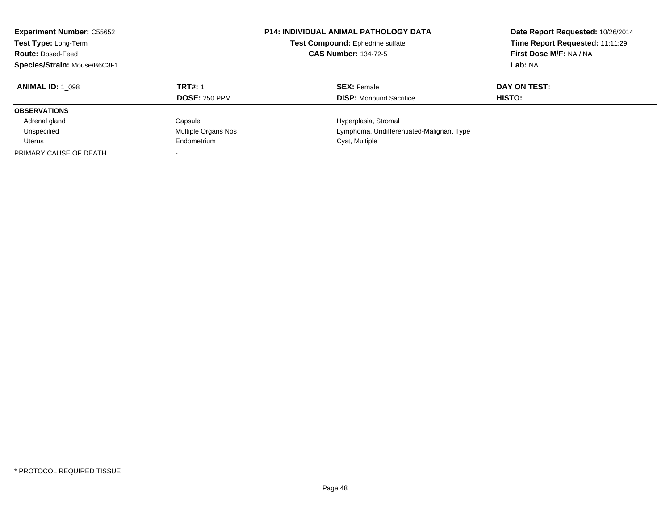| <b>Experiment Number: C55652</b><br>Test Type: Long-Term<br><b>Route: Dosed-Feed</b><br>Species/Strain: Mouse/B6C3F1 |                      | <b>P14: INDIVIDUAL ANIMAL PATHOLOGY DATA</b><br>Test Compound: Ephedrine sulfate<br><b>CAS Number: 134-72-5</b> | Date Report Requested: 10/26/2014<br>Time Report Requested: 11:11:29<br>First Dose M/F: NA / NA<br>Lab: NA |
|----------------------------------------------------------------------------------------------------------------------|----------------------|-----------------------------------------------------------------------------------------------------------------|------------------------------------------------------------------------------------------------------------|
| <b>ANIMAL ID: 1 098</b>                                                                                              | <b>TRT#: 1</b>       | <b>SEX: Female</b>                                                                                              | DAY ON TEST:                                                                                               |
|                                                                                                                      | <b>DOSE: 250 PPM</b> | <b>DISP:</b> Moribund Sacrifice                                                                                 | HISTO:                                                                                                     |
| <b>OBSERVATIONS</b>                                                                                                  |                      |                                                                                                                 |                                                                                                            |
| Adrenal gland                                                                                                        | Capsule              | Hyperplasia, Stromal                                                                                            |                                                                                                            |
| Unspecified                                                                                                          | Multiple Organs Nos  | Lymphoma, Undifferentiated-Malignant Type                                                                       |                                                                                                            |
| Uterus                                                                                                               | Endometrium          | Cyst, Multiple                                                                                                  |                                                                                                            |
| PRIMARY CAUSE OF DEATH                                                                                               |                      |                                                                                                                 |                                                                                                            |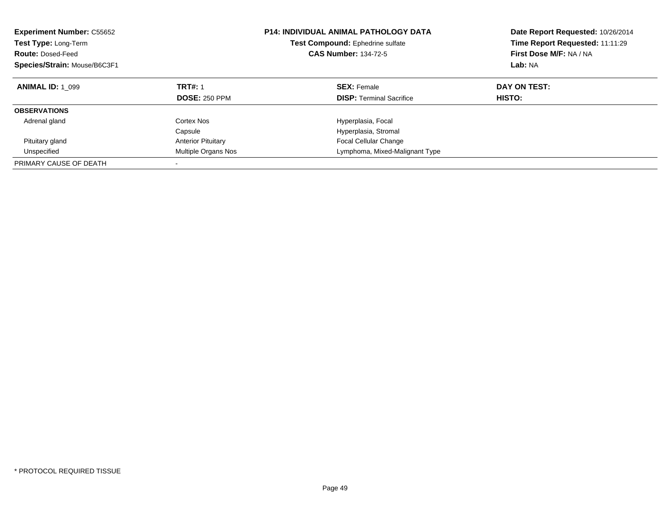| <b>Experiment Number: C55652</b><br>Test Type: Long-Term<br><b>Route: Dosed-Feed</b><br>Species/Strain: Mouse/B6C3F1 |                                        | <b>P14: INDIVIDUAL ANIMAL PATHOLOGY DATA</b><br>Test Compound: Ephedrine sulfate<br><b>CAS Number: 134-72-5</b> | Date Report Requested: 10/26/2014<br>Time Report Requested: 11:11:29<br>First Dose M/F: NA / NA<br>Lab: NA |
|----------------------------------------------------------------------------------------------------------------------|----------------------------------------|-----------------------------------------------------------------------------------------------------------------|------------------------------------------------------------------------------------------------------------|
| <b>ANIMAL ID: 1 099</b>                                                                                              | <b>TRT#: 1</b><br><b>DOSE: 250 PPM</b> | <b>SEX: Female</b><br><b>DISP:</b> Terminal Sacrifice                                                           | DAY ON TEST:<br>HISTO:                                                                                     |
| <b>OBSERVATIONS</b>                                                                                                  |                                        |                                                                                                                 |                                                                                                            |
| Adrenal gland                                                                                                        | Cortex Nos<br>Capsule                  | Hyperplasia, Focal<br>Hyperplasia, Stromal                                                                      |                                                                                                            |
| Pituitary gland                                                                                                      | <b>Anterior Pituitary</b>              | <b>Focal Cellular Change</b>                                                                                    |                                                                                                            |
| Unspecified                                                                                                          | Multiple Organs Nos                    | Lymphoma, Mixed-Malignant Type                                                                                  |                                                                                                            |
| PRIMARY CAUSE OF DEATH                                                                                               |                                        |                                                                                                                 |                                                                                                            |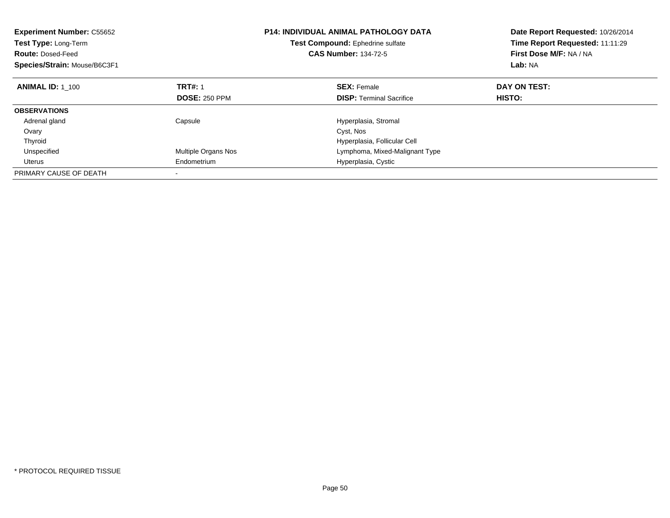| <b>Experiment Number: C55652</b><br>Test Type: Long-Term<br><b>Route: Dosed-Feed</b><br>Species/Strain: Mouse/B6C3F1 |                      | <b>P14: INDIVIDUAL ANIMAL PATHOLOGY DATA</b><br>Test Compound: Ephedrine sulfate<br><b>CAS Number: 134-72-5</b> | Date Report Requested: 10/26/2014<br>Time Report Requested: 11:11:29<br>First Dose M/F: NA / NA<br>Lab: NA |
|----------------------------------------------------------------------------------------------------------------------|----------------------|-----------------------------------------------------------------------------------------------------------------|------------------------------------------------------------------------------------------------------------|
| <b>ANIMAL ID: 1 100</b>                                                                                              | <b>TRT#: 1</b>       | <b>SEX: Female</b>                                                                                              | DAY ON TEST:                                                                                               |
|                                                                                                                      | <b>DOSE: 250 PPM</b> | <b>DISP:</b> Terminal Sacrifice                                                                                 | HISTO:                                                                                                     |
| <b>OBSERVATIONS</b>                                                                                                  |                      |                                                                                                                 |                                                                                                            |
| Adrenal gland                                                                                                        | Capsule              | Hyperplasia, Stromal                                                                                            |                                                                                                            |
| Ovary                                                                                                                |                      | Cyst, Nos                                                                                                       |                                                                                                            |
| Thyroid                                                                                                              |                      | Hyperplasia, Follicular Cell                                                                                    |                                                                                                            |
| Unspecified                                                                                                          | Multiple Organs Nos  | Lymphoma, Mixed-Malignant Type                                                                                  |                                                                                                            |
| Uterus                                                                                                               | Endometrium          | Hyperplasia, Cystic                                                                                             |                                                                                                            |
| PRIMARY CAUSE OF DEATH                                                                                               |                      |                                                                                                                 |                                                                                                            |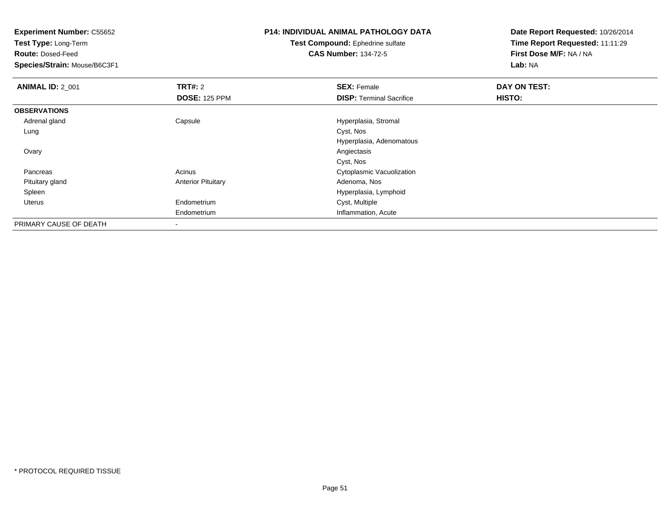**Test Type:** Long-Term

**Route:** Dosed-Feed

**Species/Strain:** Mouse/B6C3F1

# **P14: INDIVIDUAL ANIMAL PATHOLOGY DATA**

**Test Compound:** Ephedrine sulfate**CAS Number:** 134-72-5

| <b>ANIMAL ID: 2_001</b> | <b>TRT#: 2</b>            | <b>SEX: Female</b>              | DAY ON TEST: |  |
|-------------------------|---------------------------|---------------------------------|--------------|--|
|                         | <b>DOSE: 125 PPM</b>      | <b>DISP: Terminal Sacrifice</b> | HISTO:       |  |
| <b>OBSERVATIONS</b>     |                           |                                 |              |  |
| Adrenal gland           | Capsule                   | Hyperplasia, Stromal            |              |  |
| Lung                    |                           | Cyst, Nos                       |              |  |
|                         |                           | Hyperplasia, Adenomatous        |              |  |
| Ovary                   |                           | Angiectasis                     |              |  |
|                         |                           | Cyst, Nos                       |              |  |
| Pancreas                | Acinus                    | Cytoplasmic Vacuolization       |              |  |
| Pituitary gland         | <b>Anterior Pituitary</b> | Adenoma, Nos                    |              |  |
| Spleen                  |                           | Hyperplasia, Lymphoid           |              |  |
| Uterus                  | Endometrium               | Cyst, Multiple                  |              |  |
|                         | Endometrium               | Inflammation, Acute             |              |  |
| PRIMARY CAUSE OF DEATH  |                           |                                 |              |  |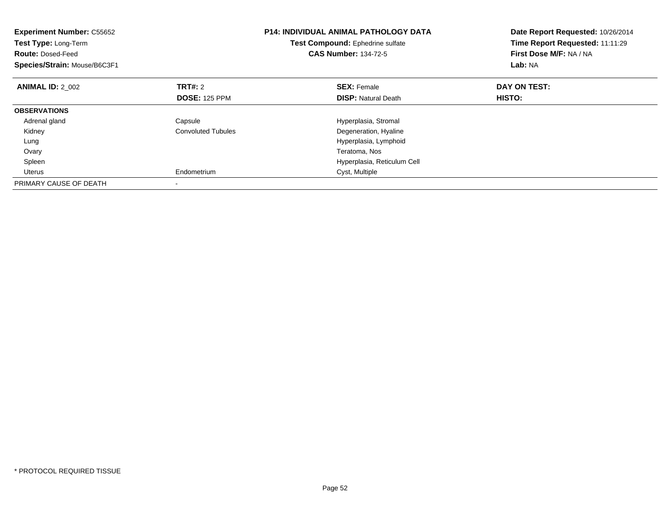| <b>Experiment Number: C55652</b><br>Test Type: Long-Term<br><b>Route: Dosed-Feed</b><br>Species/Strain: Mouse/B6C3F1 |                           | <b>P14: INDIVIDUAL ANIMAL PATHOLOGY DATA</b><br>Test Compound: Ephedrine sulfate<br><b>CAS Number: 134-72-5</b> | Date Report Requested: 10/26/2014<br>Time Report Requested: 11:11:29<br>First Dose M/F: NA / NA<br>Lab: NA |
|----------------------------------------------------------------------------------------------------------------------|---------------------------|-----------------------------------------------------------------------------------------------------------------|------------------------------------------------------------------------------------------------------------|
| <b>ANIMAL ID: 2 002</b>                                                                                              | <b>TRT#: 2</b>            | <b>SEX: Female</b>                                                                                              | DAY ON TEST:                                                                                               |
|                                                                                                                      | <b>DOSE: 125 PPM</b>      | <b>DISP:</b> Natural Death                                                                                      | HISTO:                                                                                                     |
| <b>OBSERVATIONS</b>                                                                                                  |                           |                                                                                                                 |                                                                                                            |
| Adrenal gland                                                                                                        | Capsule                   | Hyperplasia, Stromal                                                                                            |                                                                                                            |
| Kidney                                                                                                               | <b>Convoluted Tubules</b> | Degeneration, Hyaline                                                                                           |                                                                                                            |
| Lung                                                                                                                 |                           | Hyperplasia, Lymphoid                                                                                           |                                                                                                            |
| Ovary                                                                                                                |                           | Teratoma, Nos                                                                                                   |                                                                                                            |
| Spleen                                                                                                               |                           | Hyperplasia, Reticulum Cell                                                                                     |                                                                                                            |
| Uterus                                                                                                               | Endometrium               | Cyst, Multiple                                                                                                  |                                                                                                            |
| PRIMARY CAUSE OF DEATH                                                                                               |                           |                                                                                                                 |                                                                                                            |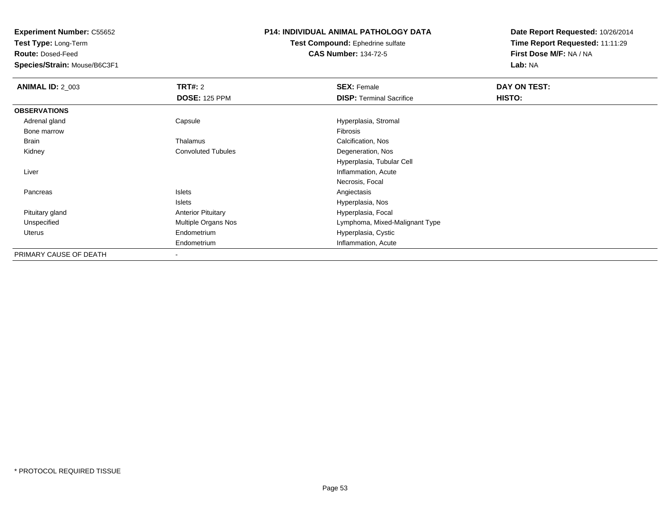**Test Type:** Long-Term

**Route:** Dosed-Feed

**Species/Strain:** Mouse/B6C3F1

#### **P14: INDIVIDUAL ANIMAL PATHOLOGY DATA**

**Test Compound:** Ephedrine sulfate**CAS Number:** 134-72-5

| <b>ANIMAL ID: 2_003</b> | <b>TRT#: 2</b>            | <b>SEX: Female</b>              | DAY ON TEST: |  |
|-------------------------|---------------------------|---------------------------------|--------------|--|
|                         | <b>DOSE: 125 PPM</b>      | <b>DISP: Terminal Sacrifice</b> | HISTO:       |  |
| <b>OBSERVATIONS</b>     |                           |                                 |              |  |
| Adrenal gland           | Capsule                   | Hyperplasia, Stromal            |              |  |
| Bone marrow             |                           | Fibrosis                        |              |  |
| Brain                   | Thalamus                  | Calcification, Nos              |              |  |
| Kidney                  | <b>Convoluted Tubules</b> | Degeneration, Nos               |              |  |
|                         |                           | Hyperplasia, Tubular Cell       |              |  |
| Liver                   |                           | Inflammation, Acute             |              |  |
|                         |                           | Necrosis, Focal                 |              |  |
| Pancreas                | <b>Islets</b>             | Angiectasis                     |              |  |
|                         | <b>Islets</b>             | Hyperplasia, Nos                |              |  |
| Pituitary gland         | <b>Anterior Pituitary</b> | Hyperplasia, Focal              |              |  |
| Unspecified             | Multiple Organs Nos       | Lymphoma, Mixed-Malignant Type  |              |  |
| Uterus                  | Endometrium               | Hyperplasia, Cystic             |              |  |
|                         | Endometrium               | Inflammation, Acute             |              |  |
| PRIMARY CAUSE OF DEATH  |                           |                                 |              |  |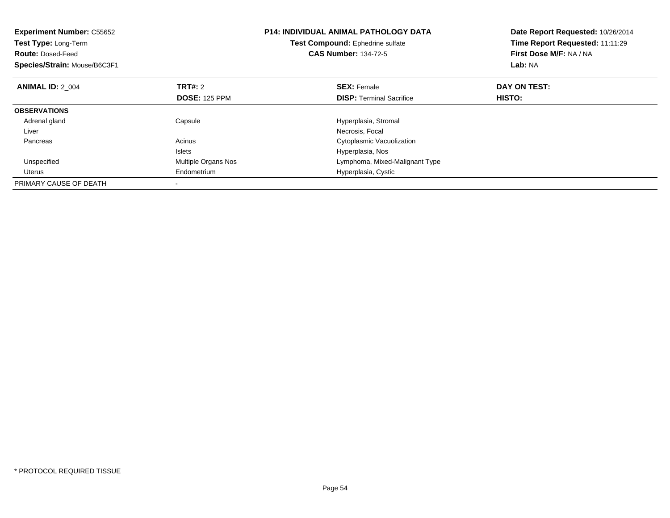| <b>Experiment Number: C55652</b><br>Test Type: Long-Term<br><b>Route: Dosed-Feed</b><br>Species/Strain: Mouse/B6C3F1 |                      | <b>P14: INDIVIDUAL ANIMAL PATHOLOGY DATA</b><br>Test Compound: Ephedrine sulfate<br><b>CAS Number: 134-72-5</b> | Date Report Requested: 10/26/2014<br>Time Report Requested: 11:11:29<br>First Dose M/F: NA / NA<br>Lab: NA |
|----------------------------------------------------------------------------------------------------------------------|----------------------|-----------------------------------------------------------------------------------------------------------------|------------------------------------------------------------------------------------------------------------|
| <b>ANIMAL ID: 2 004</b>                                                                                              | TRT#: 2              | <b>SEX: Female</b>                                                                                              | DAY ON TEST:                                                                                               |
|                                                                                                                      | <b>DOSE: 125 PPM</b> | <b>DISP:</b> Terminal Sacrifice                                                                                 | <b>HISTO:</b>                                                                                              |
| <b>OBSERVATIONS</b>                                                                                                  |                      |                                                                                                                 |                                                                                                            |
| Adrenal gland                                                                                                        | Capsule              | Hyperplasia, Stromal                                                                                            |                                                                                                            |
| Liver                                                                                                                |                      | Necrosis, Focal                                                                                                 |                                                                                                            |
| Pancreas                                                                                                             | Acinus               | Cytoplasmic Vacuolization                                                                                       |                                                                                                            |
|                                                                                                                      | <b>Islets</b>        | Hyperplasia, Nos                                                                                                |                                                                                                            |
| Unspecified                                                                                                          | Multiple Organs Nos  | Lymphoma, Mixed-Malignant Type                                                                                  |                                                                                                            |
| Uterus                                                                                                               | Endometrium          | Hyperplasia, Cystic                                                                                             |                                                                                                            |
| PRIMARY CAUSE OF DEATH                                                                                               |                      |                                                                                                                 |                                                                                                            |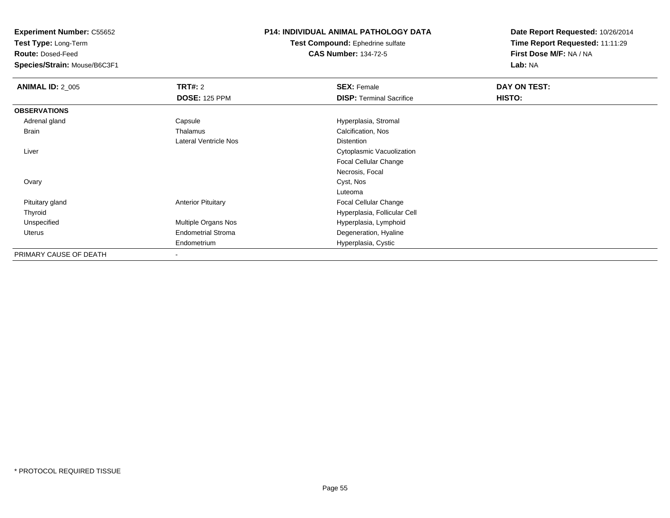**Test Type:** Long-Term

**Route:** Dosed-Feed

**Species/Strain:** Mouse/B6C3F1

#### **P14: INDIVIDUAL ANIMAL PATHOLOGY DATA**

**Test Compound:** Ephedrine sulfate**CAS Number:** 134-72-5

| <b>ANIMAL ID: 2_005</b> | <b>TRT#: 2</b>            | <b>SEX: Female</b>              | DAY ON TEST: |  |
|-------------------------|---------------------------|---------------------------------|--------------|--|
|                         | <b>DOSE: 125 PPM</b>      | <b>DISP: Terminal Sacrifice</b> | HISTO:       |  |
| <b>OBSERVATIONS</b>     |                           |                                 |              |  |
| Adrenal gland           | Capsule                   | Hyperplasia, Stromal            |              |  |
| Brain                   | Thalamus                  | Calcification, Nos              |              |  |
|                         | Lateral Ventricle Nos     | <b>Distention</b>               |              |  |
| Liver                   |                           | Cytoplasmic Vacuolization       |              |  |
|                         |                           | <b>Focal Cellular Change</b>    |              |  |
|                         |                           | Necrosis, Focal                 |              |  |
| Ovary                   |                           | Cyst, Nos                       |              |  |
|                         |                           | Luteoma                         |              |  |
| Pituitary gland         | <b>Anterior Pituitary</b> | Focal Cellular Change           |              |  |
| Thyroid                 |                           | Hyperplasia, Follicular Cell    |              |  |
| Unspecified             | Multiple Organs Nos       | Hyperplasia, Lymphoid           |              |  |
| Uterus                  | <b>Endometrial Stroma</b> | Degeneration, Hyaline           |              |  |
|                         | Endometrium               | Hyperplasia, Cystic             |              |  |
| PRIMARY CAUSE OF DEATH  |                           |                                 |              |  |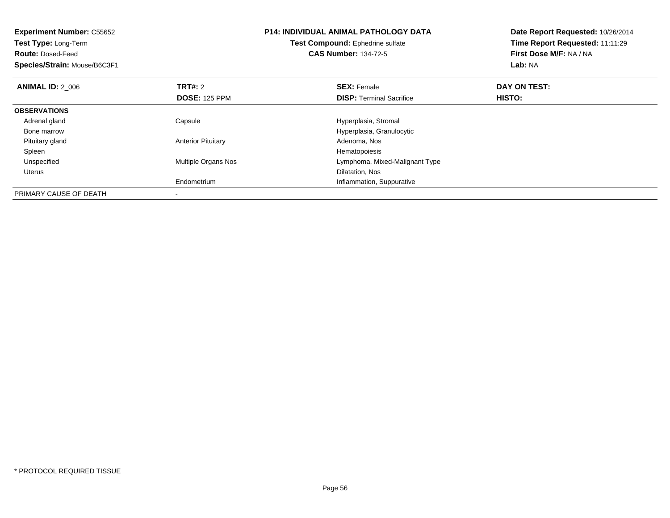| <b>Experiment Number: C55652</b><br>Test Type: Long-Term<br><b>Route: Dosed-Feed</b><br>Species/Strain: Mouse/B6C3F1 |                            | <b>P14: INDIVIDUAL ANIMAL PATHOLOGY DATA</b><br>Test Compound: Ephedrine sulfate<br><b>CAS Number: 134-72-5</b> | Date Report Requested: 10/26/2014<br>Time Report Requested: 11:11:29<br>First Dose M/F: NA / NA<br>Lab: NA |
|----------------------------------------------------------------------------------------------------------------------|----------------------------|-----------------------------------------------------------------------------------------------------------------|------------------------------------------------------------------------------------------------------------|
| <b>ANIMAL ID: 2_006</b>                                                                                              | <b>TRT#: 2</b>             | <b>SEX: Female</b>                                                                                              | DAY ON TEST:                                                                                               |
|                                                                                                                      | <b>DOSE: 125 PPM</b>       | <b>DISP:</b> Terminal Sacrifice                                                                                 | HISTO:                                                                                                     |
| <b>OBSERVATIONS</b>                                                                                                  |                            |                                                                                                                 |                                                                                                            |
| Adrenal gland                                                                                                        | Capsule                    | Hyperplasia, Stromal                                                                                            |                                                                                                            |
| Bone marrow                                                                                                          |                            | Hyperplasia, Granulocytic                                                                                       |                                                                                                            |
| Pituitary gland                                                                                                      | <b>Anterior Pituitary</b>  | Adenoma, Nos                                                                                                    |                                                                                                            |
| Spleen                                                                                                               |                            | Hematopoiesis                                                                                                   |                                                                                                            |
| Unspecified                                                                                                          | <b>Multiple Organs Nos</b> | Lymphoma, Mixed-Malignant Type                                                                                  |                                                                                                            |
| Uterus                                                                                                               |                            | Dilatation, Nos                                                                                                 |                                                                                                            |
|                                                                                                                      | Endometrium                | Inflammation, Suppurative                                                                                       |                                                                                                            |
| PRIMARY CAUSE OF DEATH                                                                                               |                            |                                                                                                                 |                                                                                                            |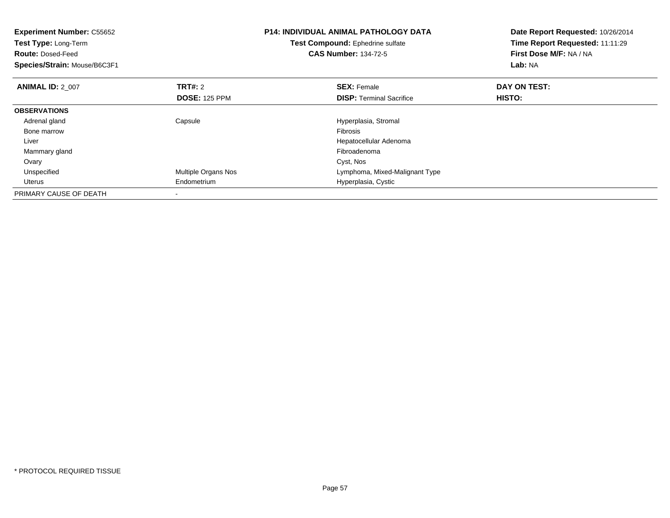| <b>Experiment Number: C55652</b><br>Test Type: Long-Term<br><b>Route: Dosed-Feed</b><br>Species/Strain: Mouse/B6C3F1 |                      | <b>P14: INDIVIDUAL ANIMAL PATHOLOGY DATA</b><br>Test Compound: Ephedrine sulfate<br><b>CAS Number: 134-72-5</b> | Date Report Requested: 10/26/2014<br>Time Report Requested: 11:11:29<br>First Dose M/F: NA / NA<br>Lab: NA |
|----------------------------------------------------------------------------------------------------------------------|----------------------|-----------------------------------------------------------------------------------------------------------------|------------------------------------------------------------------------------------------------------------|
| <b>ANIMAL ID: 2 007</b>                                                                                              | <b>TRT#: 2</b>       | <b>SEX: Female</b>                                                                                              | DAY ON TEST:                                                                                               |
|                                                                                                                      | <b>DOSE: 125 PPM</b> | <b>DISP:</b> Terminal Sacrifice                                                                                 | <b>HISTO:</b>                                                                                              |
| <b>OBSERVATIONS</b>                                                                                                  |                      |                                                                                                                 |                                                                                                            |
| Adrenal gland                                                                                                        | Capsule              | Hyperplasia, Stromal                                                                                            |                                                                                                            |
| Bone marrow                                                                                                          |                      | <b>Fibrosis</b>                                                                                                 |                                                                                                            |
| Liver                                                                                                                |                      | Hepatocellular Adenoma                                                                                          |                                                                                                            |
| Mammary gland                                                                                                        |                      | Fibroadenoma                                                                                                    |                                                                                                            |
| Ovary                                                                                                                |                      | Cyst, Nos                                                                                                       |                                                                                                            |
| Unspecified                                                                                                          | Multiple Organs Nos  | Lymphoma, Mixed-Malignant Type                                                                                  |                                                                                                            |
| Uterus                                                                                                               | Endometrium          | Hyperplasia, Cystic                                                                                             |                                                                                                            |
| PRIMARY CAUSE OF DEATH                                                                                               |                      |                                                                                                                 |                                                                                                            |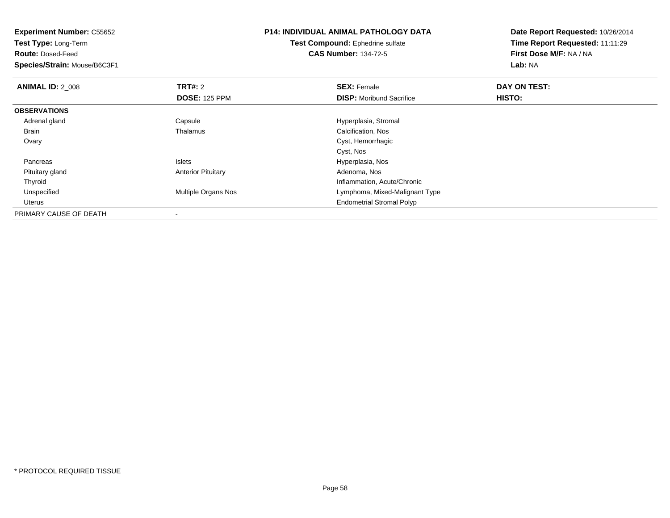| <b>Experiment Number: C55652</b> |                           | <b>P14: INDIVIDUAL ANIMAL PATHOLOGY DATA</b> | Date Report Requested: 10/26/2014 |
|----------------------------------|---------------------------|----------------------------------------------|-----------------------------------|
| Test Type: Long-Term             |                           | <b>Test Compound: Ephedrine sulfate</b>      | Time Report Requested: 11:11:29   |
| <b>Route: Dosed-Feed</b>         |                           | <b>CAS Number: 134-72-5</b>                  | First Dose M/F: NA / NA           |
| Species/Strain: Mouse/B6C3F1     |                           |                                              | Lab: NA                           |
| <b>ANIMAL ID: 2 008</b>          | <b>TRT#: 2</b>            | <b>SEX: Female</b>                           | DAY ON TEST:                      |
|                                  | <b>DOSE: 125 PPM</b>      | <b>DISP:</b> Moribund Sacrifice              | HISTO:                            |
| <b>OBSERVATIONS</b>              |                           |                                              |                                   |
| Adrenal gland                    | Capsule                   | Hyperplasia, Stromal                         |                                   |
| Brain                            | Thalamus                  | Calcification, Nos                           |                                   |
| Ovary                            |                           | Cyst, Hemorrhagic                            |                                   |
|                                  |                           | Cyst, Nos                                    |                                   |
| Pancreas                         | Islets                    | Hyperplasia, Nos                             |                                   |
| Pituitary gland                  | <b>Anterior Pituitary</b> | Adenoma, Nos                                 |                                   |
| Thyroid                          |                           | Inflammation, Acute/Chronic                  |                                   |
| Unspecified                      | Multiple Organs Nos       | Lymphoma, Mixed-Malignant Type               |                                   |
| Uterus                           |                           | <b>Endometrial Stromal Polyp</b>             |                                   |
| PRIMARY CAUSE OF DEATH           |                           |                                              |                                   |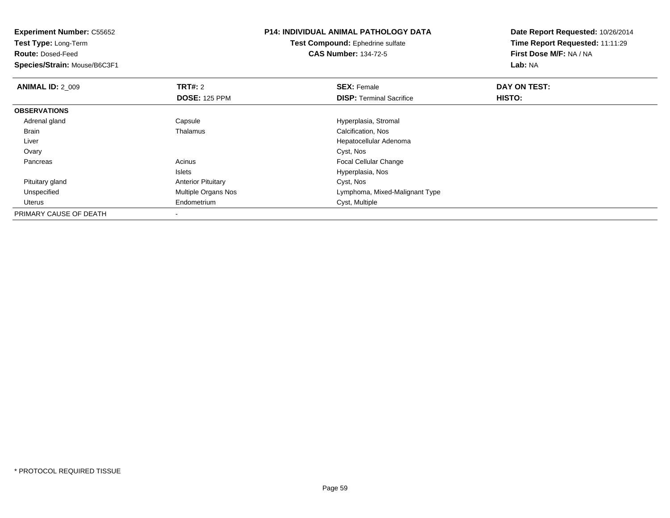**Experiment Number:** C55652**Test Type:** Long-Term**Route:** Dosed-Feed **Species/Strain:** Mouse/B6C3F1**P14: INDIVIDUAL ANIMAL PATHOLOGY DATATest Compound:** Ephedrine sulfate**CAS Number:** 134-72-5**Date Report Requested:** 10/26/2014**Time Report Requested:** 11:11:29**First Dose M/F:** NA / NA**Lab:** NA**ANIMAL ID: 2 009 TRT#:** 2 **SEX:** Female **DAY ON TEST: DOSE:** 125 PPM**DISP:** Terminal Sacrifice **HISTO: OBSERVATIONS** Adrenal glandCapsule Capsule Capsule Capsule Capsule Hyperplasia, Stromal Thalamus<br>
Calcification, Nos BrainCalcification, Nos Liver Hepatocellular Adenoma**Ovary** y and the control of the control of the control of the control of the control of the control of the control of the control of the control of the control of the control of the control of the control of the control of the co PancreasAcinus **Acinus Acinus Acinus Acinus Exercise Exercise Exercise Exercise Exercise Exercise Exercise Exercise Exercise Exercise Exercise Exercise Exercise Exercise Exercise Exercise Exercise Exercise Exercise Exercis** Islets Hyperplasia, Nos Pituitary glandAnterior Pituitary Cyst, Nos<br>
Multiple Organs Nos<br>
Lymphoma UnspecifiedLymphoma, Mixed-Malignant Type Uterus Endometrium Cyst, Multiple PRIMARY CAUSE OF DEATH-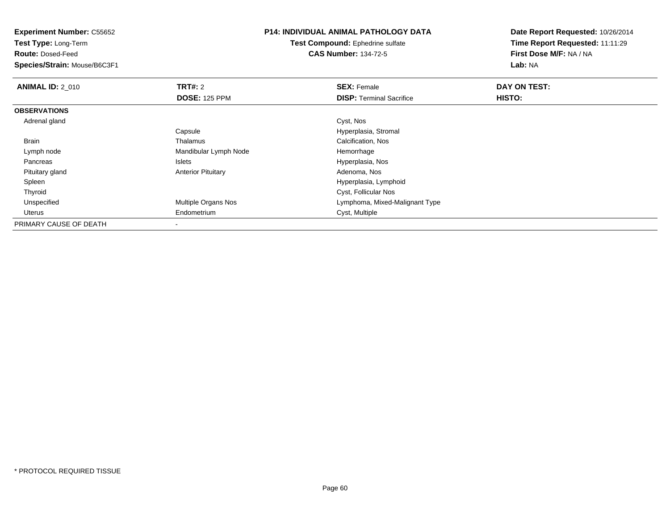| <b>Experiment Number: C55652</b> |                           | <b>P14: INDIVIDUAL ANIMAL PATHOLOGY DATA</b> | Date Report Requested: 10/26/2014 |
|----------------------------------|---------------------------|----------------------------------------------|-----------------------------------|
| <b>Test Type: Long-Term</b>      |                           | <b>Test Compound: Ephedrine sulfate</b>      | Time Report Requested: 11:11:29   |
| <b>Route: Dosed-Feed</b>         |                           | <b>CAS Number: 134-72-5</b>                  | First Dose M/F: NA / NA           |
| Species/Strain: Mouse/B6C3F1     |                           |                                              | Lab: NA                           |
| <b>ANIMAL ID: 2 010</b>          | <b>TRT#: 2</b>            | <b>SEX: Female</b>                           | DAY ON TEST:                      |
|                                  | <b>DOSE: 125 PPM</b>      | <b>DISP: Terminal Sacrifice</b>              | HISTO:                            |
| <b>OBSERVATIONS</b>              |                           |                                              |                                   |
| Adrenal gland                    |                           | Cyst, Nos                                    |                                   |
|                                  | Capsule                   | Hyperplasia, Stromal                         |                                   |
| Brain                            | Thalamus                  | Calcification, Nos                           |                                   |
| Lymph node                       | Mandibular Lymph Node     | Hemorrhage                                   |                                   |
| Pancreas                         | Islets                    | Hyperplasia, Nos                             |                                   |
| Pituitary gland                  | <b>Anterior Pituitary</b> | Adenoma, Nos                                 |                                   |
| Spleen                           |                           | Hyperplasia, Lymphoid                        |                                   |
| Thyroid                          |                           | Cyst, Follicular Nos                         |                                   |
| Unspecified                      | Multiple Organs Nos       | Lymphoma, Mixed-Malignant Type               |                                   |
| Uterus                           | Endometrium               | Cyst, Multiple                               |                                   |
| PRIMARY CAUSE OF DEATH           |                           |                                              |                                   |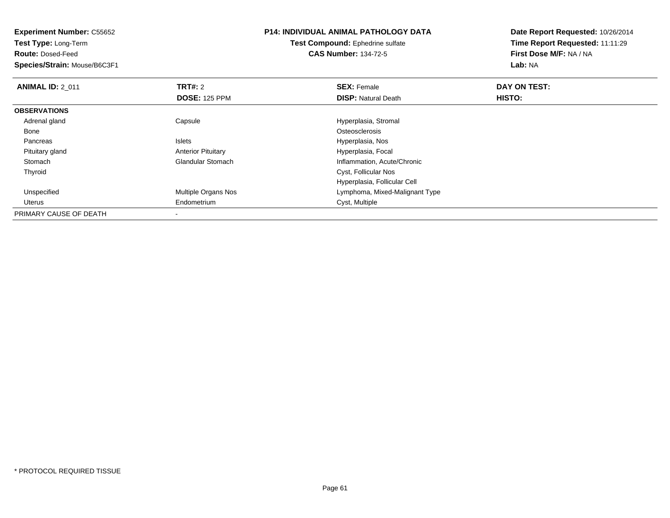**Experiment Number:** C55652**Test Type:** Long-Term**Route:** Dosed-Feed **Species/Strain:** Mouse/B6C3F1**P14: INDIVIDUAL ANIMAL PATHOLOGY DATATest Compound:** Ephedrine sulfate**CAS Number:** 134-72-5**Date Report Requested:** 10/26/2014**Time Report Requested:** 11:11:29**First Dose M/F:** NA / NA**Lab:** NA**ANIMAL ID: 2 011 TRT#:** 2 **SEX:** Female **DAY ON TEST: DOSE:** 125 PPM**DISP:** Natural Death **HISTO: OBSERVATIONS** Adrenal gland Capsule Hyperplasia, Stromal Bonee de la constitución de la constitución de la constitución de la constitución de la constitución de la constitución<br>En el constitución de la constitución de la constitución de la constitución de la constitución de la const PancreasIslets **Intervalse and Teleconomic Constructs** Hyperplasia, Nos<br>
Anterior Pituitary **Music Constructs** Hyperplasia, Foca Pituitary glandAnterior Pituitary **Material Communist Control Control Control Control Control Control Control Control Control Control Control Control Control Control Control Control Control Control Control Control Control Control Control**  StomachInflammation, Acute/Chronic Thyroid Cyst, Follicular Nos Hyperplasia, Follicular Cell UnspecifiedMultiple Organs Nos **Multiple Organs Nos** Lymphoma, Mixed-Malignant Type Uterus Endometrium Cyst, Multiple PRIMARY CAUSE OF DEATH

-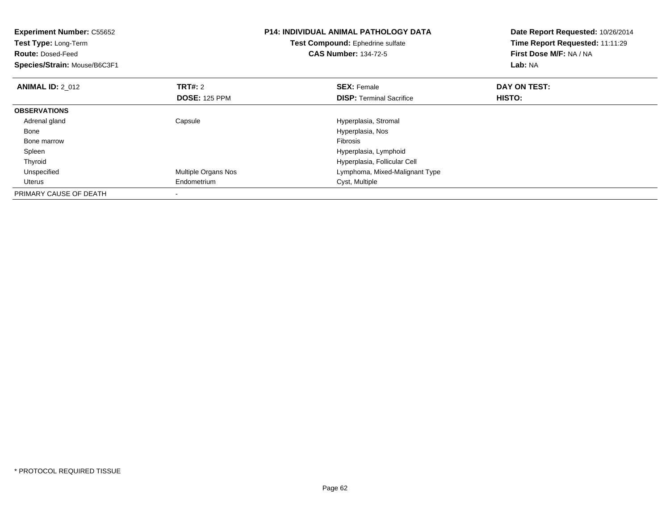| <b>Experiment Number: C55652</b><br>Test Type: Long-Term<br><b>Route: Dosed-Feed</b><br>Species/Strain: Mouse/B6C3F1 |                                 | <b>P14: INDIVIDUAL ANIMAL PATHOLOGY DATA</b><br>Test Compound: Ephedrine sulfate<br><b>CAS Number: 134-72-5</b> | Date Report Requested: 10/26/2014<br>Time Report Requested: 11:11:29<br>First Dose M/F: NA / NA<br>Lab: NA |
|----------------------------------------------------------------------------------------------------------------------|---------------------------------|-----------------------------------------------------------------------------------------------------------------|------------------------------------------------------------------------------------------------------------|
| <b>ANIMAL ID: 2 012</b>                                                                                              | TRT#: 2<br><b>DOSE: 125 PPM</b> | <b>SEX: Female</b><br><b>DISP:</b> Terminal Sacrifice                                                           | DAY ON TEST:<br>HISTO:                                                                                     |
| <b>OBSERVATIONS</b>                                                                                                  |                                 |                                                                                                                 |                                                                                                            |
| Adrenal gland                                                                                                        | Capsule                         | Hyperplasia, Stromal                                                                                            |                                                                                                            |
| Bone                                                                                                                 |                                 | Hyperplasia, Nos                                                                                                |                                                                                                            |
| Bone marrow                                                                                                          |                                 | <b>Fibrosis</b>                                                                                                 |                                                                                                            |
| Spleen                                                                                                               |                                 | Hyperplasia, Lymphoid                                                                                           |                                                                                                            |
| Thyroid                                                                                                              |                                 | Hyperplasia, Follicular Cell                                                                                    |                                                                                                            |
| Unspecified                                                                                                          | Multiple Organs Nos             | Lymphoma, Mixed-Malignant Type                                                                                  |                                                                                                            |
| Uterus                                                                                                               | Endometrium                     | Cyst, Multiple                                                                                                  |                                                                                                            |
| PRIMARY CAUSE OF DEATH                                                                                               |                                 |                                                                                                                 |                                                                                                            |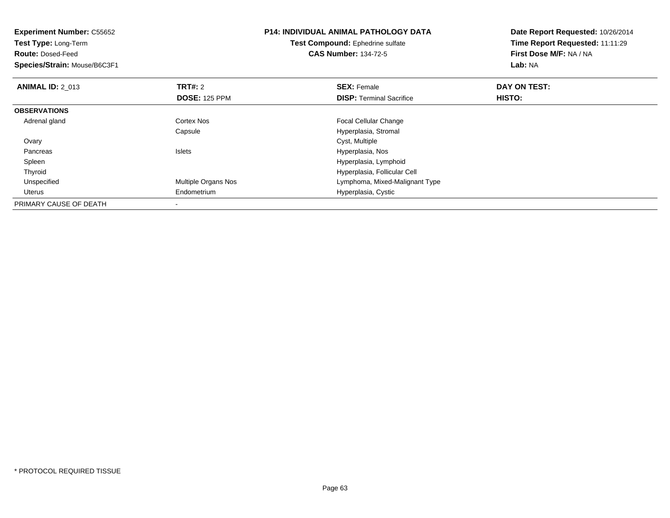| <b>Experiment Number: C55652</b><br>Test Type: Long-Term<br><b>Route: Dosed-Feed</b><br>Species/Strain: Mouse/B6C3F1 |                      | <b>P14: INDIVIDUAL ANIMAL PATHOLOGY DATA</b><br>Test Compound: Ephedrine sulfate<br><b>CAS Number: 134-72-5</b> | Date Report Requested: 10/26/2014<br>Time Report Requested: 11:11:29<br>First Dose M/F: NA / NA<br>Lab: NA |
|----------------------------------------------------------------------------------------------------------------------|----------------------|-----------------------------------------------------------------------------------------------------------------|------------------------------------------------------------------------------------------------------------|
| <b>ANIMAL ID: 2 013</b>                                                                                              | <b>TRT#:</b> 2       | <b>SEX: Female</b>                                                                                              | DAY ON TEST:                                                                                               |
|                                                                                                                      | <b>DOSE: 125 PPM</b> | <b>DISP: Terminal Sacrifice</b>                                                                                 | HISTO:                                                                                                     |
| <b>OBSERVATIONS</b>                                                                                                  |                      |                                                                                                                 |                                                                                                            |
| Adrenal gland                                                                                                        | Cortex Nos           | Focal Cellular Change                                                                                           |                                                                                                            |
|                                                                                                                      | Capsule              | Hyperplasia, Stromal                                                                                            |                                                                                                            |
| Ovary                                                                                                                |                      | Cyst, Multiple                                                                                                  |                                                                                                            |
| Pancreas                                                                                                             | <b>Islets</b>        | Hyperplasia, Nos                                                                                                |                                                                                                            |
| Spleen                                                                                                               |                      | Hyperplasia, Lymphoid                                                                                           |                                                                                                            |
| Thyroid                                                                                                              |                      | Hyperplasia, Follicular Cell                                                                                    |                                                                                                            |
| Unspecified                                                                                                          | Multiple Organs Nos  | Lymphoma, Mixed-Malignant Type                                                                                  |                                                                                                            |
| <b>Uterus</b>                                                                                                        | Endometrium          | Hyperplasia, Cystic                                                                                             |                                                                                                            |
| PRIMARY CAUSE OF DEATH                                                                                               |                      |                                                                                                                 |                                                                                                            |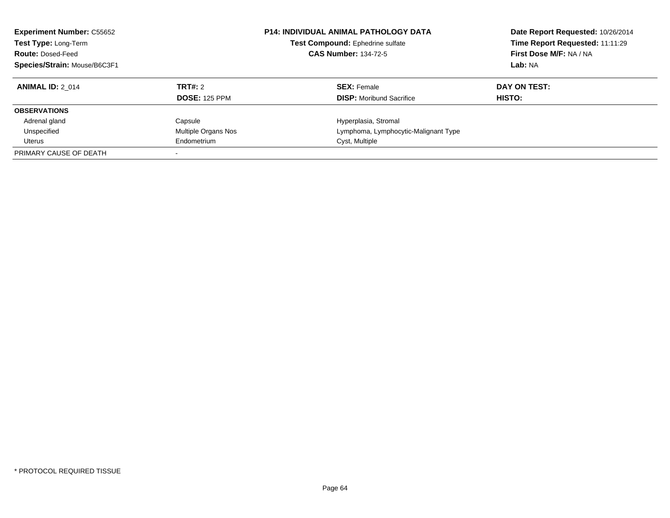| <b>Experiment Number: C55652</b><br>Test Type: Long-Term<br><b>Route: Dosed-Feed</b><br>Species/Strain: Mouse/B6C3F1 |                      | <b>P14: INDIVIDUAL ANIMAL PATHOLOGY DATA</b><br>Test Compound: Ephedrine sulfate<br><b>CAS Number: 134-72-5</b> | Date Report Requested: 10/26/2014<br>Time Report Requested: 11:11:29<br>First Dose M/F: NA / NA<br>Lab: NA |  |
|----------------------------------------------------------------------------------------------------------------------|----------------------|-----------------------------------------------------------------------------------------------------------------|------------------------------------------------------------------------------------------------------------|--|
| <b>ANIMAL ID: 2 014</b>                                                                                              | <b>TRT#: 2</b>       | <b>SEX: Female</b>                                                                                              | DAY ON TEST:                                                                                               |  |
|                                                                                                                      | <b>DOSE: 125 PPM</b> | <b>DISP:</b> Moribund Sacrifice                                                                                 | HISTO:                                                                                                     |  |
| <b>OBSERVATIONS</b>                                                                                                  |                      |                                                                                                                 |                                                                                                            |  |
| Adrenal gland                                                                                                        | Capsule              | Hyperplasia, Stromal                                                                                            |                                                                                                            |  |
| Unspecified                                                                                                          | Multiple Organs Nos  | Lymphoma, Lymphocytic-Malignant Type                                                                            |                                                                                                            |  |
| Uterus                                                                                                               | Endometrium          | Cyst, Multiple                                                                                                  |                                                                                                            |  |
| PRIMARY CAUSE OF DEATH                                                                                               |                      |                                                                                                                 |                                                                                                            |  |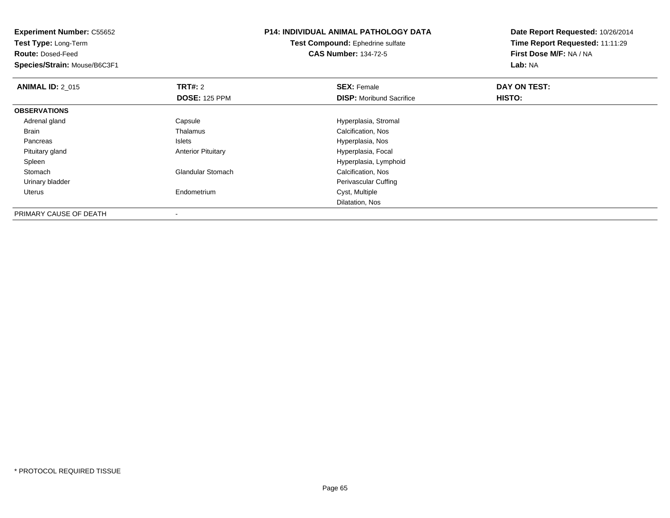**Experiment Number:** C55652**Test Type:** Long-Term**Route:** Dosed-Feed **Species/Strain:** Mouse/B6C3F1**P14: INDIVIDUAL ANIMAL PATHOLOGY DATATest Compound:** Ephedrine sulfate**CAS Number:** 134-72-5**Date Report Requested:** 10/26/2014**Time Report Requested:** 11:11:29**First Dose M/F:** NA / NA**Lab:** NA**ANIMAL ID: 2 015 TRT#:** 2 **SEX:** Female **DAY ON TEST: DOSE:** 125 PPM**DISP:** Moribund Sacrifice **HISTO: OBSERVATIONS** Adrenal glandCapsule Capsule Capsule Capsule Capsule Hyperplasia, Stromal Thalamus<br>
Calcification, Nos Brain Thalamus Calcification, Nos PancreasHyperplasia, Nos Pituitary glandAnterior Pituitary **Material Contract Contract Pituitary** Hyperplasia, Focal SpleenHyperplasia, Lymphoid<br>Calcification, Nos StomachGlandular Stomach Urinary bladder Perivascular Cuffing Uterus Endometrium Cyst, Multiple Dilatation, NosPRIMARY CAUSE OF DEATH

-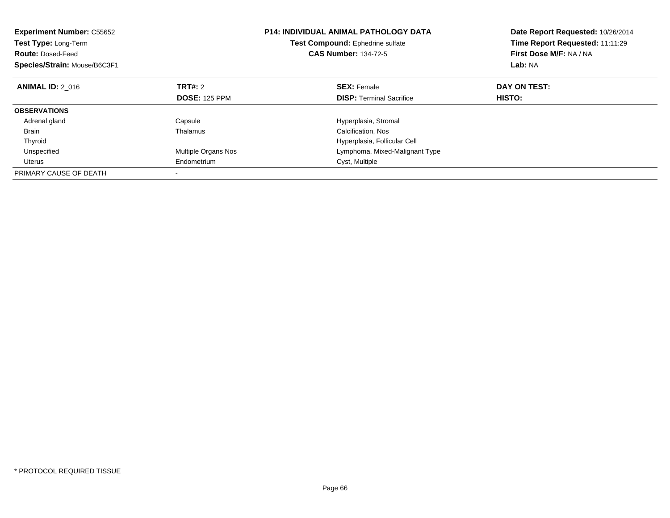| <b>Experiment Number: C55652</b><br><b>Test Type: Long-Term</b><br><b>Route: Dosed-Feed</b><br>Species/Strain: Mouse/B6C3F1 |                      | <b>P14: INDIVIDUAL ANIMAL PATHOLOGY DATA</b><br>Test Compound: Ephedrine sulfate<br><b>CAS Number: 134-72-5</b> | Date Report Requested: 10/26/2014<br>Time Report Requested: 11:11:29<br>First Dose M/F: NA / NA<br>Lab: NA |  |
|-----------------------------------------------------------------------------------------------------------------------------|----------------------|-----------------------------------------------------------------------------------------------------------------|------------------------------------------------------------------------------------------------------------|--|
| <b>ANIMAL ID: 2 016</b>                                                                                                     | <b>TRT#: 2</b>       | <b>SEX: Female</b>                                                                                              | DAY ON TEST:                                                                                               |  |
|                                                                                                                             | <b>DOSE: 125 PPM</b> | <b>DISP:</b> Terminal Sacrifice                                                                                 | HISTO:                                                                                                     |  |
| <b>OBSERVATIONS</b>                                                                                                         |                      |                                                                                                                 |                                                                                                            |  |
| Adrenal gland                                                                                                               | Capsule              | Hyperplasia, Stromal                                                                                            |                                                                                                            |  |
| <b>Brain</b>                                                                                                                | Thalamus             | Calcification, Nos                                                                                              |                                                                                                            |  |
| Thyroid                                                                                                                     |                      | Hyperplasia, Follicular Cell                                                                                    |                                                                                                            |  |
| Unspecified                                                                                                                 | Multiple Organs Nos  | Lymphoma, Mixed-Malignant Type                                                                                  |                                                                                                            |  |
| <b>Uterus</b>                                                                                                               | Endometrium          | Cyst, Multiple                                                                                                  |                                                                                                            |  |
| PRIMARY CAUSE OF DEATH                                                                                                      |                      |                                                                                                                 |                                                                                                            |  |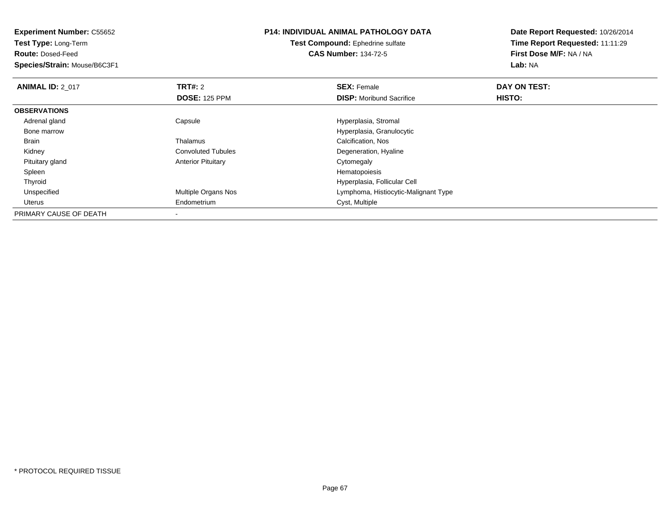| <b>Experiment Number: C55652</b> |                           | <b>P14: INDIVIDUAL ANIMAL PATHOLOGY DATA</b> | Date Report Requested: 10/26/2014 |  |
|----------------------------------|---------------------------|----------------------------------------------|-----------------------------------|--|
| Test Type: Long-Term             |                           | Test Compound: Ephedrine sulfate             | Time Report Requested: 11:11:29   |  |
| <b>Route: Dosed-Feed</b>         |                           | <b>CAS Number: 134-72-5</b>                  | First Dose M/F: NA / NA           |  |
| Species/Strain: Mouse/B6C3F1     |                           |                                              | Lab: NA                           |  |
| <b>ANIMAL ID: 2 017</b>          | <b>TRT#: 2</b>            | <b>SEX: Female</b>                           | DAY ON TEST:                      |  |
|                                  | <b>DOSE: 125 PPM</b>      | <b>DISP:</b> Moribund Sacrifice              | HISTO:                            |  |
| <b>OBSERVATIONS</b>              |                           |                                              |                                   |  |
| Adrenal gland                    | Capsule                   | Hyperplasia, Stromal                         |                                   |  |
| Bone marrow                      |                           | Hyperplasia, Granulocytic                    |                                   |  |
| Brain                            | Thalamus                  | Calcification, Nos                           |                                   |  |
| Kidney                           | <b>Convoluted Tubules</b> | Degeneration, Hyaline                        |                                   |  |
| Pituitary gland                  | <b>Anterior Pituitary</b> | Cytomegaly                                   |                                   |  |
| Spleen                           |                           | Hematopoiesis                                |                                   |  |
| Thyroid                          |                           | Hyperplasia, Follicular Cell                 |                                   |  |
| Unspecified                      | Multiple Organs Nos       | Lymphoma, Histiocytic-Malignant Type         |                                   |  |
| Uterus                           | Endometrium               | Cyst, Multiple                               |                                   |  |
| PRIMARY CAUSE OF DEATH           |                           |                                              |                                   |  |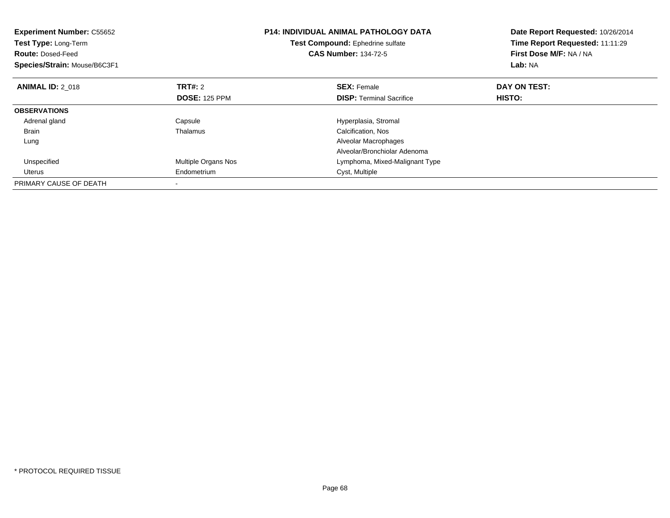| <b>Experiment Number: C55652</b><br>Test Type: Long-Term<br><b>Route: Dosed-Feed</b><br>Species/Strain: Mouse/B6C3F1 |                      | <b>P14: INDIVIDUAL ANIMAL PATHOLOGY DATA</b><br>Test Compound: Ephedrine sulfate<br><b>CAS Number: 134-72-5</b> | Date Report Requested: 10/26/2014<br>Time Report Requested: 11:11:29<br>First Dose M/F: NA / NA<br>Lab: NA |  |
|----------------------------------------------------------------------------------------------------------------------|----------------------|-----------------------------------------------------------------------------------------------------------------|------------------------------------------------------------------------------------------------------------|--|
| <b>ANIMAL ID: 2 018</b>                                                                                              | TRT#: 2              | <b>SEX: Female</b>                                                                                              | DAY ON TEST:                                                                                               |  |
|                                                                                                                      | <b>DOSE: 125 PPM</b> | <b>DISP:</b> Terminal Sacrifice                                                                                 | HISTO:                                                                                                     |  |
| <b>OBSERVATIONS</b>                                                                                                  |                      |                                                                                                                 |                                                                                                            |  |
| Adrenal gland                                                                                                        | Capsule              | Hyperplasia, Stromal                                                                                            |                                                                                                            |  |
| <b>Brain</b>                                                                                                         | Thalamus             | Calcification, Nos                                                                                              |                                                                                                            |  |
| Lung                                                                                                                 |                      | Alveolar Macrophages                                                                                            |                                                                                                            |  |
|                                                                                                                      |                      | Alveolar/Bronchiolar Adenoma                                                                                    |                                                                                                            |  |
| Unspecified                                                                                                          | Multiple Organs Nos  | Lymphoma, Mixed-Malignant Type                                                                                  |                                                                                                            |  |
| Uterus                                                                                                               | Endometrium          | Cyst, Multiple                                                                                                  |                                                                                                            |  |
| PRIMARY CAUSE OF DEATH                                                                                               |                      |                                                                                                                 |                                                                                                            |  |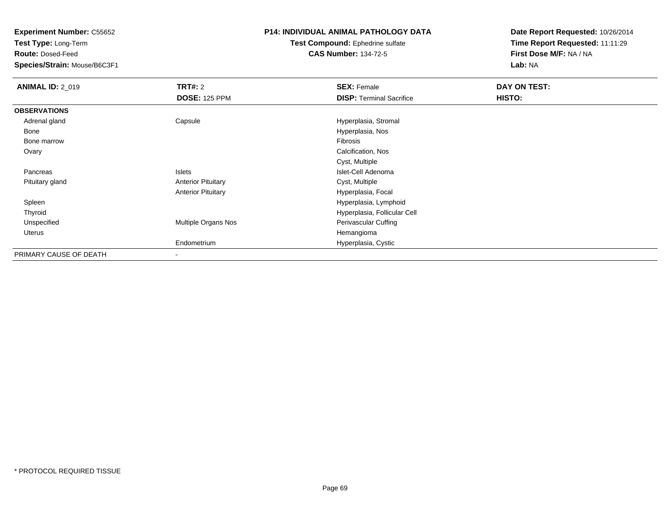**Test Type:** Long-Term

**Route:** Dosed-Feed

**Species/Strain:** Mouse/B6C3F1

### **P14: INDIVIDUAL ANIMAL PATHOLOGY DATA**

**Test Compound:** Ephedrine sulfate**CAS Number:** 134-72-5

| <b>ANIMAL ID: 2_019</b> | <b>TRT#: 2</b>            | <b>SEX: Female</b>              | DAY ON TEST: |  |
|-------------------------|---------------------------|---------------------------------|--------------|--|
|                         | <b>DOSE: 125 PPM</b>      | <b>DISP: Terminal Sacrifice</b> | HISTO:       |  |
| <b>OBSERVATIONS</b>     |                           |                                 |              |  |
| Adrenal gland           | Capsule                   | Hyperplasia, Stromal            |              |  |
| Bone                    |                           | Hyperplasia, Nos                |              |  |
| Bone marrow             |                           | Fibrosis                        |              |  |
| Ovary                   |                           | Calcification, Nos              |              |  |
|                         |                           | Cyst, Multiple                  |              |  |
| Pancreas                | Islets                    | Islet-Cell Adenoma              |              |  |
| Pituitary gland         | <b>Anterior Pituitary</b> | Cyst, Multiple                  |              |  |
|                         | <b>Anterior Pituitary</b> | Hyperplasia, Focal              |              |  |
| Spleen                  |                           | Hyperplasia, Lymphoid           |              |  |
| Thyroid                 |                           | Hyperplasia, Follicular Cell    |              |  |
| Unspecified             | Multiple Organs Nos       | Perivascular Cuffing            |              |  |
| Uterus                  |                           | Hemangioma                      |              |  |
|                         | Endometrium               | Hyperplasia, Cystic             |              |  |
| PRIMARY CAUSE OF DEATH  |                           |                                 |              |  |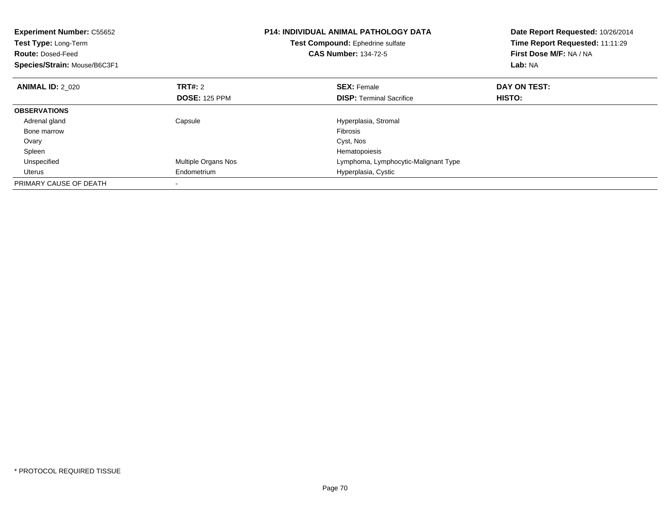| <b>Experiment Number: C55652</b><br><b>Test Type: Long-Term</b><br><b>Route: Dosed-Feed</b><br>Species/Strain: Mouse/B6C3F1 |                      | <b>P14: INDIVIDUAL ANIMAL PATHOLOGY DATA</b><br>Test Compound: Ephedrine sulfate<br><b>CAS Number: 134-72-5</b> | Date Report Requested: 10/26/2014<br>Time Report Requested: 11:11:29<br>First Dose M/F: NA / NA<br>Lab: NA |  |
|-----------------------------------------------------------------------------------------------------------------------------|----------------------|-----------------------------------------------------------------------------------------------------------------|------------------------------------------------------------------------------------------------------------|--|
| <b>ANIMAL ID: 2 020</b>                                                                                                     | TRT#: 2              | <b>SEX: Female</b>                                                                                              | DAY ON TEST:                                                                                               |  |
|                                                                                                                             | <b>DOSE: 125 PPM</b> | <b>DISP:</b> Terminal Sacrifice                                                                                 | HISTO:                                                                                                     |  |
| <b>OBSERVATIONS</b>                                                                                                         |                      |                                                                                                                 |                                                                                                            |  |
| Adrenal gland                                                                                                               | Capsule              | Hyperplasia, Stromal                                                                                            |                                                                                                            |  |
| Bone marrow                                                                                                                 |                      | <b>Fibrosis</b>                                                                                                 |                                                                                                            |  |
| Ovary                                                                                                                       |                      | Cyst, Nos                                                                                                       |                                                                                                            |  |
| Spleen                                                                                                                      |                      | Hematopoiesis                                                                                                   |                                                                                                            |  |
| Unspecified                                                                                                                 | Multiple Organs Nos  | Lymphoma, Lymphocytic-Malignant Type                                                                            |                                                                                                            |  |
| Uterus                                                                                                                      | Endometrium          | Hyperplasia, Cystic                                                                                             |                                                                                                            |  |
| PRIMARY CAUSE OF DEATH                                                                                                      |                      |                                                                                                                 |                                                                                                            |  |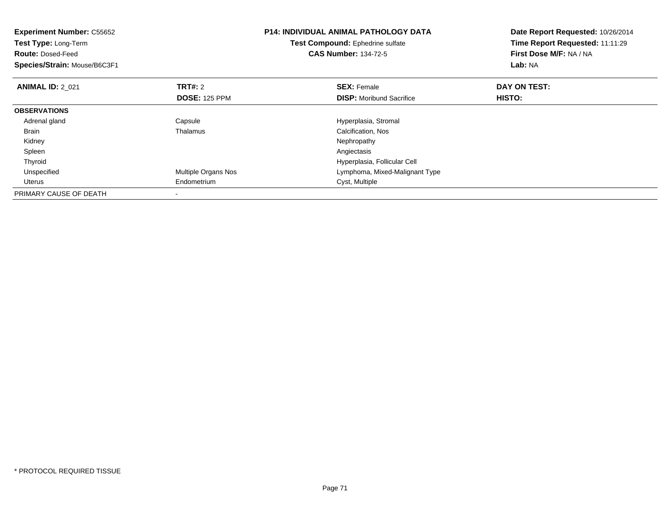| <b>Experiment Number: C55652</b><br>Test Type: Long-Term<br><b>Route: Dosed-Feed</b><br>Species/Strain: Mouse/B6C3F1 |                      | <b>P14: INDIVIDUAL ANIMAL PATHOLOGY DATA</b><br>Test Compound: Ephedrine sulfate<br><b>CAS Number: 134-72-5</b> | Date Report Requested: 10/26/2014<br>Time Report Requested: 11:11:29<br>First Dose M/F: NA / NA<br>Lab: NA |  |
|----------------------------------------------------------------------------------------------------------------------|----------------------|-----------------------------------------------------------------------------------------------------------------|------------------------------------------------------------------------------------------------------------|--|
| <b>ANIMAL ID: 2 021</b>                                                                                              | TRT#: 2              | <b>SEX: Female</b>                                                                                              | DAY ON TEST:                                                                                               |  |
|                                                                                                                      | <b>DOSE: 125 PPM</b> | <b>DISP:</b> Moribund Sacrifice                                                                                 | HISTO:                                                                                                     |  |
| <b>OBSERVATIONS</b>                                                                                                  |                      |                                                                                                                 |                                                                                                            |  |
| Adrenal gland                                                                                                        | Capsule              | Hyperplasia, Stromal                                                                                            |                                                                                                            |  |
| Brain                                                                                                                | Thalamus             | Calcification, Nos                                                                                              |                                                                                                            |  |
| Kidney                                                                                                               |                      | Nephropathy                                                                                                     |                                                                                                            |  |
| Spleen                                                                                                               |                      | Angiectasis                                                                                                     |                                                                                                            |  |
| Thyroid                                                                                                              |                      | Hyperplasia, Follicular Cell                                                                                    |                                                                                                            |  |
| Unspecified                                                                                                          | Multiple Organs Nos  | Lymphoma, Mixed-Malignant Type                                                                                  |                                                                                                            |  |
| Uterus                                                                                                               | Endometrium          | Cyst, Multiple                                                                                                  |                                                                                                            |  |
| PRIMARY CAUSE OF DEATH                                                                                               |                      |                                                                                                                 |                                                                                                            |  |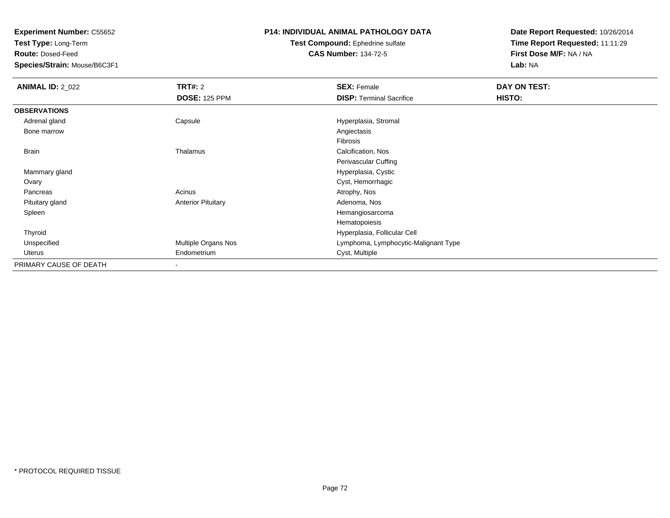**Test Type:** Long-Term

**Route:** Dosed-Feed

**Species/Strain:** Mouse/B6C3F1

### **P14: INDIVIDUAL ANIMAL PATHOLOGY DATA**

#### **Test Compound:** Ephedrine sulfate**CAS Number:** 134-72-5

| <b>ANIMAL ID: 2_022</b> | <b>TRT#: 2</b>            | <b>SEX: Female</b>                   | DAY ON TEST: |  |
|-------------------------|---------------------------|--------------------------------------|--------------|--|
|                         | <b>DOSE: 125 PPM</b>      | <b>DISP: Terminal Sacrifice</b>      | HISTO:       |  |
| <b>OBSERVATIONS</b>     |                           |                                      |              |  |
| Adrenal gland           | Capsule                   | Hyperplasia, Stromal                 |              |  |
| Bone marrow             |                           | Angiectasis                          |              |  |
|                         |                           | Fibrosis                             |              |  |
| <b>Brain</b>            | Thalamus                  | Calcification, Nos                   |              |  |
|                         |                           | Perivascular Cuffing                 |              |  |
| Mammary gland           |                           | Hyperplasia, Cystic                  |              |  |
| Ovary                   |                           | Cyst, Hemorrhagic                    |              |  |
| Pancreas                | Acinus                    | Atrophy, Nos                         |              |  |
| Pituitary gland         | <b>Anterior Pituitary</b> | Adenoma, Nos                         |              |  |
| Spleen                  |                           | Hemangiosarcoma                      |              |  |
|                         |                           | Hematopoiesis                        |              |  |
| Thyroid                 |                           | Hyperplasia, Follicular Cell         |              |  |
| Unspecified             | Multiple Organs Nos       | Lymphoma, Lymphocytic-Malignant Type |              |  |
| Uterus                  | Endometrium               | Cyst, Multiple                       |              |  |
| PRIMARY CAUSE OF DEATH  | $\overline{\phantom{a}}$  |                                      |              |  |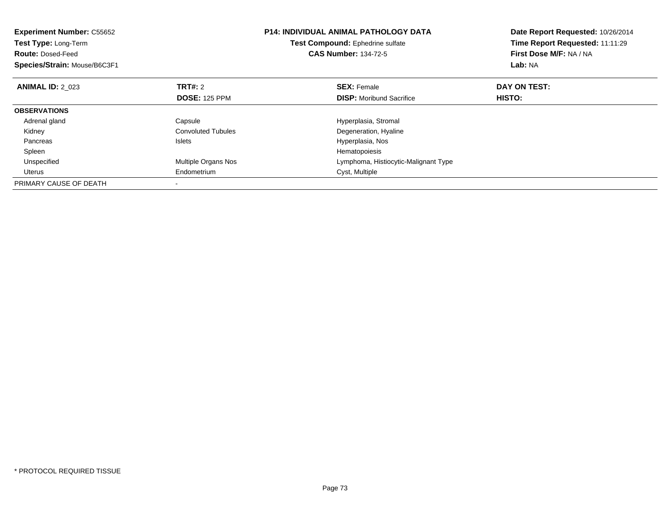| <b>Experiment Number: C55652</b><br>Test Type: Long-Term<br><b>Route: Dosed-Feed</b><br>Species/Strain: Mouse/B6C3F1 |                           | <b>P14: INDIVIDUAL ANIMAL PATHOLOGY DATA</b><br>Test Compound: Ephedrine sulfate<br><b>CAS Number: 134-72-5</b> | Date Report Requested: 10/26/2014<br>Time Report Requested: 11:11:29<br>First Dose M/F: NA / NA<br>Lab: NA |
|----------------------------------------------------------------------------------------------------------------------|---------------------------|-----------------------------------------------------------------------------------------------------------------|------------------------------------------------------------------------------------------------------------|
| <b>ANIMAL ID: 2 023</b>                                                                                              | <b>TRT#: 2</b>            | <b>SEX: Female</b>                                                                                              | DAY ON TEST:                                                                                               |
|                                                                                                                      | <b>DOSE: 125 PPM</b>      | <b>DISP:</b> Moribund Sacrifice                                                                                 | HISTO:                                                                                                     |
| <b>OBSERVATIONS</b>                                                                                                  |                           |                                                                                                                 |                                                                                                            |
| Adrenal gland                                                                                                        | Capsule                   | Hyperplasia, Stromal                                                                                            |                                                                                                            |
| Kidney                                                                                                               | <b>Convoluted Tubules</b> | Degeneration, Hyaline                                                                                           |                                                                                                            |
| Pancreas                                                                                                             | <b>Islets</b>             | Hyperplasia, Nos                                                                                                |                                                                                                            |
| Spleen                                                                                                               |                           | Hematopoiesis                                                                                                   |                                                                                                            |
| Unspecified                                                                                                          | Multiple Organs Nos       | Lymphoma, Histiocytic-Malignant Type                                                                            |                                                                                                            |
| Uterus                                                                                                               | Endometrium               | Cyst, Multiple                                                                                                  |                                                                                                            |
| PRIMARY CAUSE OF DEATH                                                                                               |                           |                                                                                                                 |                                                                                                            |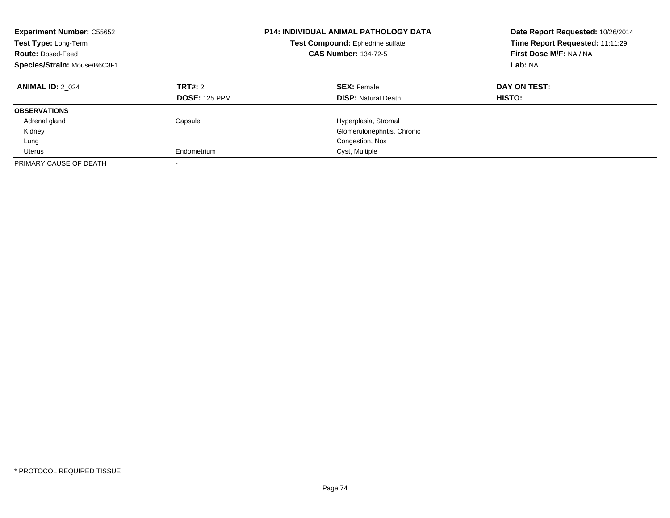| <b>Experiment Number: C55652</b><br>Test Type: Long-Term<br><b>Route: Dosed-Feed</b><br>Species/Strain: Mouse/B6C3F1 |                                 | <b>P14: INDIVIDUAL ANIMAL PATHOLOGY DATA</b><br>Test Compound: Ephedrine sulfate<br><b>CAS Number: 134-72-5</b> | Date Report Requested: 10/26/2014<br>Time Report Requested: 11:11:29<br>First Dose M/F: NA / NA<br>Lab: NA |
|----------------------------------------------------------------------------------------------------------------------|---------------------------------|-----------------------------------------------------------------------------------------------------------------|------------------------------------------------------------------------------------------------------------|
| <b>ANIMAL ID: 2 024</b>                                                                                              | TRT#: 2<br><b>DOSE: 125 PPM</b> | <b>SEX: Female</b><br><b>DISP: Natural Death</b>                                                                | DAY ON TEST:<br>HISTO:                                                                                     |
| <b>OBSERVATIONS</b>                                                                                                  |                                 |                                                                                                                 |                                                                                                            |
| Adrenal gland                                                                                                        | Capsule                         | Hyperplasia, Stromal                                                                                            |                                                                                                            |
| Kidney                                                                                                               |                                 | Glomerulonephritis, Chronic                                                                                     |                                                                                                            |
| Lung                                                                                                                 |                                 | Congestion, Nos                                                                                                 |                                                                                                            |
| Uterus                                                                                                               | Endometrium                     | Cyst, Multiple                                                                                                  |                                                                                                            |
| PRIMARY CAUSE OF DEATH                                                                                               | -                               |                                                                                                                 |                                                                                                            |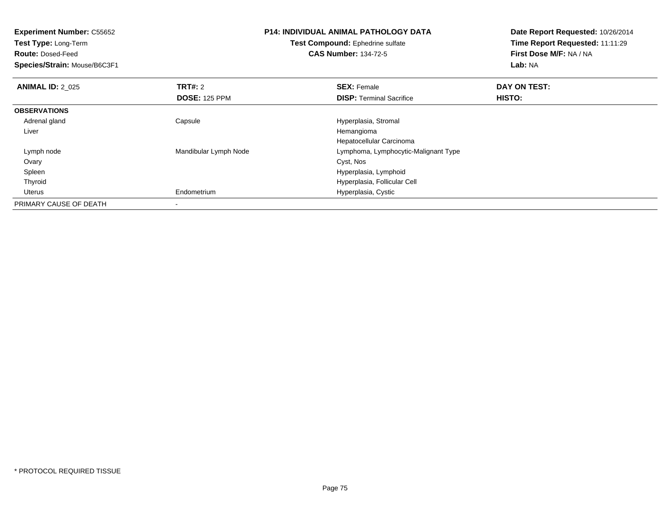| <b>Experiment Number: C55652</b> |                       | <b>P14: INDIVIDUAL ANIMAL PATHOLOGY DATA</b><br>Test Compound: Ephedrine sulfate |                         |
|----------------------------------|-----------------------|----------------------------------------------------------------------------------|-------------------------|
| Test Type: Long-Term             |                       |                                                                                  |                         |
| <b>Route: Dosed-Feed</b>         |                       | <b>CAS Number: 134-72-5</b>                                                      | First Dose M/F: NA / NA |
| Species/Strain: Mouse/B6C3F1     |                       |                                                                                  | Lab: NA                 |
| <b>ANIMAL ID: 2_025</b>          | <b>TRT#: 2</b>        | <b>SEX: Female</b>                                                               | DAY ON TEST:            |
|                                  | <b>DOSE: 125 PPM</b>  | <b>DISP:</b> Terminal Sacrifice                                                  | HISTO:                  |
| <b>OBSERVATIONS</b>              |                       |                                                                                  |                         |
| Adrenal gland                    | Capsule               | Hyperplasia, Stromal                                                             |                         |
| Liver                            |                       | Hemangioma                                                                       |                         |
|                                  |                       | Hepatocellular Carcinoma                                                         |                         |
| Lymph node                       | Mandibular Lymph Node | Lymphoma, Lymphocytic-Malignant Type                                             |                         |
| Ovary                            |                       | Cyst, Nos                                                                        |                         |
| Spleen                           |                       | Hyperplasia, Lymphoid                                                            |                         |
| Thyroid                          |                       | Hyperplasia, Follicular Cell                                                     |                         |
| Uterus                           | Endometrium           | Hyperplasia, Cystic                                                              |                         |
| PRIMARY CAUSE OF DEATH           |                       |                                                                                  |                         |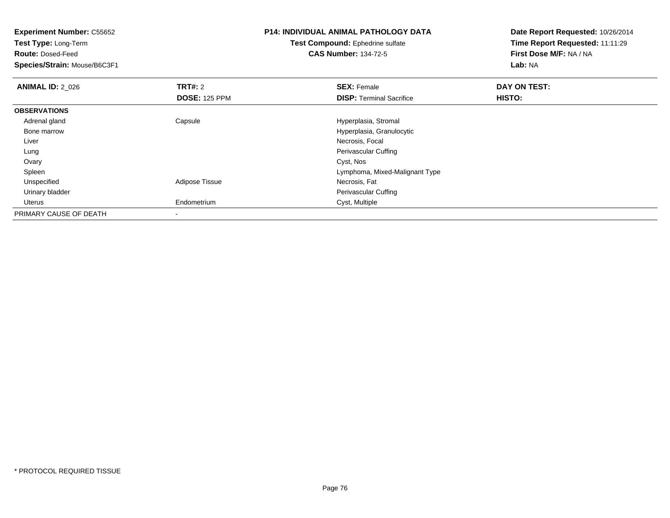**Experiment Number:** C55652**Test Type:** Long-Term**Route:** Dosed-Feed **Species/Strain:** Mouse/B6C3F1**P14: INDIVIDUAL ANIMAL PATHOLOGY DATATest Compound:** Ephedrine sulfate**CAS Number:** 134-72-5**Date Report Requested:** 10/26/2014**Time Report Requested:** 11:11:29**First Dose M/F:** NA / NA**Lab:** NA**ANIMAL ID: 2 026 6 DAY ON TEST: TRT#:** 2 **SEX:** Female **SEX:** Female **DOSE:** 125 PPM**DISP:** Terminal Sacrifice **HISTO: OBSERVATIONS** Adrenal glandCapsule **Capsule Capsule Capsule Capsule Capsule Capsule Capsule Capsule Capsule Capsule Capsule Capsule Capsule Capsule Capsule Capsule Capsule Capsule Capsule Capsule Capsule Cap**  Bone marrow Hyperplasia, Granulocytic Liver Necrosis, Focal LungPerivascular Cuffing<br>Cyst, Nos Ovaryy and the control of the control of the control of the control of the control of the control of the control of the control of the control of the control of the control of the control of the control of the control of the co Spleen Lymphoma, Mixed-Malignant Type UnspecifiedAdipose Tissue Urinary bladder Perivascular Cuffing Uterus Endometrium Cyst, Multiple PRIMARY CAUSE OF DEATH-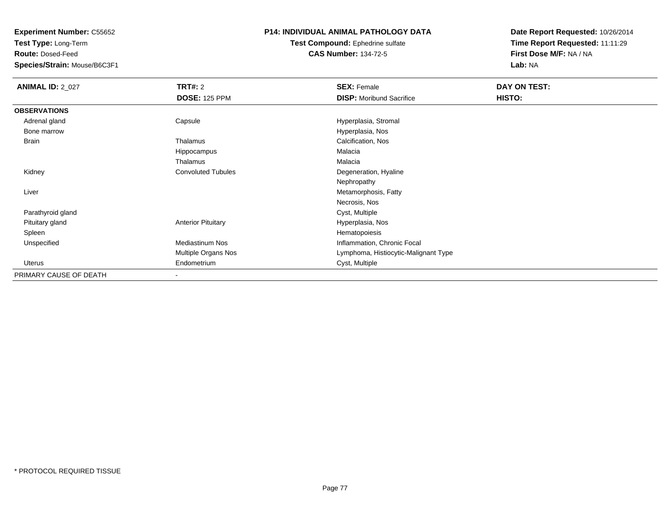**Test Type:** Long-Term

**Route:** Dosed-Feed

**Species/Strain:** Mouse/B6C3F1

### **P14: INDIVIDUAL ANIMAL PATHOLOGY DATA**

**Test Compound:** Ephedrine sulfate**CAS Number:** 134-72-5

| <b>ANIMAL ID: 2_027</b> | <b>TRT#: 2</b>            | <b>SEX: Female</b>                   | DAY ON TEST: |  |
|-------------------------|---------------------------|--------------------------------------|--------------|--|
|                         | <b>DOSE: 125 PPM</b>      | <b>DISP:</b> Moribund Sacrifice      | HISTO:       |  |
| <b>OBSERVATIONS</b>     |                           |                                      |              |  |
| Adrenal gland           | Capsule                   | Hyperplasia, Stromal                 |              |  |
| Bone marrow             |                           | Hyperplasia, Nos                     |              |  |
| <b>Brain</b>            | Thalamus                  | Calcification, Nos                   |              |  |
|                         | Hippocampus               | Malacia                              |              |  |
|                         | Thalamus                  | Malacia                              |              |  |
| Kidney                  | <b>Convoluted Tubules</b> | Degeneration, Hyaline                |              |  |
|                         |                           | Nephropathy                          |              |  |
| Liver                   |                           | Metamorphosis, Fatty                 |              |  |
|                         |                           | Necrosis, Nos                        |              |  |
| Parathyroid gland       |                           | Cyst, Multiple                       |              |  |
| Pituitary gland         | <b>Anterior Pituitary</b> | Hyperplasia, Nos                     |              |  |
| Spleen                  |                           | Hematopoiesis                        |              |  |
| Unspecified             | <b>Mediastinum Nos</b>    | Inflammation, Chronic Focal          |              |  |
|                         | Multiple Organs Nos       | Lymphoma, Histiocytic-Malignant Type |              |  |
| Uterus                  | Endometrium               | Cyst, Multiple                       |              |  |
| PRIMARY CAUSE OF DEATH  |                           |                                      |              |  |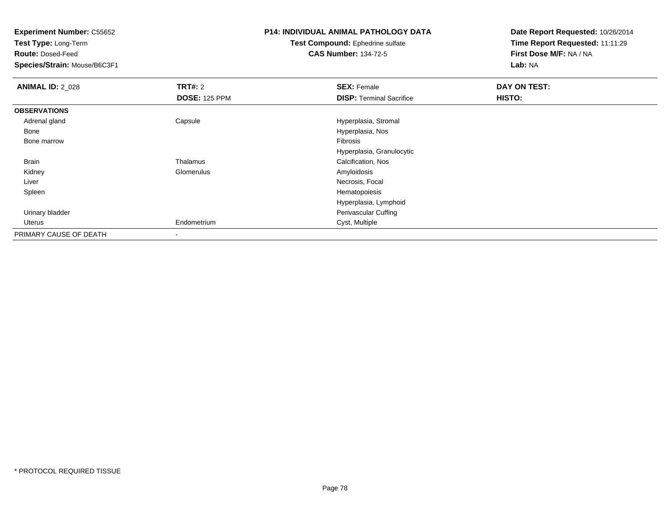**Test Type:** Long-Term

**Route:** Dosed-Feed

**Species/Strain:** Mouse/B6C3F1

# **P14: INDIVIDUAL ANIMAL PATHOLOGY DATA**

**Test Compound:** Ephedrine sulfate**CAS Number:** 134-72-5

| <b>ANIMAL ID: 2_028</b> | <b>TRT#: 2</b>       | <b>SEX: Female</b>              | DAY ON TEST: |
|-------------------------|----------------------|---------------------------------|--------------|
|                         | <b>DOSE: 125 PPM</b> | <b>DISP: Terminal Sacrifice</b> | HISTO:       |
| <b>OBSERVATIONS</b>     |                      |                                 |              |
| Adrenal gland           | Capsule              | Hyperplasia, Stromal            |              |
| Bone                    |                      | Hyperplasia, Nos                |              |
| Bone marrow             |                      | Fibrosis                        |              |
|                         |                      | Hyperplasia, Granulocytic       |              |
| Brain                   | Thalamus             | Calcification, Nos              |              |
| Kidney                  | Glomerulus           | Amyloidosis                     |              |
| Liver                   |                      | Necrosis, Focal                 |              |
| Spleen                  |                      | Hematopoiesis                   |              |
|                         |                      | Hyperplasia, Lymphoid           |              |
| Urinary bladder         |                      | Perivascular Cuffing            |              |
| Uterus                  | Endometrium          | Cyst, Multiple                  |              |
| PRIMARY CAUSE OF DEATH  | $\,$ $\,$            |                                 |              |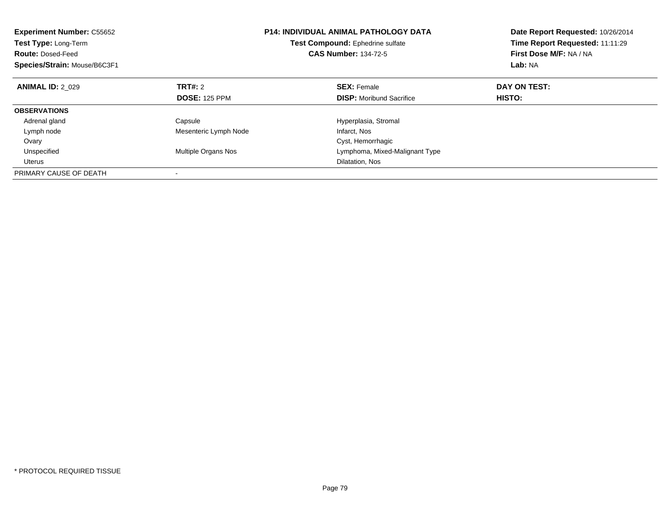| <b>Experiment Number: C55652</b><br><b>Test Type: Long-Term</b><br><b>Route: Dosed-Feed</b><br>Species/Strain: Mouse/B6C3F1 |                       | <b>P14: INDIVIDUAL ANIMAL PATHOLOGY DATA</b><br><b>Test Compound:</b> Ephedrine sulfate<br><b>CAS Number: 134-72-5</b> | Date Report Requested: 10/26/2014<br>Time Report Requested: 11:11:29<br>First Dose M/F: NA / NA<br>Lab: NA |
|-----------------------------------------------------------------------------------------------------------------------------|-----------------------|------------------------------------------------------------------------------------------------------------------------|------------------------------------------------------------------------------------------------------------|
| <b>ANIMAL ID: 2 029</b>                                                                                                     | TRT#: 2               | <b>SEX: Female</b>                                                                                                     | DAY ON TEST:                                                                                               |
|                                                                                                                             | <b>DOSE: 125 PPM</b>  | <b>DISP:</b> Moribund Sacrifice                                                                                        | HISTO:                                                                                                     |
| <b>OBSERVATIONS</b>                                                                                                         |                       |                                                                                                                        |                                                                                                            |
| Adrenal gland                                                                                                               | Capsule               | Hyperplasia, Stromal                                                                                                   |                                                                                                            |
| Lymph node                                                                                                                  | Mesenteric Lymph Node | Infarct, Nos                                                                                                           |                                                                                                            |
| Ovary                                                                                                                       |                       | Cyst, Hemorrhagic                                                                                                      |                                                                                                            |
| Unspecified                                                                                                                 | Multiple Organs Nos   | Lymphoma, Mixed-Malignant Type                                                                                         |                                                                                                            |
| Uterus                                                                                                                      |                       | Dilatation, Nos                                                                                                        |                                                                                                            |
| PRIMARY CAUSE OF DEATH                                                                                                      |                       |                                                                                                                        |                                                                                                            |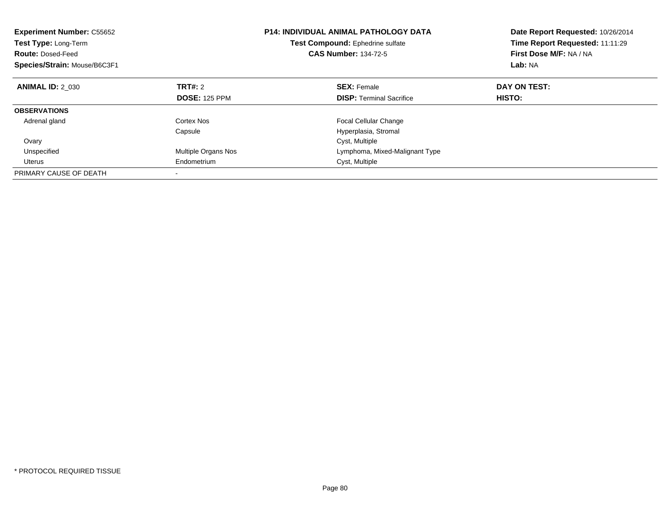| <b>Experiment Number: C55652</b><br>Test Type: Long-Term<br><b>Route: Dosed-Feed</b><br>Species/Strain: Mouse/B6C3F1 |                      | <b>P14: INDIVIDUAL ANIMAL PATHOLOGY DATA</b><br>Test Compound: Ephedrine sulfate<br><b>CAS Number: 134-72-5</b> | Date Report Requested: 10/26/2014<br>Time Report Requested: 11:11:29<br>First Dose M/F: NA / NA<br>Lab: NA |
|----------------------------------------------------------------------------------------------------------------------|----------------------|-----------------------------------------------------------------------------------------------------------------|------------------------------------------------------------------------------------------------------------|
| <b>ANIMAL ID: 2 030</b>                                                                                              | <b>TRT#: 2</b>       | <b>SEX: Female</b>                                                                                              | DAY ON TEST:                                                                                               |
|                                                                                                                      | <b>DOSE: 125 PPM</b> | <b>DISP:</b> Terminal Sacrifice                                                                                 | HISTO:                                                                                                     |
| <b>OBSERVATIONS</b>                                                                                                  |                      |                                                                                                                 |                                                                                                            |
| Adrenal gland                                                                                                        | Cortex Nos           | <b>Focal Cellular Change</b>                                                                                    |                                                                                                            |
|                                                                                                                      | Capsule              | Hyperplasia, Stromal                                                                                            |                                                                                                            |
| Ovary                                                                                                                |                      | Cyst, Multiple                                                                                                  |                                                                                                            |
| Unspecified                                                                                                          | Multiple Organs Nos  | Lymphoma, Mixed-Malignant Type                                                                                  |                                                                                                            |
| Uterus                                                                                                               | Endometrium          | Cyst, Multiple                                                                                                  |                                                                                                            |
| PRIMARY CAUSE OF DEATH                                                                                               |                      |                                                                                                                 |                                                                                                            |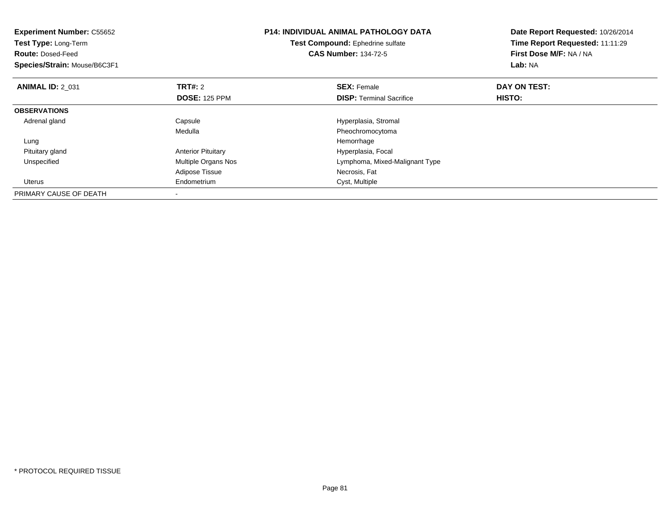| <b>Experiment Number: C55652</b><br><b>Test Type: Long-Term</b><br><b>Route: Dosed-Feed</b><br>Species/Strain: Mouse/B6C3F1 |                           | <b>P14: INDIVIDUAL ANIMAL PATHOLOGY DATA</b><br>Test Compound: Ephedrine sulfate<br><b>CAS Number: 134-72-5</b> | Date Report Requested: 10/26/2014<br>Time Report Requested: 11:11:29<br>First Dose M/F: NA / NA<br>Lab: NA |
|-----------------------------------------------------------------------------------------------------------------------------|---------------------------|-----------------------------------------------------------------------------------------------------------------|------------------------------------------------------------------------------------------------------------|
| <b>ANIMAL ID: 2 031</b>                                                                                                     | <b>TRT#: 2</b>            | <b>SEX: Female</b>                                                                                              | DAY ON TEST:                                                                                               |
|                                                                                                                             | <b>DOSE: 125 PPM</b>      | <b>DISP:</b> Terminal Sacrifice                                                                                 | HISTO:                                                                                                     |
| <b>OBSERVATIONS</b>                                                                                                         |                           |                                                                                                                 |                                                                                                            |
| Adrenal gland                                                                                                               | Capsule                   | Hyperplasia, Stromal                                                                                            |                                                                                                            |
|                                                                                                                             | Medulla                   | Pheochromocytoma                                                                                                |                                                                                                            |
| Lung                                                                                                                        |                           | Hemorrhage                                                                                                      |                                                                                                            |
| Pituitary gland                                                                                                             | <b>Anterior Pituitary</b> | Hyperplasia, Focal                                                                                              |                                                                                                            |
| Unspecified                                                                                                                 | Multiple Organs Nos       | Lymphoma, Mixed-Malignant Type                                                                                  |                                                                                                            |
|                                                                                                                             | <b>Adipose Tissue</b>     | Necrosis, Fat                                                                                                   |                                                                                                            |
| <b>Uterus</b>                                                                                                               | Endometrium               | Cyst, Multiple                                                                                                  |                                                                                                            |
| PRIMARY CAUSE OF DEATH                                                                                                      |                           |                                                                                                                 |                                                                                                            |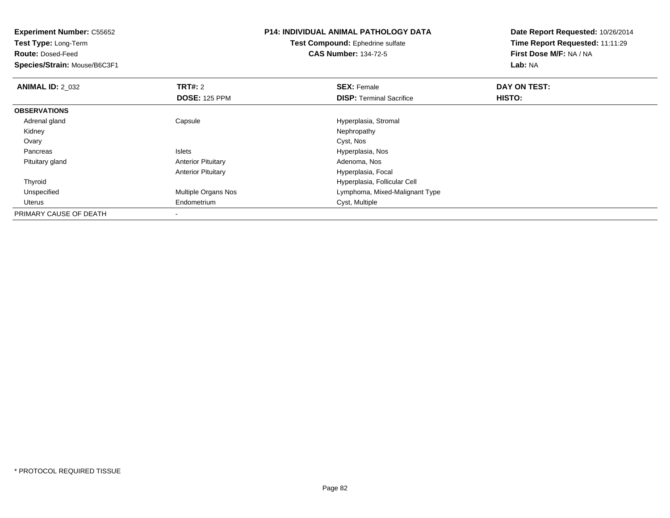| <b>Experiment Number: C55652</b> |                           | <b>P14: INDIVIDUAL ANIMAL PATHOLOGY DATA</b> | Date Report Requested: 10/26/2014 |  |
|----------------------------------|---------------------------|----------------------------------------------|-----------------------------------|--|
| Test Type: Long-Term             |                           | <b>Test Compound: Ephedrine sulfate</b>      | Time Report Requested: 11:11:29   |  |
| <b>Route: Dosed-Feed</b>         |                           | <b>CAS Number: 134-72-5</b>                  | First Dose M/F: NA / NA           |  |
| Species/Strain: Mouse/B6C3F1     |                           |                                              | Lab: NA                           |  |
| <b>ANIMAL ID: 2 032</b>          | <b>TRT#: 2</b>            | <b>SEX: Female</b>                           | DAY ON TEST:                      |  |
|                                  | <b>DOSE: 125 PPM</b>      | <b>DISP:</b> Terminal Sacrifice              | HISTO:                            |  |
| <b>OBSERVATIONS</b>              |                           |                                              |                                   |  |
| Adrenal gland                    | Capsule                   | Hyperplasia, Stromal                         |                                   |  |
| Kidney                           |                           | Nephropathy                                  |                                   |  |
| Ovary                            |                           | Cyst, Nos                                    |                                   |  |
| Pancreas                         | <b>Islets</b>             | Hyperplasia, Nos                             |                                   |  |
| Pituitary gland                  | <b>Anterior Pituitary</b> | Adenoma, Nos                                 |                                   |  |
|                                  | <b>Anterior Pituitary</b> | Hyperplasia, Focal                           |                                   |  |
| Thyroid                          |                           | Hyperplasia, Follicular Cell                 |                                   |  |
| Unspecified                      | Multiple Organs Nos       | Lymphoma, Mixed-Malignant Type               |                                   |  |
| Uterus                           | Endometrium               | Cyst, Multiple                               |                                   |  |
| PRIMARY CAUSE OF DEATH           |                           |                                              |                                   |  |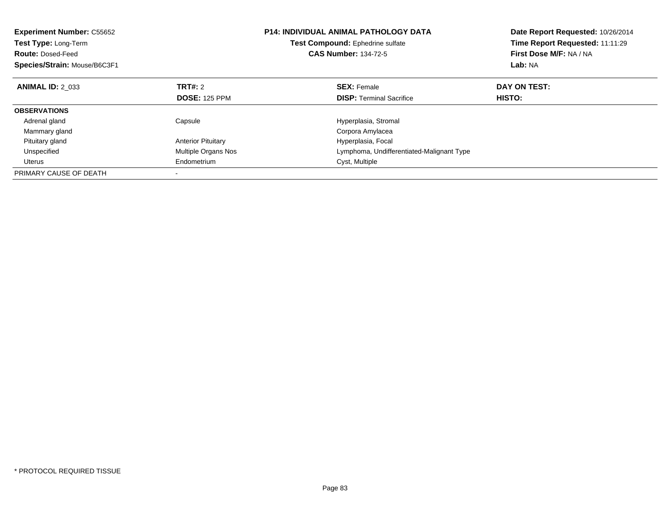| <b>Experiment Number: C55652</b><br>Test Type: Long-Term<br><b>Route: Dosed-Feed</b><br>Species/Strain: Mouse/B6C3F1 |                           | <b>P14: INDIVIDUAL ANIMAL PATHOLOGY DATA</b><br>Test Compound: Ephedrine sulfate<br><b>CAS Number: 134-72-5</b> | Date Report Requested: 10/26/2014<br>Time Report Requested: 11:11:29<br>First Dose M/F: NA / NA<br>Lab: NA |
|----------------------------------------------------------------------------------------------------------------------|---------------------------|-----------------------------------------------------------------------------------------------------------------|------------------------------------------------------------------------------------------------------------|
| <b>ANIMAL ID: 2 033</b>                                                                                              | <b>TRT#: 2</b>            | <b>SEX:</b> Female                                                                                              | DAY ON TEST:                                                                                               |
|                                                                                                                      | <b>DOSE: 125 PPM</b>      | <b>DISP:</b> Terminal Sacrifice                                                                                 | HISTO:                                                                                                     |
| <b>OBSERVATIONS</b>                                                                                                  |                           |                                                                                                                 |                                                                                                            |
| Adrenal gland                                                                                                        | Capsule                   | Hyperplasia, Stromal                                                                                            |                                                                                                            |
| Mammary gland                                                                                                        |                           | Corpora Amylacea                                                                                                |                                                                                                            |
| Pituitary gland                                                                                                      | <b>Anterior Pituitary</b> | Hyperplasia, Focal                                                                                              |                                                                                                            |
| Unspecified                                                                                                          | Multiple Organs Nos       | Lymphoma, Undifferentiated-Malignant Type                                                                       |                                                                                                            |
| Uterus                                                                                                               | Endometrium               | Cyst, Multiple                                                                                                  |                                                                                                            |
| PRIMARY CAUSE OF DEATH                                                                                               |                           |                                                                                                                 |                                                                                                            |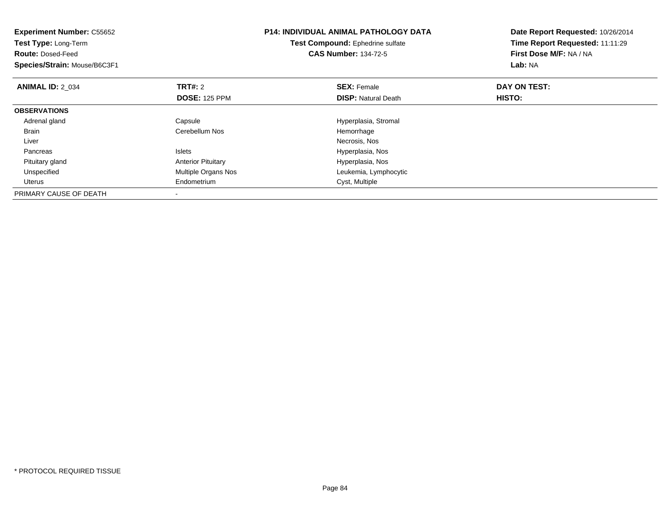| <b>Experiment Number: C55652</b><br>Test Type: Long-Term<br><b>Route: Dosed-Feed</b><br>Species/Strain: Mouse/B6C3F1 |                           | <b>P14: INDIVIDUAL ANIMAL PATHOLOGY DATA</b><br>Test Compound: Ephedrine sulfate<br><b>CAS Number: 134-72-5</b> | Date Report Requested: 10/26/2014<br>Time Report Requested: 11:11:29<br>First Dose M/F: NA / NA<br>Lab: NA |
|----------------------------------------------------------------------------------------------------------------------|---------------------------|-----------------------------------------------------------------------------------------------------------------|------------------------------------------------------------------------------------------------------------|
| <b>ANIMAL ID: 2 034</b>                                                                                              | <b>TRT#: 2</b>            | <b>SEX: Female</b>                                                                                              | DAY ON TEST:                                                                                               |
|                                                                                                                      | <b>DOSE: 125 PPM</b>      | <b>DISP: Natural Death</b>                                                                                      | HISTO:                                                                                                     |
| <b>OBSERVATIONS</b>                                                                                                  |                           |                                                                                                                 |                                                                                                            |
| Adrenal gland                                                                                                        | Capsule                   | Hyperplasia, Stromal                                                                                            |                                                                                                            |
| Brain                                                                                                                | Cerebellum Nos            | Hemorrhage                                                                                                      |                                                                                                            |
| Liver                                                                                                                |                           | Necrosis, Nos                                                                                                   |                                                                                                            |
| Pancreas                                                                                                             | <b>Islets</b>             | Hyperplasia, Nos                                                                                                |                                                                                                            |
| Pituitary gland                                                                                                      | <b>Anterior Pituitary</b> | Hyperplasia, Nos                                                                                                |                                                                                                            |
| Unspecified                                                                                                          | Multiple Organs Nos       | Leukemia, Lymphocytic                                                                                           |                                                                                                            |
| <b>Uterus</b>                                                                                                        | Endometrium               | Cyst, Multiple                                                                                                  |                                                                                                            |
| PRIMARY CAUSE OF DEATH                                                                                               |                           |                                                                                                                 |                                                                                                            |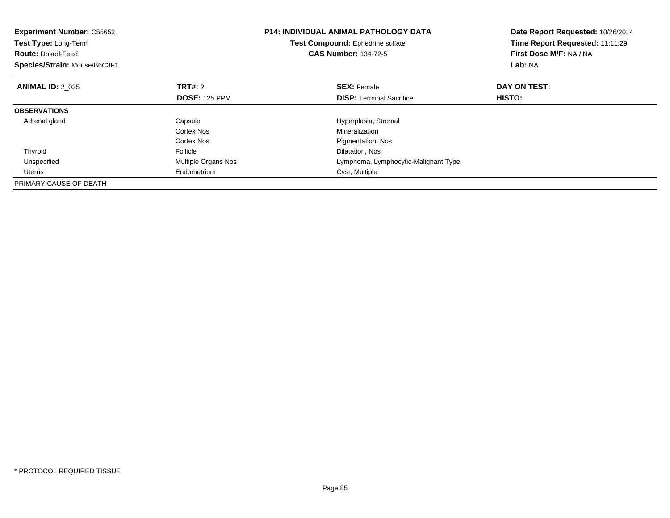| <b>Experiment Number: C55652</b><br>Test Type: Long-Term<br><b>Route: Dosed-Feed</b><br>Species/Strain: Mouse/B6C3F1 |                      | <b>P14: INDIVIDUAL ANIMAL PATHOLOGY DATA</b><br><b>Test Compound:</b> Ephedrine sulfate<br><b>CAS Number: 134-72-5</b> | Date Report Requested: 10/26/2014<br>Time Report Requested: 11:11:29<br>First Dose M/F: NA / NA<br>Lab: NA |
|----------------------------------------------------------------------------------------------------------------------|----------------------|------------------------------------------------------------------------------------------------------------------------|------------------------------------------------------------------------------------------------------------|
| <b>ANIMAL ID: 2 035</b>                                                                                              | <b>TRT#: 2</b>       | <b>SEX: Female</b>                                                                                                     | DAY ON TEST:                                                                                               |
|                                                                                                                      | <b>DOSE: 125 PPM</b> | <b>DISP:</b> Terminal Sacrifice                                                                                        | HISTO:                                                                                                     |
| <b>OBSERVATIONS</b>                                                                                                  |                      |                                                                                                                        |                                                                                                            |
| Adrenal gland                                                                                                        | Capsule              | Hyperplasia, Stromal                                                                                                   |                                                                                                            |
|                                                                                                                      | Cortex Nos           | Mineralization                                                                                                         |                                                                                                            |
|                                                                                                                      | Cortex Nos           | Pigmentation, Nos                                                                                                      |                                                                                                            |
| Thyroid                                                                                                              | Follicle             | Dilatation, Nos                                                                                                        |                                                                                                            |
| Unspecified                                                                                                          | Multiple Organs Nos  | Lymphoma, Lymphocytic-Malignant Type                                                                                   |                                                                                                            |
| Uterus                                                                                                               | Endometrium          | Cyst, Multiple                                                                                                         |                                                                                                            |
| PRIMARY CAUSE OF DEATH                                                                                               |                      |                                                                                                                        |                                                                                                            |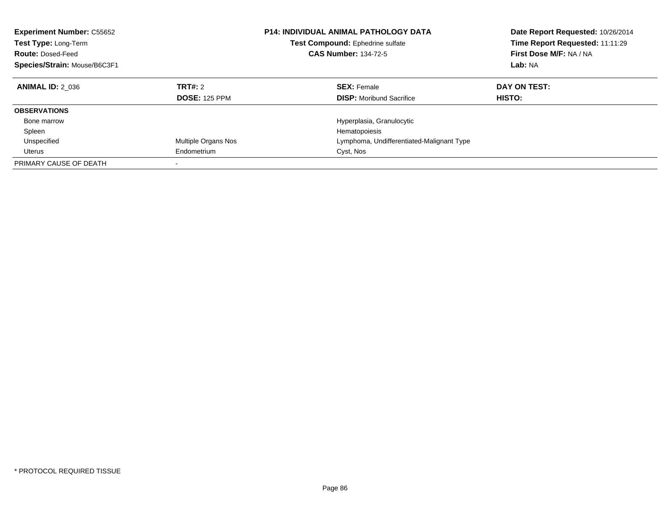| <b>Experiment Number: C55652</b><br>Test Type: Long-Term<br><b>Route: Dosed-Feed</b><br>Species/Strain: Mouse/B6C3F1 |                                        | <b>P14: INDIVIDUAL ANIMAL PATHOLOGY DATA</b><br><b>Test Compound: Ephedrine sulfate</b><br><b>CAS Number: 134-72-5</b> | Date Report Requested: 10/26/2014<br>Time Report Requested: 11:11:29<br>First Dose M/F: NA / NA<br>Lab: NA |
|----------------------------------------------------------------------------------------------------------------------|----------------------------------------|------------------------------------------------------------------------------------------------------------------------|------------------------------------------------------------------------------------------------------------|
| <b>ANIMAL ID: 2 036</b>                                                                                              | <b>TRT#: 2</b><br><b>DOSE: 125 PPM</b> | <b>SEX: Female</b><br><b>DISP:</b> Moribund Sacrifice                                                                  | DAY ON TEST:<br><b>HISTO:</b>                                                                              |
|                                                                                                                      |                                        |                                                                                                                        |                                                                                                            |
| <b>OBSERVATIONS</b>                                                                                                  |                                        |                                                                                                                        |                                                                                                            |
| Bone marrow                                                                                                          |                                        | Hyperplasia, Granulocytic                                                                                              |                                                                                                            |
| Spleen                                                                                                               |                                        | Hematopoiesis                                                                                                          |                                                                                                            |
| Unspecified                                                                                                          | Multiple Organs Nos                    | Lymphoma, Undifferentiated-Malignant Type                                                                              |                                                                                                            |
| Uterus                                                                                                               | Endometrium                            | Cyst, Nos                                                                                                              |                                                                                                            |
| PRIMARY CAUSE OF DEATH                                                                                               |                                        |                                                                                                                        |                                                                                                            |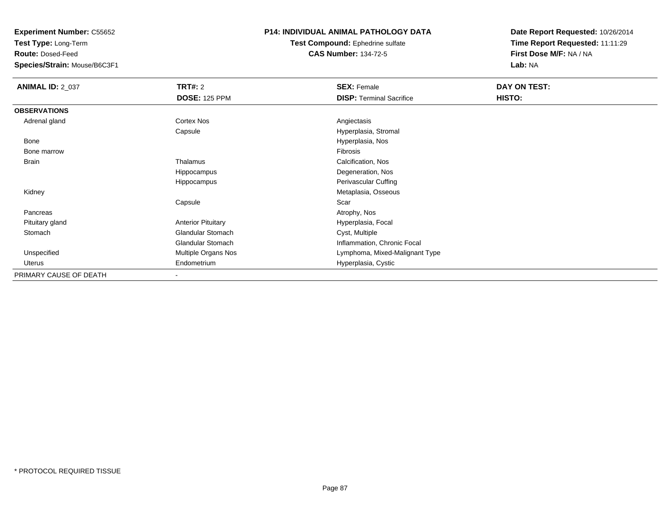**Test Type:** Long-Term

**Route:** Dosed-Feed

**Species/Strain:** Mouse/B6C3F1

#### **P14: INDIVIDUAL ANIMAL PATHOLOGY DATA**

**Test Compound:** Ephedrine sulfate**CAS Number:** 134-72-5

| <b>ANIMAL ID: 2_037</b> | <b>TRT#: 2</b>            | <b>SEX: Female</b>              | DAY ON TEST: |  |
|-------------------------|---------------------------|---------------------------------|--------------|--|
|                         | <b>DOSE: 125 PPM</b>      | <b>DISP: Terminal Sacrifice</b> | HISTO:       |  |
| <b>OBSERVATIONS</b>     |                           |                                 |              |  |
| Adrenal gland           | <b>Cortex Nos</b>         | Angiectasis                     |              |  |
|                         | Capsule                   | Hyperplasia, Stromal            |              |  |
| Bone                    |                           | Hyperplasia, Nos                |              |  |
| Bone marrow             |                           | Fibrosis                        |              |  |
| Brain                   | Thalamus                  | Calcification, Nos              |              |  |
|                         | Hippocampus               | Degeneration, Nos               |              |  |
|                         | Hippocampus               | Perivascular Cuffing            |              |  |
| Kidney                  |                           | Metaplasia, Osseous             |              |  |
|                         | Capsule                   | Scar                            |              |  |
| Pancreas                |                           | Atrophy, Nos                    |              |  |
| Pituitary gland         | <b>Anterior Pituitary</b> | Hyperplasia, Focal              |              |  |
| Stomach                 | <b>Glandular Stomach</b>  | Cyst, Multiple                  |              |  |
|                         | <b>Glandular Stomach</b>  | Inflammation, Chronic Focal     |              |  |
| Unspecified             | Multiple Organs Nos       | Lymphoma, Mixed-Malignant Type  |              |  |
| Uterus                  | Endometrium               | Hyperplasia, Cystic             |              |  |
| PRIMARY CAUSE OF DEATH  |                           |                                 |              |  |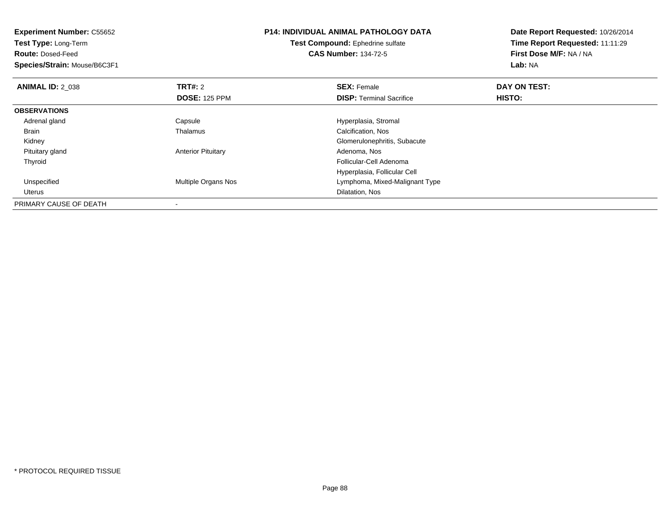| <b>Experiment Number: C55652</b><br>Test Type: Long-Term<br><b>Route: Dosed-Feed</b> |                           | <b>P14: INDIVIDUAL ANIMAL PATHOLOGY DATA</b><br>Test Compound: Ephedrine sulfate<br><b>CAS Number: 134-72-5</b> | Date Report Requested: 10/26/2014<br>Time Report Requested: 11:11:29<br>First Dose M/F: NA / NA |
|--------------------------------------------------------------------------------------|---------------------------|-----------------------------------------------------------------------------------------------------------------|-------------------------------------------------------------------------------------------------|
| Species/Strain: Mouse/B6C3F1                                                         |                           |                                                                                                                 | Lab: NA                                                                                         |
| <b>ANIMAL ID: 2 038</b>                                                              | <b>TRT#: 2</b>            | <b>SEX: Female</b>                                                                                              | DAY ON TEST:                                                                                    |
|                                                                                      | <b>DOSE: 125 PPM</b>      | <b>DISP:</b> Terminal Sacrifice                                                                                 | HISTO:                                                                                          |
| <b>OBSERVATIONS</b>                                                                  |                           |                                                                                                                 |                                                                                                 |
| Adrenal gland                                                                        | Capsule                   | Hyperplasia, Stromal                                                                                            |                                                                                                 |
| Brain                                                                                | Thalamus                  | Calcification, Nos                                                                                              |                                                                                                 |
| Kidney                                                                               |                           | Glomerulonephritis, Subacute                                                                                    |                                                                                                 |
| Pituitary gland                                                                      | <b>Anterior Pituitary</b> | Adenoma, Nos                                                                                                    |                                                                                                 |
| Thyroid                                                                              |                           | Follicular-Cell Adenoma                                                                                         |                                                                                                 |
|                                                                                      |                           | Hyperplasia, Follicular Cell                                                                                    |                                                                                                 |
| Unspecified                                                                          | Multiple Organs Nos       | Lymphoma, Mixed-Malignant Type                                                                                  |                                                                                                 |
| Uterus                                                                               |                           | Dilatation, Nos                                                                                                 |                                                                                                 |
| PRIMARY CAUSE OF DEATH                                                               |                           |                                                                                                                 |                                                                                                 |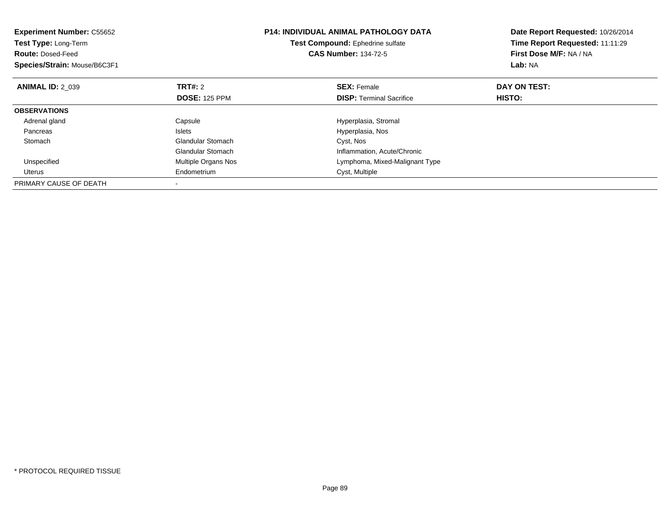| <b>Experiment Number: C55652</b><br>Test Type: Long-Term<br><b>Route: Dosed-Feed</b><br>Species/Strain: Mouse/B6C3F1 |                          | <b>P14: INDIVIDUAL ANIMAL PATHOLOGY DATA</b><br>Test Compound: Ephedrine sulfate<br><b>CAS Number: 134-72-5</b> | Date Report Requested: 10/26/2014<br>Time Report Requested: 11:11:29<br>First Dose M/F: NA / NA<br>Lab: NA |
|----------------------------------------------------------------------------------------------------------------------|--------------------------|-----------------------------------------------------------------------------------------------------------------|------------------------------------------------------------------------------------------------------------|
| <b>ANIMAL ID: 2 039</b>                                                                                              | TRT#: 2                  | <b>SEX: Female</b>                                                                                              | DAY ON TEST:                                                                                               |
|                                                                                                                      | <b>DOSE: 125 PPM</b>     | <b>DISP:</b> Terminal Sacrifice                                                                                 | HISTO:                                                                                                     |
| <b>OBSERVATIONS</b>                                                                                                  |                          |                                                                                                                 |                                                                                                            |
| Adrenal gland                                                                                                        | Capsule                  | Hyperplasia, Stromal                                                                                            |                                                                                                            |
| Pancreas                                                                                                             | <b>Islets</b>            | Hyperplasia, Nos                                                                                                |                                                                                                            |
| Stomach                                                                                                              | <b>Glandular Stomach</b> | Cyst, Nos                                                                                                       |                                                                                                            |
|                                                                                                                      | <b>Glandular Stomach</b> | Inflammation, Acute/Chronic                                                                                     |                                                                                                            |
| Unspecified                                                                                                          | Multiple Organs Nos      | Lymphoma, Mixed-Malignant Type                                                                                  |                                                                                                            |
| Uterus                                                                                                               | Endometrium              | Cyst, Multiple                                                                                                  |                                                                                                            |
| PRIMARY CAUSE OF DEATH                                                                                               |                          |                                                                                                                 |                                                                                                            |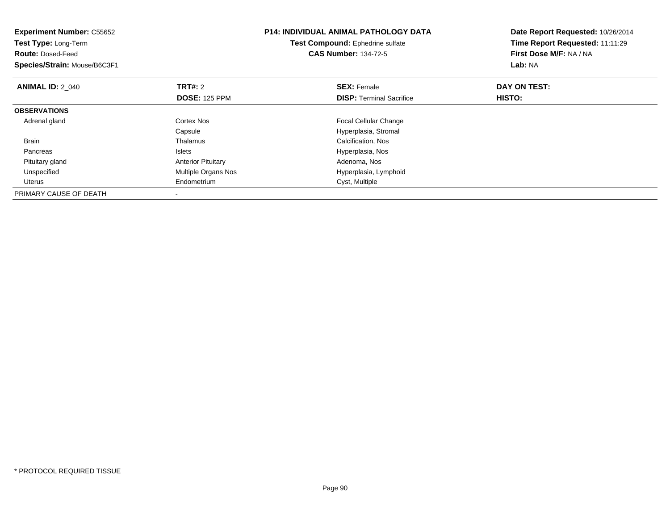| <b>Experiment Number: C55652</b><br><b>Test Type: Long-Term</b><br><b>Route: Dosed-Feed</b><br>Species/Strain: Mouse/B6C3F1 |                                        | <b>P14: INDIVIDUAL ANIMAL PATHOLOGY DATA</b><br>Test Compound: Ephedrine sulfate<br><b>CAS Number: 134-72-5</b> | Date Report Requested: 10/26/2014<br>Time Report Requested: 11:11:29<br>First Dose M/F: NA / NA<br>Lab: NA |
|-----------------------------------------------------------------------------------------------------------------------------|----------------------------------------|-----------------------------------------------------------------------------------------------------------------|------------------------------------------------------------------------------------------------------------|
| <b>ANIMAL ID: 2 040</b>                                                                                                     | <b>TRT#: 2</b><br><b>DOSE: 125 PPM</b> | <b>SEX: Female</b><br><b>DISP:</b> Terminal Sacrifice                                                           | DAY ON TEST:<br>HISTO:                                                                                     |
| <b>OBSERVATIONS</b>                                                                                                         |                                        |                                                                                                                 |                                                                                                            |
| Adrenal gland                                                                                                               | Cortex Nos<br>Capsule                  | <b>Focal Cellular Change</b><br>Hyperplasia, Stromal                                                            |                                                                                                            |
| <b>Brain</b>                                                                                                                | Thalamus                               | Calcification, Nos                                                                                              |                                                                                                            |
| Pancreas                                                                                                                    | Islets                                 | Hyperplasia, Nos                                                                                                |                                                                                                            |
| Pituitary gland                                                                                                             | <b>Anterior Pituitary</b>              | Adenoma, Nos                                                                                                    |                                                                                                            |
| Unspecified                                                                                                                 | Multiple Organs Nos                    | Hyperplasia, Lymphoid                                                                                           |                                                                                                            |
| Uterus                                                                                                                      | Endometrium                            | Cyst, Multiple                                                                                                  |                                                                                                            |
| PRIMARY CAUSE OF DEATH                                                                                                      |                                        |                                                                                                                 |                                                                                                            |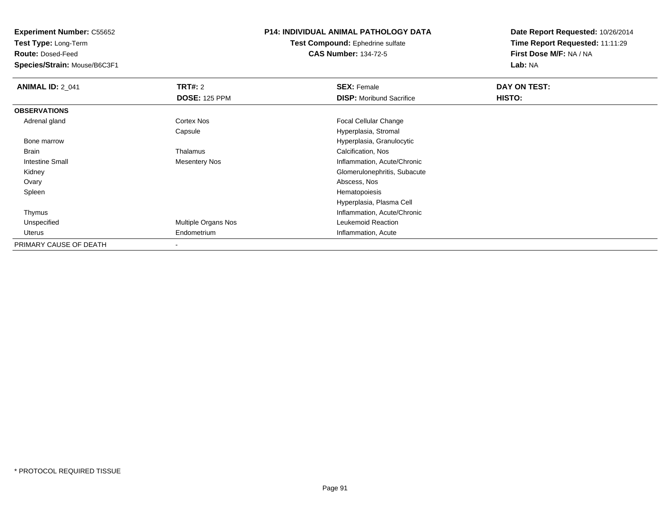**Test Type:** Long-Term

**Route:** Dosed-Feed

**Species/Strain:** Mouse/B6C3F1

# **P14: INDIVIDUAL ANIMAL PATHOLOGY DATA**

**Test Compound:** Ephedrine sulfate**CAS Number:** 134-72-5

| <b>ANIMAL ID: 2_041</b> | TRT#: 2                    | <b>SEX: Female</b>              | DAY ON TEST: |  |
|-------------------------|----------------------------|---------------------------------|--------------|--|
|                         | <b>DOSE: 125 PPM</b>       | <b>DISP:</b> Moribund Sacrifice | HISTO:       |  |
| <b>OBSERVATIONS</b>     |                            |                                 |              |  |
| Adrenal gland           | <b>Cortex Nos</b>          | <b>Focal Cellular Change</b>    |              |  |
|                         | Capsule                    | Hyperplasia, Stromal            |              |  |
| Bone marrow             |                            | Hyperplasia, Granulocytic       |              |  |
| Brain                   | Thalamus                   | Calcification, Nos              |              |  |
| <b>Intestine Small</b>  | <b>Mesentery Nos</b>       | Inflammation, Acute/Chronic     |              |  |
| Kidney                  |                            | Glomerulonephritis, Subacute    |              |  |
| Ovary                   |                            | Abscess, Nos                    |              |  |
| Spleen                  |                            | Hematopoiesis                   |              |  |
|                         |                            | Hyperplasia, Plasma Cell        |              |  |
| Thymus                  |                            | Inflammation, Acute/Chronic     |              |  |
| Unspecified             | <b>Multiple Organs Nos</b> | Leukemoid Reaction              |              |  |
| Uterus                  | Endometrium                | Inflammation, Acute             |              |  |
| PRIMARY CAUSE OF DEATH  |                            |                                 |              |  |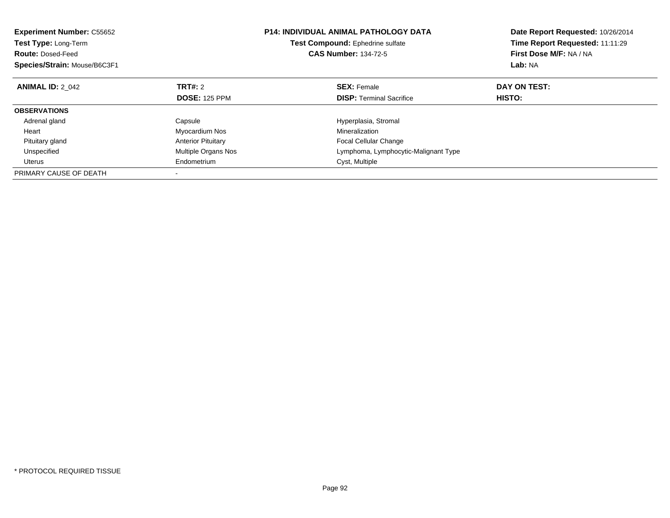| <b>Experiment Number: C55652</b><br>Test Type: Long-Term<br><b>Route: Dosed-Feed</b><br>Species/Strain: Mouse/B6C3F1 |                            | <b>P14: INDIVIDUAL ANIMAL PATHOLOGY DATA</b><br>Test Compound: Ephedrine sulfate<br><b>CAS Number: 134-72-5</b> | Date Report Requested: 10/26/2014<br>Time Report Requested: 11:11:29<br>First Dose M/F: NA / NA<br><b>Lab: NA</b> |
|----------------------------------------------------------------------------------------------------------------------|----------------------------|-----------------------------------------------------------------------------------------------------------------|-------------------------------------------------------------------------------------------------------------------|
| <b>ANIMAL ID: 2 042</b>                                                                                              | TRT#: 2                    | <b>SEX: Female</b>                                                                                              | DAY ON TEST:                                                                                                      |
|                                                                                                                      | <b>DOSE: 125 PPM</b>       | <b>DISP:</b> Terminal Sacrifice                                                                                 | HISTO:                                                                                                            |
| <b>OBSERVATIONS</b>                                                                                                  |                            |                                                                                                                 |                                                                                                                   |
| Adrenal gland                                                                                                        | Capsule                    | Hyperplasia, Stromal                                                                                            |                                                                                                                   |
| Heart                                                                                                                | Myocardium Nos             | Mineralization                                                                                                  |                                                                                                                   |
| Pituitary gland                                                                                                      | <b>Anterior Pituitary</b>  | <b>Focal Cellular Change</b>                                                                                    |                                                                                                                   |
| Unspecified                                                                                                          | <b>Multiple Organs Nos</b> | Lymphoma, Lymphocytic-Malignant Type                                                                            |                                                                                                                   |
| Uterus                                                                                                               | Endometrium                | Cyst, Multiple                                                                                                  |                                                                                                                   |
| PRIMARY CAUSE OF DEATH                                                                                               |                            |                                                                                                                 |                                                                                                                   |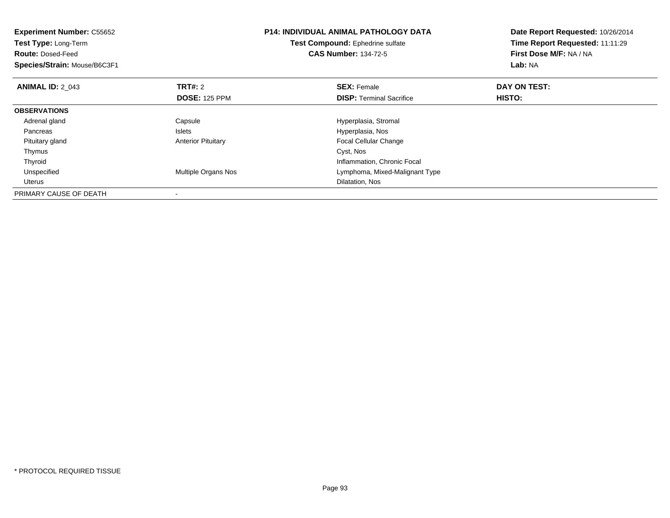| <b>Experiment Number: C55652</b><br>Test Type: Long-Term<br><b>Route: Dosed-Feed</b><br>Species/Strain: Mouse/B6C3F1 |                            | <b>P14: INDIVIDUAL ANIMAL PATHOLOGY DATA</b><br>Test Compound: Ephedrine sulfate<br><b>CAS Number: 134-72-5</b> | Date Report Requested: 10/26/2014<br>Time Report Requested: 11:11:29<br>First Dose M/F: NA / NA<br>Lab: NA |
|----------------------------------------------------------------------------------------------------------------------|----------------------------|-----------------------------------------------------------------------------------------------------------------|------------------------------------------------------------------------------------------------------------|
| <b>ANIMAL ID: 2 043</b>                                                                                              | <b>TRT#: 2</b>             | <b>SEX: Female</b>                                                                                              | DAY ON TEST:                                                                                               |
|                                                                                                                      | <b>DOSE: 125 PPM</b>       | <b>DISP:</b> Terminal Sacrifice                                                                                 | HISTO:                                                                                                     |
| <b>OBSERVATIONS</b>                                                                                                  |                            |                                                                                                                 |                                                                                                            |
| Adrenal gland                                                                                                        | Capsule                    | Hyperplasia, Stromal                                                                                            |                                                                                                            |
| Pancreas                                                                                                             | Islets                     | Hyperplasia, Nos                                                                                                |                                                                                                            |
| Pituitary gland                                                                                                      | <b>Anterior Pituitary</b>  | <b>Focal Cellular Change</b>                                                                                    |                                                                                                            |
| Thymus                                                                                                               |                            | Cyst, Nos                                                                                                       |                                                                                                            |
| Thyroid                                                                                                              |                            | Inflammation, Chronic Focal                                                                                     |                                                                                                            |
| Unspecified                                                                                                          | <b>Multiple Organs Nos</b> | Lymphoma, Mixed-Malignant Type                                                                                  |                                                                                                            |
| <b>Uterus</b>                                                                                                        |                            | Dilatation, Nos                                                                                                 |                                                                                                            |
| PRIMARY CAUSE OF DEATH                                                                                               |                            |                                                                                                                 |                                                                                                            |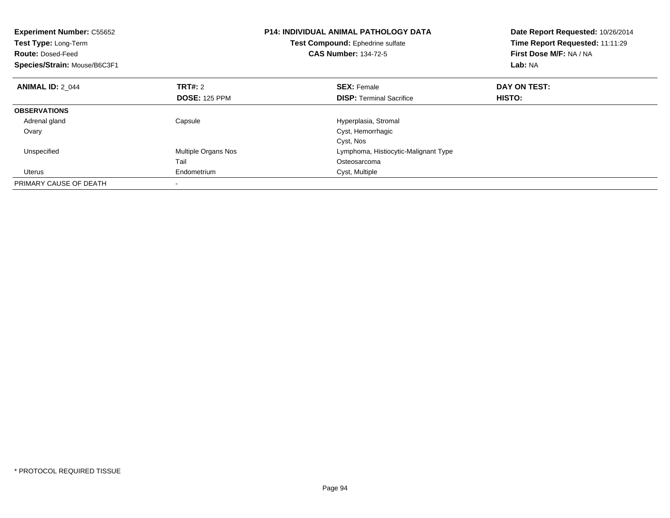| <b>Experiment Number: C55652</b><br>Test Type: Long-Term<br><b>Route: Dosed-Feed</b><br>Species/Strain: Mouse/B6C3F1 |                      | <b>P14: INDIVIDUAL ANIMAL PATHOLOGY DATA</b><br>Test Compound: Ephedrine sulfate<br><b>CAS Number: 134-72-5</b> | Date Report Requested: 10/26/2014<br>Time Report Requested: 11:11:29<br>First Dose M/F: NA / NA<br>Lab: NA |
|----------------------------------------------------------------------------------------------------------------------|----------------------|-----------------------------------------------------------------------------------------------------------------|------------------------------------------------------------------------------------------------------------|
| <b>ANIMAL ID: 2 044</b>                                                                                              | TRT#: 2              | <b>SEX: Female</b>                                                                                              | DAY ON TEST:                                                                                               |
|                                                                                                                      | <b>DOSE: 125 PPM</b> | <b>DISP:</b> Terminal Sacrifice                                                                                 | <b>HISTO:</b>                                                                                              |
| <b>OBSERVATIONS</b>                                                                                                  |                      |                                                                                                                 |                                                                                                            |
| Adrenal gland                                                                                                        | Capsule              | Hyperplasia, Stromal                                                                                            |                                                                                                            |
| Ovary                                                                                                                |                      | Cyst, Hemorrhagic                                                                                               |                                                                                                            |
|                                                                                                                      |                      | Cyst, Nos                                                                                                       |                                                                                                            |
| Unspecified                                                                                                          | Multiple Organs Nos  | Lymphoma, Histiocytic-Malignant Type                                                                            |                                                                                                            |
|                                                                                                                      | Tail                 | Osteosarcoma                                                                                                    |                                                                                                            |
| Uterus                                                                                                               | Endometrium          | Cyst, Multiple                                                                                                  |                                                                                                            |
| PRIMARY CAUSE OF DEATH                                                                                               |                      |                                                                                                                 |                                                                                                            |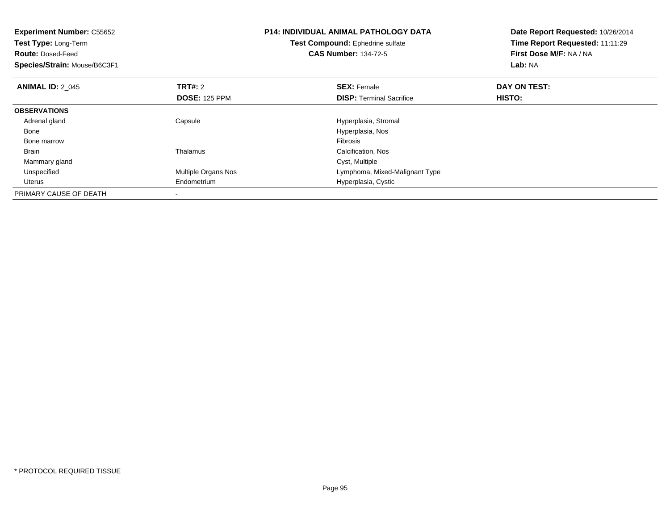| <b>Experiment Number: C55652</b><br>Test Type: Long-Term<br><b>Route: Dosed-Feed</b><br>Species/Strain: Mouse/B6C3F1 |                      | <b>P14: INDIVIDUAL ANIMAL PATHOLOGY DATA</b><br>Test Compound: Ephedrine sulfate<br><b>CAS Number: 134-72-5</b> | Date Report Requested: 10/26/2014<br>Time Report Requested: 11:11:29<br>First Dose M/F: NA / NA<br>Lab: NA |
|----------------------------------------------------------------------------------------------------------------------|----------------------|-----------------------------------------------------------------------------------------------------------------|------------------------------------------------------------------------------------------------------------|
| <b>ANIMAL ID: 2 045</b>                                                                                              | <b>TRT#: 2</b>       | <b>SEX: Female</b>                                                                                              | DAY ON TEST:                                                                                               |
|                                                                                                                      | <b>DOSE: 125 PPM</b> | <b>DISP:</b> Terminal Sacrifice                                                                                 | HISTO:                                                                                                     |
| <b>OBSERVATIONS</b>                                                                                                  |                      |                                                                                                                 |                                                                                                            |
| Adrenal gland                                                                                                        | Capsule              | Hyperplasia, Stromal                                                                                            |                                                                                                            |
| Bone                                                                                                                 |                      | Hyperplasia, Nos                                                                                                |                                                                                                            |
| Bone marrow                                                                                                          |                      | Fibrosis                                                                                                        |                                                                                                            |
| <b>Brain</b>                                                                                                         | Thalamus             | Calcification, Nos                                                                                              |                                                                                                            |
| Mammary gland                                                                                                        |                      | Cyst, Multiple                                                                                                  |                                                                                                            |
| Unspecified                                                                                                          | Multiple Organs Nos  | Lymphoma, Mixed-Malignant Type                                                                                  |                                                                                                            |
| Uterus                                                                                                               | Endometrium          | Hyperplasia, Cystic                                                                                             |                                                                                                            |
| PRIMARY CAUSE OF DEATH                                                                                               |                      |                                                                                                                 |                                                                                                            |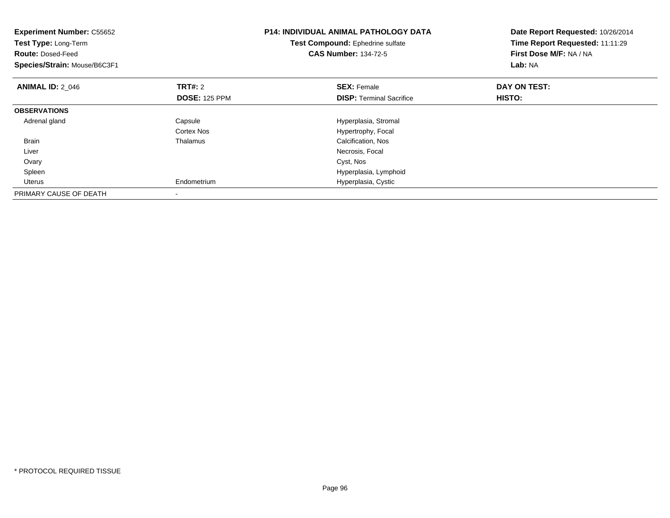| <b>Experiment Number: C55652</b><br>Test Type: Long-Term<br><b>Route: Dosed-Feed</b><br>Species/Strain: Mouse/B6C3F1 |                      | <b>P14: INDIVIDUAL ANIMAL PATHOLOGY DATA</b><br>Test Compound: Ephedrine sulfate<br><b>CAS Number: 134-72-5</b> | Date Report Requested: 10/26/2014<br>Time Report Requested: 11:11:29<br>First Dose M/F: NA / NA<br>Lab: NA |
|----------------------------------------------------------------------------------------------------------------------|----------------------|-----------------------------------------------------------------------------------------------------------------|------------------------------------------------------------------------------------------------------------|
| <b>ANIMAL ID: 2 046</b>                                                                                              | <b>TRT#: 2</b>       | <b>SEX: Female</b>                                                                                              | DAY ON TEST:                                                                                               |
|                                                                                                                      | <b>DOSE: 125 PPM</b> | <b>DISP:</b> Terminal Sacrifice                                                                                 | HISTO:                                                                                                     |
| <b>OBSERVATIONS</b>                                                                                                  |                      |                                                                                                                 |                                                                                                            |
| Adrenal gland                                                                                                        | Capsule              | Hyperplasia, Stromal                                                                                            |                                                                                                            |
|                                                                                                                      | Cortex Nos           | Hypertrophy, Focal                                                                                              |                                                                                                            |
| <b>Brain</b>                                                                                                         | Thalamus             | Calcification, Nos                                                                                              |                                                                                                            |
| Liver                                                                                                                |                      | Necrosis, Focal                                                                                                 |                                                                                                            |
| Ovary                                                                                                                |                      | Cyst, Nos                                                                                                       |                                                                                                            |
| Spleen                                                                                                               |                      | Hyperplasia, Lymphoid                                                                                           |                                                                                                            |
| <b>Uterus</b>                                                                                                        | Endometrium          | Hyperplasia, Cystic                                                                                             |                                                                                                            |
| PRIMARY CAUSE OF DEATH                                                                                               |                      |                                                                                                                 |                                                                                                            |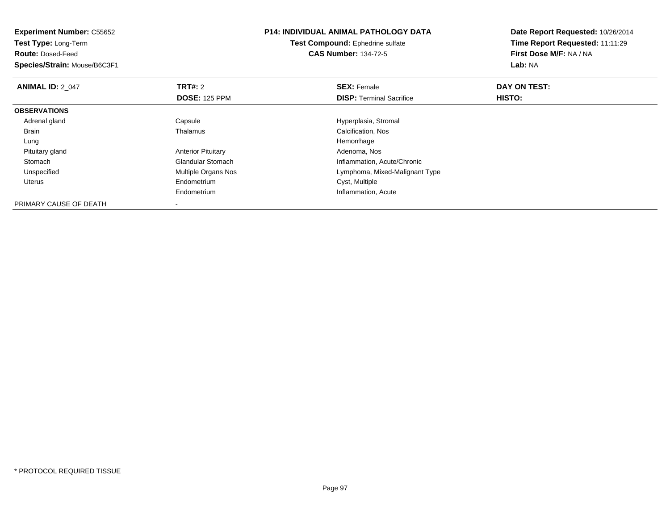| <b>Experiment Number: C55652</b><br>Test Type: Long-Term |                           | <b>P14: INDIVIDUAL ANIMAL PATHOLOGY DATA</b> | Date Report Requested: 10/26/2014 |
|----------------------------------------------------------|---------------------------|----------------------------------------------|-----------------------------------|
|                                                          |                           | Test Compound: Ephedrine sulfate             | Time Report Requested: 11:11:29   |
| <b>Route: Dosed-Feed</b>                                 |                           | <b>CAS Number: 134-72-5</b>                  | First Dose M/F: NA / NA           |
| Species/Strain: Mouse/B6C3F1                             |                           |                                              | Lab: NA                           |
| <b>ANIMAL ID: 2 047</b>                                  | <b>TRT#:</b> 2            | <b>SEX: Female</b>                           | DAY ON TEST:                      |
|                                                          | <b>DOSE: 125 PPM</b>      | <b>DISP:</b> Terminal Sacrifice              | HISTO:                            |
| <b>OBSERVATIONS</b>                                      |                           |                                              |                                   |
| Adrenal gland                                            | Capsule                   | Hyperplasia, Stromal                         |                                   |
| Brain                                                    | Thalamus                  | Calcification, Nos                           |                                   |
| Lung                                                     |                           | Hemorrhage                                   |                                   |
| Pituitary gland                                          | <b>Anterior Pituitary</b> | Adenoma, Nos                                 |                                   |
| Stomach                                                  | <b>Glandular Stomach</b>  | Inflammation, Acute/Chronic                  |                                   |
| Unspecified                                              | Multiple Organs Nos       | Lymphoma, Mixed-Malignant Type               |                                   |
| Uterus                                                   | Endometrium               | Cyst, Multiple                               |                                   |
|                                                          | Endometrium               | Inflammation, Acute                          |                                   |
| PRIMARY CAUSE OF DEATH                                   |                           |                                              |                                   |

-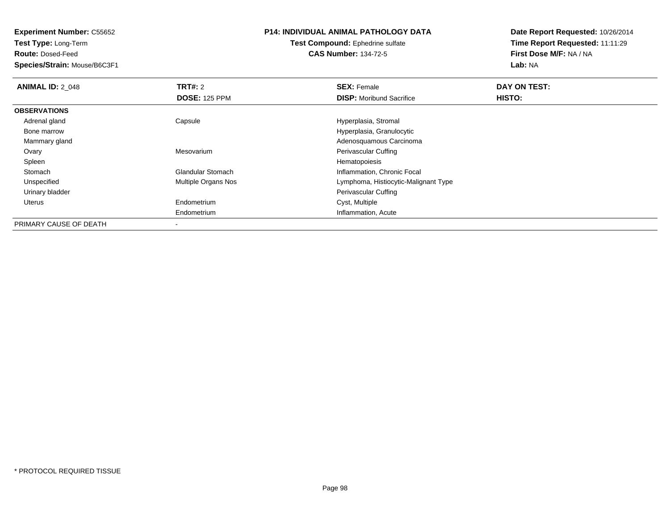**Test Type:** Long-Term

**Route:** Dosed-Feed

**Species/Strain:** Mouse/B6C3F1

## **P14: INDIVIDUAL ANIMAL PATHOLOGY DATA**

#### **Test Compound:** Ephedrine sulfate**CAS Number:** 134-72-5

| <b>ANIMAL ID: 2 048</b> | TRT#: 2                  | <b>SEX: Female</b>                   | DAY ON TEST: |  |
|-------------------------|--------------------------|--------------------------------------|--------------|--|
|                         | <b>DOSE: 125 PPM</b>     | <b>DISP:</b> Moribund Sacrifice      | HISTO:       |  |
| <b>OBSERVATIONS</b>     |                          |                                      |              |  |
| Adrenal gland           | Capsule                  | Hyperplasia, Stromal                 |              |  |
| Bone marrow             |                          | Hyperplasia, Granulocytic            |              |  |
| Mammary gland           |                          | Adenosquamous Carcinoma              |              |  |
| Ovary                   | Mesovarium               | Perivascular Cuffing                 |              |  |
| Spleen                  |                          | Hematopoiesis                        |              |  |
| Stomach                 | <b>Glandular Stomach</b> | Inflammation, Chronic Focal          |              |  |
| Unspecified             | Multiple Organs Nos      | Lymphoma, Histiocytic-Malignant Type |              |  |
| Urinary bladder         |                          | Perivascular Cuffing                 |              |  |
| Uterus                  | Endometrium              | Cyst, Multiple                       |              |  |
|                         | Endometrium              | Inflammation, Acute                  |              |  |
| PRIMARY CAUSE OF DEATH  | $\,$                     |                                      |              |  |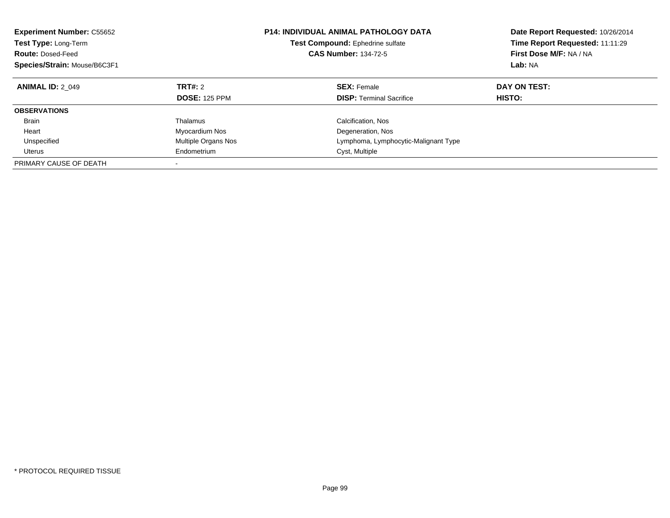| <b>Experiment Number: C55652</b><br>Test Type: Long-Term<br><b>Route: Dosed-Feed</b><br>Species/Strain: Mouse/B6C3F1 |                                 | <b>P14: INDIVIDUAL ANIMAL PATHOLOGY DATA</b><br>Test Compound: Ephedrine sulfate<br><b>CAS Number: 134-72-5</b> | Date Report Requested: 10/26/2014<br>Time Report Requested: 11:11:29<br>First Dose M/F: NA / NA<br>Lab: NA |
|----------------------------------------------------------------------------------------------------------------------|---------------------------------|-----------------------------------------------------------------------------------------------------------------|------------------------------------------------------------------------------------------------------------|
| <b>ANIMAL ID: 2 049</b>                                                                                              | TRT#: 2<br><b>DOSE: 125 PPM</b> | <b>SEX: Female</b><br><b>DISP:</b> Terminal Sacrifice                                                           | DAY ON TEST:<br>HISTO:                                                                                     |
| <b>OBSERVATIONS</b>                                                                                                  |                                 |                                                                                                                 |                                                                                                            |
| <b>Brain</b>                                                                                                         | Thalamus                        | Calcification, Nos                                                                                              |                                                                                                            |
|                                                                                                                      |                                 |                                                                                                                 |                                                                                                            |
| Heart                                                                                                                | Myocardium Nos                  | Degeneration, Nos                                                                                               |                                                                                                            |
| Unspecified                                                                                                          | Multiple Organs Nos             | Lymphoma, Lymphocytic-Malignant Type                                                                            |                                                                                                            |
| Uterus                                                                                                               | Endometrium                     | Cyst, Multiple                                                                                                  |                                                                                                            |
| PRIMARY CAUSE OF DEATH                                                                                               |                                 |                                                                                                                 |                                                                                                            |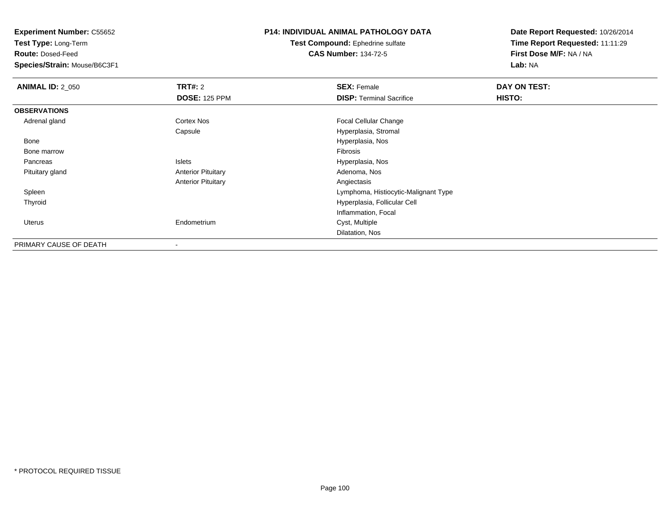**Test Type:** Long-Term

**Route:** Dosed-Feed

**Species/Strain:** Mouse/B6C3F1

### **P14: INDIVIDUAL ANIMAL PATHOLOGY DATA**

**Test Compound:** Ephedrine sulfate**CAS Number:** 134-72-5

| <b>ANIMAL ID: 2_050</b> | TRT#: 2                   | <b>SEX: Female</b>                   | DAY ON TEST: |  |
|-------------------------|---------------------------|--------------------------------------|--------------|--|
|                         | <b>DOSE: 125 PPM</b>      | <b>DISP:</b> Terminal Sacrifice      | HISTO:       |  |
| <b>OBSERVATIONS</b>     |                           |                                      |              |  |
| Adrenal gland           | Cortex Nos                | <b>Focal Cellular Change</b>         |              |  |
|                         | Capsule                   | Hyperplasia, Stromal                 |              |  |
| Bone                    |                           | Hyperplasia, Nos                     |              |  |
| Bone marrow             |                           | Fibrosis                             |              |  |
| Pancreas                | Islets                    | Hyperplasia, Nos                     |              |  |
| Pituitary gland         | <b>Anterior Pituitary</b> | Adenoma, Nos                         |              |  |
|                         | <b>Anterior Pituitary</b> | Angiectasis                          |              |  |
| Spleen                  |                           | Lymphoma, Histiocytic-Malignant Type |              |  |
| Thyroid                 |                           | Hyperplasia, Follicular Cell         |              |  |
|                         |                           | Inflammation, Focal                  |              |  |
| <b>Uterus</b>           | Endometrium               | Cyst, Multiple                       |              |  |
|                         |                           | Dilatation, Nos                      |              |  |
| PRIMARY CAUSE OF DEATH  | ۰                         |                                      |              |  |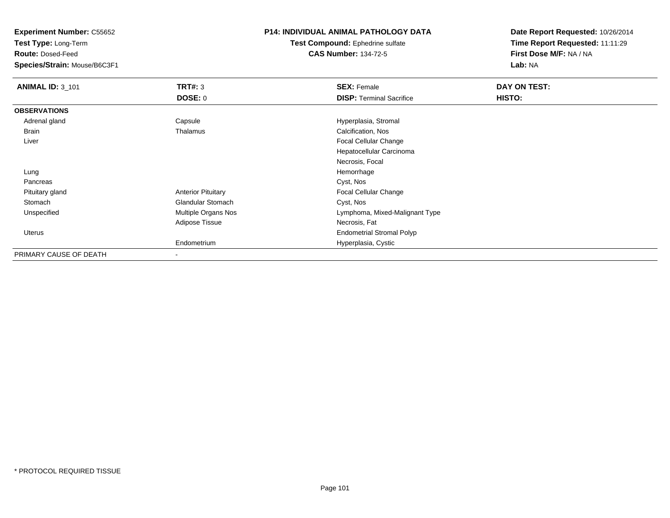**Test Type:** Long-Term

**Route:** Dosed-Feed

**Species/Strain:** Mouse/B6C3F1

### **P14: INDIVIDUAL ANIMAL PATHOLOGY DATA**

**Test Compound:** Ephedrine sulfate**CAS Number:** 134-72-5

| <b>ANIMAL ID: 3_101</b> | TRT#: 3                   | <b>SEX: Female</b>               | DAY ON TEST: |  |
|-------------------------|---------------------------|----------------------------------|--------------|--|
|                         | <b>DOSE: 0</b>            | <b>DISP: Terminal Sacrifice</b>  | HISTO:       |  |
| <b>OBSERVATIONS</b>     |                           |                                  |              |  |
| Adrenal gland           | Capsule                   | Hyperplasia, Stromal             |              |  |
| <b>Brain</b>            | Thalamus                  | Calcification, Nos               |              |  |
| Liver                   |                           | <b>Focal Cellular Change</b>     |              |  |
|                         |                           | Hepatocellular Carcinoma         |              |  |
|                         |                           | Necrosis, Focal                  |              |  |
| Lung                    |                           | Hemorrhage                       |              |  |
| Pancreas                |                           | Cyst, Nos                        |              |  |
| Pituitary gland         | <b>Anterior Pituitary</b> | Focal Cellular Change            |              |  |
| Stomach                 | Glandular Stomach         | Cyst, Nos                        |              |  |
| Unspecified             | Multiple Organs Nos       | Lymphoma, Mixed-Malignant Type   |              |  |
|                         | Adipose Tissue            | Necrosis, Fat                    |              |  |
| Uterus                  |                           | <b>Endometrial Stromal Polyp</b> |              |  |
|                         | Endometrium               | Hyperplasia, Cystic              |              |  |
| PRIMARY CAUSE OF DEATH  | $\,$                      |                                  |              |  |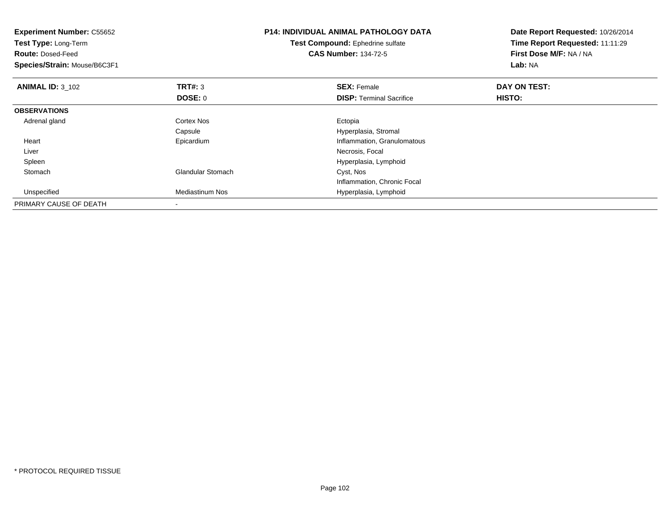| <b>Experiment Number: C55652</b><br>Test Type: Long-Term<br><b>Route: Dosed-Feed</b><br>Species/Strain: Mouse/B6C3F1 |                          | <b>P14: INDIVIDUAL ANIMAL PATHOLOGY DATA</b><br>Test Compound: Ephedrine sulfate<br><b>CAS Number: 134-72-5</b> | Date Report Requested: 10/26/2014<br>Time Report Requested: 11:11:29<br>First Dose M/F: NA / NA<br>Lab: NA |  |
|----------------------------------------------------------------------------------------------------------------------|--------------------------|-----------------------------------------------------------------------------------------------------------------|------------------------------------------------------------------------------------------------------------|--|
| <b>ANIMAL ID: 3_102</b>                                                                                              | <b>TRT#: 3</b>           | <b>SEX: Female</b>                                                                                              | DAY ON TEST:                                                                                               |  |
|                                                                                                                      | DOSE: 0                  | <b>DISP:</b> Terminal Sacrifice                                                                                 | HISTO:                                                                                                     |  |
| <b>OBSERVATIONS</b>                                                                                                  |                          |                                                                                                                 |                                                                                                            |  |
| Adrenal gland                                                                                                        | <b>Cortex Nos</b>        | Ectopia                                                                                                         |                                                                                                            |  |
|                                                                                                                      | Capsule                  | Hyperplasia, Stromal                                                                                            |                                                                                                            |  |
| Heart                                                                                                                | Epicardium               | Inflammation, Granulomatous                                                                                     |                                                                                                            |  |
| Liver                                                                                                                |                          | Necrosis, Focal                                                                                                 |                                                                                                            |  |
| Spleen                                                                                                               |                          | Hyperplasia, Lymphoid                                                                                           |                                                                                                            |  |
| Stomach                                                                                                              | <b>Glandular Stomach</b> | Cyst, Nos                                                                                                       |                                                                                                            |  |
|                                                                                                                      |                          | Inflammation, Chronic Focal                                                                                     |                                                                                                            |  |
| Unspecified                                                                                                          | Mediastinum Nos          | Hyperplasia, Lymphoid                                                                                           |                                                                                                            |  |
| PRIMARY CAUSE OF DEATH                                                                                               |                          |                                                                                                                 |                                                                                                            |  |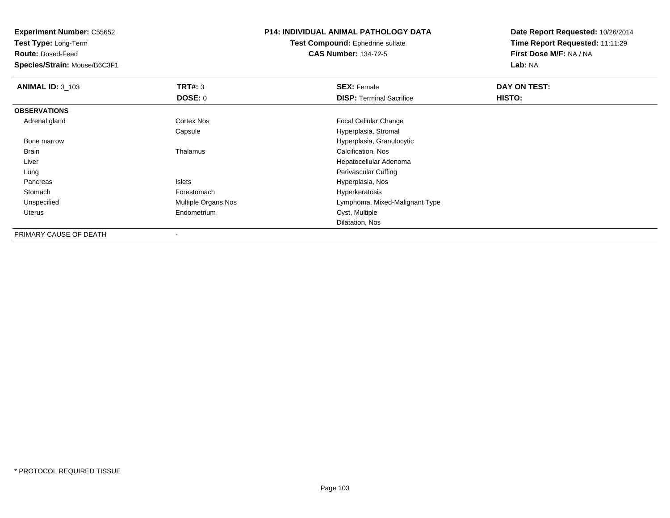**Test Type:** Long-Term

**Route:** Dosed-Feed

**Species/Strain:** Mouse/B6C3F1

## **P14: INDIVIDUAL ANIMAL PATHOLOGY DATA**

**Test Compound:** Ephedrine sulfate**CAS Number:** 134-72-5

| <b>ANIMAL ID: 3_103</b> | TRT#: 3                    | <b>SEX: Female</b>              | DAY ON TEST:  |  |
|-------------------------|----------------------------|---------------------------------|---------------|--|
|                         | DOSE: 0                    | <b>DISP:</b> Terminal Sacrifice | <b>HISTO:</b> |  |
| <b>OBSERVATIONS</b>     |                            |                                 |               |  |
| Adrenal gland           | <b>Cortex Nos</b>          | <b>Focal Cellular Change</b>    |               |  |
|                         | Capsule                    | Hyperplasia, Stromal            |               |  |
| Bone marrow             |                            | Hyperplasia, Granulocytic       |               |  |
| Brain                   | Thalamus                   | Calcification, Nos              |               |  |
| Liver                   |                            | Hepatocellular Adenoma          |               |  |
| Lung                    |                            | Perivascular Cuffing            |               |  |
| Pancreas                | <b>Islets</b>              | Hyperplasia, Nos                |               |  |
| Stomach                 | Forestomach                | Hyperkeratosis                  |               |  |
| Unspecified             | <b>Multiple Organs Nos</b> | Lymphoma, Mixed-Malignant Type  |               |  |
| Uterus                  | Endometrium                | Cyst, Multiple                  |               |  |
|                         |                            | Dilatation, Nos                 |               |  |
| PRIMARY CAUSE OF DEATH  |                            |                                 |               |  |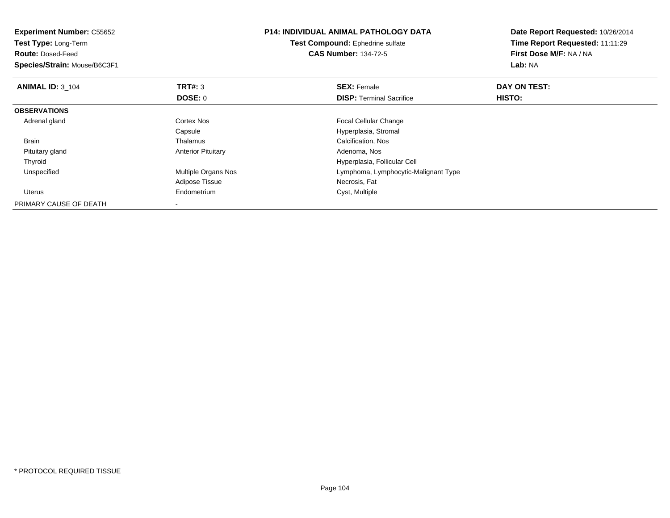| <b>Experiment Number: C55652</b><br>Test Type: Long-Term<br><b>Route: Dosed-Feed</b><br>Species/Strain: Mouse/B6C3F1 |                           | <b>P14: INDIVIDUAL ANIMAL PATHOLOGY DATA</b><br>Test Compound: Ephedrine sulfate<br><b>CAS Number: 134-72-5</b> | Date Report Requested: 10/26/2014<br>Time Report Requested: 11:11:29<br>First Dose M/F: NA / NA<br>Lab: NA |
|----------------------------------------------------------------------------------------------------------------------|---------------------------|-----------------------------------------------------------------------------------------------------------------|------------------------------------------------------------------------------------------------------------|
| <b>ANIMAL ID: 3 104</b>                                                                                              | <b>TRT#: 3</b>            | <b>SEX: Female</b>                                                                                              | DAY ON TEST:                                                                                               |
|                                                                                                                      | DOSE: 0                   | <b>DISP:</b> Terminal Sacrifice                                                                                 | HISTO:                                                                                                     |
| <b>OBSERVATIONS</b>                                                                                                  |                           |                                                                                                                 |                                                                                                            |
| Adrenal gland                                                                                                        | Cortex Nos                | <b>Focal Cellular Change</b>                                                                                    |                                                                                                            |
|                                                                                                                      | Capsule                   | Hyperplasia, Stromal                                                                                            |                                                                                                            |
| <b>Brain</b>                                                                                                         | Thalamus                  | Calcification, Nos                                                                                              |                                                                                                            |
| Pituitary gland                                                                                                      | <b>Anterior Pituitary</b> | Adenoma, Nos                                                                                                    |                                                                                                            |
| Thyroid                                                                                                              |                           | Hyperplasia, Follicular Cell                                                                                    |                                                                                                            |
| Unspecified                                                                                                          | Multiple Organs Nos       | Lymphoma, Lymphocytic-Malignant Type                                                                            |                                                                                                            |
|                                                                                                                      | Adipose Tissue            | Necrosis, Fat                                                                                                   |                                                                                                            |
| Uterus                                                                                                               | Endometrium               | Cyst, Multiple                                                                                                  |                                                                                                            |
| PRIMARY CAUSE OF DEATH                                                                                               |                           |                                                                                                                 |                                                                                                            |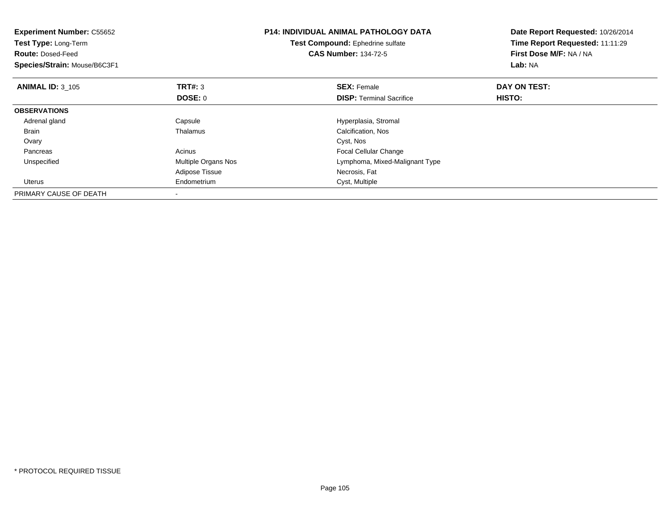| <b>Experiment Number: C55652</b><br>Test Type: Long-Term<br><b>Route: Dosed-Feed</b><br>Species/Strain: Mouse/B6C3F1 |                     | <b>P14: INDIVIDUAL ANIMAL PATHOLOGY DATA</b><br>Test Compound: Ephedrine sulfate<br><b>CAS Number: 134-72-5</b> | Date Report Requested: 10/26/2014<br>Time Report Requested: 11:11:29<br>First Dose M/F: NA / NA<br>Lab: NA |
|----------------------------------------------------------------------------------------------------------------------|---------------------|-----------------------------------------------------------------------------------------------------------------|------------------------------------------------------------------------------------------------------------|
| <b>ANIMAL ID: 3 105</b>                                                                                              | <b>TRT#: 3</b>      | <b>SEX: Female</b>                                                                                              | DAY ON TEST:                                                                                               |
|                                                                                                                      | DOSE: 0             | <b>DISP:</b> Terminal Sacrifice                                                                                 | <b>HISTO:</b>                                                                                              |
| <b>OBSERVATIONS</b>                                                                                                  |                     |                                                                                                                 |                                                                                                            |
| Adrenal gland                                                                                                        | Capsule             | Hyperplasia, Stromal                                                                                            |                                                                                                            |
| Brain                                                                                                                | Thalamus            | Calcification, Nos                                                                                              |                                                                                                            |
| Ovary                                                                                                                |                     | Cyst, Nos                                                                                                       |                                                                                                            |
| Pancreas                                                                                                             | Acinus              | Focal Cellular Change                                                                                           |                                                                                                            |
| Unspecified                                                                                                          | Multiple Organs Nos | Lymphoma, Mixed-Malignant Type                                                                                  |                                                                                                            |
|                                                                                                                      | Adipose Tissue      | Necrosis, Fat                                                                                                   |                                                                                                            |
| Uterus                                                                                                               | Endometrium         | Cyst, Multiple                                                                                                  |                                                                                                            |
| PRIMARY CAUSE OF DEATH                                                                                               |                     |                                                                                                                 |                                                                                                            |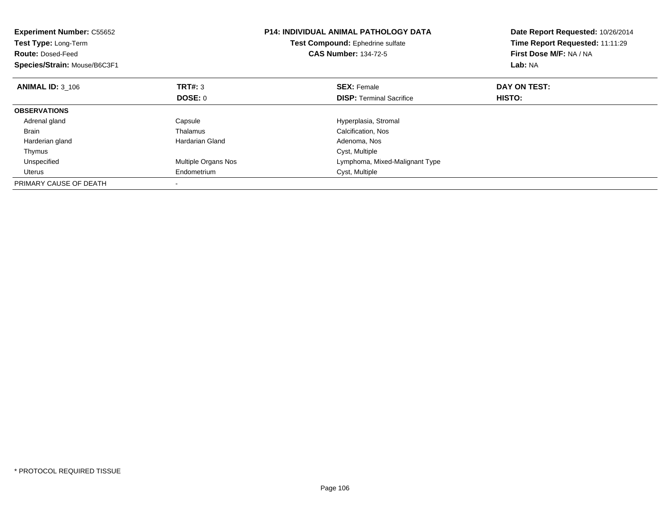| <b>Experiment Number: C55652</b><br>Test Type: Long-Term<br><b>Route: Dosed-Feed</b><br>Species/Strain: Mouse/B6C3F1 |                     | <b>P14: INDIVIDUAL ANIMAL PATHOLOGY DATA</b><br>Test Compound: Ephedrine sulfate<br><b>CAS Number: 134-72-5</b> | Date Report Requested: 10/26/2014<br>Time Report Requested: 11:11:29<br>First Dose M/F: NA / NA<br>Lab: NA |
|----------------------------------------------------------------------------------------------------------------------|---------------------|-----------------------------------------------------------------------------------------------------------------|------------------------------------------------------------------------------------------------------------|
| <b>ANIMAL ID: 3_106</b>                                                                                              | <b>TRT#: 3</b>      | <b>SEX: Female</b>                                                                                              | DAY ON TEST:                                                                                               |
|                                                                                                                      | DOSE: 0             | <b>DISP:</b> Terminal Sacrifice                                                                                 | HISTO:                                                                                                     |
| <b>OBSERVATIONS</b>                                                                                                  |                     |                                                                                                                 |                                                                                                            |
| Adrenal gland                                                                                                        | Capsule             | Hyperplasia, Stromal                                                                                            |                                                                                                            |
| <b>Brain</b>                                                                                                         | Thalamus            | Calcification, Nos                                                                                              |                                                                                                            |
| Harderian gland                                                                                                      | Hardarian Gland     | Adenoma, Nos                                                                                                    |                                                                                                            |
| Thymus                                                                                                               |                     | Cyst, Multiple                                                                                                  |                                                                                                            |
| Unspecified                                                                                                          | Multiple Organs Nos | Lymphoma, Mixed-Malignant Type                                                                                  |                                                                                                            |
| Uterus                                                                                                               | Endometrium         | Cyst, Multiple                                                                                                  |                                                                                                            |
| PRIMARY CAUSE OF DEATH                                                                                               |                     |                                                                                                                 |                                                                                                            |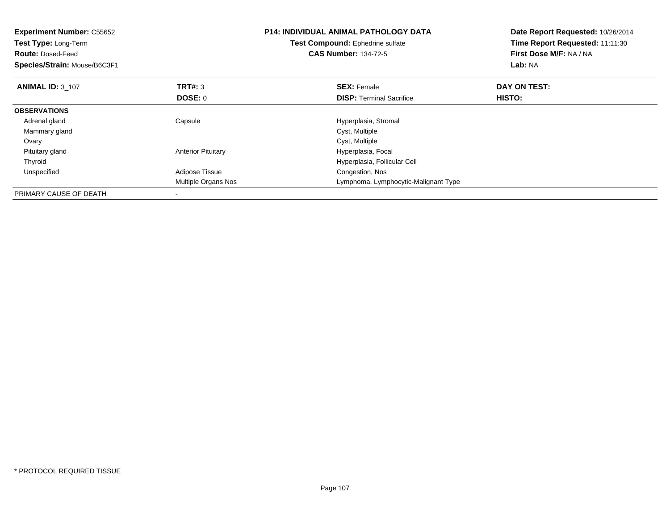| <b>Experiment Number: C55652</b><br><b>Test Type: Long-Term</b><br><b>Route: Dosed-Feed</b><br>Species/Strain: Mouse/B6C3F1 |                           | <b>P14: INDIVIDUAL ANIMAL PATHOLOGY DATA</b><br>Test Compound: Ephedrine sulfate<br><b>CAS Number: 134-72-5</b> | Date Report Requested: 10/26/2014<br>Time Report Requested: 11:11:30<br>First Dose M/F: NA / NA<br>Lab: NA |
|-----------------------------------------------------------------------------------------------------------------------------|---------------------------|-----------------------------------------------------------------------------------------------------------------|------------------------------------------------------------------------------------------------------------|
| <b>ANIMAL ID: 3 107</b>                                                                                                     | <b>TRT#: 3</b><br>DOSE: 0 | <b>SEX: Female</b><br><b>DISP:</b> Terminal Sacrifice                                                           | DAY ON TEST:<br>HISTO:                                                                                     |
| <b>OBSERVATIONS</b>                                                                                                         |                           |                                                                                                                 |                                                                                                            |
| Adrenal gland                                                                                                               | Capsule                   | Hyperplasia, Stromal                                                                                            |                                                                                                            |
| Mammary gland                                                                                                               |                           | Cyst, Multiple                                                                                                  |                                                                                                            |
| Ovary                                                                                                                       |                           | Cyst, Multiple                                                                                                  |                                                                                                            |
| Pituitary gland                                                                                                             | <b>Anterior Pituitary</b> | Hyperplasia, Focal                                                                                              |                                                                                                            |
| Thyroid                                                                                                                     |                           | Hyperplasia, Follicular Cell                                                                                    |                                                                                                            |
| Unspecified                                                                                                                 | Adipose Tissue            | Congestion, Nos                                                                                                 |                                                                                                            |
|                                                                                                                             | Multiple Organs Nos       | Lymphoma, Lymphocytic-Malignant Type                                                                            |                                                                                                            |
| PRIMARY CAUSE OF DEATH                                                                                                      |                           |                                                                                                                 |                                                                                                            |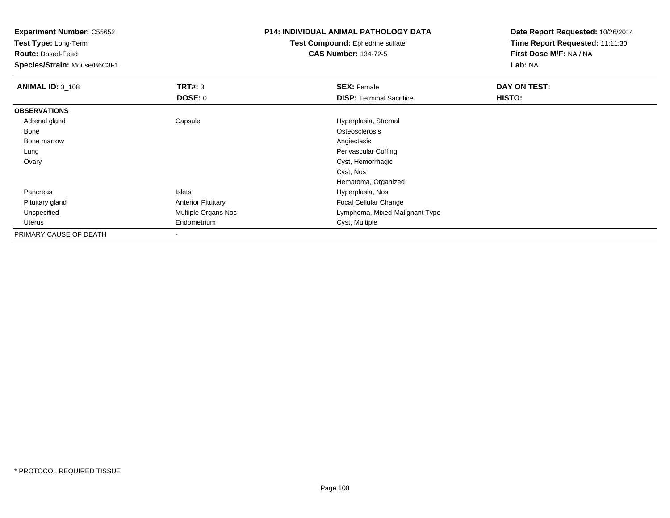**Test Type:** Long-Term

**Route:** Dosed-Feed

**Species/Strain:** Mouse/B6C3F1

## **P14: INDIVIDUAL ANIMAL PATHOLOGY DATA**

**Test Compound:** Ephedrine sulfate**CAS Number:** 134-72-5

| <b>ANIMAL ID: 3_108</b> | TRT#: 3                   | <b>SEX: Female</b>              | DAY ON TEST: |  |
|-------------------------|---------------------------|---------------------------------|--------------|--|
|                         | DOSE: 0                   | <b>DISP: Terminal Sacrifice</b> | HISTO:       |  |
| <b>OBSERVATIONS</b>     |                           |                                 |              |  |
| Adrenal gland           | Capsule                   | Hyperplasia, Stromal            |              |  |
| Bone                    |                           | Osteosclerosis                  |              |  |
| Bone marrow             |                           | Angiectasis                     |              |  |
| Lung                    |                           | Perivascular Cuffing            |              |  |
| Ovary                   |                           | Cyst, Hemorrhagic               |              |  |
|                         |                           | Cyst, Nos                       |              |  |
|                         |                           | Hematoma, Organized             |              |  |
| Pancreas                | <b>Islets</b>             | Hyperplasia, Nos                |              |  |
| Pituitary gland         | <b>Anterior Pituitary</b> | Focal Cellular Change           |              |  |
| Unspecified             | Multiple Organs Nos       | Lymphoma, Mixed-Malignant Type  |              |  |
| Uterus                  | Endometrium               | Cyst, Multiple                  |              |  |
| PRIMARY CAUSE OF DEATH  | $\overline{\phantom{a}}$  |                                 |              |  |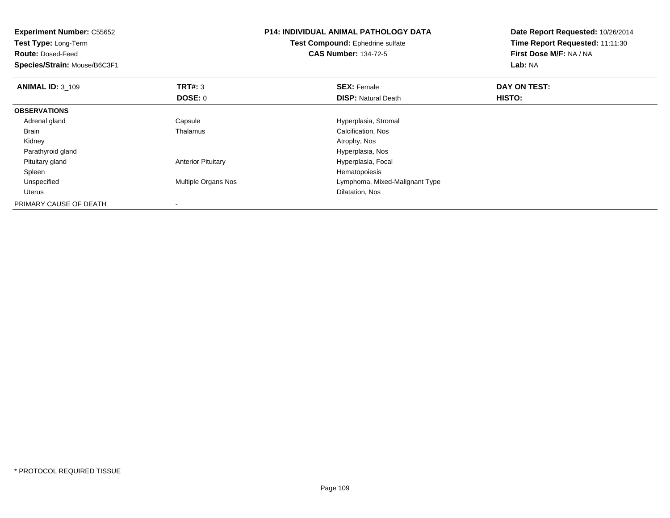| <b>Experiment Number: C55652</b><br>Test Compound: Ephedrine sulfate<br><b>Test Type: Long-Term</b><br><b>CAS Number: 134-72-5</b><br><b>Route: Dosed-Feed</b><br>Species/Strain: Mouse/B6C3F1 |                           | <b>P14: INDIVIDUAL ANIMAL PATHOLOGY DATA</b> | Date Report Requested: 10/26/2014<br>Time Report Requested: 11:11:30<br>First Dose M/F: NA / NA<br>Lab: NA |
|------------------------------------------------------------------------------------------------------------------------------------------------------------------------------------------------|---------------------------|----------------------------------------------|------------------------------------------------------------------------------------------------------------|
| <b>ANIMAL ID: 3 109</b>                                                                                                                                                                        | TRT#: 3                   | <b>SEX: Female</b>                           | DAY ON TEST:                                                                                               |
|                                                                                                                                                                                                | DOSE: 0                   | <b>DISP:</b> Natural Death                   | <b>HISTO:</b>                                                                                              |
| <b>OBSERVATIONS</b>                                                                                                                                                                            |                           |                                              |                                                                                                            |
| Adrenal gland                                                                                                                                                                                  | Capsule                   | Hyperplasia, Stromal                         |                                                                                                            |
| Brain                                                                                                                                                                                          | Thalamus                  | Calcification, Nos                           |                                                                                                            |
| Kidney                                                                                                                                                                                         |                           | Atrophy, Nos                                 |                                                                                                            |
| Parathyroid gland                                                                                                                                                                              |                           | Hyperplasia, Nos                             |                                                                                                            |
| Pituitary gland                                                                                                                                                                                | <b>Anterior Pituitary</b> | Hyperplasia, Focal                           |                                                                                                            |
| Spleen                                                                                                                                                                                         |                           | Hematopoiesis                                |                                                                                                            |
| Unspecified                                                                                                                                                                                    | Multiple Organs Nos       | Lymphoma, Mixed-Malignant Type               |                                                                                                            |
| Uterus                                                                                                                                                                                         |                           | Dilatation, Nos                              |                                                                                                            |
| PRIMARY CAUSE OF DEATH                                                                                                                                                                         |                           |                                              |                                                                                                            |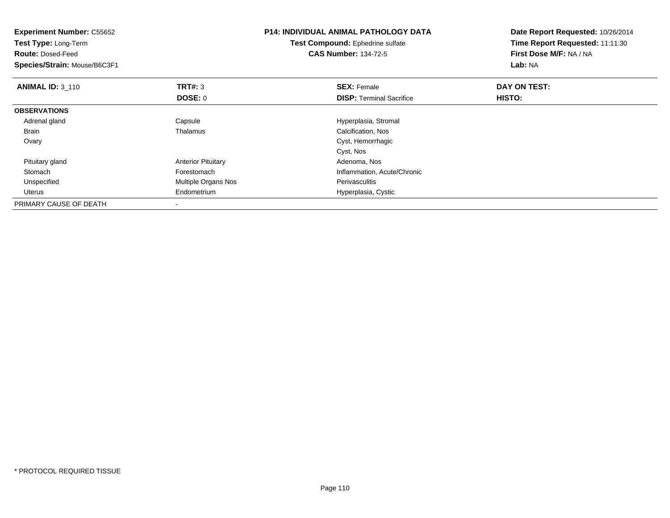| <b>Experiment Number: C55652</b><br>Test Type: Long-Term<br><b>Route: Dosed-Feed</b><br>Species/Strain: Mouse/B6C3F1 |                           | <b>P14: INDIVIDUAL ANIMAL PATHOLOGY DATA</b><br>Test Compound: Ephedrine sulfate<br><b>CAS Number: 134-72-5</b> | Date Report Requested: 10/26/2014<br>Time Report Requested: 11:11:30<br>First Dose M/F: NA / NA<br>Lab: NA |
|----------------------------------------------------------------------------------------------------------------------|---------------------------|-----------------------------------------------------------------------------------------------------------------|------------------------------------------------------------------------------------------------------------|
| <b>ANIMAL ID: 3 110</b>                                                                                              | TRT#: 3                   | <b>SEX: Female</b>                                                                                              | DAY ON TEST:                                                                                               |
|                                                                                                                      | <b>DOSE: 0</b>            | <b>DISP:</b> Terminal Sacrifice                                                                                 | <b>HISTO:</b>                                                                                              |
| <b>OBSERVATIONS</b>                                                                                                  |                           |                                                                                                                 |                                                                                                            |
| Adrenal gland                                                                                                        | Capsule                   | Hyperplasia, Stromal                                                                                            |                                                                                                            |
| <b>Brain</b>                                                                                                         | Thalamus                  | Calcification, Nos                                                                                              |                                                                                                            |
| Ovary                                                                                                                |                           | Cyst, Hemorrhagic                                                                                               |                                                                                                            |
|                                                                                                                      |                           | Cyst, Nos                                                                                                       |                                                                                                            |
| Pituitary gland                                                                                                      | <b>Anterior Pituitary</b> | Adenoma, Nos                                                                                                    |                                                                                                            |
| Stomach                                                                                                              | Forestomach               | Inflammation, Acute/Chronic                                                                                     |                                                                                                            |
| Unspecified                                                                                                          | Multiple Organs Nos       | Perivasculitis                                                                                                  |                                                                                                            |
| Uterus                                                                                                               | Endometrium               | Hyperplasia, Cystic                                                                                             |                                                                                                            |
| PRIMARY CAUSE OF DEATH                                                                                               |                           |                                                                                                                 |                                                                                                            |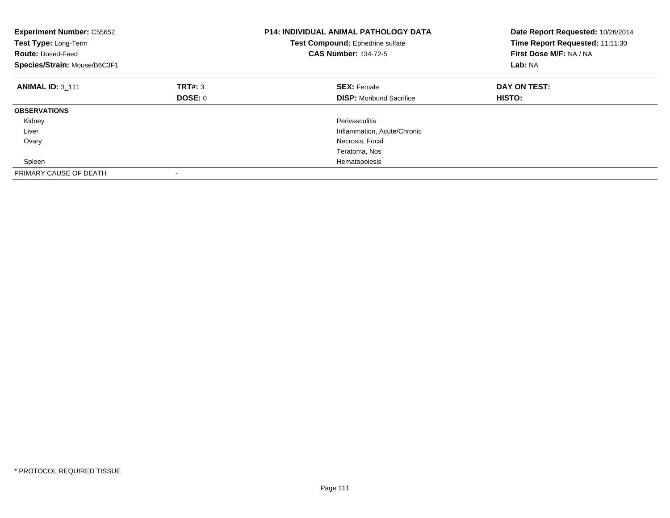| <b>Experiment Number: C55652</b><br>Test Type: Long-Term<br><b>Route: Dosed-Feed</b><br>Species/Strain: Mouse/B6C3F1 | <b>P14: INDIVIDUAL ANIMAL PATHOLOGY DATA</b><br>Test Compound: Ephedrine sulfate<br><b>CAS Number: 134-72-5</b> |                                 | Date Report Requested: 10/26/2014<br>Time Report Requested: 11:11:30<br>First Dose M/F: NA / NA<br>Lab: NA |
|----------------------------------------------------------------------------------------------------------------------|-----------------------------------------------------------------------------------------------------------------|---------------------------------|------------------------------------------------------------------------------------------------------------|
| <b>ANIMAL ID: 3 111</b>                                                                                              | TRT#: 3                                                                                                         | <b>SEX: Female</b>              | DAY ON TEST:                                                                                               |
|                                                                                                                      | DOSE: 0                                                                                                         | <b>DISP:</b> Moribund Sacrifice | <b>HISTO:</b>                                                                                              |
| <b>OBSERVATIONS</b>                                                                                                  |                                                                                                                 |                                 |                                                                                                            |
| Kidney                                                                                                               |                                                                                                                 | Perivasculitis                  |                                                                                                            |
| Liver                                                                                                                |                                                                                                                 | Inflammation, Acute/Chronic     |                                                                                                            |
| Ovary                                                                                                                |                                                                                                                 | Necrosis, Focal                 |                                                                                                            |
|                                                                                                                      |                                                                                                                 | Teratoma, Nos                   |                                                                                                            |
| Spleen                                                                                                               |                                                                                                                 | Hematopoiesis                   |                                                                                                            |
| PRIMARY CAUSE OF DEATH                                                                                               |                                                                                                                 |                                 |                                                                                                            |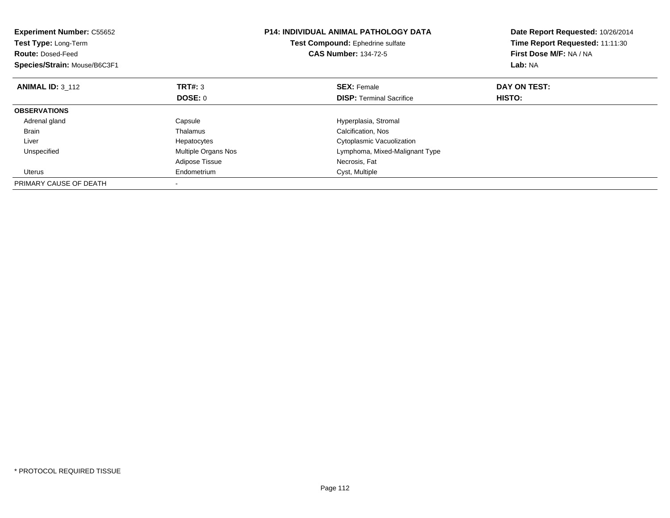| <b>Experiment Number: C55652</b><br>Test Type: Long-Term<br><b>Route: Dosed-Feed</b><br>Species/Strain: Mouse/B6C3F1 |                     | <b>P14: INDIVIDUAL ANIMAL PATHOLOGY DATA</b><br>Date Report Requested: 10/26/2014<br>Time Report Requested: 11:11:30<br>Test Compound: Ephedrine sulfate<br><b>CAS Number: 134-72-5</b><br>First Dose M/F: NA / NA<br>Lab: NA |              |
|----------------------------------------------------------------------------------------------------------------------|---------------------|-------------------------------------------------------------------------------------------------------------------------------------------------------------------------------------------------------------------------------|--------------|
| <b>ANIMAL ID: 3 112</b>                                                                                              | <b>TRT#: 3</b>      | <b>SEX: Female</b>                                                                                                                                                                                                            | DAY ON TEST: |
|                                                                                                                      | <b>DOSE: 0</b>      | <b>DISP:</b> Terminal Sacrifice                                                                                                                                                                                               | HISTO:       |
| <b>OBSERVATIONS</b>                                                                                                  |                     |                                                                                                                                                                                                                               |              |
| Adrenal gland                                                                                                        | Capsule             | Hyperplasia, Stromal                                                                                                                                                                                                          |              |
| <b>Brain</b>                                                                                                         | Thalamus            | Calcification, Nos                                                                                                                                                                                                            |              |
| Liver                                                                                                                | Hepatocytes         | Cytoplasmic Vacuolization                                                                                                                                                                                                     |              |
| Unspecified                                                                                                          | Multiple Organs Nos | Lymphoma, Mixed-Malignant Type                                                                                                                                                                                                |              |
|                                                                                                                      | Adipose Tissue      | Necrosis, Fat                                                                                                                                                                                                                 |              |
| Uterus                                                                                                               | Endometrium         | Cyst, Multiple                                                                                                                                                                                                                |              |
| PRIMARY CAUSE OF DEATH                                                                                               |                     |                                                                                                                                                                                                                               |              |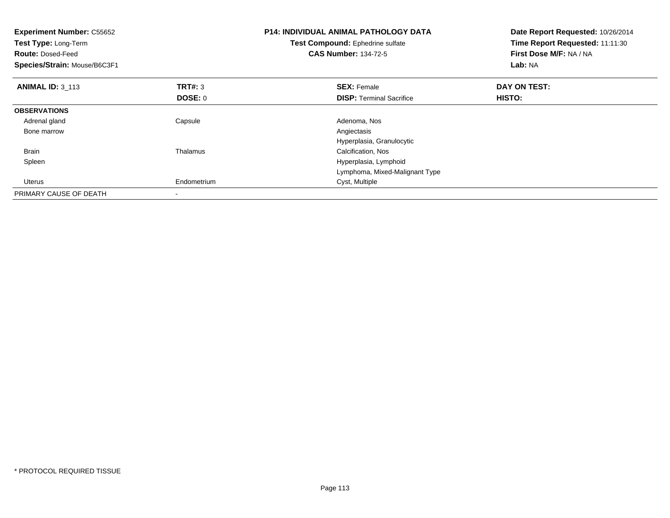| <b>Experiment Number: C55652</b><br>Test Type: Long-Term<br><b>Route: Dosed-Feed</b><br>Species/Strain: Mouse/B6C3F1 |                | <b>P14: INDIVIDUAL ANIMAL PATHOLOGY DATA</b><br>Test Compound: Ephedrine sulfate<br><b>CAS Number: 134-72-5</b> | Date Report Requested: 10/26/2014<br>Time Report Requested: 11:11:30<br>First Dose M/F: NA / NA<br>Lab: NA |  |
|----------------------------------------------------------------------------------------------------------------------|----------------|-----------------------------------------------------------------------------------------------------------------|------------------------------------------------------------------------------------------------------------|--|
| <b>ANIMAL ID: 3 113</b>                                                                                              | <b>TRT#: 3</b> | <b>SEX: Female</b>                                                                                              | DAY ON TEST:                                                                                               |  |
|                                                                                                                      | DOSE: 0        | <b>DISP:</b> Terminal Sacrifice                                                                                 | HISTO:                                                                                                     |  |
| <b>OBSERVATIONS</b>                                                                                                  |                |                                                                                                                 |                                                                                                            |  |
| Adrenal gland                                                                                                        | Capsule        | Adenoma, Nos                                                                                                    |                                                                                                            |  |
| Bone marrow                                                                                                          |                | Angiectasis                                                                                                     |                                                                                                            |  |
|                                                                                                                      |                | Hyperplasia, Granulocytic                                                                                       |                                                                                                            |  |
| <b>Brain</b>                                                                                                         | Thalamus       | Calcification, Nos                                                                                              |                                                                                                            |  |
| Spleen                                                                                                               |                | Hyperplasia, Lymphoid                                                                                           |                                                                                                            |  |
|                                                                                                                      |                | Lymphoma, Mixed-Malignant Type                                                                                  |                                                                                                            |  |
| Uterus                                                                                                               | Endometrium    | Cyst, Multiple                                                                                                  |                                                                                                            |  |
| PRIMARY CAUSE OF DEATH                                                                                               |                |                                                                                                                 |                                                                                                            |  |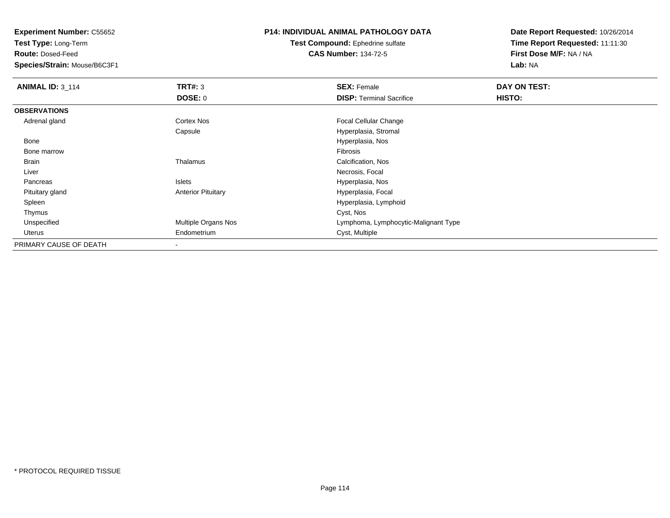**Test Type:** Long-Term

**Route:** Dosed-Feed

**Species/Strain:** Mouse/B6C3F1

## **P14: INDIVIDUAL ANIMAL PATHOLOGY DATA**

**Test Compound:** Ephedrine sulfate**CAS Number:** 134-72-5

| <b>ANIMAL ID: 3_114</b> | TRT#: 3                   | <b>SEX: Female</b>                   | DAY ON TEST: |  |
|-------------------------|---------------------------|--------------------------------------|--------------|--|
|                         | <b>DOSE: 0</b>            | <b>DISP: Terminal Sacrifice</b>      | HISTO:       |  |
| <b>OBSERVATIONS</b>     |                           |                                      |              |  |
| Adrenal gland           | <b>Cortex Nos</b>         | <b>Focal Cellular Change</b>         |              |  |
|                         | Capsule                   | Hyperplasia, Stromal                 |              |  |
| Bone                    |                           | Hyperplasia, Nos                     |              |  |
| Bone marrow             |                           | Fibrosis                             |              |  |
| Brain                   | Thalamus                  | Calcification, Nos                   |              |  |
| Liver                   |                           | Necrosis, Focal                      |              |  |
| Pancreas                | Islets                    | Hyperplasia, Nos                     |              |  |
| Pituitary gland         | <b>Anterior Pituitary</b> | Hyperplasia, Focal                   |              |  |
| Spleen                  |                           | Hyperplasia, Lymphoid                |              |  |
| Thymus                  |                           | Cyst, Nos                            |              |  |
| Unspecified             | Multiple Organs Nos       | Lymphoma, Lymphocytic-Malignant Type |              |  |
| Uterus                  | Endometrium               | Cyst, Multiple                       |              |  |
| PRIMARY CAUSE OF DEATH  |                           |                                      |              |  |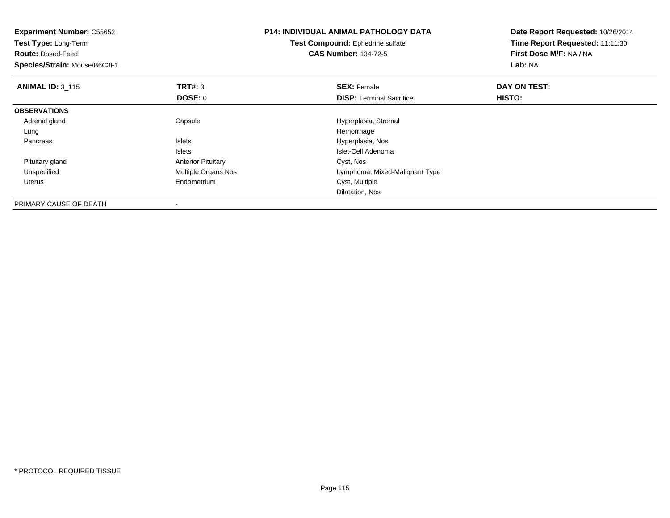| <b>Experiment Number: C55652</b><br>Test Type: Long-Term<br><b>Route: Dosed-Feed</b><br>Species/Strain: Mouse/B6C3F1 |                           | <b>P14: INDIVIDUAL ANIMAL PATHOLOGY DATA</b><br>Date Report Requested: 10/26/2014<br>Time Report Requested: 11:11:30<br>Test Compound: Ephedrine sulfate<br><b>CAS Number: 134-72-5</b><br>First Dose M/F: NA / NA<br>Lab: NA |              |
|----------------------------------------------------------------------------------------------------------------------|---------------------------|-------------------------------------------------------------------------------------------------------------------------------------------------------------------------------------------------------------------------------|--------------|
| <b>ANIMAL ID: 3 115</b>                                                                                              | TRT#: 3                   | <b>SEX: Female</b>                                                                                                                                                                                                            | DAY ON TEST: |
|                                                                                                                      | <b>DOSE: 0</b>            | <b>DISP:</b> Terminal Sacrifice                                                                                                                                                                                               | HISTO:       |
| <b>OBSERVATIONS</b>                                                                                                  |                           |                                                                                                                                                                                                                               |              |
| Adrenal gland                                                                                                        | Capsule                   | Hyperplasia, Stromal                                                                                                                                                                                                          |              |
| Lung                                                                                                                 |                           | Hemorrhage                                                                                                                                                                                                                    |              |
| Pancreas                                                                                                             | <b>Islets</b>             | Hyperplasia, Nos                                                                                                                                                                                                              |              |
|                                                                                                                      | Islets                    | Islet-Cell Adenoma                                                                                                                                                                                                            |              |
| Pituitary gland                                                                                                      | <b>Anterior Pituitary</b> | Cyst, Nos                                                                                                                                                                                                                     |              |
| Unspecified                                                                                                          | Multiple Organs Nos       | Lymphoma, Mixed-Malignant Type                                                                                                                                                                                                |              |
| Uterus                                                                                                               | Endometrium               | Cyst, Multiple                                                                                                                                                                                                                |              |
|                                                                                                                      |                           | Dilatation, Nos                                                                                                                                                                                                               |              |
| PRIMARY CAUSE OF DEATH                                                                                               |                           |                                                                                                                                                                                                                               |              |

-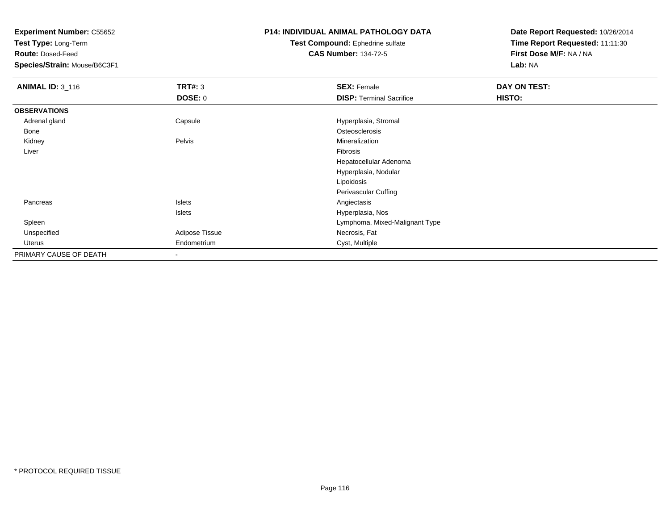**Test Type:** Long-Term

**Route:** Dosed-Feed

**Species/Strain:** Mouse/B6C3F1

## **P14: INDIVIDUAL ANIMAL PATHOLOGY DATA**

**Test Compound:** Ephedrine sulfate**CAS Number:** 134-72-5

| <b>ANIMAL ID: 3_116</b> | TRT#: 3        | <b>SEX: Female</b>              | DAY ON TEST: |
|-------------------------|----------------|---------------------------------|--------------|
|                         | <b>DOSE: 0</b> | <b>DISP: Terminal Sacrifice</b> | HISTO:       |
| <b>OBSERVATIONS</b>     |                |                                 |              |
| Adrenal gland           | Capsule        | Hyperplasia, Stromal            |              |
| Bone                    |                | Osteosclerosis                  |              |
| Kidney                  | Pelvis         | Mineralization                  |              |
| Liver                   |                | Fibrosis                        |              |
|                         |                | Hepatocellular Adenoma          |              |
|                         |                | Hyperplasia, Nodular            |              |
|                         |                | Lipoidosis                      |              |
|                         |                | Perivascular Cuffing            |              |
| Pancreas                | Islets         | Angiectasis                     |              |
|                         | Islets         | Hyperplasia, Nos                |              |
| Spleen                  |                | Lymphoma, Mixed-Malignant Type  |              |
| Unspecified             | Adipose Tissue | Necrosis, Fat                   |              |
| Uterus                  | Endometrium    | Cyst, Multiple                  |              |
| PRIMARY CAUSE OF DEATH  |                |                                 |              |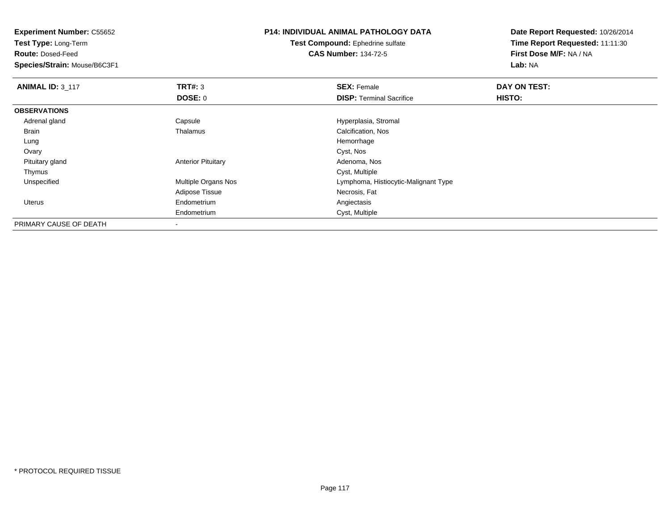**Experiment Number:** C55652**Test Type:** Long-Term**Route:** Dosed-Feed **Species/Strain:** Mouse/B6C3F1**P14: INDIVIDUAL ANIMAL PATHOLOGY DATATest Compound:** Ephedrine sulfate**CAS Number:** 134-72-5**Date Report Requested:** 10/26/2014**Time Report Requested:** 11:11:30**First Dose M/F:** NA / NA**Lab:** NA**ANIMAL ID: 3 117 TRT#:** <sup>3</sup> **SEX:** Female **DAY ON TEST: DOSE:** 0**DISP:** Terminal Sacrifice **HISTO: OBSERVATIONS** Adrenal glandCapsule Capsule Capsule Capsule Capsule Hyperplasia, Stromal Thalamus<br>
Calcification, Nos BrainCalcification, Nos<br>Hemorrhage Lungg and the state of the state of the state of the state of the state of the state of the state of the state of the state of the state of the state of the state of the state of the state of the state of the state of the stat **Ovary** y and the control of the control of the control of the control of the control of the control of the control of the control of the control of the control of the control of the control of the control of the control of the co Pituitary glandAnterior Pituitary **Adenoma, Nostandiary Contract Adenoma**, Nostal Adenoma, Nostal Adenoma, Nostandiary Adenoma, Nostandiary and Adenoma, Nostandiary Adenoma, Nostandiary and Adenoma, Nostandiary Adenoma, Nostandiary Adeno Thymuss the control of the control of the control of the control of the control of the control of the control of the control of the control of the control of the control of the control of the control of the control of the contro d **Example 20 and 19 and 19 and 19 and 19 and 19 and 19 and 19 and 19 and 19 and 19 and 19 and 19 and 19 and 19 and 19 and 19 and 19 and 19 and 19 and 19 and 19 and 19 and 19 and 19 and 19 and 19 and 19 and 19 and 19 and 1**  UnspecifiedAdipose Tissue Necrosis, Fat Uterus Endometrium Angiectasis Endometrium Cyst, Multiple PRIMARY CAUSE OF DEATH

-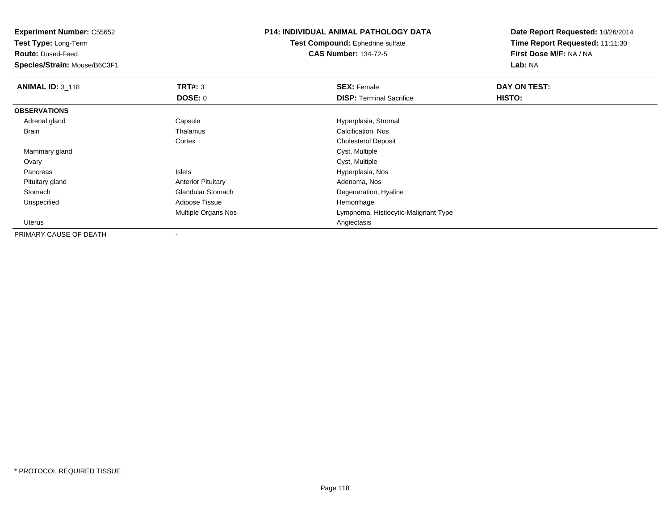**Test Type:** Long-Term

**Route:** Dosed-Feed

**Species/Strain:** Mouse/B6C3F1

### **P14: INDIVIDUAL ANIMAL PATHOLOGY DATA**

**Test Compound:** Ephedrine sulfate**CAS Number:** 134-72-5

| <b>ANIMAL ID: 3_118</b> | TRT#: 3                    | <b>SEX: Female</b>                   | DAY ON TEST: |  |
|-------------------------|----------------------------|--------------------------------------|--------------|--|
|                         | <b>DOSE: 0</b>             | <b>DISP:</b> Terminal Sacrifice      | HISTO:       |  |
| <b>OBSERVATIONS</b>     |                            |                                      |              |  |
| Adrenal gland           | Capsule                    | Hyperplasia, Stromal                 |              |  |
| Brain                   | Thalamus                   | Calcification, Nos                   |              |  |
|                         | Cortex                     | <b>Cholesterol Deposit</b>           |              |  |
| Mammary gland           |                            | Cyst, Multiple                       |              |  |
| Ovary                   |                            | Cyst, Multiple                       |              |  |
| Pancreas                | Islets                     | Hyperplasia, Nos                     |              |  |
| Pituitary gland         | <b>Anterior Pituitary</b>  | Adenoma, Nos                         |              |  |
| Stomach                 | <b>Glandular Stomach</b>   | Degeneration, Hyaline                |              |  |
| Unspecified             | <b>Adipose Tissue</b>      | Hemorrhage                           |              |  |
|                         | <b>Multiple Organs Nos</b> | Lymphoma, Histiocytic-Malignant Type |              |  |
| Uterus                  |                            | Angiectasis                          |              |  |
| PRIMARY CAUSE OF DEATH  |                            |                                      |              |  |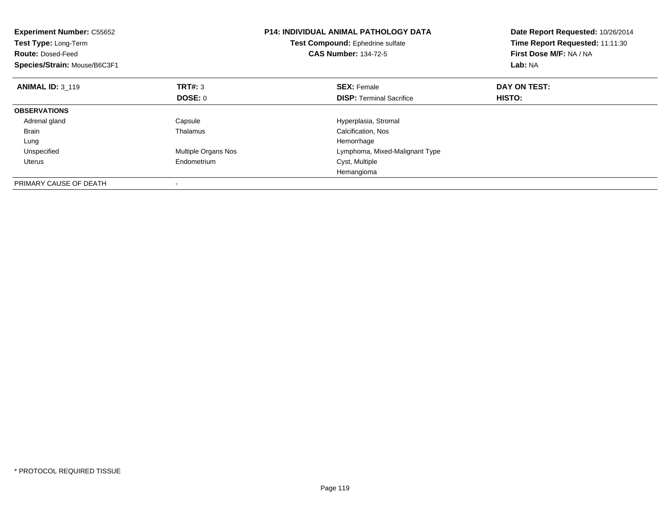| <b>Experiment Number: C55652</b><br>Test Type: Long-Term<br><b>Route: Dosed-Feed</b><br>Species/Strain: Mouse/B6C3F1 |                     | <b>P14: INDIVIDUAL ANIMAL PATHOLOGY DATA</b><br>Date Report Requested: 10/26/2014<br>Time Report Requested: 11:11:30<br>Test Compound: Ephedrine sulfate<br>First Dose M/F: NA / NA<br><b>CAS Number: 134-72-5</b><br>Lab: NA |              |
|----------------------------------------------------------------------------------------------------------------------|---------------------|-------------------------------------------------------------------------------------------------------------------------------------------------------------------------------------------------------------------------------|--------------|
| <b>ANIMAL ID: 3 119</b>                                                                                              | TRT#: 3             | <b>SEX: Female</b>                                                                                                                                                                                                            | DAY ON TEST: |
|                                                                                                                      | DOSE: 0             | <b>DISP:</b> Terminal Sacrifice                                                                                                                                                                                               | HISTO:       |
| <b>OBSERVATIONS</b>                                                                                                  |                     |                                                                                                                                                                                                                               |              |
| Adrenal gland                                                                                                        | Capsule             | Hyperplasia, Stromal                                                                                                                                                                                                          |              |
| <b>Brain</b>                                                                                                         | Thalamus            | Calcification, Nos                                                                                                                                                                                                            |              |
| Lung                                                                                                                 |                     | Hemorrhage                                                                                                                                                                                                                    |              |
| Unspecified                                                                                                          | Multiple Organs Nos | Lymphoma, Mixed-Malignant Type                                                                                                                                                                                                |              |
| Uterus                                                                                                               | Endometrium         | Cyst, Multiple                                                                                                                                                                                                                |              |
|                                                                                                                      |                     | Hemangioma                                                                                                                                                                                                                    |              |
| PRIMARY CAUSE OF DEATH                                                                                               |                     |                                                                                                                                                                                                                               |              |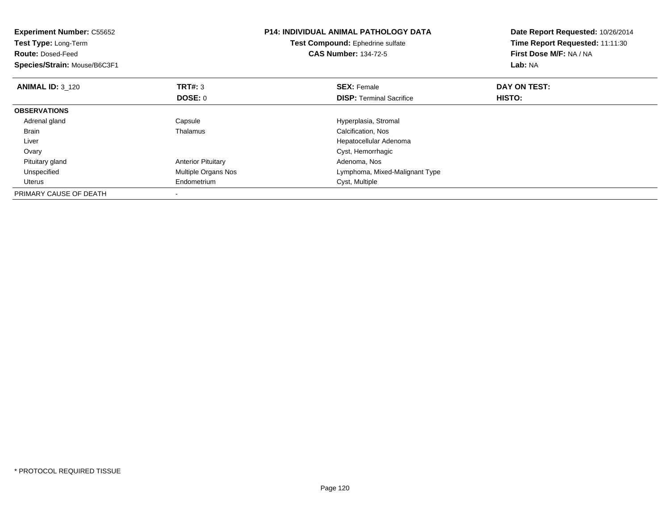| <b>Experiment Number: C55652</b><br>Test Type: Long-Term<br><b>Route: Dosed-Feed</b><br>Species/Strain: Mouse/B6C3F1 |                           | <b>P14: INDIVIDUAL ANIMAL PATHOLOGY DATA</b><br>Test Compound: Ephedrine sulfate<br><b>CAS Number: 134-72-5</b> | Date Report Requested: 10/26/2014<br>Time Report Requested: 11:11:30<br>First Dose M/F: NA / NA<br>Lab: NA |
|----------------------------------------------------------------------------------------------------------------------|---------------------------|-----------------------------------------------------------------------------------------------------------------|------------------------------------------------------------------------------------------------------------|
| <b>ANIMAL ID: 3 120</b>                                                                                              | <b>TRT#:</b> 3            | <b>SEX: Female</b>                                                                                              | DAY ON TEST:                                                                                               |
|                                                                                                                      | DOSE: 0                   | <b>DISP:</b> Terminal Sacrifice                                                                                 | HISTO:                                                                                                     |
| <b>OBSERVATIONS</b>                                                                                                  |                           |                                                                                                                 |                                                                                                            |
| Adrenal gland                                                                                                        | Capsule                   | Hyperplasia, Stromal                                                                                            |                                                                                                            |
| <b>Brain</b>                                                                                                         | Thalamus                  | Calcification, Nos                                                                                              |                                                                                                            |
| Liver                                                                                                                |                           | Hepatocellular Adenoma                                                                                          |                                                                                                            |
| Ovary                                                                                                                |                           | Cyst, Hemorrhagic                                                                                               |                                                                                                            |
| Pituitary gland                                                                                                      | <b>Anterior Pituitary</b> | Adenoma, Nos                                                                                                    |                                                                                                            |
| Unspecified                                                                                                          | Multiple Organs Nos       | Lymphoma, Mixed-Malignant Type                                                                                  |                                                                                                            |
| Uterus                                                                                                               | Endometrium               | Cyst, Multiple                                                                                                  |                                                                                                            |
| PRIMARY CAUSE OF DEATH                                                                                               |                           |                                                                                                                 |                                                                                                            |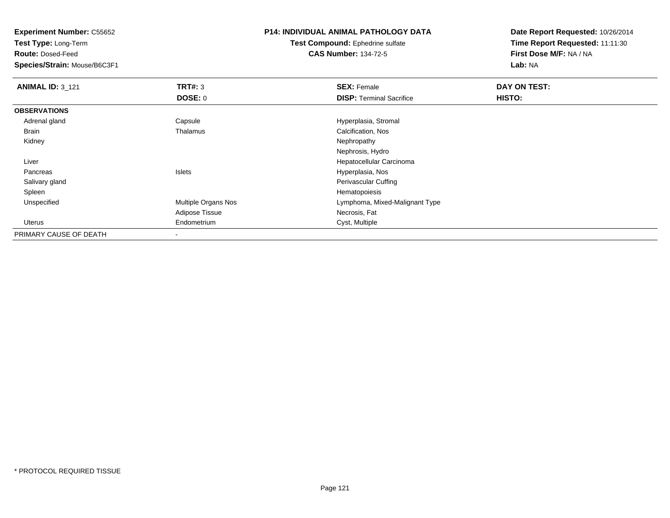**Test Type:** Long-Term

**Route:** Dosed-Feed

**Species/Strain:** Mouse/B6C3F1

## **P14: INDIVIDUAL ANIMAL PATHOLOGY DATA**

**Test Compound:** Ephedrine sulfate**CAS Number:** 134-72-5

| <b>ANIMAL ID: 3_121</b> | TRT#: 3                  | <b>SEX: Female</b>              | DAY ON TEST: |  |
|-------------------------|--------------------------|---------------------------------|--------------|--|
|                         | DOSE: 0                  | <b>DISP: Terminal Sacrifice</b> | HISTO:       |  |
| <b>OBSERVATIONS</b>     |                          |                                 |              |  |
| Adrenal gland           | Capsule                  | Hyperplasia, Stromal            |              |  |
| Brain                   | Thalamus                 | Calcification, Nos              |              |  |
| Kidney                  |                          | Nephropathy                     |              |  |
|                         |                          | Nephrosis, Hydro                |              |  |
| Liver                   |                          | Hepatocellular Carcinoma        |              |  |
| Pancreas                | Islets                   | Hyperplasia, Nos                |              |  |
| Salivary gland          |                          | Perivascular Cuffing            |              |  |
| Spleen                  |                          | Hematopoiesis                   |              |  |
| Unspecified             | Multiple Organs Nos      | Lymphoma, Mixed-Malignant Type  |              |  |
|                         | Adipose Tissue           | Necrosis, Fat                   |              |  |
| Uterus                  | Endometrium              | Cyst, Multiple                  |              |  |
| PRIMARY CAUSE OF DEATH  | $\overline{\phantom{a}}$ |                                 |              |  |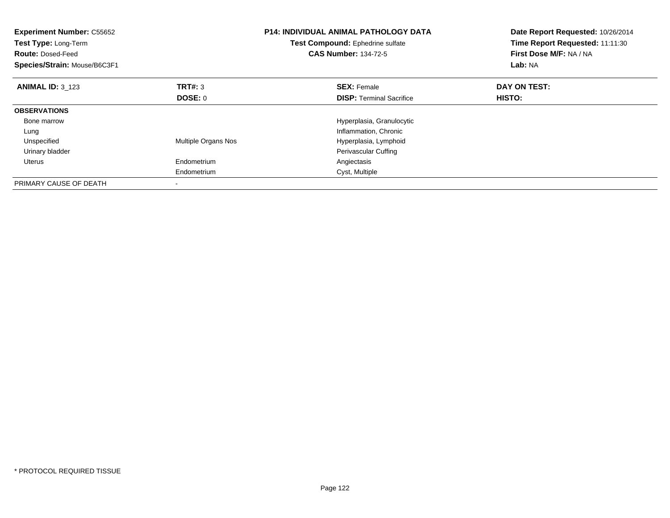| <b>Experiment Number: C55652</b><br>Test Type: Long-Term<br><b>Route: Dosed-Feed</b><br>Species/Strain: Mouse/B6C3F1 |                     | <b>P14: INDIVIDUAL ANIMAL PATHOLOGY DATA</b><br>Test Compound: Ephedrine sulfate<br><b>CAS Number: 134-72-5</b> | Date Report Requested: 10/26/2014<br>Time Report Requested: 11:11:30<br>First Dose M/F: NA / NA<br>Lab: NA |
|----------------------------------------------------------------------------------------------------------------------|---------------------|-----------------------------------------------------------------------------------------------------------------|------------------------------------------------------------------------------------------------------------|
| <b>ANIMAL ID: 3 123</b>                                                                                              | <b>TRT#: 3</b>      | <b>SEX: Female</b>                                                                                              | DAY ON TEST:                                                                                               |
|                                                                                                                      | <b>DOSE: 0</b>      | <b>DISP:</b> Terminal Sacrifice                                                                                 | HISTO:                                                                                                     |
| <b>OBSERVATIONS</b>                                                                                                  |                     |                                                                                                                 |                                                                                                            |
| Bone marrow                                                                                                          |                     | Hyperplasia, Granulocytic                                                                                       |                                                                                                            |
| Lung                                                                                                                 |                     | Inflammation, Chronic                                                                                           |                                                                                                            |
| Unspecified                                                                                                          | Multiple Organs Nos | Hyperplasia, Lymphoid                                                                                           |                                                                                                            |
| Urinary bladder                                                                                                      |                     | Perivascular Cuffing                                                                                            |                                                                                                            |
| Uterus                                                                                                               | Endometrium         | Angiectasis                                                                                                     |                                                                                                            |
|                                                                                                                      | Endometrium         | Cyst, Multiple                                                                                                  |                                                                                                            |
| PRIMARY CAUSE OF DEATH                                                                                               |                     |                                                                                                                 |                                                                                                            |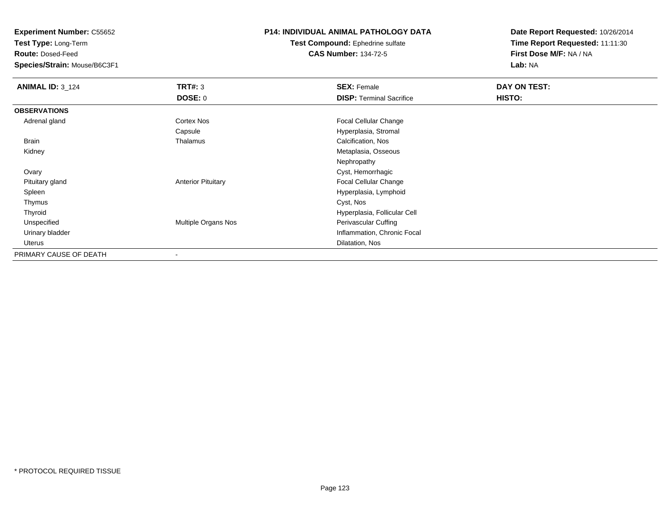**Test Type:** Long-Term

**Route:** Dosed-Feed

**Species/Strain:** Mouse/B6C3F1

### **P14: INDIVIDUAL ANIMAL PATHOLOGY DATA**

**Test Compound:** Ephedrine sulfate**CAS Number:** 134-72-5

| <b>ANIMAL ID: 3_124</b> | TRT#: 3                   | <b>SEX: Female</b>              | DAY ON TEST:  |  |
|-------------------------|---------------------------|---------------------------------|---------------|--|
|                         | <b>DOSE: 0</b>            | <b>DISP: Terminal Sacrifice</b> | <b>HISTO:</b> |  |
| <b>OBSERVATIONS</b>     |                           |                                 |               |  |
| Adrenal gland           | Cortex Nos                | Focal Cellular Change           |               |  |
|                         | Capsule                   | Hyperplasia, Stromal            |               |  |
| Brain                   | Thalamus                  | Calcification, Nos              |               |  |
| Kidney                  |                           | Metaplasia, Osseous             |               |  |
|                         |                           | Nephropathy                     |               |  |
| Ovary                   |                           | Cyst, Hemorrhagic               |               |  |
| Pituitary gland         | <b>Anterior Pituitary</b> | Focal Cellular Change           |               |  |
| Spleen                  |                           | Hyperplasia, Lymphoid           |               |  |
| Thymus                  |                           | Cyst, Nos                       |               |  |
| Thyroid                 |                           | Hyperplasia, Follicular Cell    |               |  |
| Unspecified             | Multiple Organs Nos       | Perivascular Cuffing            |               |  |
| Urinary bladder         |                           | Inflammation, Chronic Focal     |               |  |
| Uterus                  |                           | Dilatation, Nos                 |               |  |
| PRIMARY CAUSE OF DEATH  |                           |                                 |               |  |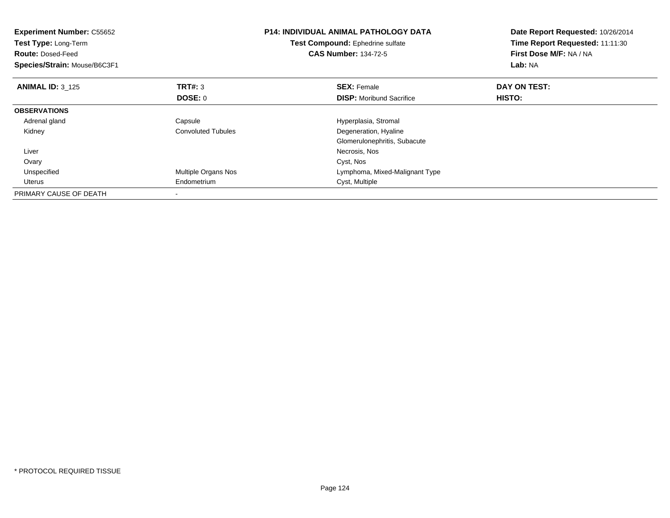| <b>Experiment Number: C55652</b><br>Test Type: Long-Term<br><b>Route: Dosed-Feed</b><br>Species/Strain: Mouse/B6C3F1 |                           | <b>P14: INDIVIDUAL ANIMAL PATHOLOGY DATA</b><br>Test Compound: Ephedrine sulfate<br><b>CAS Number: 134-72-5</b> | Date Report Requested: 10/26/2014<br>Time Report Requested: 11:11:30<br>First Dose M/F: NA / NA<br>Lab: NA |
|----------------------------------------------------------------------------------------------------------------------|---------------------------|-----------------------------------------------------------------------------------------------------------------|------------------------------------------------------------------------------------------------------------|
| <b>ANIMAL ID: 3 125</b>                                                                                              | <b>TRT#:</b> 3<br>DOSE: 0 | <b>SEX: Female</b><br><b>DISP:</b> Moribund Sacrifice                                                           | DAY ON TEST:<br>HISTO:                                                                                     |
| <b>OBSERVATIONS</b>                                                                                                  |                           |                                                                                                                 |                                                                                                            |
| Adrenal gland                                                                                                        | Capsule                   | Hyperplasia, Stromal                                                                                            |                                                                                                            |
| Kidney                                                                                                               | <b>Convoluted Tubules</b> | Degeneration, Hyaline                                                                                           |                                                                                                            |
|                                                                                                                      |                           | Glomerulonephritis, Subacute                                                                                    |                                                                                                            |
| Liver                                                                                                                |                           | Necrosis, Nos                                                                                                   |                                                                                                            |
| Ovary                                                                                                                |                           | Cyst, Nos                                                                                                       |                                                                                                            |
| Unspecified                                                                                                          | Multiple Organs Nos       | Lymphoma, Mixed-Malignant Type                                                                                  |                                                                                                            |
| Uterus                                                                                                               | Endometrium               | Cyst, Multiple                                                                                                  |                                                                                                            |
| PRIMARY CAUSE OF DEATH                                                                                               |                           |                                                                                                                 |                                                                                                            |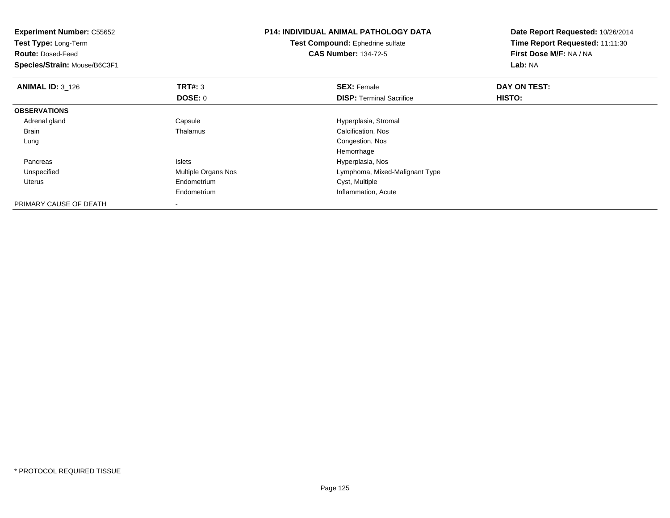| <b>Experiment Number: C55652</b><br>Test Type: Long-Term<br><b>Route: Dosed-Feed</b><br>Species/Strain: Mouse/B6C3F1 |                          | <b>P14: INDIVIDUAL ANIMAL PATHOLOGY DATA</b><br><b>Test Compound:</b> Ephedrine sulfate<br><b>CAS Number: 134-72-5</b> | Date Report Requested: 10/26/2014<br>Time Report Requested: 11:11:30<br>First Dose M/F: NA / NA<br>Lab: NA |
|----------------------------------------------------------------------------------------------------------------------|--------------------------|------------------------------------------------------------------------------------------------------------------------|------------------------------------------------------------------------------------------------------------|
| <b>ANIMAL ID: 3 126</b>                                                                                              | <b>TRT#: 3</b>           | <b>SEX: Female</b>                                                                                                     | DAY ON TEST:                                                                                               |
|                                                                                                                      | DOSE: 0                  | <b>DISP:</b> Terminal Sacrifice                                                                                        | HISTO:                                                                                                     |
| <b>OBSERVATIONS</b>                                                                                                  |                          |                                                                                                                        |                                                                                                            |
| Adrenal gland                                                                                                        | Capsule                  | Hyperplasia, Stromal                                                                                                   |                                                                                                            |
| Brain                                                                                                                | Thalamus                 | Calcification, Nos                                                                                                     |                                                                                                            |
| Lung                                                                                                                 |                          | Congestion, Nos                                                                                                        |                                                                                                            |
|                                                                                                                      |                          | Hemorrhage                                                                                                             |                                                                                                            |
| Pancreas                                                                                                             | <b>Islets</b>            | Hyperplasia, Nos                                                                                                       |                                                                                                            |
| Unspecified                                                                                                          | Multiple Organs Nos      | Lymphoma, Mixed-Malignant Type                                                                                         |                                                                                                            |
| Uterus                                                                                                               | Endometrium              | Cyst, Multiple                                                                                                         |                                                                                                            |
|                                                                                                                      | Endometrium              | Inflammation, Acute                                                                                                    |                                                                                                            |
| PRIMARY CAUSE OF DEATH                                                                                               | $\overline{\phantom{a}}$ |                                                                                                                        |                                                                                                            |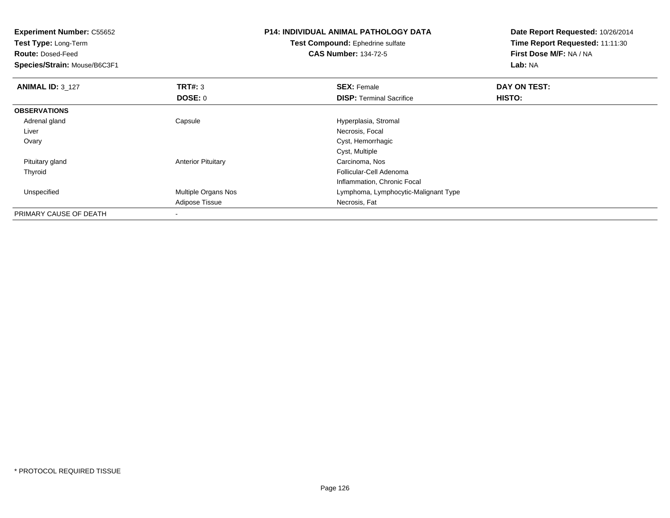| <b>Experiment Number: C55652</b> |                           | <b>P14: INDIVIDUAL ANIMAL PATHOLOGY DATA</b> | Date Report Requested: 10/26/2014 |  |
|----------------------------------|---------------------------|----------------------------------------------|-----------------------------------|--|
| Test Type: Long-Term             |                           | <b>Test Compound: Ephedrine sulfate</b>      | Time Report Requested: 11:11:30   |  |
| <b>Route: Dosed-Feed</b>         |                           | <b>CAS Number: 134-72-5</b>                  | First Dose M/F: NA / NA           |  |
| Species/Strain: Mouse/B6C3F1     |                           |                                              | Lab: NA                           |  |
| <b>ANIMAL ID: 3_127</b>          | <b>TRT#: 3</b>            | <b>SEX: Female</b>                           | DAY ON TEST:                      |  |
|                                  | <b>DOSE: 0</b>            | <b>DISP:</b> Terminal Sacrifice              | <b>HISTO:</b>                     |  |
| <b>OBSERVATIONS</b>              |                           |                                              |                                   |  |
| Adrenal gland                    | Capsule                   | Hyperplasia, Stromal                         |                                   |  |
| Liver                            |                           | Necrosis, Focal                              |                                   |  |
| Ovary                            |                           | Cyst, Hemorrhagic                            |                                   |  |
|                                  |                           | Cyst, Multiple                               |                                   |  |
| Pituitary gland                  | <b>Anterior Pituitary</b> | Carcinoma, Nos                               |                                   |  |
| Thyroid                          |                           | Follicular-Cell Adenoma                      |                                   |  |
|                                  |                           | Inflammation, Chronic Focal                  |                                   |  |
| Unspecified                      | Multiple Organs Nos       | Lymphoma, Lymphocytic-Malignant Type         |                                   |  |
|                                  | Adipose Tissue            | Necrosis, Fat                                |                                   |  |
| PRIMARY CAUSE OF DEATH           | ٠                         |                                              |                                   |  |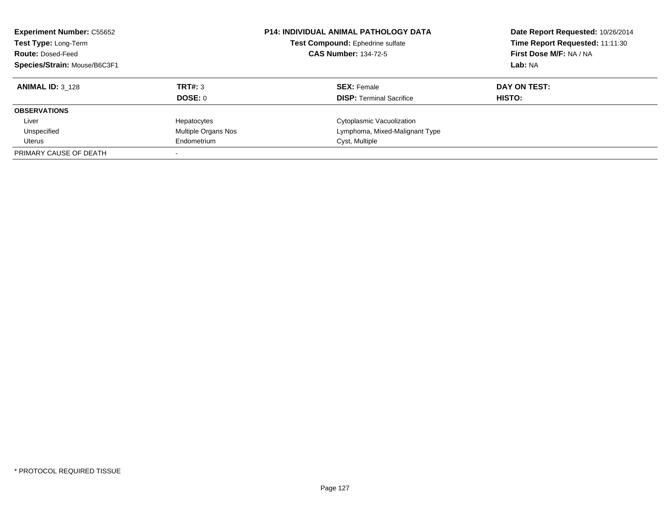| <b>Experiment Number: C55652</b><br>Test Type: Long-Term<br><b>Route: Dosed-Feed</b><br>Species/Strain: Mouse/B6C3F1 |                     | <b>P14: INDIVIDUAL ANIMAL PATHOLOGY DATA</b><br>Test Compound: Ephedrine sulfate<br><b>CAS Number: 134-72-5</b> | Date Report Requested: 10/26/2014<br>Time Report Requested: 11:11:30<br>First Dose M/F: NA / NA<br>Lab: NA |
|----------------------------------------------------------------------------------------------------------------------|---------------------|-----------------------------------------------------------------------------------------------------------------|------------------------------------------------------------------------------------------------------------|
| <b>ANIMAL ID: 3 128</b>                                                                                              | TRT#: 3<br>DOSE: 0  | <b>SEX: Female</b><br><b>DISP:</b> Terminal Sacrifice                                                           | DAY ON TEST:<br>HISTO:                                                                                     |
| <b>OBSERVATIONS</b>                                                                                                  |                     |                                                                                                                 |                                                                                                            |
| Liver                                                                                                                | Hepatocytes         | Cytoplasmic Vacuolization                                                                                       |                                                                                                            |
| Unspecified                                                                                                          | Multiple Organs Nos | Lymphoma, Mixed-Malignant Type                                                                                  |                                                                                                            |
| Uterus                                                                                                               | Endometrium         | Cyst, Multiple                                                                                                  |                                                                                                            |
| PRIMARY CAUSE OF DEATH                                                                                               |                     |                                                                                                                 |                                                                                                            |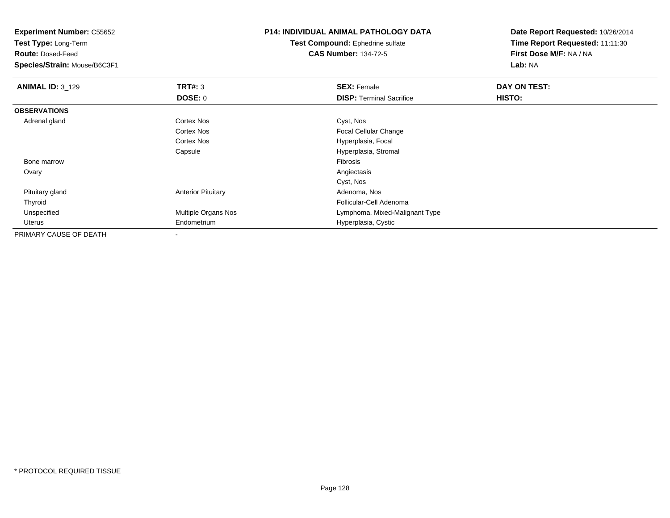**Experiment Number:** C55652**Test Type:** Long-Term**Route:** Dosed-Feed **Species/Strain:** Mouse/B6C3F1**P14: INDIVIDUAL ANIMAL PATHOLOGY DATATest Compound:** Ephedrine sulfate**CAS Number:** 134-72-5**Date Report Requested:** 10/26/2014**Time Report Requested:** 11:11:30**First Dose M/F:** NA / NA**Lab:** NA**ANIMAL ID:** 3\_129**TRT#:** 3 **SEX:** Female **DAY ON TEST: DOSE:** 0**DISP:** Terminal Sacrifice **HISTO: OBSERVATIONS** Adrenal glandd Cortex Nos Cortex Nos Cyst, Nos Cortex Nos Focal Cellular ChangeCortex Nos Hyperplasia, Focal Capsule Hyperplasia, Stromal Bone marroww Fibrosis and the contract of the contract of the contract of the contract of the contract of the contract of the contract of the contract of the contract of the contract of the contract of the contract of the contract of **Ovary** y and the contract of the contract of the contract of the contract of the contract of the contract of the contract of the contract of the contract of the contract of the contract of the contract of the contract of the cont Cyst, NosAdenoma, Nos Pituitary glandAnterior Pituitary ThyroidFollicular-Cell Adenoma<br>Lymphoma, Mixed-Maligued Multiple Organs Nos UnspecifiedLymphoma, Mixed-Malignant Type Uterus Endometrium Hyperplasia, Cystic PRIMARY CAUSE OF DEATH-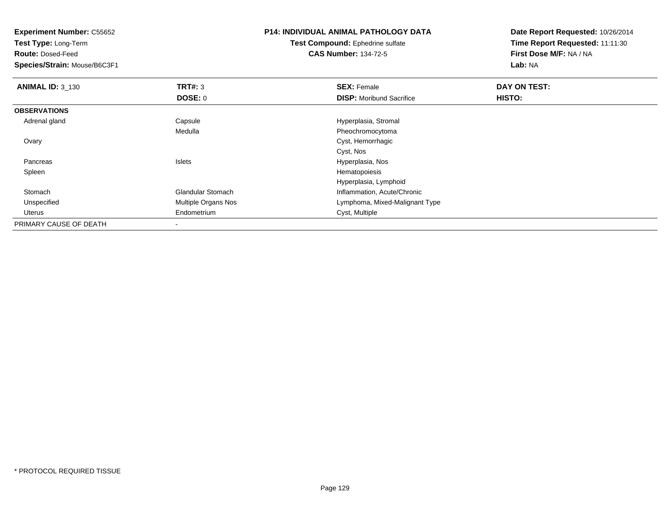**Test Type:** Long-Term

**Route:** Dosed-Feed

**Species/Strain:** Mouse/B6C3F1

# **P14: INDIVIDUAL ANIMAL PATHOLOGY DATA**

**Test Compound:** Ephedrine sulfate**CAS Number:** 134-72-5

| <b>ANIMAL ID: 3_130</b> | TRT#: 3                    | <b>SEX: Female</b>              | DAY ON TEST: |  |
|-------------------------|----------------------------|---------------------------------|--------------|--|
|                         | <b>DOSE: 0</b>             | <b>DISP:</b> Moribund Sacrifice | HISTO:       |  |
| <b>OBSERVATIONS</b>     |                            |                                 |              |  |
| Adrenal gland           | Capsule                    | Hyperplasia, Stromal            |              |  |
|                         | Medulla                    | Pheochromocytoma                |              |  |
| Ovary                   |                            | Cyst, Hemorrhagic               |              |  |
|                         |                            | Cyst, Nos                       |              |  |
| Pancreas                | Islets                     | Hyperplasia, Nos                |              |  |
| Spleen                  |                            | Hematopoiesis                   |              |  |
|                         |                            | Hyperplasia, Lymphoid           |              |  |
| Stomach                 | <b>Glandular Stomach</b>   | Inflammation, Acute/Chronic     |              |  |
| Unspecified             | <b>Multiple Organs Nos</b> | Lymphoma, Mixed-Malignant Type  |              |  |
| Uterus                  | Endometrium                | Cyst, Multiple                  |              |  |
| PRIMARY CAUSE OF DEATH  |                            |                                 |              |  |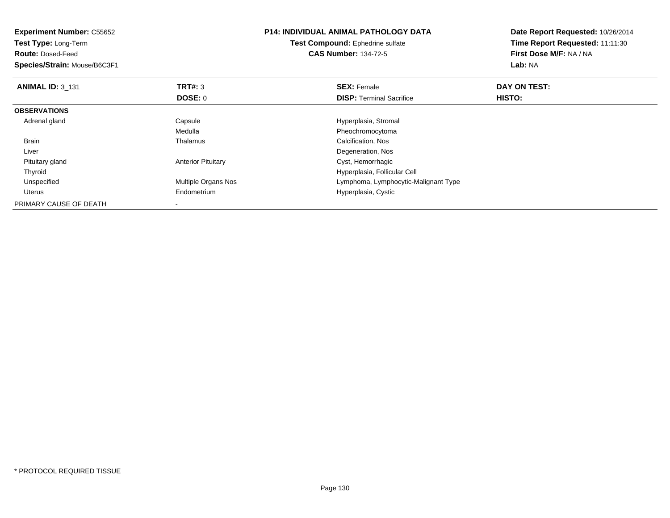| <b>Experiment Number: C55652</b><br><b>Test Type: Long-Term</b><br><b>Route: Dosed-Feed</b><br>Species/Strain: Mouse/B6C3F1 |                           | <b>P14: INDIVIDUAL ANIMAL PATHOLOGY DATA</b><br><b>Test Compound:</b> Ephedrine sulfate<br><b>CAS Number: 134-72-5</b> | Date Report Requested: 10/26/2014<br>Time Report Requested: 11:11:30<br>First Dose M/F: NA / NA<br>Lab: NA |
|-----------------------------------------------------------------------------------------------------------------------------|---------------------------|------------------------------------------------------------------------------------------------------------------------|------------------------------------------------------------------------------------------------------------|
| <b>ANIMAL ID: 3 131</b>                                                                                                     | <b>TRT#: 3</b>            | <b>SEX: Female</b>                                                                                                     | DAY ON TEST:                                                                                               |
|                                                                                                                             | DOSE: 0                   | <b>DISP:</b> Terminal Sacrifice                                                                                        | <b>HISTO:</b>                                                                                              |
| <b>OBSERVATIONS</b>                                                                                                         |                           |                                                                                                                        |                                                                                                            |
| Adrenal gland                                                                                                               | Capsule                   | Hyperplasia, Stromal                                                                                                   |                                                                                                            |
|                                                                                                                             | Medulla                   | Pheochromocytoma                                                                                                       |                                                                                                            |
| <b>Brain</b>                                                                                                                | Thalamus                  | Calcification, Nos                                                                                                     |                                                                                                            |
| Liver                                                                                                                       |                           | Degeneration, Nos                                                                                                      |                                                                                                            |
| Pituitary gland                                                                                                             | <b>Anterior Pituitary</b> | Cyst, Hemorrhagic                                                                                                      |                                                                                                            |
| Thyroid                                                                                                                     |                           | Hyperplasia, Follicular Cell                                                                                           |                                                                                                            |
| Unspecified                                                                                                                 | Multiple Organs Nos       | Lymphoma, Lymphocytic-Malignant Type                                                                                   |                                                                                                            |
| Uterus                                                                                                                      | Endometrium               | Hyperplasia, Cystic                                                                                                    |                                                                                                            |
| PRIMARY CAUSE OF DEATH                                                                                                      |                           |                                                                                                                        |                                                                                                            |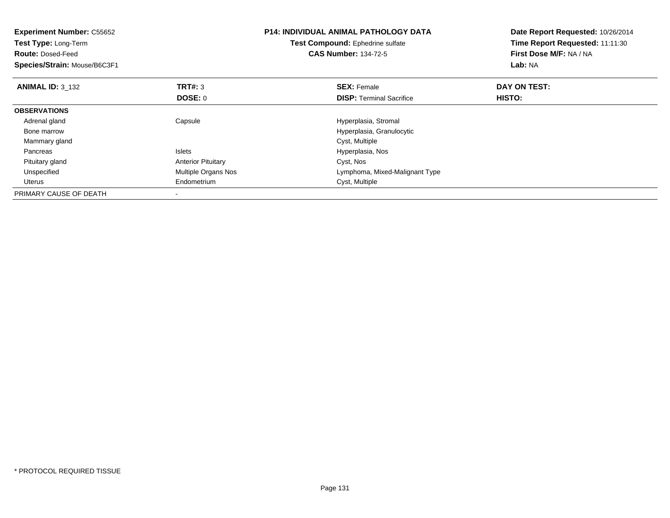| <b>Experiment Number: C55652</b><br><b>Test Type: Long-Term</b><br><b>Route: Dosed-Feed</b><br>Species/Strain: Mouse/B6C3F1 |                                  | <b>P14: INDIVIDUAL ANIMAL PATHOLOGY DATA</b><br>Test Compound: Ephedrine sulfate<br><b>CAS Number: 134-72-5</b> | Date Report Requested: 10/26/2014<br>Time Report Requested: 11:11:30<br>First Dose M/F: NA / NA<br>Lab: NA |
|-----------------------------------------------------------------------------------------------------------------------------|----------------------------------|-----------------------------------------------------------------------------------------------------------------|------------------------------------------------------------------------------------------------------------|
| <b>ANIMAL ID: 3 132</b>                                                                                                     | <b>TRT#:</b> 3<br><b>DOSE: 0</b> | <b>SEX: Female</b><br><b>DISP:</b> Terminal Sacrifice                                                           | DAY ON TEST:<br>HISTO:                                                                                     |
| <b>OBSERVATIONS</b>                                                                                                         |                                  |                                                                                                                 |                                                                                                            |
| Adrenal gland                                                                                                               | Capsule                          | Hyperplasia, Stromal                                                                                            |                                                                                                            |
| Bone marrow                                                                                                                 |                                  | Hyperplasia, Granulocytic                                                                                       |                                                                                                            |
| Mammary gland                                                                                                               |                                  | Cyst, Multiple                                                                                                  |                                                                                                            |
| Pancreas                                                                                                                    | <b>Islets</b>                    | Hyperplasia, Nos                                                                                                |                                                                                                            |
| Pituitary gland                                                                                                             | <b>Anterior Pituitary</b>        | Cyst, Nos                                                                                                       |                                                                                                            |
| Unspecified                                                                                                                 | Multiple Organs Nos              | Lymphoma, Mixed-Malignant Type                                                                                  |                                                                                                            |
| Uterus                                                                                                                      | Endometrium                      | Cyst, Multiple                                                                                                  |                                                                                                            |
| PRIMARY CAUSE OF DEATH                                                                                                      |                                  |                                                                                                                 |                                                                                                            |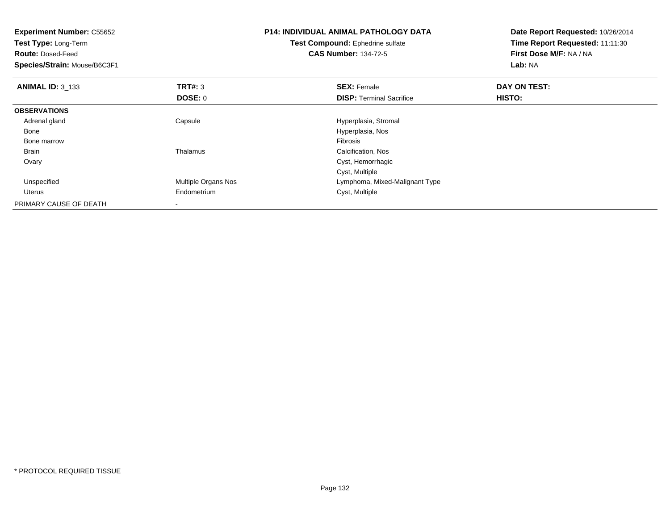| <b>Experiment Number: C55652</b><br>Test Type: Long-Term<br><b>Route: Dosed-Feed</b><br>Species/Strain: Mouse/B6C3F1 |                          | <b>P14: INDIVIDUAL ANIMAL PATHOLOGY DATA</b><br>Test Compound: Ephedrine sulfate<br><b>CAS Number: 134-72-5</b> | Date Report Requested: 10/26/2014<br>Time Report Requested: 11:11:30<br>First Dose M/F: NA / NA<br>Lab: NA |
|----------------------------------------------------------------------------------------------------------------------|--------------------------|-----------------------------------------------------------------------------------------------------------------|------------------------------------------------------------------------------------------------------------|
| <b>ANIMAL ID: 3 133</b>                                                                                              | TRT#: 3                  | <b>SEX: Female</b>                                                                                              | DAY ON TEST:                                                                                               |
|                                                                                                                      | DOSE: 0                  | <b>DISP:</b> Terminal Sacrifice                                                                                 | <b>HISTO:</b>                                                                                              |
| <b>OBSERVATIONS</b>                                                                                                  |                          |                                                                                                                 |                                                                                                            |
| Adrenal gland                                                                                                        | Capsule                  | Hyperplasia, Stromal                                                                                            |                                                                                                            |
| Bone                                                                                                                 |                          | Hyperplasia, Nos                                                                                                |                                                                                                            |
| Bone marrow                                                                                                          |                          | Fibrosis                                                                                                        |                                                                                                            |
| <b>Brain</b>                                                                                                         | Thalamus                 | Calcification, Nos                                                                                              |                                                                                                            |
| Ovary                                                                                                                |                          | Cyst, Hemorrhagic                                                                                               |                                                                                                            |
|                                                                                                                      |                          | Cyst, Multiple                                                                                                  |                                                                                                            |
| Unspecified                                                                                                          | Multiple Organs Nos      | Lymphoma, Mixed-Malignant Type                                                                                  |                                                                                                            |
| Uterus                                                                                                               | Endometrium              | Cyst, Multiple                                                                                                  |                                                                                                            |
| PRIMARY CAUSE OF DEATH                                                                                               | $\overline{\phantom{a}}$ |                                                                                                                 |                                                                                                            |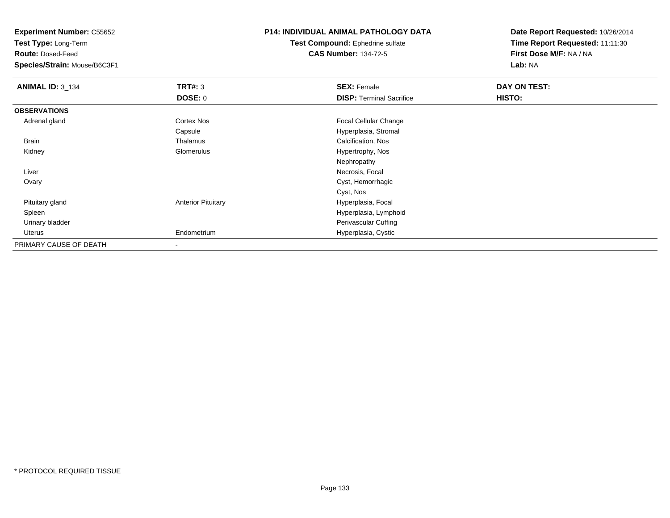**Test Type:** Long-Term

**Route:** Dosed-Feed

**Species/Strain:** Mouse/B6C3F1

# **P14: INDIVIDUAL ANIMAL PATHOLOGY DATA**

**Test Compound:** Ephedrine sulfate**CAS Number:** 134-72-5

| <b>ANIMAL ID: 3_134</b> | TRT#: 3                   | <b>SEX: Female</b>              | DAY ON TEST: |  |
|-------------------------|---------------------------|---------------------------------|--------------|--|
|                         | <b>DOSE: 0</b>            | <b>DISP: Terminal Sacrifice</b> | HISTO:       |  |
| <b>OBSERVATIONS</b>     |                           |                                 |              |  |
| Adrenal gland           | Cortex Nos                | <b>Focal Cellular Change</b>    |              |  |
|                         | Capsule                   | Hyperplasia, Stromal            |              |  |
| Brain                   | Thalamus                  | Calcification, Nos              |              |  |
| Kidney                  | Glomerulus                | Hypertrophy, Nos                |              |  |
|                         |                           | Nephropathy                     |              |  |
| Liver                   |                           | Necrosis, Focal                 |              |  |
| Ovary                   |                           | Cyst, Hemorrhagic               |              |  |
|                         |                           | Cyst, Nos                       |              |  |
| Pituitary gland         | <b>Anterior Pituitary</b> | Hyperplasia, Focal              |              |  |
| Spleen                  |                           | Hyperplasia, Lymphoid           |              |  |
| Urinary bladder         |                           | Perivascular Cuffing            |              |  |
| Uterus                  | Endometrium               | Hyperplasia, Cystic             |              |  |
| PRIMARY CAUSE OF DEATH  |                           |                                 |              |  |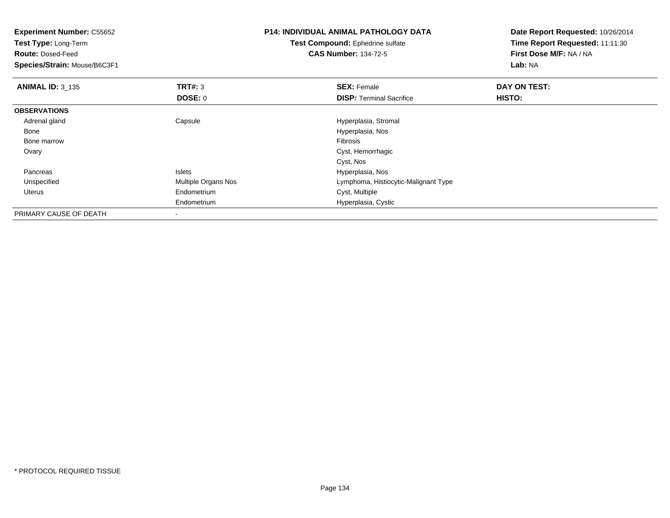| <b>Experiment Number: C55652</b><br>Test Type: Long-Term<br><b>Route: Dosed-Feed</b><br>Species/Strain: Mouse/B6C3F1 |                     | <b>P14: INDIVIDUAL ANIMAL PATHOLOGY DATA</b><br><b>Test Compound: Ephedrine sulfate</b><br><b>CAS Number: 134-72-5</b> | Date Report Requested: 10/26/2014<br>Time Report Requested: 11:11:30<br>First Dose M/F: NA / NA<br>Lab: NA |
|----------------------------------------------------------------------------------------------------------------------|---------------------|------------------------------------------------------------------------------------------------------------------------|------------------------------------------------------------------------------------------------------------|
| <b>ANIMAL ID: 3_135</b>                                                                                              | TRT#: 3             | <b>SEX: Female</b>                                                                                                     | DAY ON TEST:                                                                                               |
|                                                                                                                      | DOSE: 0             | <b>DISP: Terminal Sacrifice</b>                                                                                        | HISTO:                                                                                                     |
| <b>OBSERVATIONS</b>                                                                                                  |                     |                                                                                                                        |                                                                                                            |
| Adrenal gland                                                                                                        | Capsule             | Hyperplasia, Stromal                                                                                                   |                                                                                                            |
| Bone                                                                                                                 |                     | Hyperplasia, Nos                                                                                                       |                                                                                                            |
| Bone marrow                                                                                                          |                     | Fibrosis                                                                                                               |                                                                                                            |
| Ovary                                                                                                                |                     | Cyst, Hemorrhagic                                                                                                      |                                                                                                            |
|                                                                                                                      |                     | Cyst, Nos                                                                                                              |                                                                                                            |
| Pancreas                                                                                                             | <b>Islets</b>       | Hyperplasia, Nos                                                                                                       |                                                                                                            |
| Unspecified                                                                                                          | Multiple Organs Nos | Lymphoma, Histiocytic-Malignant Type                                                                                   |                                                                                                            |
| Uterus                                                                                                               | Endometrium         | Cyst, Multiple                                                                                                         |                                                                                                            |
|                                                                                                                      | Endometrium         | Hyperplasia, Cystic                                                                                                    |                                                                                                            |
| PRIMARY CAUSE OF DEATH                                                                                               |                     |                                                                                                                        |                                                                                                            |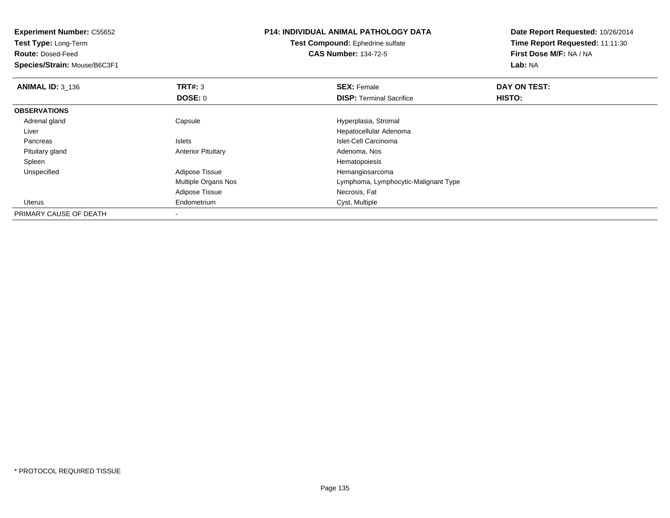| <b>Experiment Number: C55652</b><br>Test Type: Long-Term<br><b>Route: Dosed-Feed</b><br>Species/Strain: Mouse/B6C3F1 |                           | <b>P14: INDIVIDUAL ANIMAL PATHOLOGY DATA</b><br>Test Compound: Ephedrine sulfate<br><b>CAS Number: 134-72-5</b> | Date Report Requested: 10/26/2014<br>Time Report Requested: 11:11:30<br>First Dose M/F: NA / NA<br>Lab: NA |
|----------------------------------------------------------------------------------------------------------------------|---------------------------|-----------------------------------------------------------------------------------------------------------------|------------------------------------------------------------------------------------------------------------|
| ANIMAL ID: $3_136$                                                                                                   | TRT#: 3                   | <b>SEX: Female</b>                                                                                              | DAY ON TEST:                                                                                               |
|                                                                                                                      | <b>DOSE: 0</b>            | <b>DISP:</b> Terminal Sacrifice                                                                                 | HISTO:                                                                                                     |
| <b>OBSERVATIONS</b>                                                                                                  |                           |                                                                                                                 |                                                                                                            |
| Adrenal gland                                                                                                        | Capsule                   | Hyperplasia, Stromal                                                                                            |                                                                                                            |
| Liver                                                                                                                |                           | Hepatocellular Adenoma                                                                                          |                                                                                                            |
| Pancreas                                                                                                             | <b>Islets</b>             | Islet-Cell Carcinoma                                                                                            |                                                                                                            |
| Pituitary gland                                                                                                      | <b>Anterior Pituitary</b> | Adenoma, Nos                                                                                                    |                                                                                                            |
| Spleen                                                                                                               |                           | Hematopoiesis                                                                                                   |                                                                                                            |
| Unspecified                                                                                                          | Adipose Tissue            | Hemangiosarcoma                                                                                                 |                                                                                                            |
|                                                                                                                      | Multiple Organs Nos       | Lymphoma, Lymphocytic-Malignant Type                                                                            |                                                                                                            |
|                                                                                                                      | Adipose Tissue            | Necrosis, Fat                                                                                                   |                                                                                                            |
| Uterus                                                                                                               | Endometrium               | Cyst, Multiple                                                                                                  |                                                                                                            |
| PRIMARY CAUSE OF DEATH                                                                                               |                           |                                                                                                                 |                                                                                                            |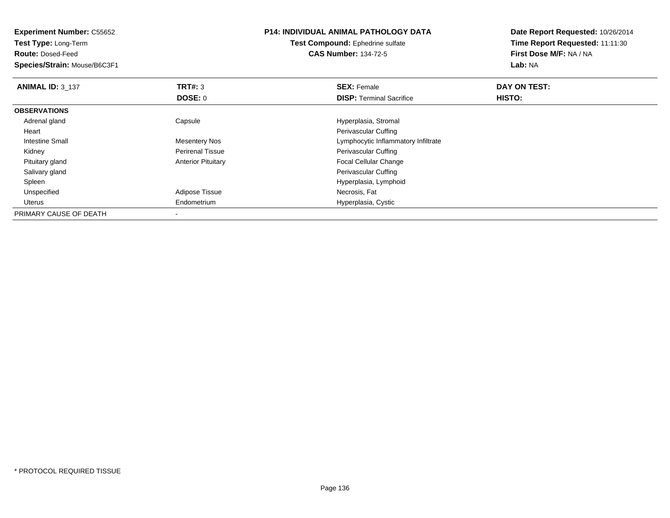| <b>Experiment Number: C55652</b><br><b>Test Type: Long-Term</b> |                           | <b>P14: INDIVIDUAL ANIMAL PATHOLOGY DATA</b> | Date Report Requested: 10/26/2014 |
|-----------------------------------------------------------------|---------------------------|----------------------------------------------|-----------------------------------|
|                                                                 |                           | <b>Test Compound:</b> Ephedrine sulfate      | Time Report Requested: 11:11:30   |
| <b>Route: Dosed-Feed</b>                                        |                           | <b>CAS Number: 134-72-5</b>                  | First Dose M/F: NA / NA           |
| Species/Strain: Mouse/B6C3F1                                    |                           |                                              | Lab: NA                           |
| <b>ANIMAL ID: 3 137</b>                                         | TRT#: 3                   | <b>SEX: Female</b>                           | DAY ON TEST:                      |
|                                                                 | DOSE: 0                   | <b>DISP:</b> Terminal Sacrifice              | HISTO:                            |
| <b>OBSERVATIONS</b>                                             |                           |                                              |                                   |
| Adrenal gland                                                   | Capsule                   | Hyperplasia, Stromal                         |                                   |
| Heart                                                           |                           | Perivascular Cuffing                         |                                   |
| Intestine Small                                                 | <b>Mesentery Nos</b>      | Lymphocytic Inflammatory Infiltrate          |                                   |
| Kidney                                                          | <b>Perirenal Tissue</b>   | Perivascular Cuffing                         |                                   |
| Pituitary gland                                                 | <b>Anterior Pituitary</b> | Focal Cellular Change                        |                                   |
| Salivary gland                                                  |                           | Perivascular Cuffing                         |                                   |
| Spleen                                                          |                           | Hyperplasia, Lymphoid                        |                                   |
| Unspecified                                                     | Adipose Tissue            | Necrosis, Fat                                |                                   |
| Uterus                                                          | Endometrium               | Hyperplasia, Cystic                          |                                   |
| PRIMARY CAUSE OF DEATH                                          |                           |                                              |                                   |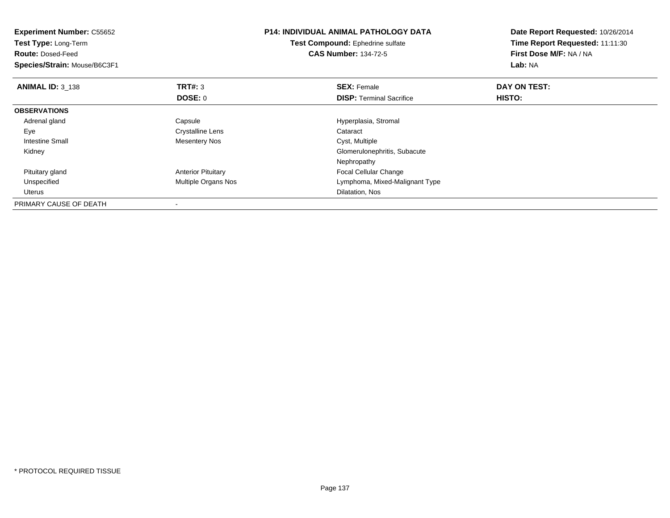| <b>Experiment Number: C55652</b><br><b>Test Type: Long-Term</b><br><b>Route: Dosed-Feed</b><br>Species/Strain: Mouse/B6C3F1 |                           | <b>P14: INDIVIDUAL ANIMAL PATHOLOGY DATA</b><br>Test Compound: Ephedrine sulfate<br><b>CAS Number: 134-72-5</b> | Date Report Requested: 10/26/2014<br>Time Report Requested: 11:11:30<br>First Dose M/F: NA / NA<br>Lab: NA |
|-----------------------------------------------------------------------------------------------------------------------------|---------------------------|-----------------------------------------------------------------------------------------------------------------|------------------------------------------------------------------------------------------------------------|
| <b>ANIMAL ID: 3 138</b>                                                                                                     | TRT#: 3                   | <b>SEX: Female</b>                                                                                              | DAY ON TEST:                                                                                               |
|                                                                                                                             | DOSE: 0                   | <b>DISP:</b> Terminal Sacrifice                                                                                 | <b>HISTO:</b>                                                                                              |
| <b>OBSERVATIONS</b>                                                                                                         |                           |                                                                                                                 |                                                                                                            |
| Adrenal gland                                                                                                               | Capsule                   | Hyperplasia, Stromal                                                                                            |                                                                                                            |
| Eye                                                                                                                         | <b>Crystalline Lens</b>   | Cataract                                                                                                        |                                                                                                            |
| Intestine Small                                                                                                             | <b>Mesentery Nos</b>      | Cyst, Multiple                                                                                                  |                                                                                                            |
| Kidney                                                                                                                      |                           | Glomerulonephritis, Subacute                                                                                    |                                                                                                            |
|                                                                                                                             |                           | Nephropathy                                                                                                     |                                                                                                            |
| Pituitary gland                                                                                                             | <b>Anterior Pituitary</b> | Focal Cellular Change                                                                                           |                                                                                                            |
| Unspecified                                                                                                                 | Multiple Organs Nos       | Lymphoma, Mixed-Malignant Type                                                                                  |                                                                                                            |
| <b>Uterus</b>                                                                                                               |                           | Dilatation, Nos                                                                                                 |                                                                                                            |
| PRIMARY CAUSE OF DEATH                                                                                                      |                           |                                                                                                                 |                                                                                                            |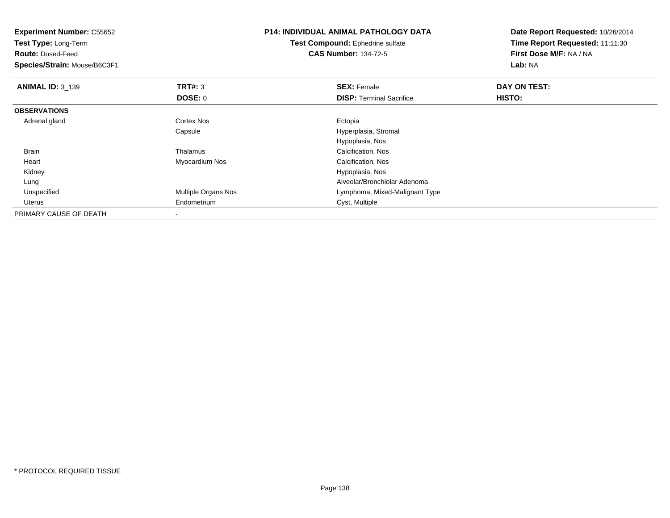| <b>Experiment Number: C55652</b><br>Test Type: Long-Term<br><b>Route: Dosed-Feed</b><br>Species/Strain: Mouse/B6C3F1 |                     | <b>P14: INDIVIDUAL ANIMAL PATHOLOGY DATA</b><br><b>Test Compound:</b> Ephedrine sulfate<br><b>CAS Number: 134-72-5</b> | Date Report Requested: 10/26/2014<br>Time Report Requested: 11:11:30<br>First Dose M/F: NA / NA<br>Lab: NA |
|----------------------------------------------------------------------------------------------------------------------|---------------------|------------------------------------------------------------------------------------------------------------------------|------------------------------------------------------------------------------------------------------------|
| <b>ANIMAL ID: 3 139</b>                                                                                              | <b>TRT#: 3</b>      | <b>SEX: Female</b>                                                                                                     | DAY ON TEST:                                                                                               |
|                                                                                                                      | <b>DOSE: 0</b>      | <b>DISP:</b> Terminal Sacrifice                                                                                        | <b>HISTO:</b>                                                                                              |
| <b>OBSERVATIONS</b>                                                                                                  |                     |                                                                                                                        |                                                                                                            |
| Adrenal gland                                                                                                        | Cortex Nos          | Ectopia                                                                                                                |                                                                                                            |
|                                                                                                                      | Capsule             | Hyperplasia, Stromal                                                                                                   |                                                                                                            |
|                                                                                                                      |                     | Hypoplasia, Nos                                                                                                        |                                                                                                            |
| <b>Brain</b>                                                                                                         | Thalamus            | Calcification, Nos                                                                                                     |                                                                                                            |
| Heart                                                                                                                | Myocardium Nos      | Calcification, Nos                                                                                                     |                                                                                                            |
| Kidney                                                                                                               |                     | Hypoplasia, Nos                                                                                                        |                                                                                                            |
| Lung                                                                                                                 |                     | Alveolar/Bronchiolar Adenoma                                                                                           |                                                                                                            |
| Unspecified                                                                                                          | Multiple Organs Nos | Lymphoma, Mixed-Malignant Type                                                                                         |                                                                                                            |
| Uterus                                                                                                               | Endometrium         | Cyst, Multiple                                                                                                         |                                                                                                            |
| PRIMARY CAUSE OF DEATH                                                                                               |                     |                                                                                                                        |                                                                                                            |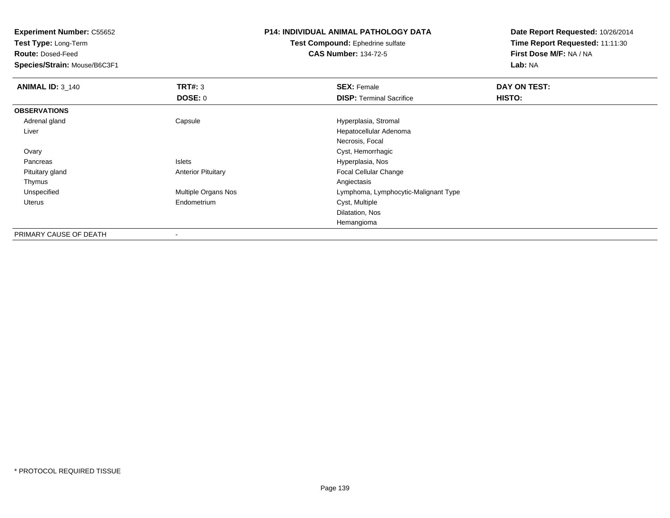**Test Type:** Long-Term

**Route:** Dosed-Feed

**Species/Strain:** Mouse/B6C3F1

### **P14: INDIVIDUAL ANIMAL PATHOLOGY DATA**

**Test Compound:** Ephedrine sulfate**CAS Number:** 134-72-5

| <b>ANIMAL ID: 3_140</b> | TRT#: 3                   | <b>SEX: Female</b>                   | DAY ON TEST: |  |
|-------------------------|---------------------------|--------------------------------------|--------------|--|
|                         | DOSE: 0                   | <b>DISP: Terminal Sacrifice</b>      | HISTO:       |  |
| <b>OBSERVATIONS</b>     |                           |                                      |              |  |
| Adrenal gland           | Capsule                   | Hyperplasia, Stromal                 |              |  |
| Liver                   |                           | Hepatocellular Adenoma               |              |  |
|                         |                           | Necrosis, Focal                      |              |  |
| Ovary                   |                           | Cyst, Hemorrhagic                    |              |  |
| Pancreas                | <b>Islets</b>             | Hyperplasia, Nos                     |              |  |
| Pituitary gland         | <b>Anterior Pituitary</b> | <b>Focal Cellular Change</b>         |              |  |
| Thymus                  |                           | Angiectasis                          |              |  |
| Unspecified             | Multiple Organs Nos       | Lymphoma, Lymphocytic-Malignant Type |              |  |
| Uterus                  | Endometrium               | Cyst, Multiple                       |              |  |
|                         |                           | Dilatation, Nos                      |              |  |
|                         |                           | Hemangioma                           |              |  |
| PRIMARY CAUSE OF DEATH  | ۰                         |                                      |              |  |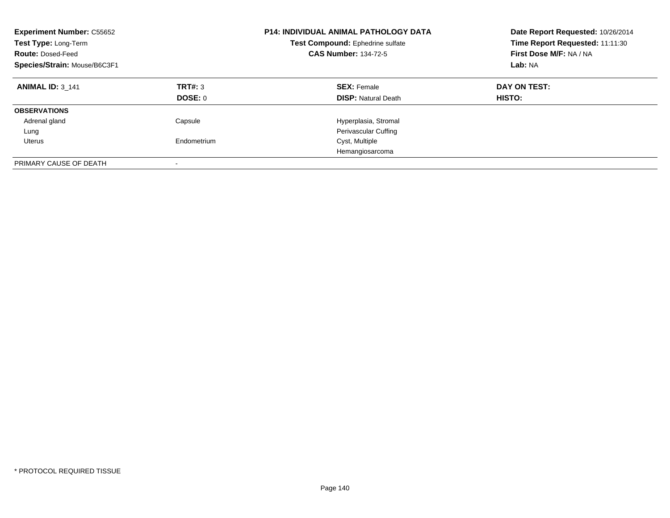| <b>Experiment Number: C55652</b><br>Test Type: Long-Term<br><b>Route: Dosed-Feed</b><br>Species/Strain: Mouse/B6C3F1 |                          | <b>P14: INDIVIDUAL ANIMAL PATHOLOGY DATA</b><br>Test Compound: Ephedrine sulfate<br><b>CAS Number: 134-72-5</b> | Date Report Requested: 10/26/2014<br>Time Report Requested: 11:11:30<br>First Dose M/F: NA / NA<br>Lab: NA |  |
|----------------------------------------------------------------------------------------------------------------------|--------------------------|-----------------------------------------------------------------------------------------------------------------|------------------------------------------------------------------------------------------------------------|--|
| <b>ANIMAL ID: 3 141</b>                                                                                              | TRT#: 3<br>DOSE: 0       | <b>SEX: Female</b><br><b>DISP:</b> Natural Death                                                                | DAY ON TEST:<br>HISTO:                                                                                     |  |
| <b>OBSERVATIONS</b>                                                                                                  |                          |                                                                                                                 |                                                                                                            |  |
| Adrenal gland                                                                                                        | Capsule                  | Hyperplasia, Stromal                                                                                            |                                                                                                            |  |
| Lung                                                                                                                 |                          | Perivascular Cuffing                                                                                            |                                                                                                            |  |
| Uterus                                                                                                               | Endometrium              | Cyst, Multiple                                                                                                  |                                                                                                            |  |
|                                                                                                                      |                          | Hemangiosarcoma                                                                                                 |                                                                                                            |  |
| PRIMARY CAUSE OF DEATH                                                                                               | $\overline{\phantom{a}}$ |                                                                                                                 |                                                                                                            |  |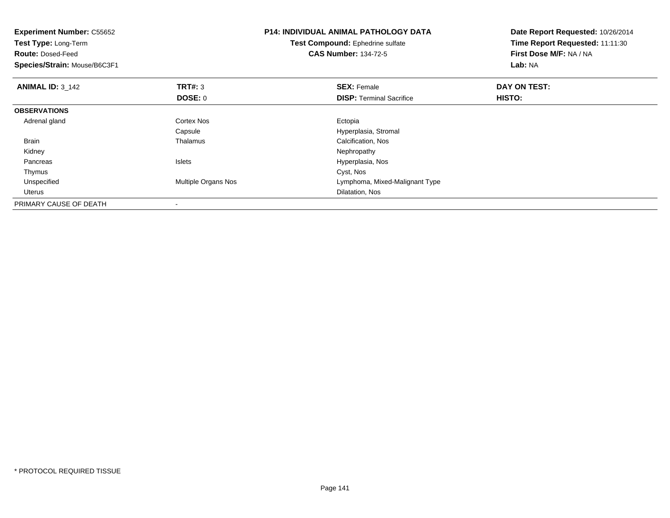| <b>Experiment Number: C55652</b><br>Test Type: Long-Term<br><b>Route: Dosed-Feed</b><br>Species/Strain: Mouse/B6C3F1 |                     | <b>P14: INDIVIDUAL ANIMAL PATHOLOGY DATA</b><br>Test Compound: Ephedrine sulfate<br><b>CAS Number: 134-72-5</b> | Date Report Requested: 10/26/2014<br>Time Report Requested: 11:11:30<br>First Dose M/F: NA / NA<br>Lab: NA |
|----------------------------------------------------------------------------------------------------------------------|---------------------|-----------------------------------------------------------------------------------------------------------------|------------------------------------------------------------------------------------------------------------|
| <b>ANIMAL ID: 3_142</b>                                                                                              | <b>TRT#: 3</b>      | <b>SEX: Female</b>                                                                                              | DAY ON TEST:                                                                                               |
|                                                                                                                      | <b>DOSE: 0</b>      | <b>DISP:</b> Terminal Sacrifice                                                                                 | <b>HISTO:</b>                                                                                              |
| <b>OBSERVATIONS</b>                                                                                                  |                     |                                                                                                                 |                                                                                                            |
| Adrenal gland                                                                                                        | Cortex Nos          | Ectopia                                                                                                         |                                                                                                            |
|                                                                                                                      | Capsule             | Hyperplasia, Stromal                                                                                            |                                                                                                            |
| <b>Brain</b>                                                                                                         | Thalamus            | Calcification, Nos                                                                                              |                                                                                                            |
| Kidney                                                                                                               |                     | Nephropathy                                                                                                     |                                                                                                            |
| Pancreas                                                                                                             | <b>Islets</b>       | Hyperplasia, Nos                                                                                                |                                                                                                            |
| Thymus                                                                                                               |                     | Cyst, Nos                                                                                                       |                                                                                                            |
| Unspecified                                                                                                          | Multiple Organs Nos | Lymphoma, Mixed-Malignant Type                                                                                  |                                                                                                            |
| Uterus                                                                                                               |                     | Dilatation, Nos                                                                                                 |                                                                                                            |
| PRIMARY CAUSE OF DEATH                                                                                               |                     |                                                                                                                 |                                                                                                            |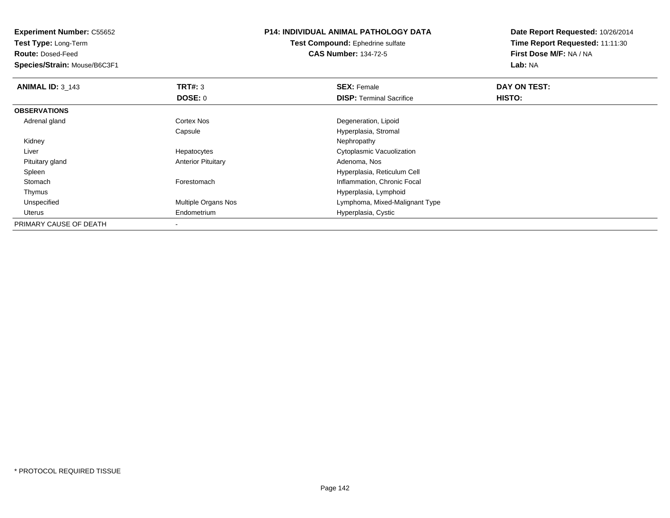**Test Type:** Long-Term

**Route:** Dosed-Feed

**Species/Strain:** Mouse/B6C3F1

# **P14: INDIVIDUAL ANIMAL PATHOLOGY DATA**

**Test Compound:** Ephedrine sulfate**CAS Number:** 134-72-5

| <b>ANIMAL ID: 3 143</b> | TRT#: 3                   | <b>SEX: Female</b>              | DAY ON TEST: |  |
|-------------------------|---------------------------|---------------------------------|--------------|--|
|                         | <b>DOSE: 0</b>            | <b>DISP:</b> Terminal Sacrifice | HISTO:       |  |
| <b>OBSERVATIONS</b>     |                           |                                 |              |  |
| Adrenal gland           | <b>Cortex Nos</b>         | Degeneration, Lipoid            |              |  |
|                         | Capsule                   | Hyperplasia, Stromal            |              |  |
| Kidney                  |                           | Nephropathy                     |              |  |
| Liver                   | Hepatocytes               | Cytoplasmic Vacuolization       |              |  |
| Pituitary gland         | <b>Anterior Pituitary</b> | Adenoma, Nos                    |              |  |
| Spleen                  |                           | Hyperplasia, Reticulum Cell     |              |  |
| Stomach                 | Forestomach               | Inflammation, Chronic Focal     |              |  |
| Thymus                  |                           | Hyperplasia, Lymphoid           |              |  |
| Unspecified             | Multiple Organs Nos       | Lymphoma, Mixed-Malignant Type  |              |  |
| Uterus                  | Endometrium               | Hyperplasia, Cystic             |              |  |
| PRIMARY CAUSE OF DEATH  |                           |                                 |              |  |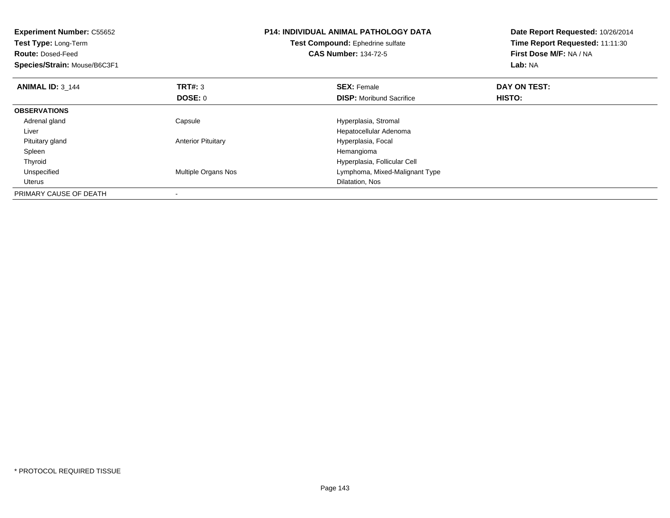| <b>Experiment Number: C55652</b><br>Test Type: Long-Term<br><b>Route: Dosed-Feed</b><br>Species/Strain: Mouse/B6C3F1 |                            | <b>P14: INDIVIDUAL ANIMAL PATHOLOGY DATA</b><br>Test Compound: Ephedrine sulfate<br><b>CAS Number: 134-72-5</b> | Date Report Requested: 10/26/2014<br>Time Report Requested: 11:11:30<br>First Dose M/F: NA / NA<br>Lab: NA |
|----------------------------------------------------------------------------------------------------------------------|----------------------------|-----------------------------------------------------------------------------------------------------------------|------------------------------------------------------------------------------------------------------------|
| <b>ANIMAL ID: 3 144</b>                                                                                              | <b>TRT#: 3</b>             | <b>SEX: Female</b>                                                                                              | DAY ON TEST:                                                                                               |
|                                                                                                                      | DOSE: 0                    | <b>DISP:</b> Moribund Sacrifice                                                                                 | HISTO:                                                                                                     |
| <b>OBSERVATIONS</b>                                                                                                  |                            |                                                                                                                 |                                                                                                            |
| Adrenal gland                                                                                                        | Capsule                    | Hyperplasia, Stromal                                                                                            |                                                                                                            |
| Liver                                                                                                                |                            | Hepatocellular Adenoma                                                                                          |                                                                                                            |
| Pituitary gland                                                                                                      | <b>Anterior Pituitary</b>  | Hyperplasia, Focal                                                                                              |                                                                                                            |
| Spleen                                                                                                               |                            | Hemangioma                                                                                                      |                                                                                                            |
| Thyroid                                                                                                              |                            | Hyperplasia, Follicular Cell                                                                                    |                                                                                                            |
| Unspecified                                                                                                          | <b>Multiple Organs Nos</b> | Lymphoma, Mixed-Malignant Type                                                                                  |                                                                                                            |
| Uterus                                                                                                               |                            | Dilatation, Nos                                                                                                 |                                                                                                            |
| PRIMARY CAUSE OF DEATH                                                                                               |                            |                                                                                                                 |                                                                                                            |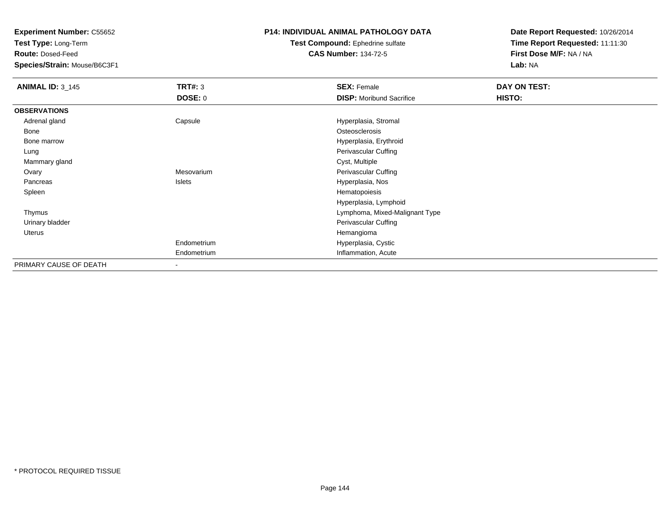**Test Type:** Long-Term

**Route:** Dosed-Feed

**Species/Strain:** Mouse/B6C3F1

### **P14: INDIVIDUAL ANIMAL PATHOLOGY DATA**

**Test Compound:** Ephedrine sulfate**CAS Number:** 134-72-5

| <b>ANIMAL ID: 3_145</b> | <b>TRT#: 3</b>           | <b>SEX: Female</b>              | DAY ON TEST: |  |
|-------------------------|--------------------------|---------------------------------|--------------|--|
|                         | DOSE: 0                  | <b>DISP:</b> Moribund Sacrifice | HISTO:       |  |
| <b>OBSERVATIONS</b>     |                          |                                 |              |  |
| Adrenal gland           | Capsule                  | Hyperplasia, Stromal            |              |  |
| Bone                    |                          | Osteosclerosis                  |              |  |
| Bone marrow             |                          | Hyperplasia, Erythroid          |              |  |
| Lung                    |                          | Perivascular Cuffing            |              |  |
| Mammary gland           |                          | Cyst, Multiple                  |              |  |
| Ovary                   | Mesovarium               | Perivascular Cuffing            |              |  |
| Pancreas                | Islets                   | Hyperplasia, Nos                |              |  |
| Spleen                  |                          | Hematopoiesis                   |              |  |
|                         |                          | Hyperplasia, Lymphoid           |              |  |
| Thymus                  |                          | Lymphoma, Mixed-Malignant Type  |              |  |
| Urinary bladder         |                          | Perivascular Cuffing            |              |  |
| Uterus                  |                          | Hemangioma                      |              |  |
|                         | Endometrium              | Hyperplasia, Cystic             |              |  |
|                         | Endometrium              | Inflammation, Acute             |              |  |
| PRIMARY CAUSE OF DEATH  | $\overline{\phantom{0}}$ |                                 |              |  |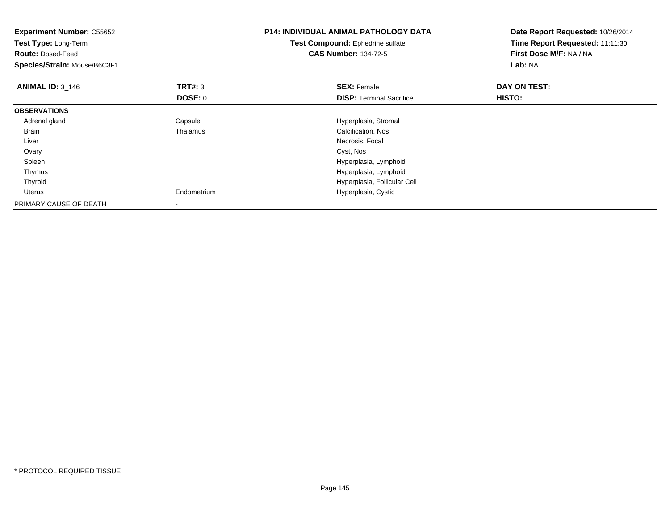| <b>Experiment Number: C55652</b><br>Test Type: Long-Term<br><b>Route: Dosed-Feed</b><br>Species/Strain: Mouse/B6C3F1 |                | <b>P14: INDIVIDUAL ANIMAL PATHOLOGY DATA</b><br>Test Compound: Ephedrine sulfate<br><b>CAS Number: 134-72-5</b> | Date Report Requested: 10/26/2014<br>Time Report Requested: 11:11:30<br>First Dose M/F: NA / NA<br>Lab: NA |
|----------------------------------------------------------------------------------------------------------------------|----------------|-----------------------------------------------------------------------------------------------------------------|------------------------------------------------------------------------------------------------------------|
| <b>ANIMAL ID:</b> $3_{146}$                                                                                          | <b>TRT#: 3</b> | <b>SEX: Female</b>                                                                                              | DAY ON TEST:                                                                                               |
|                                                                                                                      | DOSE: 0        | <b>DISP:</b> Terminal Sacrifice                                                                                 | <b>HISTO:</b>                                                                                              |
| <b>OBSERVATIONS</b>                                                                                                  |                |                                                                                                                 |                                                                                                            |
| Adrenal gland                                                                                                        | Capsule        | Hyperplasia, Stromal                                                                                            |                                                                                                            |
| <b>Brain</b>                                                                                                         | Thalamus       | Calcification, Nos                                                                                              |                                                                                                            |
| Liver                                                                                                                |                | Necrosis, Focal                                                                                                 |                                                                                                            |
| Ovary                                                                                                                |                | Cyst, Nos                                                                                                       |                                                                                                            |
| Spleen                                                                                                               |                | Hyperplasia, Lymphoid                                                                                           |                                                                                                            |
| Thymus                                                                                                               |                | Hyperplasia, Lymphoid                                                                                           |                                                                                                            |
| Thyroid                                                                                                              |                | Hyperplasia, Follicular Cell                                                                                    |                                                                                                            |
| Uterus                                                                                                               | Endometrium    | Hyperplasia, Cystic                                                                                             |                                                                                                            |
| PRIMARY CAUSE OF DEATH                                                                                               |                |                                                                                                                 |                                                                                                            |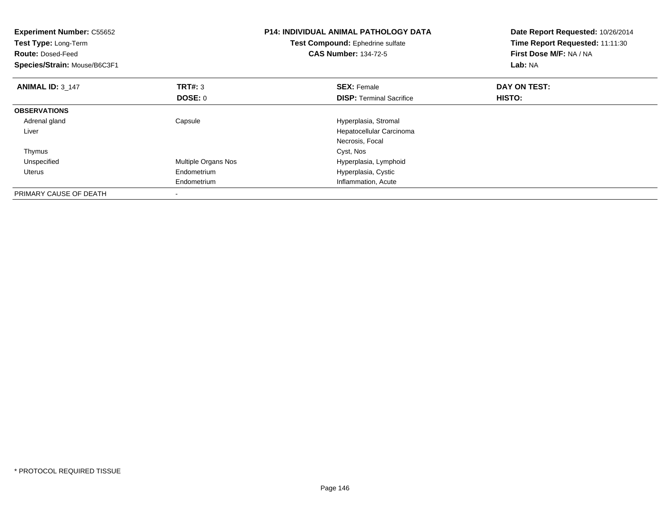| <b>Experiment Number: C55652</b><br>Test Type: Long-Term<br><b>Route: Dosed-Feed</b><br>Species/Strain: Mouse/B6C3F1 |                          | <b>P14: INDIVIDUAL ANIMAL PATHOLOGY DATA</b><br>Test Compound: Ephedrine sulfate<br><b>CAS Number: 134-72-5</b> | Date Report Requested: 10/26/2014<br>Time Report Requested: 11:11:30<br>First Dose M/F: NA / NA<br>Lab: NA |
|----------------------------------------------------------------------------------------------------------------------|--------------------------|-----------------------------------------------------------------------------------------------------------------|------------------------------------------------------------------------------------------------------------|
| <b>ANIMAL ID: 3 147</b>                                                                                              | <b>TRT#: 3</b>           | <b>SEX: Female</b>                                                                                              | DAY ON TEST:                                                                                               |
|                                                                                                                      | DOSE: 0                  | <b>DISP:</b> Terminal Sacrifice                                                                                 | HISTO:                                                                                                     |
| <b>OBSERVATIONS</b>                                                                                                  |                          |                                                                                                                 |                                                                                                            |
| Adrenal gland                                                                                                        | Capsule                  | Hyperplasia, Stromal                                                                                            |                                                                                                            |
| Liver                                                                                                                |                          | Hepatocellular Carcinoma                                                                                        |                                                                                                            |
|                                                                                                                      |                          | Necrosis, Focal                                                                                                 |                                                                                                            |
| Thymus                                                                                                               |                          | Cyst, Nos                                                                                                       |                                                                                                            |
| Unspecified                                                                                                          | Multiple Organs Nos      | Hyperplasia, Lymphoid                                                                                           |                                                                                                            |
| Uterus                                                                                                               | Endometrium              | Hyperplasia, Cystic                                                                                             |                                                                                                            |
|                                                                                                                      | Endometrium              | Inflammation, Acute                                                                                             |                                                                                                            |
| PRIMARY CAUSE OF DEATH                                                                                               | $\overline{\phantom{a}}$ |                                                                                                                 |                                                                                                            |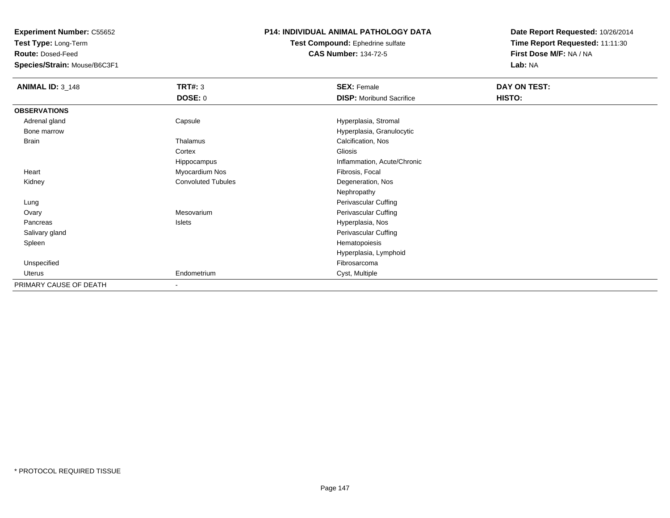**Experiment Number:** C55652

**Test Type:** Long-Term

**Route:** Dosed-Feed

**Species/Strain:** Mouse/B6C3F1

## **P14: INDIVIDUAL ANIMAL PATHOLOGY DATA**

**Test Compound:** Ephedrine sulfate**CAS Number:** 134-72-5

**Date Report Requested:** 10/26/2014**Time Report Requested:** 11:11:30**First Dose M/F:** NA / NA**Lab:** NA

| <b>ANIMAL ID: 3_148</b> | <b>TRT#: 3</b>            | <b>SEX: Female</b>              | <b>DAY ON TEST:</b> |
|-------------------------|---------------------------|---------------------------------|---------------------|
|                         | <b>DOSE: 0</b>            | <b>DISP:</b> Moribund Sacrifice | HISTO:              |
| <b>OBSERVATIONS</b>     |                           |                                 |                     |
| Adrenal gland           | Capsule                   | Hyperplasia, Stromal            |                     |
| Bone marrow             |                           | Hyperplasia, Granulocytic       |                     |
| <b>Brain</b>            | Thalamus                  | Calcification, Nos              |                     |
|                         | Cortex                    | Gliosis                         |                     |
|                         | Hippocampus               | Inflammation, Acute/Chronic     |                     |
| Heart                   | Myocardium Nos            | Fibrosis, Focal                 |                     |
| Kidney                  | <b>Convoluted Tubules</b> | Degeneration, Nos               |                     |
|                         |                           | Nephropathy                     |                     |
| Lung                    |                           | Perivascular Cuffing            |                     |
| Ovary                   | Mesovarium                | Perivascular Cuffing            |                     |
| Pancreas                | Islets                    | Hyperplasia, Nos                |                     |
| Salivary gland          |                           | Perivascular Cuffing            |                     |
| Spleen                  |                           | Hematopoiesis                   |                     |
|                         |                           | Hyperplasia, Lymphoid           |                     |
| Unspecified             |                           | Fibrosarcoma                    |                     |
| Uterus                  | Endometrium               | Cyst, Multiple                  |                     |
| PRIMARY CAUSE OF DEATH  | $\overline{\phantom{a}}$  |                                 |                     |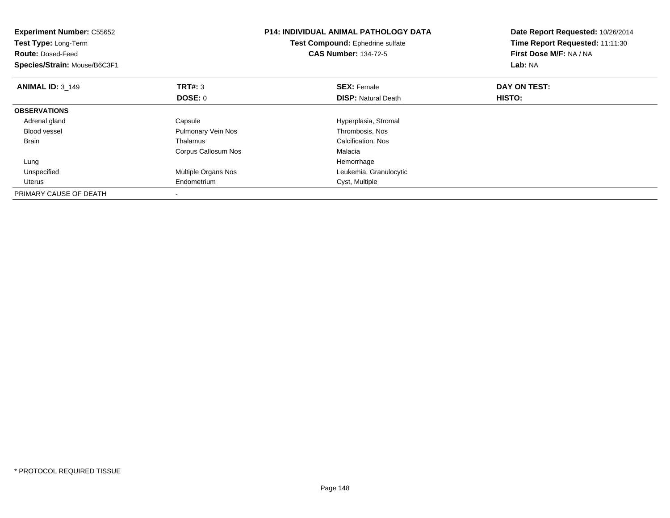| <b>Experiment Number: C55652</b><br>Test Type: Long-Term<br><b>Route: Dosed-Feed</b><br>Species/Strain: Mouse/B6C3F1 |                     | <b>P14: INDIVIDUAL ANIMAL PATHOLOGY DATA</b><br>Test Compound: Ephedrine sulfate<br><b>CAS Number: 134-72-5</b> | Date Report Requested: 10/26/2014<br>Time Report Requested: 11:11:30<br>First Dose M/F: NA / NA<br>Lab: NA |
|----------------------------------------------------------------------------------------------------------------------|---------------------|-----------------------------------------------------------------------------------------------------------------|------------------------------------------------------------------------------------------------------------|
| <b>ANIMAL ID: 3 149</b>                                                                                              | <b>TRT#: 3</b>      | <b>SEX: Female</b>                                                                                              | DAY ON TEST:                                                                                               |
|                                                                                                                      | DOSE: 0             | <b>DISP: Natural Death</b>                                                                                      | HISTO:                                                                                                     |
| <b>OBSERVATIONS</b>                                                                                                  |                     |                                                                                                                 |                                                                                                            |
| Adrenal gland                                                                                                        | Capsule             | Hyperplasia, Stromal                                                                                            |                                                                                                            |
| <b>Blood vessel</b>                                                                                                  | Pulmonary Vein Nos  | Thrombosis, Nos                                                                                                 |                                                                                                            |
| Brain                                                                                                                | Thalamus            | Calcification, Nos                                                                                              |                                                                                                            |
|                                                                                                                      | Corpus Callosum Nos | Malacia                                                                                                         |                                                                                                            |
| Lung                                                                                                                 |                     | Hemorrhage                                                                                                      |                                                                                                            |
| Unspecified                                                                                                          | Multiple Organs Nos | Leukemia, Granulocytic                                                                                          |                                                                                                            |
| <b>Uterus</b>                                                                                                        | Endometrium         | Cyst, Multiple                                                                                                  |                                                                                                            |
| PRIMARY CAUSE OF DEATH                                                                                               |                     |                                                                                                                 |                                                                                                            |